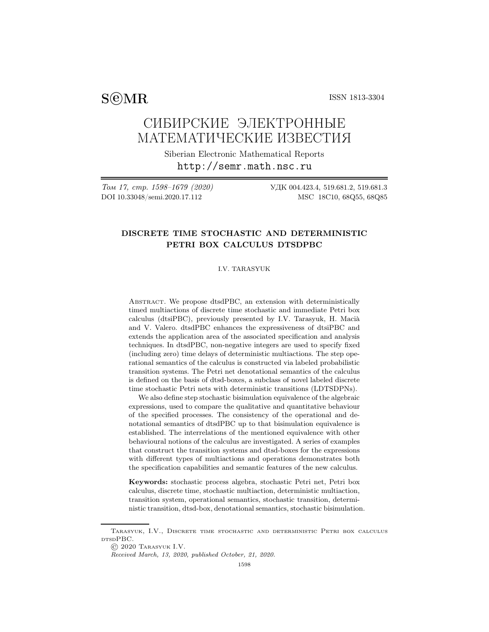$S@MR$  ISSN 1813-3304

# СИБИРСКИЕ ЭЛЕКТРОННЫЕ МАТЕМАТИЧЕСКИЕ ИЗВЕСТИЯ

Siberian Electronic Mathematical Reports http://semr.math.nsc.ru

Том 17, стр. 1598–1679 (2020) УДК 004.423.4, 519.681.2, 519.681.3 DOI 10.33048/semi.2020.17.112 MSC 18C10, 68Q55, 68Q85

## DISCRETE TIME STOCHASTIC AND DETERMINISTIC PETRI BOX CALCULUS DTSDPBC

#### I.V. TARASYUK

Abstract. We propose dtsdPBC, an extension with deterministically timed multiactions of discrete time stochastic and immediate Petri box calculus (dtsiPBC), previously presented by I.V. Tarasyuk, H. Macià and V. Valero. dtsdPBC enhances the expressiveness of dtsiPBC and extends the application area of the associated specification and analysis techniques. In dtsdPBC, non-negative integers are used to specify fixed (including zero) time delays of deterministic multiactions. The step operational semantics of the calculus is constructed via labeled probabilistic transition systems. The Petri net denotational semantics of the calculus is defined on the basis of dtsd-boxes, a subclass of novel labeled discrete time stochastic Petri nets with deterministic transitions (LDTSDPNs).

We also define step stochastic bisimulation equivalence of the algebraic expressions, used to compare the qualitative and quantitative behaviour of the specified processes. The consistency of the operational and denotational semantics of dtsdPBC up to that bisimulation equivalence is established. The interrelations of the mentioned equivalence with other behavioural notions of the calculus are investigated. A series of examples that construct the transition systems and dtsd-boxes for the expressions with different types of multiactions and operations demonstrates both the specification capabilities and semantic features of the new calculus.

Keywords: stochastic process algebra, stochastic Petri net, Petri box calculus, discrete time, stochastic multiaction, deterministic multiaction, transition system, operational semantics, stochastic transition, deterministic transition, dtsd-box, denotational semantics, stochastic bisimulation.

Tarasyuk, I.V., Discrete time stochastic and deterministic Petri box calculus DTSDPBC.

<sup>©</sup> 2020 Tarasyuk I.V.

Received March, 13, 2020, published October, 21, 2020.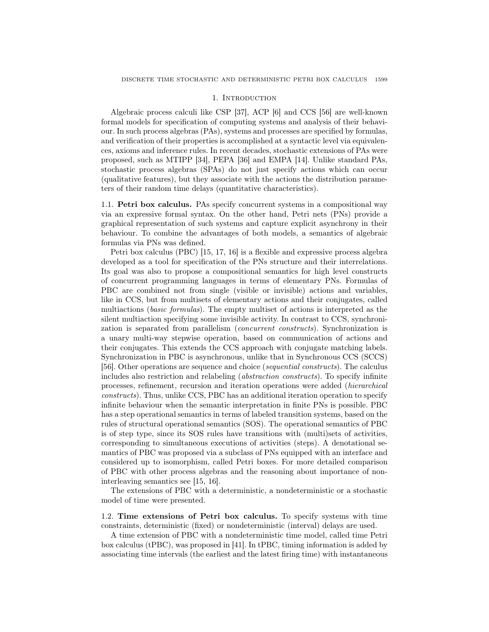## 1. INTRODUCTION

Algebraic process calculi like CSP [37], ACP [6] and CCS [56] are well-known formal models for specification of computing systems and analysis of their behaviour. In such process algebras (PAs), systems and processes are specified by formulas, and verification of their properties is accomplished at a syntactic level via equivalences, axioms and inference rules. In recent decades, stochastic extensions of PAs were proposed, such as MTIPP [34], PEPA [36] and EMPA [14]. Unlike standard PAs, stochastic process algebras (SPAs) do not just specify actions which can occur (qualitative features), but they associate with the actions the distribution parameters of their random time delays (quantitative characteristics).

1.1. Petri box calculus. PAs specify concurrent systems in a compositional way via an expressive formal syntax. On the other hand, Petri nets (PNs) provide a graphical representation of such systems and capture explicit asynchrony in their behaviour. To combine the advantages of both models, a semantics of algebraic formulas via PNs was defined.

Petri box calculus (PBC) [15, 17, 16] is a flexible and expressive process algebra developed as a tool for specification of the PNs structure and their interrelations. Its goal was also to propose a compositional semantics for high level constructs of concurrent programming languages in terms of elementary PNs. Formulas of PBC are combined not from single (visible or invisible) actions and variables, like in CCS, but from multisets of elementary actions and their conjugates, called multiactions (basic formulas). The empty multiset of actions is interpreted as the silent multiaction specifying some invisible activity. In contrast to CCS, synchronization is separated from parallelism (concurrent constructs). Synchronization is a unary multi-way stepwise operation, based on communication of actions and their conjugates. This extends the CCS approach with conjugate matching labels. Synchronization in PBC is asynchronous, unlike that in Synchronous CCS (SCCS) [56]. Other operations are sequence and choice (sequential constructs). The calculus includes also restriction and relabeling (abstraction constructs). To specify infinite processes, refinement, recursion and iteration operations were added (hierarchical constructs). Thus, unlike CCS, PBC has an additional iteration operation to specify infinite behaviour when the semantic interpretation in finite PNs is possible. PBC has a step operational semantics in terms of labeled transition systems, based on the rules of structural operational semantics (SOS). The operational semantics of PBC is of step type, since its SOS rules have transitions with (multi)sets of activities, corresponding to simultaneous executions of activities (steps). A denotational semantics of PBC was proposed via a subclass of PNs equipped with an interface and considered up to isomorphism, called Petri boxes. For more detailed comparison of PBC with other process algebras and the reasoning about importance of noninterleaving semantics see [15, 16].

The extensions of PBC with a deterministic, a nondeterministic or a stochastic model of time were presented.

1.2. Time extensions of Petri box calculus. To specify systems with time constraints, deterministic (fixed) or nondeterministic (interval) delays are used.

A time extension of PBC with a nondeterministic time model, called time Petri box calculus (tPBC), was proposed in [41]. In tPBC, timing information is added by associating time intervals (the earliest and the latest firing time) with instantaneous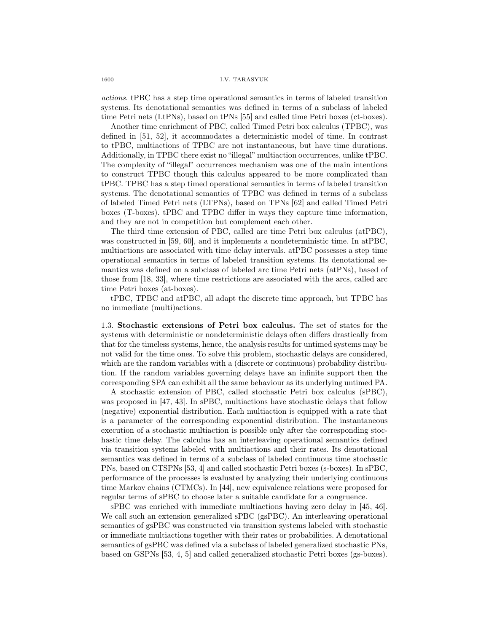actions. tPBC has a step time operational semantics in terms of labeled transition systems. Its denotational semantics was defined in terms of a subclass of labeled time Petri nets (LtPNs), based on tPNs [55] and called time Petri boxes (ct-boxes).

Another time enrichment of PBC, called Timed Petri box calculus (TPBC), was defined in [51, 52], it accommodates a deterministic model of time. In contrast to tPBC, multiactions of TPBC are not instantaneous, but have time durations. Additionally, in TPBC there exist no "illegal" multiaction occurrences, unlike tPBC. The complexity of "illegal" occurrences mechanism was one of the main intentions to construct TPBC though this calculus appeared to be more complicated than tPBC. TPBC has a step timed operational semantics in terms of labeled transition systems. The denotational semantics of TPBC was defined in terms of a subclass of labeled Timed Petri nets (LTPNs), based on TPNs [62] and called Timed Petri boxes (T-boxes). tPBC and TPBC differ in ways they capture time information, and they are not in competition but complement each other.

The third time extension of PBC, called arc time Petri box calculus (atPBC), was constructed in [59, 60], and it implements a nondeterministic time. In atPBC, multiactions are associated with time delay intervals. atPBC possesses a step time operational semantics in terms of labeled transition systems. Its denotational semantics was defined on a subclass of labeled arc time Petri nets (atPNs), based of those from [18, 33], where time restrictions are associated with the arcs, called arc time Petri boxes (at-boxes).

tPBC, TPBC and atPBC, all adapt the discrete time approach, but TPBC has no immediate (multi)actions.

1.3. Stochastic extensions of Petri box calculus. The set of states for the systems with deterministic or nondeterministic delays often differs drastically from that for the timeless systems, hence, the analysis results for untimed systems may be not valid for the time ones. To solve this problem, stochastic delays are considered, which are the random variables with a (discrete or continuous) probability distribution. If the random variables governing delays have an infinite support then the corresponding SPA can exhibit all the same behaviour as its underlying untimed PA.

A stochastic extension of PBC, called stochastic Petri box calculus (sPBC), was proposed in [47, 43]. In sPBC, multiactions have stochastic delays that follow (negative) exponential distribution. Each multiaction is equipped with a rate that is a parameter of the corresponding exponential distribution. The instantaneous execution of a stochastic multiaction is possible only after the corresponding stochastic time delay. The calculus has an interleaving operational semantics defined via transition systems labeled with multiactions and their rates. Its denotational semantics was defined in terms of a subclass of labeled continuous time stochastic PNs, based on CTSPNs [53, 4] and called stochastic Petri boxes (s-boxes). In sPBC, performance of the processes is evaluated by analyzing their underlying continuous time Markov chains (CTMCs). In [44], new equivalence relations were proposed for regular terms of sPBC to choose later a suitable candidate for a congruence.

sPBC was enriched with immediate multiactions having zero delay in [45, 46]. We call such an extension generalized sPBC (gsPBC). An interleaving operational semantics of gsPBC was constructed via transition systems labeled with stochastic or immediate multiactions together with their rates or probabilities. A denotational semantics of gsPBC was defined via a subclass of labeled generalized stochastic PNs, based on GSPNs [53, 4, 5] and called generalized stochastic Petri boxes (gs-boxes).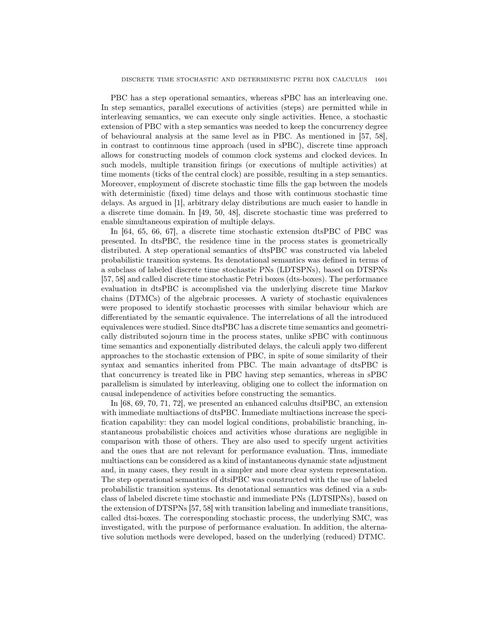PBC has a step operational semantics, whereas sPBC has an interleaving one. In step semantics, parallel executions of activities (steps) are permitted while in interleaving semantics, we can execute only single activities. Hence, a stochastic extension of PBC with a step semantics was needed to keep the concurrency degree of behavioural analysis at the same level as in PBC. As mentioned in [57, 58], in contrast to continuous time approach (used in sPBC), discrete time approach allows for constructing models of common clock systems and clocked devices. In such models, multiple transition firings (or executions of multiple activities) at time moments (ticks of the central clock) are possible, resulting in a step semantics. Moreover, employment of discrete stochastic time fills the gap between the models with deterministic (fixed) time delays and those with continuous stochastic time delays. As argued in [1], arbitrary delay distributions are much easier to handle in a discrete time domain. In [49, 50, 48], discrete stochastic time was preferred to enable simultaneous expiration of multiple delays.

In [64, 65, 66, 67], a discrete time stochastic extension dtsPBC of PBC was presented. In dtsPBC, the residence time in the process states is geometrically distributed. A step operational semantics of dtsPBC was constructed via labeled probabilistic transition systems. Its denotational semantics was defined in terms of a subclass of labeled discrete time stochastic PNs (LDTSPNs), based on DTSPNs [57, 58] and called discrete time stochastic Petri boxes (dts-boxes). The performance evaluation in dtsPBC is accomplished via the underlying discrete time Markov chains (DTMCs) of the algebraic processes. A variety of stochastic equivalences were proposed to identify stochastic processes with similar behaviour which are differentiated by the semantic equivalence. The interrelations of all the introduced equivalences were studied. Since dtsPBC has a discrete time semantics and geometrically distributed sojourn time in the process states, unlike sPBC with continuous time semantics and exponentially distributed delays, the calculi apply two different approaches to the stochastic extension of PBC, in spite of some similarity of their syntax and semantics inherited from PBC. The main advantage of dtsPBC is that concurrency is treated like in PBC having step semantics, whereas in sPBC parallelism is simulated by interleaving, obliging one to collect the information on causal independence of activities before constructing the semantics.

In [68, 69, 70, 71, 72], we presented an enhanced calculus dtsiPBC, an extension with immediate multiactions of dtsPBC. Immediate multiactions increase the specification capability: they can model logical conditions, probabilistic branching, instantaneous probabilistic choices and activities whose durations are negligible in comparison with those of others. They are also used to specify urgent activities and the ones that are not relevant for performance evaluation. Thus, immediate multiactions can be considered as a kind of instantaneous dynamic state adjustment and, in many cases, they result in a simpler and more clear system representation. The step operational semantics of dtsiPBC was constructed with the use of labeled probabilistic transition systems. Its denotational semantics was defined via a subclass of labeled discrete time stochastic and immediate PNs (LDTSIPNs), based on the extension of DTSPNs [57, 58] with transition labeling and immediate transitions, called dtsi-boxes. The corresponding stochastic process, the underlying SMC, was investigated, with the purpose of performance evaluation. In addition, the alternative solution methods were developed, based on the underlying (reduced) DTMC.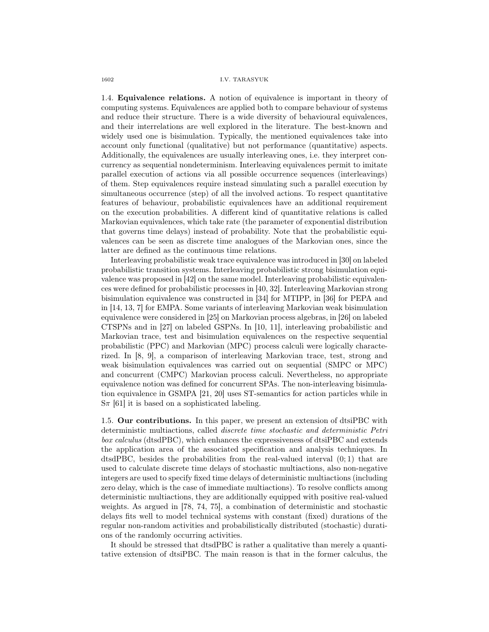1.4. Equivalence relations. A notion of equivalence is important in theory of computing systems. Equivalences are applied both to compare behaviour of systems and reduce their structure. There is a wide diversity of behavioural equivalences, and their interrelations are well explored in the literature. The best-known and widely used one is bisimulation. Typically, the mentioned equivalences take into account only functional (qualitative) but not performance (quantitative) aspects. Additionally, the equivalences are usually interleaving ones, i.e. they interpret concurrency as sequential nondeterminism. Interleaving equivalences permit to imitate parallel execution of actions via all possible occurrence sequences (interleavings) of them. Step equivalences require instead simulating such a parallel execution by simultaneous occurrence (step) of all the involved actions. To respect quantitative features of behaviour, probabilistic equivalences have an additional requirement on the execution probabilities. A different kind of quantitative relations is called Markovian equivalences, which take rate (the parameter of exponential distribution that governs time delays) instead of probability. Note that the probabilistic equivalences can be seen as discrete time analogues of the Markovian ones, since the latter are defined as the continuous time relations.

Interleaving probabilistic weak trace equivalence was introduced in [30] on labeled probabilistic transition systems. Interleaving probabilistic strong bisimulation equivalence was proposed in [42] on the same model. Interleaving probabilistic equivalences were defined for probabilistic processes in [40, 32]. Interleaving Markovian strong bisimulation equivalence was constructed in [34] for MTIPP, in [36] for PEPA and in [14, 13, 7] for EMPA. Some variants of interleaving Markovian weak bisimulation equivalence were considered in [25] on Markovian process algebras, in [26] on labeled CTSPNs and in [27] on labeled GSPNs. In [10, 11], interleaving probabilistic and Markovian trace, test and bisimulation equivalences on the respective sequential probabilistic (PPC) and Markovian (MPC) process calculi were logically characterized. In [8, 9], a comparison of interleaving Markovian trace, test, strong and weak bisimulation equivalences was carried out on sequential (SMPC or MPC) and concurrent (CMPC) Markovian process calculi. Nevertheless, no appropriate equivalence notion was defined for concurrent SPAs. The non-interleaving bisimulation equivalence in GSMPA [21, 20] uses ST-semantics for action particles while in  $S_{\pi}$  [61] it is based on a sophisticated labeling.

1.5. Our contributions. In this paper, we present an extension of dtsiPBC with deterministic multiactions, called discrete time stochastic and deterministic Petri box calculus (dtsdPBC), which enhances the expressiveness of dtsiPBC and extends the application area of the associated specification and analysis techniques. In dtsdPBC, besides the probabilities from the real-valued interval  $(0,1)$  that are used to calculate discrete time delays of stochastic multiactions, also non-negative integers are used to specify fixed time delays of deterministic multiactions (including zero delay, which is the case of immediate multiactions). To resolve conflicts among deterministic multiactions, they are additionally equipped with positive real-valued weights. As argued in [78, 74, 75], a combination of deterministic and stochastic delays fits well to model technical systems with constant (fixed) durations of the regular non-random activities and probabilistically distributed (stochastic) durations of the randomly occurring activities.

It should be stressed that dtsdPBC is rather a qualitative than merely a quantitative extension of dtsiPBC. The main reason is that in the former calculus, the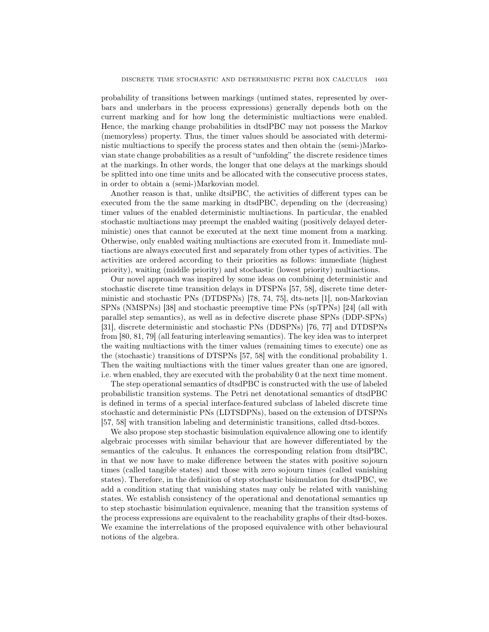probability of transitions between markings (untimed states, represented by overbars and underbars in the process expressions) generally depends both on the current marking and for how long the deterministic multiactions were enabled. Hence, the marking change probabilities in dtsdPBC may not possess the Markov (memoryless) property. Thus, the timer values should be associated with deterministic multiactions to specify the process states and then obtain the (semi-)Markovian state change probabilities as a result of "unfolding" the discrete residence times at the markings. In other words, the longer that one delays at the markings should be splitted into one time units and be allocated with the consecutive process states, in order to obtain a (semi-)Markovian model.

Another reason is that, unlike dtsiPBC, the activities of different types can be executed from the the same marking in dtsdPBC, depending on the (decreasing) timer values of the enabled deterministic multiactions. In particular, the enabled stochastic multiactions may preempt the enabled waiting (positively delayed deterministic) ones that cannot be executed at the next time moment from a marking. Otherwise, only enabled waiting multiactions are executed from it. Immediate multiactions are always executed first and separately from other types of activities. The activities are ordered according to their priorities as follows: immediate (highest priority), waiting (middle priority) and stochastic (lowest priority) multiactions.

Our novel approach was inspired by some ideas on combining deterministic and stochastic discrete time transition delays in DTSPNs [57, 58], discrete time deterministic and stochastic PNs (DTDSPNs) [78, 74, 75], dts-nets [1], non-Markovian SPNs (NMSPNs) [38] and stochastic preemptive time PNs (spTPNs) [24] (all with parallel step semantics), as well as in defective discrete phase SPNs (DDP-SPNs) [31], discrete deterministic and stochastic PNs (DDSPNs) [76, 77] and DTDSPNs from [80, 81, 79] (all featuring interleaving semantics). The key idea was to interpret the waiting multiactions with the timer values (remaining times to execute) one as the (stochastic) transitions of DTSPNs [57, 58] with the conditional probability 1. Then the waiting multiactions with the timer values greater than one are ignored, i.e. when enabled, they are executed with the probability 0 at the next time moment.

The step operational semantics of dtsdPBC is constructed with the use of labeled probabilistic transition systems. The Petri net denotational semantics of dtsdPBC is defined in terms of a special interface-featured subclass of labeled discrete time stochastic and deterministic PNs (LDTSDPNs), based on the extension of DTSPNs [57, 58] with transition labeling and deterministic transitions, called dtsd-boxes.

We also propose step stochastic bisimulation equivalence allowing one to identify algebraic processes with similar behaviour that are however differentiated by the semantics of the calculus. It enhances the corresponding relation from dtsiPBC, in that we now have to make difference between the states with positive sojourn times (called tangible states) and those with zero sojourn times (called vanishing states). Therefore, in the definition of step stochastic bisimulation for dtsdPBC, we add a condition stating that vanishing states may only be related with vanishing states. We establish consistency of the operational and denotational semantics up to step stochastic bisimulation equivalence, meaning that the transition systems of the process expressions are equivalent to the reachability graphs of their dtsd-boxes. We examine the interrelations of the proposed equivalence with other behavioural notions of the algebra.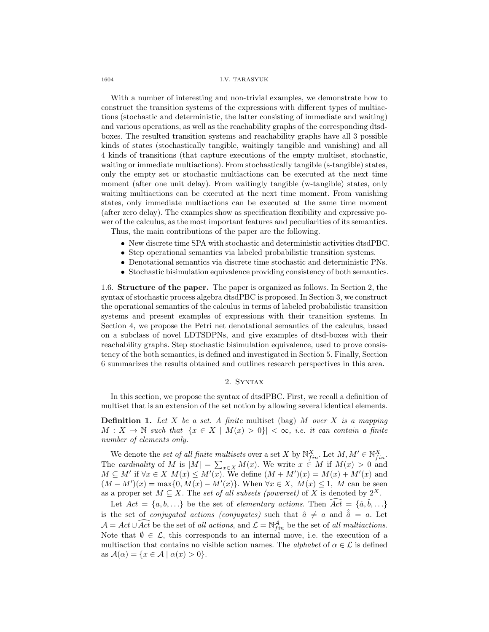1604 I.V. TARASYUK

With a number of interesting and non-trivial examples, we demonstrate how to construct the transition systems of the expressions with different types of multiactions (stochastic and deterministic, the latter consisting of immediate and waiting) and various operations, as well as the reachability graphs of the corresponding dtsdboxes. The resulted transition systems and reachability graphs have all 3 possible kinds of states (stochastically tangible, waitingly tangible and vanishing) and all 4 kinds of transitions (that capture executions of the empty multiset, stochastic, waiting or immediate multiactions). From stochastically tangible (s-tangible) states, only the empty set or stochastic multiactions can be executed at the next time moment (after one unit delay). From waitingly tangible (w-tangible) states, only waiting multiactions can be executed at the next time moment. From vanishing states, only immediate multiactions can be executed at the same time moment (after zero delay). The examples show as specification flexibility and expressive power of the calculus, as the most important features and peculiarities of its semantics.

Thus, the main contributions of the paper are the following.

- New discrete time SPA with stochastic and deterministic activities dtsdPBC.
- Step operational semantics via labeled probabilistic transition systems.
- Denotational semantics via discrete time stochastic and deterministic PNs.
- Stochastic bisimulation equivalence providing consistency of both semantics.

1.6. Structure of the paper. The paper is organized as follows. In Section 2, the syntax of stochastic process algebra dtsdPBC is proposed. In Section 3, we construct the operational semantics of the calculus in terms of labeled probabilistic transition systems and present examples of expressions with their transition systems. In Section 4, we propose the Petri net denotational semantics of the calculus, based on a subclass of novel LDTSDPNs, and give examples of dtsd-boxes with their reachability graphs. Step stochastic bisimulation equivalence, used to prove consistency of the both semantics, is defined and investigated in Section 5. Finally, Section 6 summarizes the results obtained and outlines research perspectives in this area.

## 2. Syntax

In this section, we propose the syntax of dtsdPBC. First, we recall a definition of multiset that is an extension of the set notion by allowing several identical elements.

**Definition 1.** Let X be a set. A finite multiset (bag) M over X is a mapping  $M: X \to \mathbb{N}$  such that  $|\{x \in X \mid M(x) > 0\}| < \infty$ , i.e. it can contain a finite number of elements only.

We denote the set of all finite multisets over a set X by  $\mathbb{N}_{fin}^X$ . Let  $M, M' \in \mathbb{N}_{fin}^X$ . The cardinality of M is  $|M| = \sum_{x \in X} M(x)$ . We write  $x \in M$  if  $M(x) > 0$  and  $M \subseteq M'$  if  $\forall x \in X$   $M(x) \leq M'(x)$ . We define  $(M + M')(x) = M(x) + M'(x)$  and  $(M - M')(x) = \max\{0, M(x) - M'(x)\}.$  When  $\forall x \in X$ ,  $M(x) \leq 1$ , M can be seen as a proper set  $M \subseteq X$ . The set of all subsets (powerset) of X is denoted by  $2^X$ .

Let  $Act = \{a, b, ...\}$  be the set of *elementary actions*. Then  $\widehat{Act} = \{\hat{a}, \hat{b}, ...\}$ is the set of *conjugated actions (conjugates)* such that  $\hat{a} \neq a$  and  $\hat{a} = a$ . Let  $\mathcal{A} = Act \cup \widehat{Act}$  be the set of all actions, and  $\mathcal{L} = \mathbb{N}_{fin}^{\mathcal{A}}$  be the set of all multiactions. Note that  $\emptyset \in \mathcal{L}$ , this corresponds to an internal move, i.e. the execution of a multiaction that contains no visible action names. The *alphabet* of  $\alpha \in \mathcal{L}$  is defined as  $\mathcal{A}(\alpha) = \{x \in \mathcal{A} \mid \alpha(x) > 0\}.$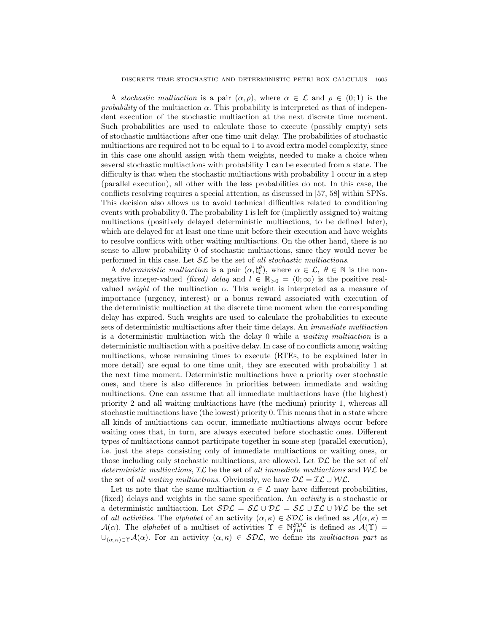A stochastic multiaction is a pair  $(\alpha, \rho)$ , where  $\alpha \in \mathcal{L}$  and  $\rho \in (0, 1)$  is the *probability* of the multiaction  $\alpha$ . This probability is interpreted as that of independent execution of the stochastic multiaction at the next discrete time moment. Such probabilities are used to calculate those to execute (possibly empty) sets of stochastic multiactions after one time unit delay. The probabilities of stochastic multiactions are required not to be equal to 1 to avoid extra model complexity, since in this case one should assign with them weights, needed to make a choice when several stochastic multiactions with probability 1 can be executed from a state. The difficulty is that when the stochastic multiactions with probability 1 occur in a step (parallel execution), all other with the less probabilities do not. In this case, the conflicts resolving requires a special attention, as discussed in [57, 58] within SPNs. This decision also allows us to avoid technical difficulties related to conditioning events with probability 0. The probability 1 is left for (implicitly assigned to) waiting multiactions (positively delayed deterministic multiactions, to be defined later), which are delayed for at least one time unit before their execution and have weights to resolve conflicts with other waiting multiactions. On the other hand, there is no sense to allow probability 0 of stochastic multiactions, since they would never be performed in this case. Let  $\mathcal{SL}$  be the set of all stochastic multiactions.

A deterministic multiaction is a pair  $(\alpha, \xi_l^{\theta})$ , where  $\alpha \in \mathcal{L}, \theta \in \mathbb{N}$  is the nonnegative integer-valued (fixed) delay and  $l \in \mathbb{R}_{>0} = (0, \infty)$  is the positive realvalued *weight* of the multiaction  $\alpha$ . This weight is interpreted as a measure of importance (urgency, interest) or a bonus reward associated with execution of the deterministic multiaction at the discrete time moment when the corresponding delay has expired. Such weights are used to calculate the probabilities to execute sets of deterministic multiactions after their time delays. An immediate multiaction is a deterministic multiaction with the delay 0 while a waiting multiaction is a deterministic multiaction with a positive delay. In case of no conflicts among waiting multiactions, whose remaining times to execute (RTEs, to be explained later in more detail) are equal to one time unit, they are executed with probability 1 at the next time moment. Deterministic multiactions have a priority over stochastic ones, and there is also difference in priorities between immediate and waiting multiactions. One can assume that all immediate multiactions have (the highest) priority 2 and all waiting multiactions have (the medium) priority 1, whereas all stochastic multiactions have (the lowest) priority 0. This means that in a state where all kinds of multiactions can occur, immediate multiactions always occur before waiting ones that, in turn, are always executed before stochastic ones. Different types of multiactions cannot participate together in some step (parallel execution), i.e. just the steps consisting only of immediate multiactions or waiting ones, or those including only stochastic multiactions, are allowed. Let  $\mathcal{DL}$  be the set of all deterministic multiactions,  $\mathcal{IL}$  be the set of all immediate multiactions and  $\mathcal{WL}$  be the set of all waiting multiactions. Obviously, we have  $\mathcal{DL} = \mathcal{IL} \cup \mathcal{WL}$ .

Let us note that the same multiaction  $\alpha \in \mathcal{L}$  may have different probabilities, (fixed) delays and weights in the same specification. An activity is a stochastic or a deterministic multiaction. Let  $SDE = \mathcal{SL} \cup \mathcal{DL} = \mathcal{SL} \cup \mathcal{IL} \cup \mathcal{WL}$  be the set of all activities. The alphabet of an activity  $(\alpha, \kappa) \in SDC$  is defined as  $\mathcal{A}(\alpha, \kappa) =$  $\mathcal{A}(\alpha)$ . The *alphabet* of a multiset of activities  $\Upsilon \in \mathbb{N}_{fin}^{S\mathcal{DL}}$  is defined as  $\mathcal{A}(\Upsilon)$  =  $\cup_{(\alpha,\kappa)\in\Upsilon}\mathcal{A}(\alpha)$ . For an activity  $(\alpha,\kappa)\in\mathcal{SDL}$ , we define its multiaction part as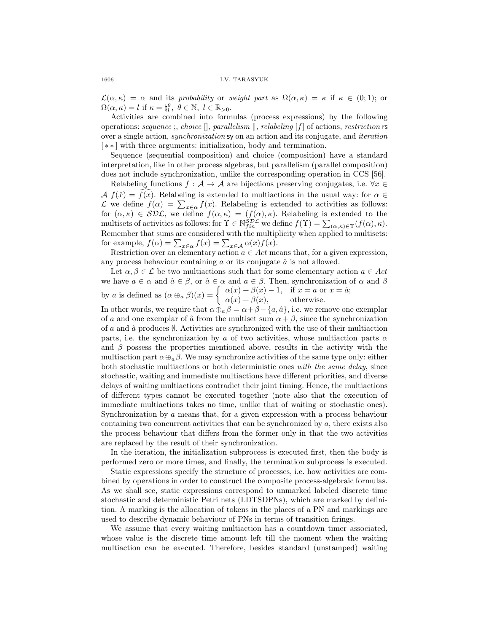$\mathcal{L}(\alpha,\kappa) = \alpha$  and its probability or weight part as  $\Omega(\alpha,\kappa) = \kappa$  if  $\kappa \in (0,1)$ ; or  $\Omega(\alpha,\kappa)=l \text{ if } \kappa=\natural_l^{\theta}, \ \theta\in\mathbb{N}, \ l\in\mathbb{R}_{>0}.$ 

Activities are combined into formulas (process expressions) by the following operations: sequence ;, choice  $\parallel$ , parallelism  $\parallel$ , relabeling  $[f]$  of actions, restriction rs over a single action, synchronization sy on an action and its conjugate, and iteration [ ∗ ∗ ] with three arguments: initialization, body and termination.

Sequence (sequential composition) and choice (composition) have a standard interpretation, like in other process algebras, but parallelism (parallel composition) does not include synchronization, unlike the corresponding operation in CCS [56].

Relabeling functions  $f : A \to A$  are bijections preserving conjugates, i.e.  $\forall x \in \mathbb{R}$  $\mathcal{A} f(\hat{x}) = f(x)$ . Relabeling is extended to multiactions in the usual way: for  $\alpha \in$  $\mathcal{L}$  we define  $f(\alpha) = \sum_{x \in \alpha} f(x)$ . Relabeling is extended to activities as follows: for  $(\alpha, \kappa) \in SDE$ , we define  $f(\alpha, \kappa) = (f(\alpha), \kappa)$ . Relabeling is extended to the multisets of activities as follows: for  $\Upsilon \in \mathbb{N}^{\mathcal{SDL}}_{fin}$  we define  $f(\Upsilon) = \sum_{(\alpha,\kappa) \in \Upsilon} (f(\alpha), \kappa)$ . Remember that sums are considered with the multiplicity when applied to multisets: for example,  $f(\alpha) = \sum_{x \in \alpha} f(x) = \sum_{x \in \mathcal{A}} \alpha(x) f(x)$ .

Restriction over an elementary action  $a \in Act$  means that, for a given expression, any process behaviour containing  $a$  or its conjugate  $\hat{a}$  is not allowed.

Let  $\alpha, \beta \in \mathcal{L}$  be two multiactions such that for some elementary action  $a \in Act$ we have  $a \in \alpha$  and  $\hat{a} \in \beta$ , or  $\hat{a} \in \alpha$  and  $a \in \beta$ . Then, synchronization of  $\alpha$  and  $\beta$ by a is defined as  $(\alpha \oplus_{\alpha} \beta)(x) = \begin{cases} \alpha(x) + \beta(x) - 1, & \text{if } x = a \text{ or } x = \hat{a}; \\ \alpha(x) + \beta(x) & \text{otherwise.} \end{cases}$  $\alpha(x) + \beta(x)$ , otherwise.

In other words, we require that  $\alpha \oplus_{a} \beta = \alpha + \beta - \{a, \hat{a}\}\)$ , i.e. we remove one exemplar of a and one exemplar of  $\hat{a}$  from the multiset sum  $\alpha + \beta$ , since the synchronization of a and  $\hat{a}$  produces  $\emptyset$ . Activities are synchronized with the use of their multiaction parts, i.e. the synchronization by a of two activities, whose multiaction parts  $\alpha$ and  $\beta$  possess the properties mentioned above, results in the activity with the multiaction part  $\alpha \oplus_{a} \beta$ . We may synchronize activities of the same type only: either both stochastic multiactions or both deterministic ones with the same delay, since stochastic, waiting and immediate multiactions have different priorities, and diverse delays of waiting multiactions contradict their joint timing. Hence, the multiactions of different types cannot be executed together (note also that the execution of immediate multiactions takes no time, unlike that of waiting or stochastic ones). Synchronization by a means that, for a given expression with a process behaviour containing two concurrent activities that can be synchronized by a, there exists also the process behaviour that differs from the former only in that the two activities are replaced by the result of their synchronization.

In the iteration, the initialization subprocess is executed first, then the body is performed zero or more times, and finally, the termination subprocess is executed.

Static expressions specify the structure of processes, i.e. how activities are combined by operations in order to construct the composite process-algebraic formulas. As we shall see, static expressions correspond to unmarked labeled discrete time stochastic and deterministic Petri nets (LDTSDPNs), which are marked by definition. A marking is the allocation of tokens in the places of a PN and markings are used to describe dynamic behaviour of PNs in terms of transition firings.

We assume that every waiting multiaction has a countdown timer associated, whose value is the discrete time amount left till the moment when the waiting multiaction can be executed. Therefore, besides standard (unstamped) waiting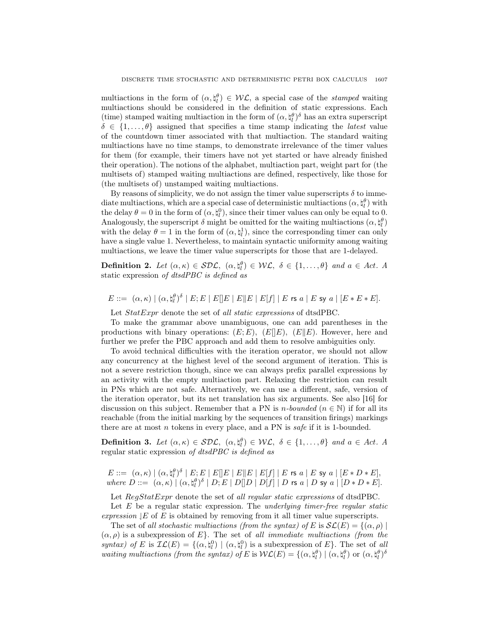multiactions in the form of  $(\alpha, \xi_l^{\theta}) \in \mathcal{WL}$ , a special case of the *stamped* waiting multiactions should be considered in the definition of static expressions. Each (time) stamped waiting multiaction in the form of  $(\alpha, \xi_l^{\theta})^{\delta}$  has an extra superscript  $\delta \in \{1, \ldots, \theta\}$  assigned that specifies a time stamp indicating the *latest* value of the countdown timer associated with that multiaction. The standard waiting multiactions have no time stamps, to demonstrate irrelevance of the timer values for them (for example, their timers have not yet started or have already finished their operation). The notions of the alphabet, multiaction part, weight part for (the multisets of) stamped waiting multiactions are defined, respectively, like those for (the multisets of) unstamped waiting multiactions.

By reasons of simplicity, we do not assign the timer value superscripts  $\delta$  to immediate multiactions, which are a special case of deterministic multiactions  $(\alpha, \natural_l^{\theta})$  with the delay  $\theta = 0$  in the form of  $(\alpha, \xi_l^0)$ , since their timer values can only be equal to 0. Analogously, the superscript  $\delta$  might be omitted for the waiting multiactions  $(\alpha, \natural_l^{\theta})$ with the delay  $\theta = 1$  in the form of  $(\alpha, \xi_l^1)$ , since the corresponding timer can only have a single value 1. Nevertheless, to maintain syntactic uniformity among waiting multiactions, we leave the timer value superscripts for those that are 1-delayed.

**Definition 2.** Let  $(\alpha, \kappa) \in \mathcal{SDL}$ ,  $(\alpha, \xi) \in \mathcal{WL}$ ,  $\delta \in \{1, ..., \theta\}$  and  $a \in Act$ . A static expression of dtsdPBC is defined as

 $E::= \ (\alpha,\kappa) \mid (\alpha,\natural^{\theta}_{l})^{\delta} \mid E; E \mid E[\![E\mid E]\!]\, E \mid E[f]\mid E$  rs  $a \mid E$  sy  $a \mid [E*E*E].$ 

Let  $StatExpr$  denote the set of all static expressions of dtsdPBC.

To make the grammar above unambiguous, one can add parentheses in the productions with binary operations:  $(E; E)$ ,  $(E||E)$ ,  $(E||E)$ . However, here and further we prefer the PBC approach and add them to resolve ambiguities only.

To avoid technical difficulties with the iteration operator, we should not allow any concurrency at the highest level of the second argument of iteration. This is not a severe restriction though, since we can always prefix parallel expressions by an activity with the empty multiaction part. Relaxing the restriction can result in PNs which are not safe. Alternatively, we can use a different, safe, version of the iteration operator, but its net translation has six arguments. See also [16] for discussion on this subject. Remember that a PN is *n*-bounded ( $n \in \mathbb{N}$ ) if for all its reachable (from the initial marking by the sequences of transition firings) markings there are at most n tokens in every place, and a PN is safe if it is 1-bounded.

**Definition 3.** Let  $(\alpha, \kappa) \in \mathcal{SDL}$ ,  $(\alpha, \xi_l^{\theta}) \in \mathcal{WL}$ ,  $\delta \in \{1, ..., \theta\}$  and  $a \in Act$ . A regular static expression of dtsdPBC is defined as

 $E ::= \left. \begin{array}{l l} (\alpha, \kappa) \mid (\alpha, \natural^{\theta}_{l})^{\delta} \mid E^{\cdot}_{l}E \mid E[\mid E \mid E \mid E[\mid F] \mid E \text{~rs~}a \mid E \text{~sy~}a \mid [E \ast D \ast E], \end{array} \right.$ where  $D ::= (\alpha, \kappa) | (\alpha, \natural_l^{\theta})^{\delta} | D; E | D[ D | D[ f] | D$  rs  $a | D$  sy  $a | [D * D * E].$ 

Let RegStatExpr denote the set of all regular static expressions of dtsdPBC.

Let  $E$  be a regular static expression. The *underlying timer-free regular static* expression  $E$  of E is obtained by removing from it all timer value superscripts.

The set of all stochastic multiactions (from the syntax) of E is  $\mathcal{SL}(E) = \{(\alpha, \rho) \mid$  $(\alpha, \rho)$  is a subexpression of E. The set of all immediate multiactions (from the syntax) of E is  $\mathcal{IL}(E) = \{(\alpha, \xi_i^0) \mid (\alpha, \xi_i^0) \text{ is a subexpression of } E\}.$  The set of all waiting multiactions (from the syntax) of E is  $W\mathcal{L}(E) = \{(\alpha, \natural_l^{\theta}) \mid (\alpha, \natural_l^{\theta}) \text{ or } (\alpha, \natural_l^{\theta})^{\delta} \}$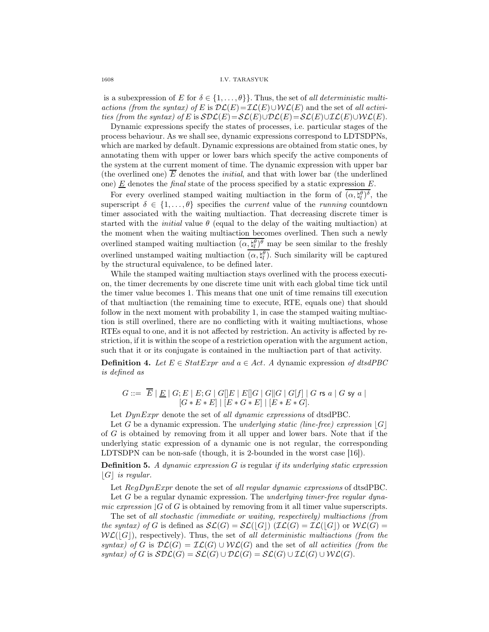is a subexpression of E for  $\delta \in \{1, \ldots, \theta\}$ . Thus, the set of all deterministic multiactions (from the syntax) of E is  $\mathcal{DL}(E)=\mathcal{IL}(E)\cup\mathcal{WLL}(E)$  and the set of all activities (from the syntax) of E is  $S\mathcal{DL}(E)=\mathcal{SL}(E)\cup\mathcal{DL}(E)=\mathcal{SL}(E)\cup\mathcal{DL}(E)\cup\mathcal{WL}(E).$ 

Dynamic expressions specify the states of processes, i.e. particular stages of the process behaviour. As we shall see, dynamic expressions correspond to LDTSDPNs, which are marked by default. Dynamic expressions are obtained from static ones, by annotating them with upper or lower bars which specify the active components of the system at the current moment of time. The dynamic expression with upper bar (the overlined one) E denotes the initial, and that with lower bar (the underlined one)  $E$  denotes the *final* state of the process specified by a static expression  $E$ .

For every overlined stamped waiting multiaction in the form of  $(\alpha, \xi_l^{\theta})^{\delta}$ , the superscript  $\delta \in \{1, \ldots, \theta\}$  specifies the *current* value of the *running* countdown timer associated with the waiting multiaction. That decreasing discrete timer is started with the *initial* value  $\theta$  (equal to the delay of the waiting multiaction) at the moment when the waiting multiaction becomes overlined. Then such a newly overlined stamped waiting multiaction  $(\alpha, \xi_l^{\theta})^{\theta}$  may be seen similar to the freshly overlined unstamped waiting multiaction  $(\alpha, \xi_l^{\theta})$ . Such similarity will be captured by the structural equivalence, to be defined later.

While the stamped waiting multiaction stays overlined with the process execution, the timer decrements by one discrete time unit with each global time tick until the timer value becomes 1. This means that one unit of time remains till execution of that multiaction (the remaining time to execute, RTE, equals one) that should follow in the next moment with probability 1, in case the stamped waiting multiaction is still overlined, there are no conflicting with it waiting multiactions, whose RTEs equal to one, and it is not affected by restriction. An activity is affected by restriction, if it is within the scope of a restriction operation with the argument action, such that it or its conjugate is contained in the multiaction part of that activity.

**Definition 4.** Let  $E \in StatExpr$  and  $a \in Act$ . A dynamic expression of dtsdPBC is defined as

 $G ::= \ \ E \ \vert \ \underline{E} \ \vert \ \overline{G}; E \ \vert \ \overline{E}; G \ \vert \ \overline{G} \ \vert \overline{E} \ \vert \ \overline{E} \ \vert \overline{G} \ \vert \ \overline{G} \ \vert \ \overline{G} \ \vert \ \overline{G} \ \vert \ \overline{f} \ \vert \ \vert \ \overline{G} \ \ \text{rs} \ \ a \ \vert \ \overline{G} \ \text{sy} \ \ a \ \vert$  $[G * E * E] | [E * G * E] | [E * E * G].$ 

Let  $DynExpr$  denote the set of all dynamic expressions of dtsdPBC.

Let G be a dynamic expression. The underlying static (line-free) expression  $|G|$ of G is obtained by removing from it all upper and lower bars. Note that if the underlying static expression of a dynamic one is not regular, the corresponding LDTSDPN can be non-safe (though, it is 2-bounded in the worst case [16]).

**Definition 5.** A dynamic expression  $G$  is regular if its underlying static expression  $|G|$  is regular.

Let  $RegDynExpr$  denote the set of all regular dynamic expressions of dtsdPBC. Let  $G$  be a regular dynamic expression. The underlying timer-free regular dynamic expression  $|G \text{ of } G$  is obtained by removing from it all timer value superscripts.

The set of all stochastic (immediate or waiting, respectively) multiactions (from the syntax) of G is defined as  $\mathcal{SL}(G) = \mathcal{SL}(|G|)$  ( $\mathcal{IL}(G) = \mathcal{IL}(|G|)$  or  $\mathcal{WL}(G) =$  $W\mathcal{L}(|G|)$ , respectively). Thus, the set of all deterministic multiactions (from the syntax) of G is  $\mathcal{DL}(G) = \mathcal{IL}(G) \cup \mathcal{WL}(G)$  and the set of all activities (from the syntax) of G is  $SDL(G) = SL(G) \cup DL(G) = SL(G) \cup LL(G) \cup WL(G)$ .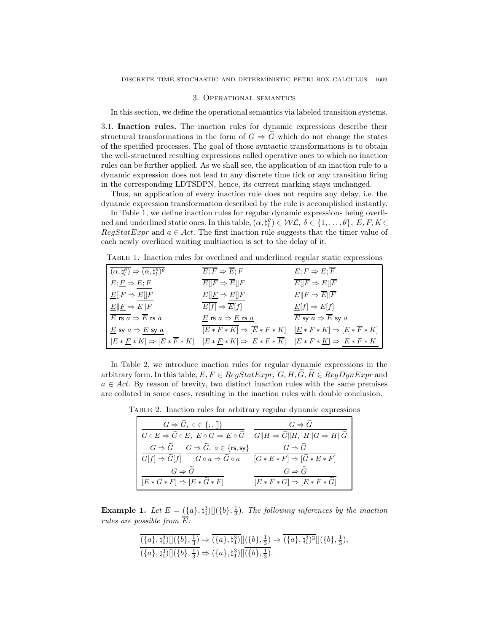#### 3. Operational semantics

In this section, we define the operational semantics via labeled transition systems.

3.1. Inaction rules. The inaction rules for dynamic expressions describe their structural transformations in the form of  $G \Rightarrow \tilde{G}$  which do not change the states of the specified processes. The goal of those syntactic transformations is to obtain the well-structured resulting expressions called operative ones to which no inaction rules can be further applied. As we shall see, the application of an inaction rule to a dynamic expression does not lead to any discrete time tick or any transition firing in the corresponding LDTSDPN, hence, its current marking stays unchanged.

Thus, an application of every inaction rule does not require any delay, i.e. the dynamic expression transformation described by the rule is accomplished instantly.

In Table 1, we define inaction rules for regular dynamic expressions being overlined and underlined static ones. In this table,  $(\alpha, \natural_l^{\theta}) \in \mathcal{WL}, \ \delta \in \{1, ..., \theta\}, \ E, F, K \in$  $RegStatExpr$  and  $a \in Act$ . The first inaction rule suggests that the timer value of each newly overlined waiting multiaction is set to the delay of it.

Table 1. Inaction rules for overlined and underlined regular static expressions

| $\overline{(\alpha, \natural_l^{\theta})} \Rightarrow (\alpha, \natural_l^{\theta})^{\theta}$                             | $\overline{E;F} \Rightarrow \overline{E};F$                                                                  | $E; F \Rightarrow E; \overline{F}$                       |
|---------------------------------------------------------------------------------------------------------------------------|--------------------------------------------------------------------------------------------------------------|----------------------------------------------------------|
| $E; E \Rightarrow E; F$                                                                                                   | $\overline{E  F} \Rightarrow \overline{E  F}$                                                                | $E  F \Rightarrow E  \overline{F}$                       |
| $E[ F \Rightarrow E[ F$                                                                                                   | $E[\underline{F} \Rightarrow E[\underline{F}]$                                                               | $E  \overline{F} \Rightarrow \overline{E}  \overline{F}$ |
| $E  E \Rightarrow E  F$                                                                                                   | $\overline{E[f]} \Rightarrow \overline{E}[f]$                                                                | $E[f] \Rightarrow E[f]$                                  |
| E rs $a \Rightarrow \overline{E}$ rs $a$                                                                                  | $\underline{E}$ rs $a \Rightarrow \underline{E}$ rs $\underline{a}$                                          | E sy $a \Rightarrow \overline{E}$ sy $a$                 |
| E sy $a \Rightarrow E$ sy $a$                                                                                             | $\overline{ E*F*K } \Rightarrow  \overline{E}*F*K  \quad  \underline{E}*F*K  \Rightarrow  E*\overline{F}*K $ |                                                          |
| $E[E*E*K] \Rightarrow [E*F*K] \quad [E*F*K] \Rightarrow [E*F*\overline{K}] \quad [E*F*\underline{K}] \Rightarrow [E*F*K]$ |                                                                                                              |                                                          |

In Table 2, we introduce inaction rules for regular dynamic expressions in the arbitrary form. In this table,  $E, F \in RegStatexpr$ ,  $G, H, \widetilde{G}, \widetilde{H} \in RegDynExpr$  and  $a \in Act$ . By reason of brevity, two distinct inaction rules with the same premises are collated in some cases, resulting in the inaction rules with double conclusion.

Table 2. Inaction rules for arbitrary regular dynamic expressions

| $G \Rightarrow \tilde{G}, o \in \{ ; , \ \}$                                                                                                                                                         | $G \Rightarrow G$                     |
|------------------------------------------------------------------------------------------------------------------------------------------------------------------------------------------------------|---------------------------------------|
| $G \circ E \Rightarrow \tilde{G} \circ E, E \circ G \Rightarrow E \circ \tilde{G} \quad \overline{G \parallel H \Rightarrow \tilde{G} \parallel H, H \parallel G \Rightarrow H \parallel \tilde{G}}$ |                                       |
| $G \Rightarrow \widetilde{G}$ $G \Rightarrow \widetilde{G}$ , $\circ \in \{\text{rs}, \text{sy}\}\$                                                                                                  | $G \Rightarrow G$                     |
| $\overline{G[f] \Rightarrow \widetilde{G}[f]}$ $\overline{G \circ a \Rightarrow \widetilde{G} \circ a}$ $\overline{G \ast E \ast F} \Rightarrow [\widetilde{G} \ast E \ast F]$                       |                                       |
| $G \Rightarrow \tilde{G}$                                                                                                                                                                            | $G \Rightarrow \tilde{G}$             |
| $[E * G * F] \Rightarrow [E * G * F]$                                                                                                                                                                | $[E * F * G] \Rightarrow [E * F * G]$ |

**Example 1.** Let  $E = (\{a\}, \{\alpha^3\})[(\{b\}, \frac{1}{3})$ . The following inferences by the inaction rules are possible from  $\overline{E}$ :

$$
\frac{(\{a\}, \natural_1^3) [(\{b\}, \frac{1}{3}) \Rightarrow (\{a\}, \natural_1^3) [(\{b\}, \frac{1}{3}) \Rightarrow (\{a\}, \natural_1^3) [(\{b\}, \frac{1}{3}) \Rightarrow (\{a\}, \natural_1^3) [(\{b\}, \frac{1}{3}) \Rightarrow (\{a\}, \natural_1^3) [(\{b\}, \frac{1}{3}) \Rightarrow (\{a\}, \natural_1^3) [(\{b\}, \frac{1}{3})
$$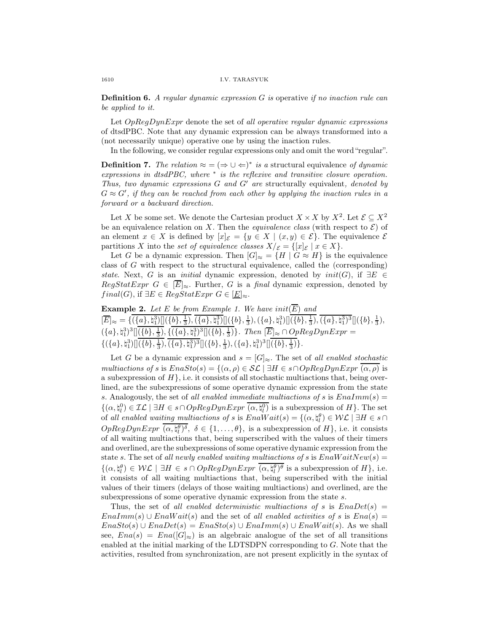**Definition 6.** A regular dynamic expression G is operative if no inaction rule can be applied to it.

Let  $OpRegDynExpr$  denote the set of all operative regular dynamic expressions of dtsdPBC. Note that any dynamic expression can be always transformed into a (not necessarily unique) operative one by using the inaction rules.

In the following, we consider regular expressions only and omit the word "regular".

**Definition 7.** The relation  $\approx$  =  $(\Rightarrow \cup \Leftarrow)^*$  is a structural equivalence of dynamic expressions in dtsdPBC, where  $*$  is the reflexive and transitive closure operation. Thus, two dynamic expressions  $G$  and  $G'$  are structurally equivalent, denoted by  $G \approx G'$ , if they can be reached from each other by applying the inaction rules in a forward or a backward direction.

Let X be some set. We denote the Cartesian product  $X \times X$  by  $X^2$ . Let  $\mathcal{E} \subseteq X^2$ be an equivalence relation on X. Then the *equivalence class* (with respect to  $\mathcal{E}$ ) of an element  $x \in X$  is defined by  $[x]_{\mathcal{E}} = \{y \in X \mid (x, y) \in \mathcal{E}\}\.$  The equivalence  $\mathcal{E}$ partitions X into the set of equivalence classes  $X/\varepsilon = \{ [x]_{\varepsilon} \mid x \in X \}.$ 

Let G be a dynamic expression. Then  $[G]_{\approx} = \{H \mid G \approx H\}$  is the equivalence class of G with respect to the structural equivalence, called the (corresponding) state. Next, G is an *initial* dynamic expression, denoted by  $init(G)$ , if  $\exists E \in$  $RegStatExpr$   $G \in \left[\overline{E}\right]_{\approx}$ . Further, G is a final dynamic expression, denoted by  $final(G)$ , if  $\exists E \in RegStatExpr \ G \in [E]_{\approx}$ .

**Example 2.** Let E be from Example 1. We have  $init(\overline{E})$  and  $[\overline{E}]_{\approx} = \{(\{a\}, \natural_1^3) \big[ \big(\{b\}, \frac{1}{3}), \overline{(\{a\}, \natural_1^3)} \big] \big] (\{b\}, \frac{1}{3}), (\{a\}, \natural_1^3) \big] \big[ (\{b\}, \frac{1}{3}), \overline{(\{a\}, \natural_1^3)^3} \big] \big] (\{b\}, \frac{1}{3}),$  $({a}, \natural_1^3)^3[[(\{b\}, \frac{1}{3}), ((\{a\}, \natural_1^3)^3]](\{b\}, \frac{1}{3})\}$ . Then  $[\overline{E}]_{\approx} \cap OpRegDynExpr =$  $\{(\{a\},\natural_1^3)]](\{b\},\frac{1}{3}), \overline{(\{a\},\natural_1^3)^3}]](\{b\},\frac{1}{3}), (\{a\},\natural_1^3)^3]](\{b\},\frac{1}{3})\}.$ 

Let G be a dynamic expression and  $s = [G]_{\approx}$ . The set of all enabled stochastic multiactions of s is  $EnaSto(s) = \{(\alpha, \rho) \in \mathcal{SL} \mid \exists H \in s \cap OpRegDynExpr (\alpha, \rho) \}$  is a subexpression of  $H$ , i.e. it consists of all stochastic multiactions that, being overlined, are the subexpressions of some operative dynamic expression from the state s. Analogously, the set of all enabled immediate multiactions of s is  $Enalmm(s) =$  $\{(\alpha, \natural_l^0) \in \mathcal{IL} \mid \exists H \in s \cap OpRegDynExpr \; (\alpha, \natural_l^0) \text{ is a subexpression of } H\}.$  The set of all enabled waiting multiactions of s is  $EnaWait(s) = \{(\alpha, \natural_l^{\theta}) \in \mathcal{WL} \mid \exists H \in s \cap \}$  $OpRegDynExpr \ (\alpha, \natural_l^{\theta})^{\delta}, \ \delta \in \{1, \ldots, \theta\}, \text{ is a subexpression of } H\}, \text{ i.e. it consists}$ of all waiting multiactions that, being superscribed with the values of their timers and overlined, are the subexpressions of some operative dynamic expression from the state s. The set of all newly enabled waiting multiactions of s is  $EnaWaitNew(s) =$  $\{(\alpha, \natural_l^{\theta}) \in \mathcal{WL} \mid \exists H \in s \cap OpRegDynExpr \ (\alpha, \natural_l^{\theta})^{\theta} \text{ is a subexpression of } H\}, \text{ i.e.}$ it consists of all waiting multiactions that, being superscribed with the initial values of their timers (delays of those waiting multiactions) and overlined, are the subexpressions of some operative dynamic expression from the state s.

Thus, the set of all enabled deterministic multiactions of s is  $EnaDet(s)$  =  $EnaImm(s) \cup EnaWait(s)$  and the set of all enabled activities of s is  $Ena(s)$  =  $EnaSto(s) \cup EnaDet(s) = EnaSto(s) \cup EnaImm(s) \cup EnaWait(s)$ . As we shall see,  $Ena(s) = Ena([G]_{\approx})$  is an algebraic analogue of the set of all transitions enabled at the initial marking of the LDTSDPN corresponding to G. Note that the activities, resulted from synchronization, are not present explicitly in the syntax of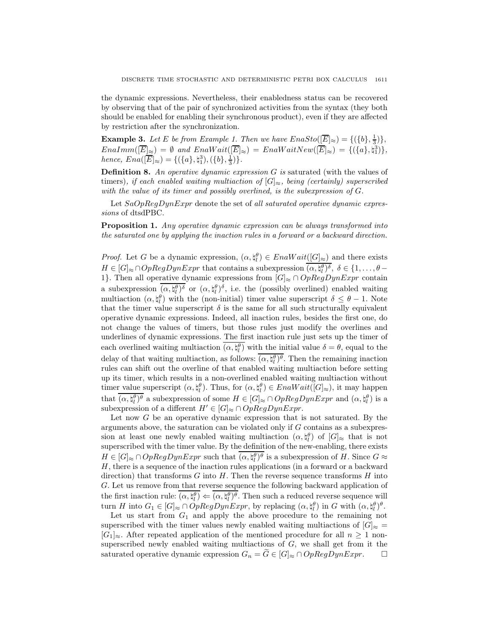the dynamic expressions. Nevertheless, their enabledness status can be recovered by observing that of the pair of synchronized activities from the syntax (they both should be enabled for enabling their synchronous product), even if they are affected by restriction after the synchronization.

**Example 3.** Let E be from Example 1. Then we have  $EnaSto([\overline{E}]_{\approx}) = \{(\{b\},\frac{1}{3})\},\$  $EnaImm([\overline{E}]_{\approx}) = \emptyset$  and  $EnaWait([\overline{E}]_{\approx}) = EnaWaitNew([\overline{E}]_{\approx}) = \{(\{a\}, \natural_1^3)\},\$ hence,  $Ena([\overline{E}]_{\approx}) = \{(\{a\}, \natural_1^3), (\{b\}, \frac{1}{3})\}.$ 

**Definition 8.** An operative dynamic expression  $G$  is saturated (with the values of timers), if each enabled waiting multiaction of  $[G] \approx$ , being (certainly) superscribed with the value of its timer and possibly overlined, is the subexpression of G.

Let  $SaOpReqDynExpr$  denote the set of all saturated operative dynamic expressions of dtsdPBC.

Proposition 1. Any operative dynamic expression can be always transformed into the saturated one by applying the inaction rules in a forward or a backward direction.

*Proof.* Let G be a dynamic expression,  $(\alpha, \xi)$   $\in$  EnaWait( $[G]_{\approx}$ ) and there exists  $H \in [G]_{\approx} \cap OpRegDynExpr$  that contains a subexpression  $(\alpha, \natural_l^{\theta})^{\delta}, \delta \in \{1, \ldots, \theta - l\}$ 1}. Then all operative dynamic expressions from  $[G] \approx \cap OpRegDynExpr$  contain a subexpression  $(\alpha, \xi_l^{\theta})^{\delta}$  or  $(\alpha, \xi_l^{\theta})^{\delta}$ , i.e. the (possibly overlined) enabled waiting multiaction  $(\alpha, \xi_l^{\theta})$  with the (non-initial) timer value superscript  $\delta \leq \theta - 1$ . Note that the timer value superscript  $\delta$  is the same for all such structurally equivalent operative dynamic expressions. Indeed, all inaction rules, besides the first one, do not change the values of timers, but those rules just modify the overlines and underlines of dynamic expressions. The first inaction rule just sets up the timer of each overlined waiting multiaction  $(\alpha, \xi_l^{\theta})$  with the initial value  $\delta = \theta$ , equal to the delay of that waiting multiaction, as follows:  $(\alpha, \xi_l^{\theta})^{\theta}$ . Then the remaining inaction rules can shift out the overline of that enabled waiting multiaction before setting up its timer, which results in a non-overlined enabled waiting multiaction without timer value superscript  $(\alpha, \xi_l^{\theta})$ . Thus, for  $(\alpha, \xi_l^{\theta}) \in EnaWait([G]_{\approx})$ , it may happen that  $(\alpha, \xi_l^{\theta})^{\theta}$  a subexpression of some  $H \in [G]_{\approx} \cap OpRegDynExpr$  and  $(\alpha, \xi_l^{\theta})$  is a subexpression of a different  $H' \in [G]_{\approx} \cap OpRegDynExpr$ .

Let now  $G$  be an operative dynamic expression that is not saturated. By the arguments above, the saturation can be violated only if G contains as a subexpression at least one newly enabled waiting multiaction  $(\alpha, \natural_l^{\theta})$  of  $[G]_{\approx}$  that is not superscribed with the timer value. By the definition of the new-enabling, there exists  $H \in [G]_{\approx} \cap OpRegDynExpr$  such that  $(\alpha, \xi_l^{\theta})^{\theta}$  is a subexpression of H. Since  $G \approx$ H, there is a sequence of the inaction rules applications (in a forward or a backward direction) that transforms  $G$  into  $H$ . Then the reverse sequence transforms  $H$  into G. Let us remove from that reverse sequence the following backward application of the first inaction rule:  $(\alpha, \xi_l^{\theta}) \leftarrow (\alpha, \xi_l^{\theta})^{\theta}$ . Then such a reduced reverse sequence will turn H into  $G_1 \in [G]_{\approx} \cap OpRegDynExpr$ , by replacing  $(\alpha, \natural_l^{\theta})$  in G with  $(\alpha, \natural_l^{\theta})^{\theta}$ .

Let us start from  $G_1$  and apply the above procedure to the remaining not superscribed with the timer values newly enabled waiting multiactions of  $[G]_{\approx}$  =  $[G_1]_{\approx}$ . After repeated application of the mentioned procedure for all  $n \geq 1$  nonsuperscribed newly enabled waiting multiactions of  $G$ , we shall get from it the saturated operative dynamic expression  $G_n = G \in [G]_{\approx} \cap OpRegDynExpr$ .  $\Box$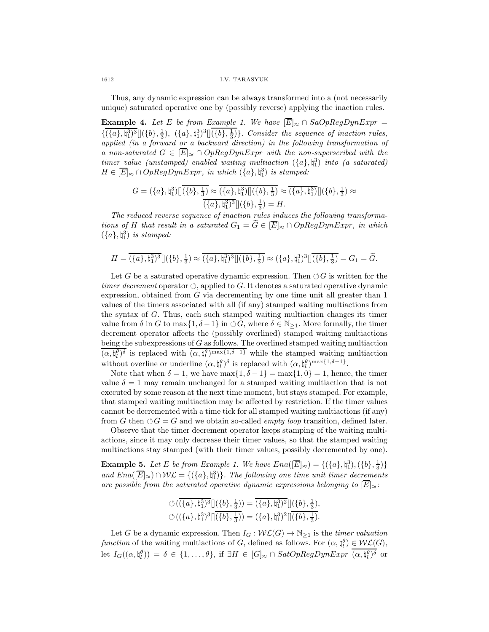1612 I.V. TARASYUK

Thus, any dynamic expression can be always transformed into a (not necessarily unique) saturated operative one by (possibly reverse) applying the inaction rules.

**Example 4.** Let E be from Example 1. We have  $\overline{[E]}_{\approx} \cap SaOpRegDynExpr =$  $\{\overline{(\{a\},\natural_1^3)^3}[(\{b\},\frac{1}{3}), (\{a\},\natural_1^3)^3][(\{b\},\frac{1}{3})\}$ . Consider the sequence of inaction rules, applied (in a forward or a backward direction) in the following transformation of a non-saturated  $G \in [\overline{E}]_{\approx} \cap OpRegDynExpr$  with the non-superscribed with the  $timer\_value$  (unstamped) enabled waiting multiaction  $(\{a\}, \natural_1^3)$  into (a saturated)  $H \in \{\overline{E}\}_{\approx} \cap OpRegDynExpr,$  in which  $(\{a\}, \mathfrak{h}_1^3)$  is stamped:

$$
G = (\{a\}, \natural_1^3) [(\{b\}, \frac{1}{3}) \approx (\{a\}, \natural_1^3) [(\{b\}, \frac{1}{3}) \approx (\{a\}, \natural_1^3) [](\{b\}, \frac{1}{3}) \approx (\{a\}, \natural_1^3)^3 [(\{b\}, \frac{1}{3}) = H.
$$

The reduced reverse sequence of inaction rules induces the following transformations of H that result in a saturated  $G_1 = \widetilde{G} \in [\overline{E}]_{\approx} \cap OpRegDynExpr$ , in which  $(\lbrace a \rbrace, \natural_1^3)$  is stamped:

$$
H = \overline{(\{a\},\natural_1^3)^3} \Big[ \big(\{b\},\tfrac{1}{3}\big) \approx \overline{(\{a\},\natural_1^3)^3} \Big[ \big(\{b\},\tfrac{1}{3}\big) \approx \big(\{a\},\natural_1^3\big)^3 \Big[ \overline{\big(\{b\},\tfrac{1}{3}\big)} = G_1 = \widetilde{G}.
$$

Let G be a saturated operative dynamic expression. Then  $\circlearrowleft G$  is written for the timer decrement operator  $\circlearrowleft$ , applied to G. It denotes a saturated operative dynamic expression, obtained from G via decrementing by one time unit all greater than 1 values of the timers associated with all (if any) stamped waiting multiactions from the syntax of G. Thus, each such stamped waiting multiaction changes its timer value from  $\delta$  in G to max $\{1, \delta -1\}$  in  $\circlearrowleft G$ , where  $\delta \in \mathbb{N}_{\geq 1}$ . More formally, the timer decrement operator affects the (possibly overlined) stamped waiting multiactions being the subexpressions of G as follows. The overlined stamped waiting multiaction  $(\alpha, \natural_l^{\theta})^{\delta}$  is replaced with  $(\alpha, \natural_l^{\theta})^{\max\{1, \delta - 1\}}$  while the stamped waiting multiaction without overline or underline  $(\alpha, \natural_l^{\theta})^{\delta}$  is replaced with  $(\alpha, \natural_l^{\theta})^{\max\{1, \delta - 1\}}$ .

Note that when  $\delta = 1$ , we have  $\max\{1, \delta - 1\} = \max\{1, 0\} = 1$ , hence, the timer value  $\delta = 1$  may remain unchanged for a stamped waiting multiaction that is not executed by some reason at the next time moment, but stays stamped. For example, that stamped waiting multiaction may be affected by restriction. If the timer values cannot be decremented with a time tick for all stamped waiting multiactions (if any) from G then  $\circ$  G = G and we obtain so-called *empty loop* transition, defined later.

Observe that the timer decrement operator keeps stamping of the waiting multiactions, since it may only decrease their timer values, so that the stamped waiting multiactions stay stamped (with their timer values, possibly decremented by one).

**Example 5.** Let E be from Example 1. We have  $Ena([\overline{E}]_{\approx}) = \{(\{a\}, \natural_1^3), (\{b\}, \frac{1}{3})\}$ and  $Ena([\overline{E}]_{\approx}) \cap \mathcal{WL} = \{(\{a\}, \natural_1^3)\}.$  The following one time unit timer decrements are possible from the saturated operative dynamic expressions belonging to  $\mathbb{E}$  $\mid_{\approx}$ :

$$
\circlearrowleft(\overline{(\{a\},\natural_1^{3})^3}[[(\{b\},\tfrac{1}{3}))=\overline{(\{a\},\natural_1^{3})^2}]](\{b\},\tfrac{1}{3}),\\\circlearrowleft((\{a\},\natural_1^{3})^3][\overline{(\{b\},\tfrac{1}{3})})= (\{a\},\natural_1^{3})^2][\overline{(\{b\},\tfrac{1}{3})}.
$$

Let G be a dynamic expression. Then  $I_G : \mathcal{W}\mathcal{L}(G) \to \mathbb{N}_{\geq 1}$  is the *timer valuation* function of the waiting multiactions of G, defined as follows. For  $(\alpha, \xi) \in \mathcal{WLC}(G)$ , let  $I_G((\alpha, \natural_l^{\theta})) = \delta \in \{1, ..., \theta\}$ , if  $\exists H \in [G]_{\approx} \cap SatOpRegDynExpr \ (\alpha, \natural_l^{\theta})^{\delta}$  or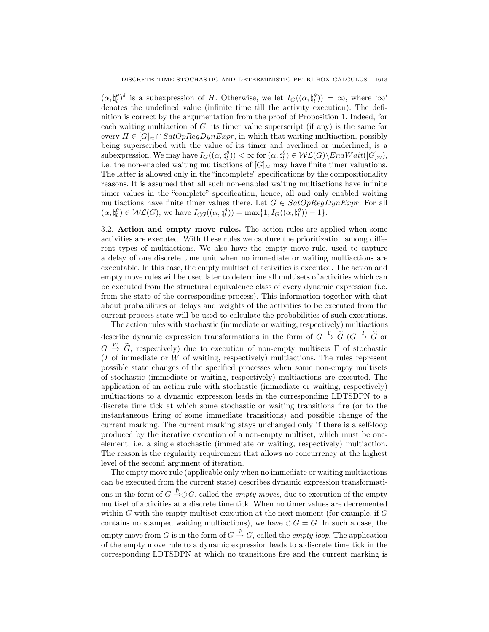$(\alpha, \natural_l^{\theta})^{\delta}$  is a subexpression of H. Otherwise, we let  $I_G((\alpha, \natural_l^{\theta})) = \infty$ , where ' $\infty$ ' denotes the undefined value (infinite time till the activity execution). The definition is correct by the argumentation from the proof of Proposition 1. Indeed, for each waiting multiaction of  $G$ , its timer value superscript (if any) is the same for every  $H \in [G] \approx \cap SatOpRegDynExpr$ , in which that waiting multiaction, possibly being superscribed with the value of its timer and overlined or underlined, is a subexpression. We may have  $I_G((\alpha, \natural_l^{\theta})) < \infty$  for  $(\alpha, \natural_l^{\theta}) \in \mathcal{WL}(G) \setminus EnaWait([G]_{\approx}),$ i.e. the non-enabled waiting multiactions of  $|G|_{\infty}$  may have finite timer valuations. The latter is allowed only in the "incomplete" specifications by the compositionality reasons. It is assumed that all such non-enabled waiting multiactions have infinite timer values in the "complete" specification, hence, all and only enabled waiting multiactions have finite timer values there. Let  $G \in SatOpRegDynExpr$ . For all  $(\alpha, \natural_l^{\theta}) \in \mathcal{WL}(G)$ , we have  $I_{\circlearrowleft G}((\alpha, \natural_l^{\theta})) = \max\{1, I_G((\alpha, \natural_l^{\theta})) - 1\}.$ 

3.2. Action and empty move rules. The action rules are applied when some activities are executed. With these rules we capture the prioritization among different types of multiactions. We also have the empty move rule, used to capture a delay of one discrete time unit when no immediate or waiting multiactions are executable. In this case, the empty multiset of activities is executed. The action and empty move rules will be used later to determine all multisets of activities which can be executed from the structural equivalence class of every dynamic expression (i.e. from the state of the corresponding process). This information together with that about probabilities or delays and weights of the activities to be executed from the current process state will be used to calculate the probabilities of such executions.

The action rules with stochastic (immediate or waiting, respectively) multiactions describe dynamic expression transformations in the form of  $G \stackrel{\Gamma}{\to} \widetilde{G}$  ( $G \stackrel{I}{\to} \widetilde{G}$  or  $G \stackrel{W}{\rightarrow} \tilde{G}$ , respectively) due to execution of non-empty multisets  $\Gamma$  of stochastic ( $I$  of immediate or  $W$  of waiting, respectively) multiactions. The rules represent possible state changes of the specified processes when some non-empty multisets of stochastic (immediate or waiting, respectively) multiactions are executed. The application of an action rule with stochastic (immediate or waiting, respectively) multiactions to a dynamic expression leads in the corresponding LDTSDPN to a discrete time tick at which some stochastic or waiting transitions fire (or to the instantaneous firing of some immediate transitions) and possible change of the current marking. The current marking stays unchanged only if there is a self-loop produced by the iterative execution of a non-empty multiset, which must be oneelement, i.e. a single stochastic (immediate or waiting, respectively) multiaction. The reason is the regularity requirement that allows no concurrency at the highest level of the second argument of iteration.

The empty move rule (applicable only when no immediate or waiting multiactions can be executed from the current state) describes dynamic expression transformations in the form of  $G \stackrel{\emptyset}{\rightarrow} \circlearrowleft G$ , called the *empty moves*, due to execution of the empty multiset of activities at a discrete time tick. When no timer values are decremented within  $G$  with the empty multiset execution at the next moment (for example, if  $G$ contains no stamped waiting multiactions), we have  $\circlearrowleft G = G$ . In such a case, the empty move from G is in the form of  $G \stackrel{\emptyset}{\to} G$ , called the *empty loop*. The application of the empty move rule to a dynamic expression leads to a discrete time tick in the corresponding LDTSDPN at which no transitions fire and the current marking is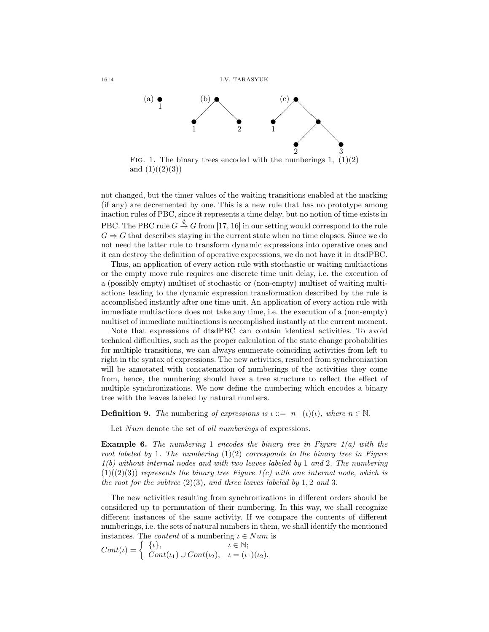1614 I.V. TARASYUK



FIG. 1. The binary trees encoded with the numberings 1,  $(1)(2)$ and  $(1)((2)(3))$ 

not changed, but the timer values of the waiting transitions enabled at the marking (if any) are decremented by one. This is a new rule that has no prototype among inaction rules of PBC, since it represents a time delay, but no notion of time exists in PBC. The PBC rule  $G\stackrel{\emptyset}{\to}G$  from [17, 16] in our setting would correspond to the rule  $G \Rightarrow G$  that describes staying in the current state when no time elapses. Since we do not need the latter rule to transform dynamic expressions into operative ones and it can destroy the definition of operative expressions, we do not have it in dtsdPBC.

Thus, an application of every action rule with stochastic or waiting multiactions or the empty move rule requires one discrete time unit delay, i.e. the execution of a (possibly empty) multiset of stochastic or (non-empty) multiset of waiting multiactions leading to the dynamic expression transformation described by the rule is accomplished instantly after one time unit. An application of every action rule with immediate multiactions does not take any time, i.e. the execution of a (non-empty) multiset of immediate multiactions is accomplished instantly at the current moment.

Note that expressions of dtsdPBC can contain identical activities. To avoid technical difficulties, such as the proper calculation of the state change probabilities for multiple transitions, we can always enumerate coinciding activities from left to right in the syntax of expressions. The new activities, resulted from synchronization will be annotated with concatenation of numberings of the activities they come from, hence, the numbering should have a tree structure to reflect the effect of multiple synchronizations. We now define the numbering which encodes a binary tree with the leaves labeled by natural numbers.

**Definition 9.** The numbering of expressions is  $\iota ::= n | (\iota)(\iota)$ , where  $n \in \mathbb{N}$ .

Let Num denote the set of all numberings of expressions.

**Example 6.** The numbering 1 encodes the binary tree in Figure  $1(a)$  with the root labeled by 1. The numbering  $(1)(2)$  corresponds to the binary tree in Figure  $1(b)$  without internal nodes and with two leaves labeled by 1 and 2. The numbering  $(1)((2)(3))$  represents the binary tree Figure 1(c) with one internal node, which is the root for the subtree  $(2)(3)$ , and three leaves labeled by 1, 2 and 3.

The new activities resulting from synchronizations in different orders should be considered up to permutation of their numbering. In this way, we shall recognize different instances of the same activity. If we compare the contents of different numberings, i.e. the sets of natural numbers in them, we shall identify the mentioned instances. The *content* of a numbering  $\iota \in Num$  is

$$
Cont(\iota) = \begin{cases} {\{\iota\}}, & \iota \in \mathbb{N}; \\ Cont(\iota_1) \cup Cont(\iota_2), & \iota = (\iota_1)(\iota_2). \end{cases}
$$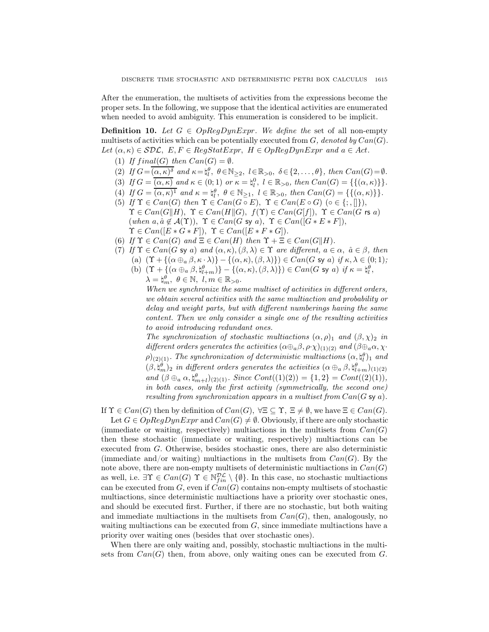After the enumeration, the multisets of activities from the expressions become the proper sets. In the following, we suppose that the identical activities are enumerated when needed to avoid ambiguity. This enumeration is considered to be implicit.

**Definition 10.** Let  $G \in OpRegDynExpr$ . We define the set of all non-empty multisets of activities which can be potentially executed from  $G$ , denoted by  $Can(G)$ . Let  $(\alpha, \kappa) \in \mathcal{SDL}$ ,  $E, F \in RegStatexpr$ ,  $H \in OpRegDynExpr$  and  $a \in Act$ .

- (1) If  $final(G)$  then  $Can(G) = \emptyset$ .
- (2) If  $G = \overline{(\alpha, \kappa)^{\delta}}$  and  $\kappa = \natural_{l}^{\theta}, \ \theta \in \mathbb{N}_{\geq 2}, \ l \in \mathbb{R}_{>0}, \ \delta \in \{2, \ldots, \theta\}, \ then \ Can(G) = \emptyset.$
- (3) If  $G = \overline{(\alpha, \kappa)}$  and  $\kappa \in (0, 1)$  or  $\kappa = \natural_l^0$ ,  $l \in \mathbb{R}_{>0}$ , then  $Can(G) = \{\{(\alpha, \kappa)\}\}.$
- (4) If  $G = \overline{(\alpha, \kappa)^1}$  and  $\kappa = \natural_l^{\theta}, \ \theta \in \mathbb{N}_{\geq 1}, \ l \in \mathbb{R}_{>0}, \ then \ Can(G) = \{\{(\alpha, \kappa)\}\}.$
- (5) If  $\Upsilon \in Can(G)$  then  $\Upsilon \in Can(G \circ E)$ ,  $\Upsilon \in Can(E \circ G)$  ( $\circ \in \{\cdot, \cdot\}$ ),  $\Upsilon \in Can(G||H), \Upsilon \in Can(H||G), f(\Upsilon) \in Can(G[f]), \Upsilon \in Can(G \text{ rs } a)$ (when  $a, \hat{a} \notin \mathcal{A}(\Upsilon)$ ),  $\Upsilon \in Can(G \text{ sy } a)$ ,  $\Upsilon \in Can([G * E * F])$ ,  $\Upsilon \in Can([E * G * F]), \ \Upsilon \in Can([E * F * G]).$
- (6) If  $\Upsilon \in Can(G)$  and  $\Xi \in Can(H)$  then  $\Upsilon + \Xi \in Can(G||H)$ .
- (7) If  $\Upsilon \in Can(G \text{ sy } a)$  and  $(\alpha, \kappa), (\beta, \lambda) \in \Upsilon$  are different,  $a \in \alpha$ ,  $\hat{a} \in \beta$ , then
	- (a)  $(\Upsilon + \{(\alpha \oplus_{a} \beta, \kappa \cdot \lambda)\} \{(\alpha, \kappa),(\beta, \lambda)\}) \in Can(G \text{ sy } a) \text{ if } \kappa, \lambda \in (0,1);$
	- (b)  $(\Upsilon + \{(\alpha \oplus_a \beta, \natural_{l+m}^{\theta})\} \{(\alpha, \kappa), (\beta, \lambda)\}) \in Can(G \text{ sy } a) \text{ if } \kappa = \natural_{l}^{\theta},$  $\lambda = \n\mid_m^\theta, \theta \in \mathbb{N}, \ l, m \in \mathbb{R}_{>0}.$

When we synchronize the same multiset of activities in different orders, we obtain several activities with the same multiaction and probability or delay and weight parts, but with different numberings having the same content. Then we only consider a single one of the resulting activities to avoid introducing redundant ones.

The synchronization of stochastic multiactions  $(\alpha, \rho)_1$  and  $(\beta, \chi)_2$  in different orders generates the activities  $(\alpha \oplus_{a} \beta, \rho \cdot \chi)_{(1)(2)}$  and  $(\beta \oplus_{a} \alpha, \chi \cdot$  $\rho)_{(2)(1)}$ . The synchronization of deterministic multiactions  $(\alpha, \natural_l^{\theta})_1$  and  $(\beta, \sharp_m^{\theta})_2$  in different orders generates the activities  $(\alpha \oplus_{a} \beta, \sharp_{l+m}^{\theta})_{(1)(2)}$ and  $(\beta \oplus_a \alpha, \sharp_{m+l}^{\theta})_{(2)(1)}$ . Since  $Cont((1)(2)) = \{1,2\} = Cont((2)(1)),$ in both cases, only the first activity (symmetrically, the second one) resulting from synchronization appears in a multiset from  $Can(G \leq a)$ .

If  $\Upsilon \in Can(G)$  then by definition of  $Can(G)$ ,  $\forall \Xi \subseteq \Upsilon$ ,  $\Xi \neq \emptyset$ , we have  $\Xi \in Can(G)$ .

Let  $G \in OpRegDynExpr$  and  $Can(G) \neq \emptyset$ . Obviously, if there are only stochastic (immediate or waiting, respectively) multiactions in the multisets from  $Can(G)$ then these stochastic (immediate or waiting, respectively) multiactions can be executed from G. Otherwise, besides stochastic ones, there are also deterministic (immediate and/or waiting) multiactions in the multisets from  $Can(G)$ . By the note above, there are non-empty multisets of deterministic multiactions in  $Can(G)$ as well, i.e.  $\exists \Upsilon \in Can(G) \ \Upsilon \in \mathbb{N}_{fin}^{\mathcal{DL}} \setminus \{\emptyset\}$ . In this case, no stochastic multiactions can be executed from  $G$ , even if  $\text{Can}(G)$  contains non-empty multisets of stochastic multiactions, since deterministic multiactions have a priority over stochastic ones, and should be executed first. Further, if there are no stochastic, but both waiting and immediate multiactions in the multisets from  $Can(G)$ , then, analogously, no waiting multiactions can be executed from  $G$ , since immediate multiactions have a priority over waiting ones (besides that over stochastic ones).

When there are only waiting and, possibly, stochastic multiactions in the multisets from  $Can(G)$  then, from above, only waiting ones can be executed from  $G$ .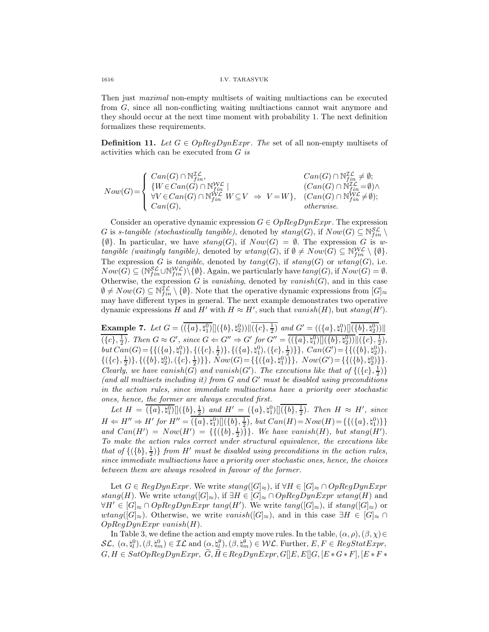Then just maximal non-empty multisets of waiting multiactions can be executed from G, since all non-conflicting waiting multiactions cannot wait anymore and they should occur at the next time moment with probability 1. The next definition formalizes these requirements.

**Definition 11.** Let  $G \in OpRegDynExpr$ . The set of all non-empty multisets of activities which can be executed from  $G$  is

$$
Now(G) = \begin{cases} Can(G) \cap \mathbb{N}_{fin}^{\mathcal{IL}}, & Can(G) \cap \mathbb{N}_{fin}^{\mathcal{IL}} \neq \emptyset; \\ \{W \in Can(G) \cap \mathbb{N}_{fin}^{\mathcal{WL}} \mid & (Can(G) \cap \mathbb{N}_{fin}^{\mathcal{IL}} \neq \emptyset; \\ \forall V \in Can(G) \cap \mathbb{N}_{fin}^{\mathcal{WL}} W \subseteq V \Rightarrow V = W \}, & (Can(G) \cap \mathbb{N}_{fin}^{\mathcal{UL}} \neq \emptyset); \\ Can(G), & otherwise. \end{cases}
$$

Consider an operative dynamic expression  $G \in OpRegDynExpr$ . The expression G is s-tangible (stochastically tangible), denoted by  $stang(G)$ , if  $Now(G) \subseteq N_{fin}^{\mathcal{SL}} \setminus$  $\{\emptyset\}$ . In particular, we have  $stang(G)$ , if  $Now(G) = \emptyset$ . The expression G is wtangible (waitingly tangible), denoted by  $wtang(G)$ , if  $\emptyset \neq Now(G) \subseteq \mathbb{N}_{fin}^{W\mathcal{L}} \setminus \{\emptyset\}.$ The expression G is tangible, denoted by  $tang(G)$ , if  $stang(G)$  or  $wtan(g(G))$ , i.e.  $Now(G) \subseteq (\mathbb{N}_{fin}^{\mathcal{SL}} \cup \mathbb{N}_{fin}^{\mathcal{W}\mathcal{L}}) \setminus \{\emptyset\}.$  Again, we particularly have  $tang(G)$ , if  $Now(G) = \emptyset$ . Otherwise, the expression G is vanishing, denoted by vanish(G), and in this case  $\emptyset \neq Now(G) \subseteq \mathbb{N}_{fin}^{\mathcal{IL}} \setminus \{\emptyset\}.$  Note that the operative dynamic expressions from  $[G]_{\approx}$ may have different types in general. The next example demonstrates two operative dynamic expressions H and H' with  $H \approx H'$ , such that  $vanish(H)$ , but  $stang(H')$ .

**Example 7.** Let  $G = (\overline{\langle \{a\}, \{a_1^0\} \rangle} \langle \{b\}, \{a_2^0\} \rangle) \| \langle \{c\}, \frac{1}{2} \rangle$  and  $G' = (\langle \{a\}, \{a_1^0\} \rangle \langle \overline{\langle \{b\}, \{a_2^0\} \rangle}) \|$  $(\{c\}, \frac{1}{2})$ . Then  $G \approx G'$ , since  $G \Leftarrow G'' \Rightarrow G'$  for  $G'' = ((\{a\}, \natural_1^0) || (\{b\}, \natural_2^0) || (\{c\}, \frac{1}{2}),$ but  $Can(G) = \{\{(\{a\}, \mathfrak{h}_1^0)\}, \{(\{c\}, \frac{1}{2})\}, \{(\{a\}, \mathfrak{h}_1^0), (\{c\}, \frac{1}{2})\}\}, Can(G') = \{\{(\{b\}, \mathfrak{h}_2^0)\},\}$  $\{(\{c\},\frac{1}{2})\},\{(\{b\},\natural_2^0),(\{c\},\frac{1}{2})\}\}\$ ,  $Now(G) = \{\{(\{a\},\natural_1^0)\}\}\$ ,  $Now(G') = \{\{(\{b\},\natural_2^0)\}\}\$ . Clearly, we have vanish(G) and vanish(G'). The executions like that of  $\{(\lbrace c \rbrace, \frac{1}{2})\}$ (and all multisets including it) from  $G$  and  $G'$  must be disabled using preconditions in the action rules, since immediate multiactions have a priority over stochastic ones, hence, the former are always executed first.

Let  $H = \overline{(\{a\}, \{a_1^0\})} \left[ (\{b\}, \frac{1}{2}) \text{ and } H' = (\{a\}, \{a_1^0\}) \left[ (\{b\}, \frac{1}{2}) \text{. Then } H \approx H', \text{ since }$  $H \Leftarrow H'' \Rightarrow H'$  for  $H'' = (\{a\}, \natural_1^0) [(\{b\}, \frac{1}{2}), \text{ but } Can(H) = Now(H) = \{\{(\{a\}, \natural_1^0)\}\}\$ and  $Can(H') = Now(H') = \{ \{ (\{b\}, \frac{1}{2}) \} \}$ . We have vanish(H), but stang(H'). To make the action rules correct under structural equivalence, the executions like that of  $\{(\{b\},\frac{1}{2})\}$  from H' must be disabled using preconditions in the action rules, since immediate multiactions have a priority over stochastic ones, hence, the choices between them are always resolved in favour of the former.

Let  $G \in RegDynExpr$ . We write  $stang([G]_{\approx})$ , if  $\forall H \in [G]_{\approx} \cap OpRegDynExpr$ stang(H). We write wtang( $[G]_{\approx}$ ), if  $\exists H \in [G]_{\approx} \cap OpRegDynExpr$  wtang(H) and  $\forall H' \in [G]_{\approx} \cap OpRegDynExpr$  tang $(H')$ . We write  $tang([G]_{\approx})$ , if  $stang([G]_{\approx})$  or  $wtang([G]_{\approx})$ . Otherwise, we write  $vanish([G]_{\approx})$ , and in this case  $\exists H \in [G]_{\approx} \cap$  $OpRegDynExpr$  vanish $(H)$ .

In Table 3, we define the action and empty move rules. In the table,  $(\alpha, \rho), (\beta, \chi) \in$  $\mathcal{SL}, \ (\alpha, \mathfrak{h}_l^0), (\beta, \mathfrak{h}_m^0) \in \mathcal{IL} \text{ and } (\alpha, \mathfrak{h}_l^{\theta}), (\beta, \mathfrak{h}_m^{\theta}) \in \mathcal{WL}. \text{ Further}, E, F \in RegStatexpr,$  $G, H \in SatOpRegDynExpr, \widetilde{G}, \widetilde{H} \in RegDynExpr, G[[E, E][G, [E * G * F], [E * F *$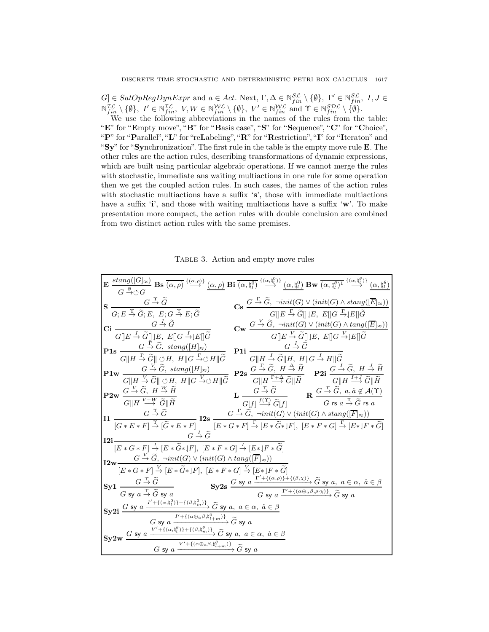$[G] \in SatOpRegDynExpr$  and  $a \in Act$ . Next,  $\Gamma, \Delta \in \mathbb{N}_{fin}^{\mathcal{SL}} \setminus \{\emptyset\}, \ \Gamma' \in \mathbb{N}_{fin}^{\mathcal{SL}}, \ I, J \in$  $\mathbb{N}_{fin}^{\mathcal{IL}} \setminus \{\emptyset\},\ I' \in \mathbb{N}_{fin}^{\mathcal{IL}},\ V, W \in \mathbb{N}_{fin}^{\mathcal{WL}} \setminus \{\emptyset\},\ V' \in \mathbb{N}_{fin}^{\mathcal{WL}}\$ and  $\Upsilon \in \mathbb{N}_{fin}^{\mathcal{SDL}} \setminus \{\emptyset\}.$ 

We use the following abbreviations in the names of the rules from the table: "E" for "Empty move", "B" for "Basis case", "S" for "Sequence", "C" for "Choice", "P" for "Parallel", "L" for "reLabeling", "R" for "Restriction", "I" for "Iteraton" and "Sy" for "Synchronization". The first rule in the table is the empty move rule E. The other rules are the action rules, describing transformations of dynamic expressions, which are built using particular algebraic operations. If we cannot merge the rules with stochastic, immediate ans waiting multiactions in one rule for some operation then we get the coupled action rules. In such cases, the names of the action rules with stochastic multiactions have a suffix 's', those with immediate multiactions have a suffix  $\ddot{\mathbf{i}}$ , and those with waiting multiactions have a suffix  $\ddot{\mathbf{w}}$ . To make presentation more compact, the action rules with double conclusion are combined from two distinct action rules with the same premises.

TABLE 3. Action and empty move rules

| $\mathbf{E} \xrightarrow[\alpha]{} \xrightarrow[\alpha]{} \mathbf{B} \mathbf{s} \xrightarrow[\alpha]{} \xrightarrow[\alpha]{} \xrightarrow[\alpha]{} (\alpha,\rho) \mathbf{B} \mathbf{i} \xrightarrow[\alpha]{} \xrightarrow[\alpha]{} \xrightarrow[\alpha]{} \xrightarrow[\alpha]{} \mathbf{B} \mathbf{w} \xrightarrow[\alpha]{} \xrightarrow[\alpha]{} \xrightarrow[\alpha]{} \xrightarrow[\alpha]{} \xrightarrow[\alpha]{} \xrightarrow[\alpha]{} \xrightarrow[\alpha]{} \xrightarrow[\alpha]{} \xrightarrow[\alpha]{} \xrightarrow[\alpha]{} \xrightarrow[\alpha]{} \xrightarrow[\alpha]{} \xrightarrow[\alpha]{} \xrightarrow[\alpha]{} \xrightarrow[\alpha]{} \xrightarrow[\alpha]{}$<br>$G \stackrel{\psi}{\rightarrow} \circlearrowleft G$ |                                                                                                                                                                                                                                                                                        |
|----------------------------------------------------------------------------------------------------------------------------------------------------------------------------------------------------------------------------------------------------------------------------------------------------------------------------------------------------------------------------------------------------------------------------------------------------------------------------------------------------------------------------------------------------------------------------------------------------------------------------------------------------------------------------------------------------------------------------------------------------|----------------------------------------------------------------------------------------------------------------------------------------------------------------------------------------------------------------------------------------------------------------------------------------|
| $\mathbf{S} \xrightarrow[G; E \xrightarrow{\Upsilon} \widetilde{G}; E, E; G \xrightarrow{\Upsilon} E; \widetilde{G}$                                                                                                                                                                                                                                                                                                                                                                                                                                                                                                                                                                                                                               | $\textbf{Cs} \xrightarrow{G \rightarrow \widetilde{G}, \ \neg init(G) \vee (init(G) \wedge \text{stag}([\overline{E}] \approx))} G  E \overset{\Gamma}{\rightarrow} \widetilde{G}  E, E  G \overset{\Gamma}{\rightarrow}  E  \widetilde{G}$                                            |
| $\mathbf{C}\mathbf{i} \xrightarrow[G][E \xrightarrow{I} \widetilde{G}]]\underbrace{G \xrightarrow{I} \widetilde{G}}_{G][ E, E][G \xrightarrow{I}  E][\widetilde{G}}$                                                                                                                                                                                                                                                                                                                                                                                                                                                                                                                                                                               | $\mathbf{C}\mathbf{w} \xrightarrow{G \xrightarrow{V} \widetilde{G}, \ \neg init(G) \vee (init(G) \wedge tang([\overline{E}]_{\approx}))} G  E \xrightarrow{V} \widetilde{G}  E, E  G \xrightarrow{V}  E  \widetilde{G}$                                                                |
| <b>P1s</b> $G \stackrel{\Gamma}{\rightarrow} \widetilde{G}$ , stang([H] $_{\approx}$ )                                                                                                                                                                                                                                                                                                                                                                                                                                                                                                                                                                                                                                                             |                                                                                                                                                                                                                                                                                        |
| $\frac{G \stackrel{\Gamma}{\rightarrow} \widetilde{G}, \ \text{stang}([H]_{\approx})}{G \  H \stackrel{\Gamma}{\rightarrow} \widetilde{G} \  \circ H, \ H \  G \stackrel{\Gamma}{\rightarrow} \circ H \  \widetilde{G}} \quad \textbf{P1i} \ \frac{G \stackrel{I}{\rightarrow} \widetilde{G}}{G \  H \stackrel{I}{\rightarrow} \widetilde{G} \  H, \ H \  G \stackrel{I}{\rightarrow} H \  \widetilde{G}}$                                                                                                                                                                                                                                                                                                                                         |                                                                                                                                                                                                                                                                                        |
| $\label{eq:11} \begin{array}{ll} \mathbf{P1w} \begin{array}{c} G \xrightarrow{V} \widetilde{G}, \ \text{stang}([H] \approx) \\ \hline G    H \xrightarrow{V} \widetilde{G}    \ \Diamond H, \ H    G \xrightarrow{V} \Diamond H    \widetilde{G} \end{array} \mathbf{P2s} \begin{array}{c} G \xrightarrow{\Gamma} \widetilde{G}, \ H \xrightarrow{\Delta} \widetilde{H} \\ \hline G    H \xrightarrow{\Gamma + \Delta} \widetilde{G}    \widetilde{H} \end{array} \begin{array}{ll} \mathbf{P2i} \begin{array}{c} G \xrightarrow{I} \wid$                                                                                                                                                                                                          |                                                                                                                                                                                                                                                                                        |
| $\mathbf{P2w} \xrightarrow[G][H] \xrightarrow{V+W} \widetilde{G} \parallel \widetilde{H}$                                                                                                                                                                                                                                                                                                                                                                                                                                                                                                                                                                                                                                                          | $\mathbf{L}\;\frac{G\stackrel{\Upsilon}{\to}\widetilde{G}}{G[f]}\;\frac{f(\Upsilon)}{\xrightarrow{G}[f]} \qquad \mathbf{R}\;\frac{G\stackrel{\Upsilon}{\to}\widetilde{G},\;a,\hat{a}\not\in\mathcal{A}(\Upsilon)}{G\;\text{rs}\;a\stackrel{\Upsilon}{\to}\widetilde{G}\;\text{rs}\;a}$ |
| $\label{eq:11} \begin{array}{l} \displaystyle \textbf{I1} \; \frac{G \stackrel{\gamma}{\to} \widetilde{G} }{[G*E*F] \stackrel{\gamma}{\to} [\widetilde{G}*E*F] } \; \textbf{I2s} \; \frac{G \stackrel{\Gamma}{\to} \widetilde{G}, \; \neg init(G) \vee (init(G) \wedge \, \text{\emph{stand}}([\overline{F}]_{\approx})) }{[E*G*F] \stackrel{\Gamma}{\to} [E*\widetilde{G}*]F], \; [E*F*G] \stackrel{\Gamma}{\to} [E*]F*\widetilde{G}]} \end{array}$                                                                                                                                                                                                                                                                                               |                                                                                                                                                                                                                                                                                        |
| $G \stackrel{I}{\rightarrow} \widetilde{G}$<br>$I2i-$                                                                                                                                                                                                                                                                                                                                                                                                                                                                                                                                                                                                                                                                                              |                                                                                                                                                                                                                                                                                        |
| $[E*G*F] \stackrel{I}{\rightarrow} [E*\widetilde{G}* F],\ [E*F*G] \stackrel{I}{\rightarrow} [E* F*\widetilde{G}]$<br>$\mathbf{I2w} \longrightarrow G \stackrel{V}{\rightarrow} \widetilde{G}$ , $\neg init(G) \vee (init(G) \wedge tang([\overline{F}]_{\approx}))$                                                                                                                                                                                                                                                                                                                                                                                                                                                                                |                                                                                                                                                                                                                                                                                        |
| $[E * G * F] \stackrel{V}{\rightarrow} [E * \widetilde{G} * F], [E * F * G] \stackrel{V}{\rightarrow} [E * F * \widetilde{G}]$                                                                                                                                                                                                                                                                                                                                                                                                                                                                                                                                                                                                                     |                                                                                                                                                                                                                                                                                        |
| $Syl \frac{G \stackrel{\Upsilon}{\rightarrow} \widetilde{G}}{G \text{ sy } a \stackrel{\Upsilon}{\rightarrow} \widetilde{G} \text{ sy } a}$                                                                                                                                                                                                                                                                                                                                                                                                                                                                                                                                                                                                        | $\textbf{Sy2s}\xrightarrow{G\textbf{sy}}\xrightarrow{G'+\{(\alpha,\rho)\}+\{(\beta,\chi)\}}\widetilde{G}\textbf{sy}\ a,\ a\in\alpha,\ \hat{a}\in\beta$<br>$\overline{G\textbf{sy}}\ a\xrightarrow{I'+\{(\alpha\oplus_a\beta,\rho\cdot\chi)\}}\widetilde{G}\textbf{sy}\ a$              |
| Sy2i $\frac{G \text{ sy } a \xrightarrow{I'+\{(\alpha, \natural^0_l)\}+\{(\beta, \natural^0_m)\}} \widetilde{G} \text{ sy } a, a \in \alpha, \hat{a} \in \beta}{G \text{ sy } a \xrightarrow{I'+\{(\alpha \oplus_a \beta, \natural^0_{l+m})\}} \widetilde{G} \text{ sy } a}$                                                                                                                                                                                                                                                                                                                                                                                                                                                                       |                                                                                                                                                                                                                                                                                        |
|                                                                                                                                                                                                                                                                                                                                                                                                                                                                                                                                                                                                                                                                                                                                                    |                                                                                                                                                                                                                                                                                        |
| $\textbf{Sy2w}\xrightarrow{G\text{ sy }a\xrightarrow{V'+\{(\alpha,\natural^{\theta}_{l})\}+\{(\beta,\natural^{\theta}_{m})\}}{\widetilde{G}\text{ sy }a,\ a\in\alpha,\ \hat{a}\in\beta}\xrightarrow{G'\text{ sy }a\xrightarrow{V'+\{(\alpha\oplus_a\beta,\natural^{\theta}_{l+m})\}}{\widetilde{G}\text{ sy }a}\widetilde{G}\text{ sy }a$                                                                                                                                                                                                                                                                                                                                                                                                          |                                                                                                                                                                                                                                                                                        |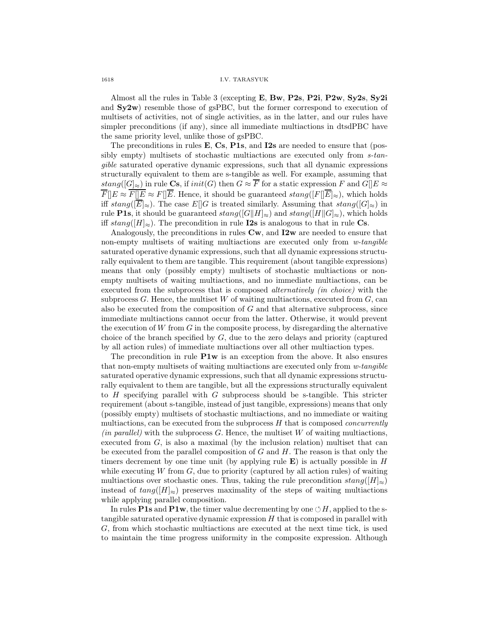1618 I.V. TARASYUK

Almost all the rules in Table 3 (excepting  $E$ ,  $Bw$ ,  $P2s$ ,  $P2i$ ,  $P2w$ ,  $Sy2s$ ,  $Sy2i$ and  $Sy2w$ ) resemble those of gsPBC, but the former correspond to execution of multisets of activities, not of single activities, as in the latter, and our rules have simpler preconditions (if any), since all immediate multiactions in dtsdPBC have the same priority level, unlike those of gsPBC.

The preconditions in rules  $E$ ,  $Cs$ ,  $P1s$ , and  $I2s$  are needed to ensure that (possibly empty) multisets of stochastic multiactions are executed only from s-tangible saturated operative dynamic expressions, such that all dynamic expressions structurally equivalent to them are s-tangible as well. For example, assuming that stang( $[G]_{\approx}$ ) in rule Cs, if init(G) then  $G \approx \overline{F}$  for a static expression F and  $G[[E]_{\approx}$  $\overline{F}||E \approx \overline{F||E} \approx F||\overline{E}$ . Hence, it should be guaranteed  $stang([F||\overline{E}]\approx)$ , which holds iff stang( $[\overline{E}]\approx$ ). The case  $E[[G]$  is treated similarly. Assuming that stang( $[G]_{\approx}$ ) in rule **P1s**, it should be guaranteed  $stang([G||H]_{\approx})$  and  $stang([H||G]_{\approx})$ , which holds iff  $stang([H]_{\approx})$ . The precondition in rule **I2s** is analogous to that in rule **Cs**.

Analogously, the preconditions in rules  $\mathbf{C}\mathbf{w}$ , and  $\mathbf{I2}\mathbf{w}$  are needed to ensure that non-empty multisets of waiting multiactions are executed only from w-tangible saturated operative dynamic expressions, such that all dynamic expressions structurally equivalent to them are tangible. This requirement (about tangible expressions) means that only (possibly empty) multisets of stochastic multiactions or nonempty multisets of waiting multiactions, and no immediate multiactions, can be executed from the subprocess that is composed *alternatively (in choice)* with the subprocess  $G$ . Hence, the multiset W of waiting multiactions, executed from  $G$ , can also be executed from the composition of G and that alternative subprocess, since immediate multiactions cannot occur from the latter. Otherwise, it would prevent the execution of  $W$  from  $G$  in the composite process, by disregarding the alternative choice of the branch specified by  $G$ , due to the zero delays and priority (captured by all action rules) of immediate multiactions over all other multiaction types.

The precondition in rule  $P1w$  is an exception from the above. It also ensures that non-empty multisets of waiting multiactions are executed only from w-tangible saturated operative dynamic expressions, such that all dynamic expressions structurally equivalent to them are tangible, but all the expressions structurally equivalent to  $H$  specifying parallel with  $G$  subprocess should be s-tangible. This stricter requirement (about s-tangible, instead of just tangible, expressions) means that only (possibly empty) multisets of stochastic multiactions, and no immediate or waiting multiactions, can be executed from the subprocess  $H$  that is composed *concurrently*  $(in parallel)$  with the subprocess  $G$ . Hence, the multiset  $W$  of waiting multiactions, executed from G, is also a maximal (by the inclusion relation) multiset that can be executed from the parallel composition of  $G$  and  $H$ . The reason is that only the timers decrement by one time unit (by applying rule  $\bf{E}$ ) is actually possible in H while executing  $W$  from  $G$ , due to priority (captured by all action rules) of waiting multiactions over stochastic ones. Thus, taking the rule precondition  $stang([H]_{\approx})$ instead of  $tang([H]_{\approx})$  preserves maximality of the steps of waiting multiactions while applying parallel composition.

In rules **P1s** and **P1w**, the timer value decrementing by one  $\circlearrowleft H$ , applied to the stangible saturated operative dynamic expression  $H$  that is composed in parallel with G, from which stochastic multiactions are executed at the next time tick, is used to maintain the time progress uniformity in the composite expression. Although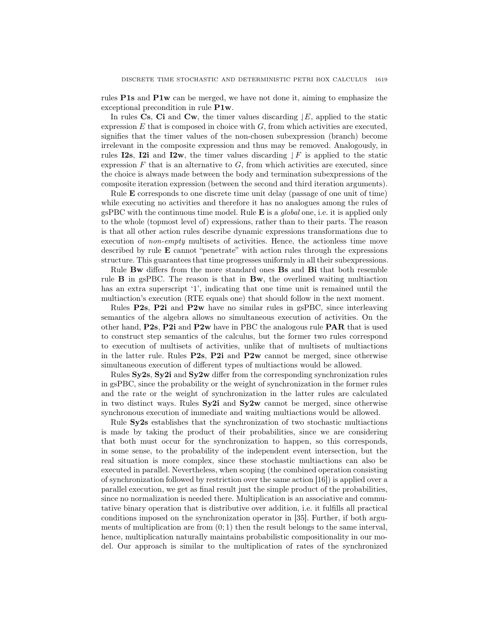rules P1s and P1w can be merged, we have not done it, aiming to emphasize the exceptional precondition in rule P1w.

In rules Cs, Ci and Cw, the timer values discarding  $|E|$ , applied to the static expression  $E$  that is composed in choice with  $G$ , from which activities are executed, signifies that the timer values of the non-chosen subexpression (branch) become irrelevant in the composite expression and thus may be removed. Analogously, in rules I2s, I2i and I2w, the timer values discarding  $\downarrow$  F is applied to the static expression  $F$  that is an alternative to  $G$ , from which activities are executed, since the choice is always made between the body and termination subexpressions of the composite iteration expression (between the second and third iteration arguments).

Rule E corresponds to one discrete time unit delay (passage of one unit of time) while executing no activities and therefore it has no analogues among the rules of gsPBC with the continuous time model. Rule  $E$  is a *global* one, i.e. it is applied only to the whole (topmost level of) expressions, rather than to their parts. The reason is that all other action rules describe dynamic expressions transformations due to execution of non-empty multisets of activities. Hence, the actionless time move described by rule E cannot "penetrate" with action rules through the expressions structure. This guarantees that time progresses uniformly in all their subexpressions.

Rule Bw differs from the more standard ones Bs and Bi that both resemble rule B in gsPBC. The reason is that in Bw, the overlined waiting multiaction has an extra superscript '1', indicating that one time unit is remained until the multiaction's execution (RTE equals one) that should follow in the next moment.

Rules P2s, P2i and P2w have no similar rules in gsPBC, since interleaving semantics of the algebra allows no simultaneous execution of activities. On the other hand, P2s, P2i and P2w have in PBC the analogous rule PAR that is used to construct step semantics of the calculus, but the former two rules correspond to execution of multisets of activities, unlike that of multisets of multiactions in the latter rule. Rules  $P2s$ ,  $P2i$  and  $P2w$  cannot be merged, since otherwise simultaneous execution of different types of multiactions would be allowed.

Rules  $S_y2s$ ,  $S_y2i$  and  $S_y2w$  differ from the corresponding synchronization rules in gsPBC, since the probability or the weight of synchronization in the former rules and the rate or the weight of synchronization in the latter rules are calculated in two distinct ways. Rules Sy2i and Sy2w cannot be merged, since otherwise synchronous execution of immediate and waiting multiactions would be allowed.

Rule Sy2s establishes that the synchronization of two stochastic multiactions is made by taking the product of their probabilities, since we are considering that both must occur for the synchronization to happen, so this corresponds, in some sense, to the probability of the independent event intersection, but the real situation is more complex, since these stochastic multiactions can also be executed in parallel. Nevertheless, when scoping (the combined operation consisting of synchronization followed by restriction over the same action [16]) is applied over a parallel execution, we get as final result just the simple product of the probabilities, since no normalization is needed there. Multiplication is an associative and commutative binary operation that is distributive over addition, i.e. it fulfills all practical conditions imposed on the synchronization operator in [35]. Further, if both arguments of multiplication are from  $(0, 1)$  then the result belongs to the same interval, hence, multiplication naturally maintains probabilistic compositionality in our model. Our approach is similar to the multiplication of rates of the synchronized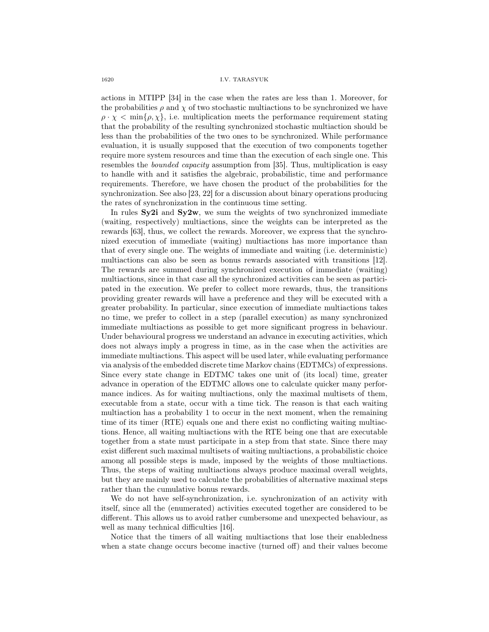actions in MTIPP [34] in the case when the rates are less than 1. Moreover, for the probabilities  $\rho$  and  $\chi$  of two stochastic multiactions to be synchronized we have  $\rho \cdot \chi < \min\{\rho, \chi\},$  i.e. multiplication meets the performance requirement stating that the probability of the resulting synchronized stochastic multiaction should be less than the probabilities of the two ones to be synchronized. While performance evaluation, it is usually supposed that the execution of two components together require more system resources and time than the execution of each single one. This resembles the *bounded capacity* assumption from [35]. Thus, multiplication is easy to handle with and it satisfies the algebraic, probabilistic, time and performance requirements. Therefore, we have chosen the product of the probabilities for the synchronization. See also [23, 22] for a discussion about binary operations producing the rates of synchronization in the continuous time setting.

In rules  $Sv2i$  and  $Sv2w$ , we sum the weights of two synchronized immediate (waiting, respectively) multiactions, since the weights can be interpreted as the rewards [63], thus, we collect the rewards. Moreover, we express that the synchronized execution of immediate (waiting) multiactions has more importance than that of every single one. The weights of immediate and waiting (i.e. deterministic) multiactions can also be seen as bonus rewards associated with transitions [12]. The rewards are summed during synchronized execution of immediate (waiting) multiactions, since in that case all the synchronized activities can be seen as participated in the execution. We prefer to collect more rewards, thus, the transitions providing greater rewards will have a preference and they will be executed with a greater probability. In particular, since execution of immediate multiactions takes no time, we prefer to collect in a step (parallel execution) as many synchronized immediate multiactions as possible to get more significant progress in behaviour. Under behavioural progress we understand an advance in executing activities, which does not always imply a progress in time, as in the case when the activities are immediate multiactions. This aspect will be used later, while evaluating performance via analysis of the embedded discrete time Markov chains (EDTMCs) of expressions. Since every state change in EDTMC takes one unit of (its local) time, greater advance in operation of the EDTMC allows one to calculate quicker many performance indices. As for waiting multiactions, only the maximal multisets of them, executable from a state, occur with a time tick. The reason is that each waiting multiaction has a probability 1 to occur in the next moment, when the remaining time of its timer (RTE) equals one and there exist no conflicting waiting multiactions. Hence, all waiting multiactions with the RTE being one that are executable together from a state must participate in a step from that state. Since there may exist different such maximal multisets of waiting multiactions, a probabilistic choice among all possible steps is made, imposed by the weights of those multiactions. Thus, the steps of waiting multiactions always produce maximal overall weights, but they are mainly used to calculate the probabilities of alternative maximal steps rather than the cumulative bonus rewards.

We do not have self-synchronization, i.e. synchronization of an activity with itself, since all the (enumerated) activities executed together are considered to be different. This allows us to avoid rather cumbersome and unexpected behaviour, as well as many technical difficulties [16].

Notice that the timers of all waiting multiactions that lose their enabledness when a state change occurs become inactive (turned off) and their values become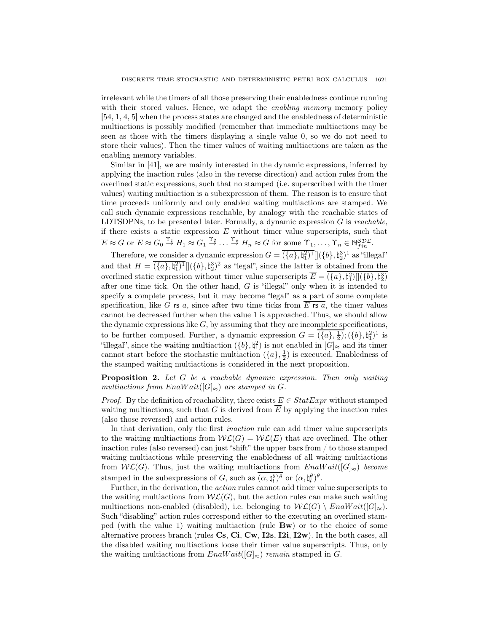irrelevant while the timers of all those preserving their enabledness continue running with their stored values. Hence, we adapt the *enabling memory* memory policy [54, 1, 4, 5] when the process states are changed and the enabledness of deterministic multiactions is possibly modified (remember that immediate multiactions may be seen as those with the timers displaying a single value 0, so we do not need to store their values). Then the timer values of waiting multiactions are taken as the enabling memory variables.

Similar in [41], we are mainly interested in the dynamic expressions, inferred by applying the inaction rules (also in the reverse direction) and action rules from the overlined static expressions, such that no stamped (i.e. superscribed with the timer values) waiting multiaction is a subexpression of them. The reason is to ensure that time proceeds uniformly and only enabled waiting multiactions are stamped. We call such dynamic expressions reachable, by analogy with the reachable states of LDTSDPNs, to be presented later. Formally, a dynamic expression  $G$  is *reachable*, if there exists a static expression  $E$  without timer value superscripts, such that  $\overline{E} \approx G$  or  $\overline{E} \approx G_0 \stackrel{\Upsilon_1}{\to} H_1 \approx G_1 \stackrel{\Upsilon_2}{\to} \ldots \stackrel{\Upsilon_n}{\to} H_n \approx G$  for some  $\Upsilon_1, \ldots, \Upsilon_n \in \mathbb{N}_{fin}^{SDL}$ .

Therefore, we consider a dynamic expression  $G = (\{a\}, \mathfrak{h}_1^2)^1 \mathcal{L}((b), \mathfrak{h}_2^3)^1$  as "illegal" and that  $H = (\{a\}, \natural_1^2)^1 \sim \{b\}, \natural_2^3)^2$  as "legal", since the latter is obtained from the overlined static expression without timer value superscripts  $\overline{E} = (\{a\}, \natural_1^2) [](\{b\}, \natural_2^3)$ after one time tick. On the other hand, G is "illegal" only when it is intended to specify a complete process, but it may become "legal" as a part of some complete specification, like G rs a, since after two time ticks from E rs a, the timer values cannot be decreased further when the value 1 is approached. Thus, we should allow the dynamic expressions like  $G$ , by assuming that they are incomplete specifications, to be further composed. Further, a dynamic expression  $G = (\{a\}, \frac{1}{2}); (\{b\}, \natural_1^2)^1$  is "illegal", since the waiting multiaction  $(\{b\}, \natural_1^2)$  is not enabled in  $[G]_{\approx}$  and its timer cannot start before the stochastic multiaction  $(\lbrace a \rbrace, \frac{1}{2})$  is executed. Enabledness of the stamped waiting multiactions is considered in the next proposition.

Proposition 2. Let G be a reachable dynamic expression. Then only waiting multiactions from EnaW ait( $[G]_{\approx}$ ) are stamped in G.

*Proof.* By the definition of reachability, there exists  $E \in StatExpr$  without stamped waiting multiactions, such that G is derived from  $\overline{E}$  by applying the inaction rules (also those reversed) and action rules.

In that derivation, only the first *inaction* rule can add timer value superscripts to the waiting multiactions from  $W\mathcal{L}(G) = W\mathcal{L}(E)$  that are overlined. The other inaction rules (also reversed) can just "shift" the upper bars from / to those stamped waiting multiactions while preserving the enabledness of all waiting multiactions from  $W\mathcal{L}(G)$ . Thus, just the waiting multiactions from  $EnaWait([G]_{\approx})$  become stamped in the subexpressions of G, such as  $(\alpha, \natural_l^{\theta})^{\theta}$  or  $(\alpha, \natural_l^{\theta})^{\theta}$ .

Further, in the derivation, the action rules cannot add timer value superscripts to the waiting multiactions from  $\mathcal{W}\mathcal{L}(G)$ , but the action rules can make such waiting multiactions non-enabled (disabled), i.e. belonging to  $\mathcal{W}\mathcal{L}(G) \setminus \text{EnaWait}(|G|_{\approx}).$ Such "disabling" action rules correspond either to the executing an overlined stamped (with the value 1) waiting multiaction (rule Bw) or to the choice of some alternative process branch (rules Cs, Ci, Cw, I2s, I2i, I2w). In the both cases, all the disabled waiting multiactions loose their timer value superscripts. Thus, only the waiting multiactions from  $EnaWait([G]_{\approx})$  remain stamped in G.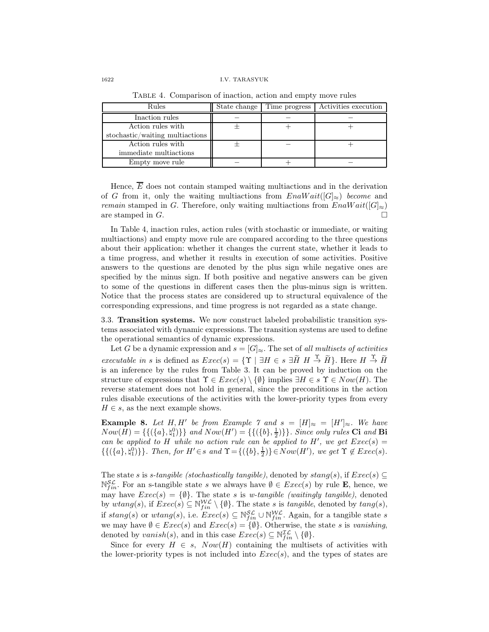#### 1622 I.V. TARASYUK

| Rules                           | State change | Time progress | Activities execution |
|---------------------------------|--------------|---------------|----------------------|
| Inaction rules                  |              |               |                      |
| Action rules with               |              |               |                      |
| stochastic/waiting multiactions |              |               |                      |
| Action rules with               |              |               |                      |
| immediate multiactions          |              |               |                      |
| Empty move rule                 |              |               |                      |

Table 4. Comparison of inaction, action and empty move rules

Hence,  $\overline{E}$  does not contain stamped waiting multiactions and in the derivation of G from it, only the waiting multiactions from  $EnaWait([G]_{\approx})$  become and remain stamped in G. Therefore, only waiting multiactions from  $EnaWait([G]_{\approx})$ are stamped in  $G$ .

In Table 4, inaction rules, action rules (with stochastic or immediate, or waiting multiactions) and empty move rule are compared according to the three questions about their application: whether it changes the current state, whether it leads to a time progress, and whether it results in execution of some activities. Positive answers to the questions are denoted by the plus sign while negative ones are specified by the minus sign. If both positive and negative answers can be given to some of the questions in different cases then the plus-minus sign is written. Notice that the process states are considered up to structural equivalence of the corresponding expressions, and time progress is not regarded as a state change.

3.3. Transition systems. We now construct labeled probabilistic transition systems associated with dynamic expressions. The transition systems are used to define the operational semantics of dynamic expressions.

Let G be a dynamic expression and  $s = [G]_{\approx}$ . The set of all multisets of activities executable in s is defined as  $Exec(s) = \{\Upsilon \mid \exists H \in s \exists \widetilde{H} \ H \stackrel{\Upsilon}{\rightarrow} \widetilde{H}\}\.$  Here  $H \stackrel{\Upsilon}{\rightarrow} \widetilde{H}$ is an inference by the rules from Table 3. It can be proved by induction on the structure of expressions that  $\Upsilon \in Excel(s) \setminus \{\emptyset\}$  implies  $\exists H \in s \Upsilon \in Now(H)$ . The reverse statement does not hold in general, since the preconditions in the action rules disable executions of the activities with the lower-priority types from every  $H \in s$ , as the next example shows.

**Example 8.** Let H, H' be from Example 7 and  $s = [H]_{\approx} = [H']_{\approx}$ . We have  $Now(H) = \{ \{ (\{a\}, \dagger_1^0) \} \}$  and  $Now(H') = \{ \{ (\{b\}, \dfrac{1}{2}) \} \}$ . Since only rules Ci and Bi can be applied to H while no action rule can be applied to H', we get  $Exec(s)$  =  $\{\{(\{a\},\sharp_1^0)\}\}\.$  Then, for  $H' \in s$  and  $\Upsilon = \{(\{b\},\frac{1}{2})\}\in Now(H')$ , we get  $\Upsilon \notin Excel(s)$ .

The state s is s-tangible (stochastically tangible), denoted by stang(s), if  $Exec(s) \subseteq$  $\mathbb{N}_{fin}^{\mathcal{SL}}$ . For an s-tangible state s we always have  $\emptyset \in \mathit{Exec}(s)$  by rule **E**, hence, we may have  $Exec(s) = \{\emptyset\}$ . The state s is w-tangible (waitingly tangible), denoted by wtang(s), if  $Exec(s) \subseteq \mathbb{N}_{fin}^{W\mathcal{L}} \setminus \{\emptyset\}$ . The state s is tangible, denoted by  $tang(s)$ , if  $stang(s)$  or  $wtang(s)$ , i.e.  $Exec(s) \subseteq \mathbb{N}_{fin}^{\mathcal{SL}} \cup \mathbb{N}_{fin}^{\mathcal{W\L}}$ . Again, for a tangible state s we may have  $\emptyset \in Excel(s)$  and  $Exec(s) = \{\emptyset\}$ . Otherwise, the state s is vanishing, denoted by  $vanish(s)$ , and in this case  $Exec(s) \subseteq \mathbb{N}_{fin}^{\mathcal{IL}} \setminus \{\emptyset\}.$ 

Since for every  $H \in s$ ,  $Now(H)$  containing the multisets of activities with the lower-priority types is not included into  $Exec(s)$ , and the types of states are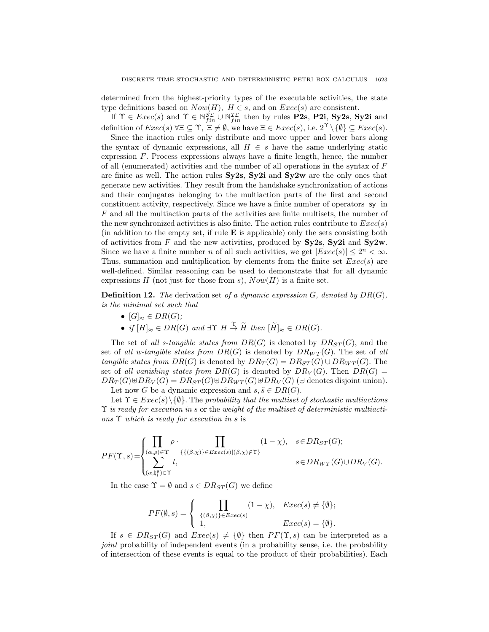determined from the highest-priority types of the executable activities, the state type definitions based on  $Now(H)$ ,  $H \in s$ , and on  $Exec(s)$  are consistent.

If  $\Upsilon \in \text{Exec}(s)$  and  $\Upsilon \in \mathbb{N}_{fin}^{\mathcal{SL}} \cup \mathbb{N}_{fin}^{\mathcal{IL}}$  then by rules **P2s**, **P2i**, **Sy2s**, **Sy2i** and definition of  $Exec(s)$   $\forall \Xi \subseteq \Upsilon$ ,  $\Xi \neq \emptyset$ , we have  $\Xi \in Excel(s)$ , i.e.  $2^{\Upsilon} \setminus {\emptyset} \subseteq Excel(s)$ .

Since the inaction rules only distribute and move upper and lower bars along the syntax of dynamic expressions, all  $H \in s$  have the same underlying static expression  $F$ . Process expressions always have a finite length, hence, the number of all (enumerated) activities and the number of all operations in the syntax of F are finite as well. The action rules Sy2s, Sy2i and Sy2w are the only ones that generate new activities. They result from the handshake synchronization of actions and their conjugates belonging to the multiaction parts of the first and second constituent activity, respectively. Since we have a finite number of operators sy in F and all the multiaction parts of the activities are finite multisets, the number of the new synchronized activities is also finite. The action rules contribute to  $Exec(s)$ (in addition to the empty set, if rule E is applicable) only the sets consisting both of activities from F and the new activities, produced by  $S_{\rm V2s}$ ,  $S_{\rm V2i}$  and  $S_{\rm V2w}$ . Since we have a finite number *n* of all such activities, we get  $|Exec(s)| \leq 2^n < \infty$ . Thus, summation and multiplication by elements from the finite set  $Exec(s)$  are well-defined. Similar reasoning can be used to demonstrate that for all dynamic expressions  $H$  (not just for those from s),  $Now(H)$  is a finite set.

**Definition 12.** The derivation set of a dynamic expression  $G$ , denoted by  $DR(G)$ . is the minimal set such that

- $[G]_{\approx} \in DR(G);$
- if  $[H]_{\approx} \in DR(G)$  and  $\exists \Upsilon \ H \stackrel{\Upsilon}{\rightarrow} \widetilde{H}$  then  $[\widetilde{H}]_{\approx} \in DR(G)$ .

The set of all s-tangible states from  $DR(G)$  is denoted by  $DR_{ST}(G)$ , and the set of all w-tangible states from  $DR(G)$  is denoted by  $DR_{WT}(G)$ . The set of all tangible states from  $DR(G)$  is denoted by  $DR_T(G) = DR_{ST}(G) \cup DR_{WT}(G)$ . The set of all vanishing states from  $DR(G)$  is denoted by  $DR_V(G)$ . Then  $DR(G)$  =  $DR_T(G) \oplus DR_V(G) = DR_{ST}(G) \oplus DR_{WT}(G) \oplus DR_V(G)$  ( $\oplus$  denotes disjoint union). Let now G be a dynamic expression and  $s, \tilde{s} \in DR(G)$ .

Let  $\Upsilon \in \text{Exec}(s) \setminus \{\emptyset\}$ . The probability that the multiset of stochastic multiactions  $\Upsilon$  is ready for execution in s or the weight of the multiset of deterministic multiactions Υ which is ready for execution in s is

$$
PF(\Upsilon,s) = \begin{cases} \prod_{(\alpha,\rho) \in \Upsilon} \rho \cdot \prod_{\{ \{ (\beta,\chi) \} \in E \, xec(s) | (\beta,\chi) \not\in \Upsilon \} } (1-\chi), & s \in DR_{ST}(G); \\ \sum_{(\alpha,\natural_l^\theta) \in \Upsilon} l, & s \in DR_{WT}(G) \cup DR_V(G). \end{cases}
$$

In the case  $\Upsilon = \emptyset$  and  $s \in DR_{ST}(G)$  we define

$$
PF(\emptyset, s) = \begin{cases} \prod_{\{(\beta, \chi)\}\in\text{Exec}(s)} (1 - \chi), & \text{Exec}(s) \neq \{\emptyset\}; \\ 1, & \text{Exec}(s) = \{\emptyset\}. \end{cases}
$$

If  $s \in DR_{ST}(G)$  and  $Exec(s) \neq {\emptyset}$  then  $PF(\Upsilon, s)$  can be interpreted as a joint probability of independent events (in a probability sense, i.e. the probability of intersection of these events is equal to the product of their probabilities). Each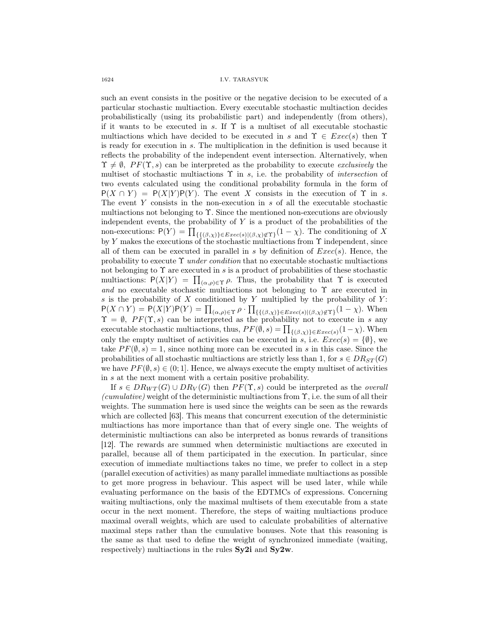1624 I.V. TARASYUK

such an event consists in the positive or the negative decision to be executed of a particular stochastic multiaction. Every executable stochastic multiaction decides probabilistically (using its probabilistic part) and independently (from others), if it wants to be executed in s. If  $\Upsilon$  is a multiset of all executable stochastic multiactions which have decided to be executed in s and  $\Upsilon \in \text{Exec}(s)$  then  $\Upsilon$ is ready for execution in s. The multiplication in the definition is used because it reflects the probability of the independent event intersection. Alternatively, when  $\Upsilon \neq \emptyset$ ,  $PF(\Upsilon, s)$  can be interpreted as the probability to execute exclusively the multiset of stochastic multiactions  $\Upsilon$  in s, i.e. the probability of *intersection* of two events calculated using the conditional probability formula in the form of  $P(X \cap Y) = P(X|Y)P(Y)$ . The event X consists in the execution of  $\Upsilon$  in s. The event  $Y$  consists in the non-execution in  $s$  of all the executable stochastic multiactions not belonging to Υ. Since the mentioned non-executions are obviously independent events, the probability of  $Y$  is a product of the probabilities of the non-executions:  $P(Y) = \prod_{\{\{(\beta,\chi)\}\in Excel(s)|(\beta,\chi)\notin\Upsilon\}} (1-\chi)$ . The conditioning of X by Y makes the executions of the stochastic multiactions from  $\Upsilon$  independent, since all of them can be executed in parallel in s by definition of  $Exec(s)$ . Hence, the probability to execute  $\Upsilon$  under condition that no executable stochastic multiactions not belonging to  $\Upsilon$  are executed in s is a product of probabilities of these stochastic multiactions:  $P(X|Y) = \prod_{(\alpha,\rho)\in\Upsilon} \rho$ . Thus, the probability that  $\Upsilon$  is executed and no executable stochastic multiactions not belonging to  $\Upsilon$  are executed in s is the probability of  $X$  conditioned by  $Y$  multiplied by the probability of  $Y$ :  $P(X \cap Y) = P(X|Y)P(Y) = \prod_{(\alpha,\rho) \in \Upsilon} \rho \cdot \prod_{\{\{\beta,\chi\}\}\in Excel(s)|(\beta,\chi) \notin \Upsilon\}} (1-\chi)$ . When  $\Upsilon = \emptyset$ ,  $PF(\Upsilon, s)$  can be interpreted as the probability not to execute in s any executable stochastic multiactions, thus,  $PF(\emptyset, s) = \prod_{\{(\beta, \chi)\}\in Exercise(s)} (1-\chi)$ . When only the empty multiset of activities can be executed in s, i.e.  $Exec(s) = \{\emptyset\}$ , we take  $PF(\emptyset, s) = 1$ , since nothing more can be executed in s in this case. Since the probabilities of all stochastic multiactions are strictly less than 1, for  $s \in DR_{ST}(G)$ we have  $PF(\emptyset, s) \in (0, 1]$ . Hence, we always execute the empty multiset of activities in s at the next moment with a certain positive probability.

If  $s \in DR_{WT}(G) \cup DR_V(G)$  then  $PF(\Upsilon, s)$  could be interpreted as the *overall* (cumulative) weight of the deterministic multiactions from  $\Upsilon$ , i.e. the sum of all their weights. The summation here is used since the weights can be seen as the rewards which are collected [63]. This means that concurrent execution of the deterministic multiactions has more importance than that of every single one. The weights of deterministic multiactions can also be interpreted as bonus rewards of transitions [12]. The rewards are summed when deterministic multiactions are executed in parallel, because all of them participated in the execution. In particular, since execution of immediate multiactions takes no time, we prefer to collect in a step (parallel execution of activities) as many parallel immediate multiactions as possible to get more progress in behaviour. This aspect will be used later, while while evaluating performance on the basis of the EDTMCs of expressions. Concerning waiting multiactions, only the maximal multisets of them executable from a state occur in the next moment. Therefore, the steps of waiting multiactions produce maximal overall weights, which are used to calculate probabilities of alternative maximal steps rather than the cumulative bonuses. Note that this reasoning is the same as that used to define the weight of synchronized immediate (waiting, respectively) multiactions in the rules Sy2i and Sy2w.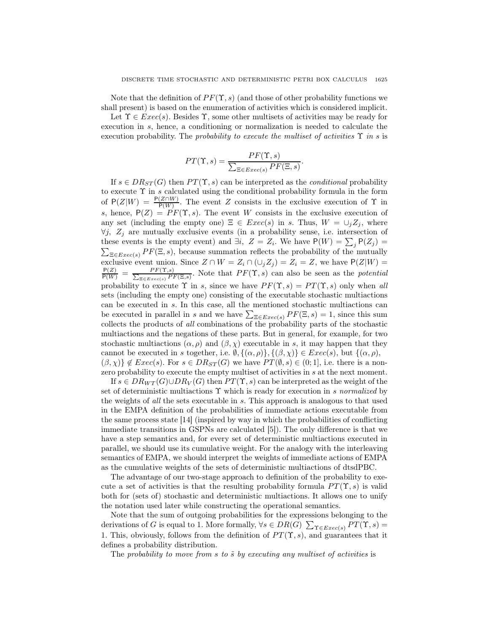Note that the definition of  $PF(\Upsilon, s)$  (and those of other probability functions we shall present) is based on the enumeration of activities which is considered implicit.

Let  $\Upsilon \in \text{Exec}(s)$ . Besides  $\Upsilon$ , some other multisets of activities may be ready for execution in s, hence, a conditioning or normalization is needed to calculate the execution probability. The probability to execute the multiset of activities  $\Upsilon$  in s is

$$
PT(\Upsilon, s) = \frac{PF(\Upsilon, s)}{\sum_{\Xi \in E \text{zero}(s)} PF(\Xi, s)}.
$$

If  $s \in DR_{ST}(G)$  then  $PT(\Upsilon, s)$  can be interpreted as the *conditional* probability to execute  $\Upsilon$  in s calculated using the conditional probability formula in the form of  $P(Z|W) = \frac{P(Z \cap W)}{P(W)}$ . The event Z consists in the exclusive execution of  $\Upsilon$  in s, hence,  $P(Z) = PF(\Upsilon, s)$ . The event W consists in the exclusive execution of any set (including the empty one)  $\Xi \in Excel(s)$  in s. Thus,  $W = \cup_i Z_i$ , where  $\forall j, Z_j$  are mutually exclusive events (in a probability sense, i.e. intersection of these events is the empty event) and  $\exists i, Z = Z_i$ . We have  $P(W) = \sum_j P(Z_j) =$  $\sum_{\Xi \in E \text{vec}(s)} PF(\Xi, s)$ , because summation reflects the probability of the mutually exclusive event union. Since  $Z \cap W = Z_i \cap (\cup_j Z_j) = Z_i = Z$ , we have  $P(Z|W) = \frac{P(Z)}{P(W)} = \frac{PF(\Upsilon,s)}{\sum_{\overline{\neg} \in \text{Exec}(s)} PF(\Xi,\overline{s})}$ . Note that  $PF(\Upsilon, s)$  can also be seen as the *potential*  $\frac{F F(\Gamma, s)}{F F(\Xi, s)}$ . Note that  $PF(\Upsilon, s)$  can also be seen as the *potential* probability to execute  $\Upsilon$  in s, since we have  $PF(\Upsilon, s) = PT(\Upsilon, s)$  only when all sets (including the empty one) consisting of the executable stochastic multiactions can be executed in s. In this case, all the mentioned stochastic multiactions can be executed in parallel in s and we have  $\sum_{\Xi \in Exercise(s)} PF(\Xi, s) = 1$ , since this sum collects the products of all combinations of the probability parts of the stochastic multiactions and the negations of these parts. But in general, for example, for two stochastic multiactions  $(\alpha, \rho)$  and  $(\beta, \chi)$  executable in s, it may happen that they cannot be executed in s together, i.e.  $\emptyset$ ,  $\{(\alpha, \rho)\}, \{(\beta, \chi)\}\in \text{Exec}(s)$ , but  $\{(\alpha, \rho),$  $(\beta, \chi)$   $\notin E \text{vec}(s)$ . For  $s \in DR_{ST}(G)$  we have  $PT(\emptyset, s) \in (0, 1]$ , i.e. there is a nonzero probability to execute the empty multiset of activities in s at the next moment.

If  $s \in DR_{WT}(G) \cup DR_V(G)$  then  $PT(\Upsilon, s)$  can be interpreted as the weight of the set of deterministic multiactions  $\Upsilon$  which is ready for execution in s normalized by the weights of all the sets executable in s. This approach is analogous to that used in the EMPA definition of the probabilities of immediate actions executable from the same process state [14] (inspired by way in which the probabilities of conflicting immediate transitions in GSPNs are calculated [5]). The only difference is that we have a step semantics and, for every set of deterministic multiactions executed in parallel, we should use its cumulative weight. For the analogy with the interleaving semantics of EMPA, we should interpret the weights of immediate actions of EMPA as the cumulative weights of the sets of deterministic multiactions of dtsdPBC.

The advantage of our two-stage approach to definition of the probability to execute a set of activities is that the resulting probability formula  $PT(\Upsilon, s)$  is valid both for (sets of) stochastic and deterministic multiactions. It allows one to unify the notation used later while constructing the operational semantics.

Note that the sum of outgoing probabilities for the expressions belonging to the derivations of G is equal to 1. More formally,  $\forall s \in DR(G)$   $\sum_{\Upsilon \in Exercise(s)} PT(\Upsilon, s)$ 1. This, obviously, follows from the definition of  $PT(\Upsilon, s)$ , and guarantees that it defines a probability distribution.

The probability to move from s to  $\tilde{s}$  by executing any multiset of activities is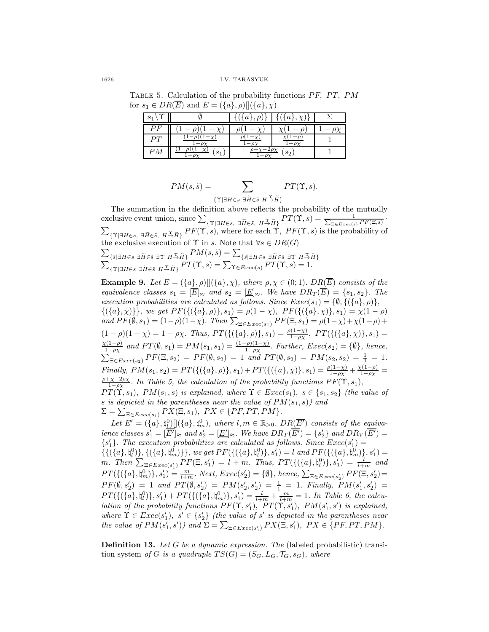TABLE 5. Calculation of the probability functions  $PF$ ,  $PT$ ,  $PM$ for  $s_1 \in DR(\overline{E})$  and  $E = (\{a\}, \rho)$   $[(\{a\}, \chi)$ 

| $\mathbf{e}$<br>ಲ |                | $\boldsymbol{a}$<br>$\Omega$ | $\boldsymbol{a}$<br>$\cdot Y$ |  |
|-------------------|----------------|------------------------------|-------------------------------|--|
| Рŀ                |                |                              |                               |  |
| PТ                |                |                              |                               |  |
| РM                | S <sub>1</sub> |                              | $s_2$                         |  |

$$
PM(s, \tilde{s}) = \sum_{\{\Upsilon \mid \exists H \in s \ \exists \tilde{H} \in \tilde{s} \ H \stackrel{\Upsilon}{\rightarrow} \tilde{H}\}} PT(\Upsilon, s).
$$

The summation in the definition above reflects the probability of the mutually exclusive event union, since  $\sum_{\{\Upsilon | \exists H \in s, \exists \widetilde{H} \in \tilde{s}, H \rightarrow \widetilde{H}\}} PT(\Upsilon, s) = \frac{1}{\sum_{\Xi \in E \text{zero}(s)} PF(\Xi, s)}$ .  $\sum_{\{\Upsilon \mid \exists H \in \mathcal{S}, \ H \to \widetilde{H}\}} PF(\Upsilon, s)$ , where for each  $\Upsilon$ ,  $PF(\Upsilon, s)$  is the probability of  $\overline{\Sigma}$ the exclusive execution of  $\Upsilon$  in s. Note that  $\forall s \in DR(G)$  $\sum_{\{\tilde{s}|\exists H\in s\; \exists \tilde{H}\in \tilde{s}\; \exists \Upsilon\; H\stackrel{\Upsilon}{\rightarrow} \tilde{H}\}} PM(s,\tilde{s}) = \sum_{\{\tilde{s}|\exists H\in s\; \exists \tilde{H}\in \tilde{s}\; \exists \Upsilon\; H\stackrel{\Upsilon}{\rightarrow} \tilde{H}\}} PM(s,\tilde{s}) = \sum_{\{\tilde{s}|\exists H\in s\; \exists \tilde{H}\in \tilde{s}\; \Pi'\big(\Upsilon,\;s)\} = 1.}$ 

**Example 9.** Let  $E = (\{a\}, \rho) [(\{a\}, \chi),$  where  $\rho, \chi \in (0, 1)$ .  $DR(\overline{E})$  consists of the equivalence classes  $s_1 = [\overline{E}]_{\approx}$  and  $s_2 = [\underline{E}]_{\approx}$ . We have  $DR_T(\overline{E}) = \{s_1, s_2\}$ . The execution probabilities are calculated as follows. Since  $Exec(s_1) = \{\emptyset, \{(\{a\}, \rho)\},\}$  $\{(\{a\}, \chi)\}\}\,$ , we get  $PF(\{(\{a\}, \rho)\}\, s_1) = \rho(1-\chi), PF(\{(\{a\}, \chi)\}\, s_1) = \chi(1-\rho)$ and  $PF(\emptyset, s_1) = (1 - \rho)(1 - \chi)$ . Then  $\sum_{\Xi \in E \text{,} \text{z} \in c(s_1)} PF(\Xi, s_1) = \rho(1 - \chi) + \chi(1 - \rho) +$  $(1 - \rho)(1 - \chi) = 1 - \rho\chi$ . Thus,  $PT(\{(\{a\}, \rho)\}, s_1) = \frac{\rho(1 - \chi)}{1 - \rho\chi}, PT(\{(\{a\}, \chi)\}, s_1) =$  $\chi(1-\rho)$  $\frac{\zeta(1-\rho)}{1-\rho\chi}$  and  $PT(\emptyset, s_1) = PM(s_1, s_1) = \frac{(1-\rho)(1-\chi)}{1-\rho\chi}$ . Further,  $Exec(s_2) = \{\emptyset\}$ , hence,  $\sum_{\Xi \in \text{Exec}(s_2)} PF(\Xi, s_2) = PF(\emptyset, s_2) = 1$  and  $PT(\emptyset, s_2) = PM(s_2, s_2) = \frac{1}{1} = 1$ . Finally,  $PM(s_1, s_2) = PT(\{(\{a\}, \rho)\}, s_1) + PT(\{(\{a\}, \chi)\}, s_1) = \frac{\rho(1-\chi)}{1-\rho\chi} + \frac{\chi(1-\rho)}{1-\rho\chi} = \frac{\rho+\chi-2\rho\chi}{1-\rho\chi}$ . In Table 5, the calculation of the probability functions  $PF(\Upsilon, s_1)$ ,  $PT(\Upsilon, s_1), PM(s_1, s)$  is explained, where  $\Upsilon \in Exec(s_1), s \in \{s_1, s_2\}$  (the value of s is depicted in the parentheses near the value of  $PM(s_1, s)$  and  $\Sigma = \sum_{\Xi \in \text{Exec}(s_1)} P\overline{X}(\Xi, s_1), \ P\overline{X} \in \{PF, PT, PM\}.$ 

Let  $E' = (\{a\}, \natural^0_L) [](\{a\}, \natural^0_m)$ , where  $l, m \in \mathbb{R}_{>0}$ .  $DR(\overline{E'})$  consists of the equivalence classes  $s'_1 = [\overline{E'}]_{\approx}$  and  $s'_2 = [\underline{E'}]_{\approx}$ . We have  $DR_T(\overline{E'}) = \{s'_2\}$  and  $DR_V(\overline{E'}) =$  $\{s'_1\}$ . The execution probabilities are calculated as follows. Since  $Exec(s'_1)$  ${1 \choose {\{a\}, \{a\} \}}$ ,  ${(\{a\}, \{a_n\})\}}$ , we get  $PF({(\{(a), \{a\}, \{a\})\}, s'_1) = l$  and  $PF({(\{(a), \{a_n\}, \{a_n\})\}, s'_1) = l'}$ m. Then  $\sum_{\Xi \in \text{Exec}(s'_1)} PF(\Xi, s'_1) = l + m$ . Thus,  $PT(\{(\{a\}, \phi_i^0)\}, s'_1) = \frac{l}{l+m}$  and  $PT(\{(\{a\}, \phi_m^0)\}, s'_1) = \frac{m}{l+m}$ . Next,  $Exec(s'_2) = \{\emptyset\}$ , hence,  $\sum_{\Xi \inExec(s'_2)} PF(\Xi, s'_2) =$  $PF(\emptyset, s'_2) = 1$  and  $PT(\emptyset, s'_2) = PM(s'_2, s'_2) = \frac{1}{1} = 1$ . Finally,  $PM(s'_1, s'_2) =$  $PT({{(a}, \phi_0^0)}, s_1') + PT({{(a}, \phi_m^0)}, s_1') = \frac{l}{l+m} + \frac{m}{l+m} = 1$ . In Table 6, the calculation of the probability functions  $PF(\Upsilon, s'_1)$ ,  $PT(\Upsilon, s'_1)$ ,  $PM(s'_1, s')$  is explained, where  $\Upsilon \in \text{Exec}(s'_1)$ ,  $s' \in \{s'_2\}$  (the value of s' is depicted in the parentheses near the value of  $PM(s'_1, s')$  and  $\Sigma = \sum_{\Xi \in Excel(s'_1)} PX(\Xi, s'_1)$ ,  $PX \in \{PF, PT, PM\}$ .

Definition 13. Let G be a dynamic expression. The (labeled probabilistic) transition system of G is a quadruple  $TS(G) = (S_G, L_G, \mathcal{T}_G, s_G)$ , where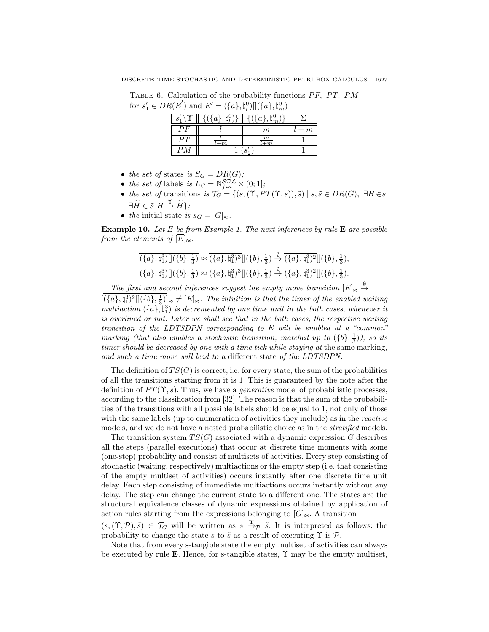TABLE 6. Calculation of the probability functions  $PF$ ,  $PT$ ,  $PM$ for  $s'_1 \in DR(\overline{E}')$  and  $E' = (\{a\}, \natural_l^0) [](\{a\}, \natural_m^0)$ 

|    |                  | .<br>.               |      |
|----|------------------|----------------------|------|
| S' | $\boldsymbol{a}$ | $ai$ .<br>$\cdot$ m  |      |
| эF |                  | m                    | $+m$ |
|    | m                | m<br>$\overline{-m}$ |      |
| РM |                  |                      |      |

- the set of states is  $S_G = DR(G);$
- the set of labels is  $L_G = \mathbb{N}_{fin}^{\mathcal{SDL}} \times (0, 1];$
- the set of transitions is  $\mathcal{T}_G = \{ (s, (\Upsilon, PT(\Upsilon, s)), \tilde{s}) \mid s, \tilde{s} \in DR(G), \exists H \in s \}$  $\exists \widetilde{H} \in \widetilde{s} \ H \stackrel{\Upsilon}{\rightarrow} \widetilde{H} \};$
- the initial state is  $s_G = [G]_{\approx}$ .

**Example 10.** Let  $E$  be from Example 1. The next inferences by rule  $E$  are possible from the elements of  $\overline{E}|_{\approx}$ :

$$
\frac{\overline{(\{a\},\natural_1^3)\|}(\{b\},\frac{1}{3})}{(\{a\},\natural_1^3)\|} \approx \overline{(\{a\},\natural_1^3)^3}\|(\{b\},\frac{1}{3}) \stackrel{\emptyset}{\rightarrow} \overline{(\{a\},\natural_1^3)^2}\|(\{b\},\frac{1}{3}),
$$
  

$$
\overline{(\{a\},\natural_1^3)\|}(\{b\},\frac{1}{3})} \approx (\{a\},\natural_1^3)^3\| \overline{(\{b\},\frac{1}{3})} \stackrel{\emptyset}{\rightarrow} (\{a\},\natural_1^3)^2\| \overline{(\{b\},\frac{1}{3})}.
$$

The first and second inferences suggest the empty move transition  $[\overline{E}]_{\approx} \stackrel{\emptyset}{\rightarrow}$ 

 $[({a}, \mathfrak{h}_1^3)^2][(\{b\}, \frac{1}{3})]_{\approx} \neq [\overline{E}]_{\approx}$ . The intuition is that the timer of the enabled waiting multiaction  $({a},\mathfrak{h}_1^3)$  is decremented by one time unit in the both cases, whenever it is overlined or not. Later we shall see that in the both cases, the respective waiting transition of the LDTSDPN corresponding to  $\overline{E}$  will be enabled at a "common" marking (that also enables a stochastic transition, matched up to  $({b}, \frac{1}{3})$ ), so its timer should be decreased by one with a time tick while staying at the same marking, and such a time move will lead to a different state of the LDTSDPN.

The definition of  $TS(G)$  is correct, i.e. for every state, the sum of the probabilities of all the transitions starting from it is 1. This is guaranteed by the note after the definition of  $PT(\Upsilon, s)$ . Thus, we have a *generative* model of probabilistic processes, according to the classification from [32]. The reason is that the sum of the probabilities of the transitions with all possible labels should be equal to 1, not only of those with the same labels (up to enumeration of activities they include) as in the reactive models, and we do not have a nested probabilistic choice as in the *stratified* models.

The transition system  $TS(G)$  associated with a dynamic expression G describes all the steps (parallel executions) that occur at discrete time moments with some (one-step) probability and consist of multisets of activities. Every step consisting of stochastic (waiting, respectively) multiactions or the empty step (i.e. that consisting of the empty multiset of activities) occurs instantly after one discrete time unit delay. Each step consisting of immediate multiactions occurs instantly without any delay. The step can change the current state to a different one. The states are the structural equivalence classes of dynamic expressions obtained by application of action rules starting from the expressions belonging to  $[G]_{\approx}$ . A transition

 $(s,(\Upsilon,\mathcal{P}),\tilde{s}) \in \mathcal{T}_G$  will be written as  $s \stackrel{\Upsilon}{\to} \tilde{s}$ . It is interpreted as follows: the probability to change the state s to  $\tilde{s}$  as a result of executing  $\Upsilon$  is  $\mathcal{P}$ .

Note that from every s-tangible state the empty multiset of activities can always be executed by rule E. Hence, for s-tangible states,  $\Upsilon$  may be the empty multiset,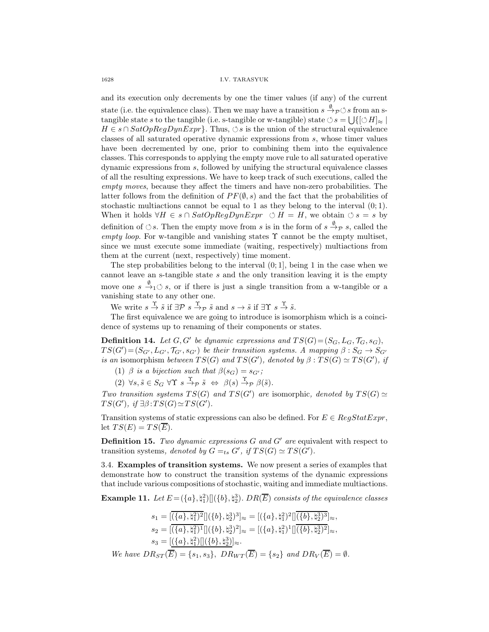and its execution only decrements by one the timer values (if any) of the current state (i.e. the equivalence class). Then we may have a transition  $s \stackrel{\emptyset}{\to} \rho \circ s$  from an stangible state s to the tangible (i.e. s-tangible or w-tangible) state  $\circ$  s =  $\bigcup\{[\circ H]_{\approx} \mid$  $H \in s \cap SatOpRegDynExpr$ . Thus,  $\Diamond s$  is the union of the structural equivalence classes of all saturated operative dynamic expressions from s, whose timer values have been decremented by one, prior to combining them into the equivalence classes. This corresponds to applying the empty move rule to all saturated operative dynamic expressions from s, followed by unifying the structural equivalence classes of all the resulting expressions. We have to keep track of such executions, called the empty moves, because they affect the timers and have non-zero probabilities. The latter follows from the definition of  $PF(\emptyset, s)$  and the fact that the probabilities of stochastic multiactions cannot be equal to 1 as they belong to the interval  $(0, 1)$ . When it holds  $\forall H \in s \cap \text{SatOpRegDynExpr}$   $\Diamond H = H$ , we obtain  $\Diamond s = s$  by definition of  $\circlearrowleft s$ . Then the empty move from s is in the form of  $s \stackrel{\emptyset}{\rightarrow} \mathcal{P} s$ , called the empty loop. For w-tangible and vanishing states  $\Upsilon$  cannot be the empty multiset, since we must execute some immediate (waiting, respectively) multiactions from them at the current (next, respectively) time moment.

The step probabilities belong to the interval  $(0, 1]$ , being 1 in the case when we cannot leave an s-tangible state  $s$  and the only transition leaving it is the empty move one  $s \stackrel{\emptyset}{\rightarrow}_1 \circ s$ , or if there is just a single transition from a w-tangible or a vanishing state to any other one.

We write  $s \stackrel{\Upsilon}{\rightarrow} \tilde{s}$  if  $\exists \mathcal{P} \ s \stackrel{\Upsilon}{\rightarrow} \tilde{s}$  and  $s \rightarrow \tilde{s}$  if  $\exists \Upsilon \ s \stackrel{\Upsilon}{\rightarrow} \tilde{s}$ .

The first equivalence we are going to introduce is isomorphism which is a coincidence of systems up to renaming of their components or states.

**Definition 14.** Let  $G, G'$  be dynamic expressions and  $TS(G) = (S_G, L_G, \mathcal{T}_G, s_G)$ ,  $TS(G') = (S_{G'}, L_{G'}, \mathcal{T}_{G'}, s_{G'})$  be their transition systems. A mapping  $\beta : S_G \to S_{G'}$ is an isomorphism between  $TS(G)$  and  $TS(G')$ , denoted by  $\beta: TS(G) \simeq TS(G')$ , if

- (1)  $\beta$  is a bijection such that  $\beta(s_G) = s_{G'}$ ;
- (2)  $\forall s, \tilde{s} \in S_G \ \forall \Upsilon \ s \stackrel{\Upsilon}{\rightarrow} \mathcal{P} \ \tilde{s} \ \Leftrightarrow \ \beta(s) \stackrel{\Upsilon}{\rightarrow} \mathcal{P} \ \beta(\tilde{s}).$

Two transition systems  $TS(G)$  and  $TS(G')$  are isomorphic, denoted by  $TS(G) \simeq$  $TS(G')$ , if  $\exists \beta : TS(G) \simeq TS(G')$ .

Transition systems of static expressions can also be defined. For  $E \in RegStatExpr$ , let  $TS(E) = TS(\overline{E}).$ 

**Definition 15.** Two dynamic expressions  $G$  and  $G'$  are equivalent with respect to transition systems, denoted by  $G =_{ts} G'$ , if  $TS(G) \simeq TS(G')$ .

3.4. Examples of transition systems. We now present a series of examples that demonstrate how to construct the transition systems of the dynamic expressions that include various compositions of stochastic, waiting and immediate multiactions.

**Example 11.** Let  $E = (\{a\}, \{a\})[(\{b\}, \{a\})]$ . DR $(\overline{E})$  consists of the equivalence classes

$$
s_1 = \overline{[(\{a\}, \natural_1^2)^2]}[(\{b\}, \natural_2^3)^3]_{\approx} = [(\{a\}, \natural_1^2)^2] \overline{[(\{b\}, \natural_2^3)^3]}_{\approx},
$$
  
\n
$$
s_2 = \overline{[(\{a\}, \natural_1^2)^1]}[(\{b\}, \natural_2^3)^2]_{\approx} = [(\{a\}, \natural_1^2)^1] \overline{(\{b\}, \natural_2^3)^2}]_{\approx},
$$
  
\n
$$
s_3 = \overline{[(\{a\}, \natural_1^2)]} \overline{[(\{b\}, \natural_2^3)]}_{\approx}.
$$
  
\nWe have  $DR_{ST}(\overline{E}) = \{s_1, s_3\}, DR_{WT}(\overline{E}) = \{s_2\}$  and  $DR_V(\overline{E}) = \emptyset$ .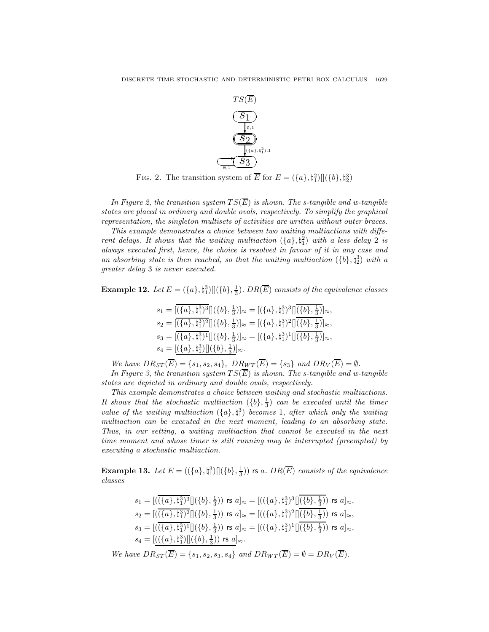

FIG. 2. The transition system of  $\overline{E}$  for  $E = (\lbrace a \rbrace, \natural_1^2) [](\lbrace b \rbrace, \natural_2^3)$ 

In Figure 2, the transition system  $TS(\overline{E})$  is shown. The s-tangible and w-tangible states are placed in ordinary and double ovals, respectively. To simplify the graphical representation, the singleton multisets of activities are written without outer braces.

This example demonstrates a choice between two waiting multiactions with different delays. It shows that the waiting multiaction  $({a}, {a}^2)$  with a less delay 2 is always executed first, hence, the choice is resolved in favour of it in any case and an absorbing state is then reached, so that the waiting multiaction  $({b}, {\dagger}_{2}^{3})$  with a greater delay 3 is never executed.

**Example 12.** Let  $E = (\{a\}, \{\dagger_1^3\}](\{b\}, \frac{1}{3})$ . DR $(\overline{E})$  consists of the equivalence classes

$$
\begin{aligned} s_1 &= [(\{a\},\natural_1^3)^3] [(\{b\},\tfrac{1}{3})]_{\approx} = [(\{a\},\natural_1^3)^3] [\overline{(\{b\},\tfrac{1}{3})}]_{\approx},\\ s_2 &= [(\{a\},\natural_1^3)^2] [(\{b\},\tfrac{1}{3})]_{\approx} = [(\{a\},\natural_1^3)^2] [\overline{(\{b\},\tfrac{1}{3})}]_{\approx},\\ s_3 &= [(\{a\},\natural_1^3)^1] [(\{b\},\tfrac{1}{3})]_{\approx} = [(\{a\},\natural_1^3)^1] [\overline{(\{b\},\tfrac{1}{3})}]_{\approx},\\ s_4 &= [(\{a\},\natural_1^3)] [(\{b\},\tfrac{1}{3})]_{\approx}. \end{aligned}
$$

We have  $DR_{ST}(\overline{E}) = \{s_1, s_2, s_4\}, \ D R_{WT}(\overline{E}) = \{s_3\} \text{ and } DR_V(\overline{E}) = \emptyset.$ 

In Figure 3, the transition system  $TS(\overline{E})$  is shown. The s-tangible and w-tangible states are depicted in ordinary and double ovals, respectively.

This example demonstrates a choice between waiting and stochastic multiactions. It shows that the stochastic multiaction  $({b}, \frac{1}{3})$  can be executed until the timer value of the waiting multiaction  $({a}, {t_1}^3)$  becomes 1, after which only the waiting multiaction can be executed in the next moment, leading to an absorbing state. Thus, in our setting, a waiting multiaction that cannot be executed in the next time moment and whose timer is still running may be interrupted (preempted) by executing a stochastic multiaction.

**Example 13.** Let  $E = ((\{a\}, \{a\}) \mid ((\{b\}, \frac{1}{3}))$  rs a.  $DR(\overline{E})$  consists of the equivalence classes

$$
s_1 = [((\overline{\{a\}, \natural_1^3\}^3][(\{b\}, \frac{1}{3})) \text{ rs } a]_{\approx} = [((\{a\}, \natural_1^3)^3][\overline{(\{b\}, \frac{1}{3})}) \text{ rs } a]_{\approx},
$$
  
\n
$$
s_2 = [((\overline{\{a\}, \natural_1^3\}^2][(\{b\}, \frac{1}{3})) \text{ rs } a]_{\approx} = [((\{a\}, \natural_1^3)^2][\overline{(\{b\}, \frac{1}{3})}) \text{ rs } a]_{\approx},
$$
  
\n
$$
s_3 = [((\overline{\{a\}, \natural_1^3)^1}][(\{b\}, \frac{1}{3})) \text{ rs } a]_{\approx} = [((\{a\}, \natural_1^3)^1][\overline{(\{b\}, \frac{1}{3})}) \text{ rs } a]_{\approx},
$$
  
\n
$$
s_4 = [((\{a\}, \natural_1^3)][(\{b\}, \frac{1}{3})) \text{ rs } a]_{\approx}.
$$

We have  $DR_{ST}(\overline{E}) = \{s_1, s_2, s_3, s_4\}$  and  $DR_{WT}(\overline{E}) = \emptyset = DR_V(\overline{E}).$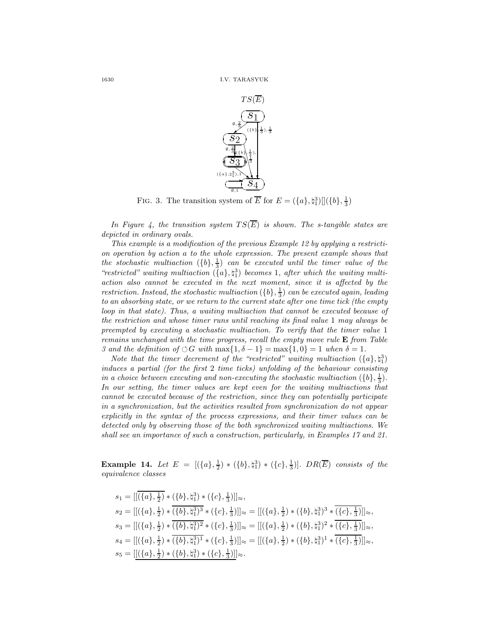

FIG. 3. The transition system of  $\overline{E}$  for  $E = (\{a\}, \natural_1^3) [](\{b\}, \frac{1}{3})$ 

In Figure 4, the transition system  $TS(\overline{E})$  is shown. The s-tangible states are depicted in ordinary ovals.

This example is a modification of the previous Example 12 by applying a restriction operation by action a to the whole expression. The present example shows that the stochastic multiaction  $({b}, \frac{1}{3})$  can be executed until the timer value of the "restricted" waiting multiaction  $(\lbrace a \rbrace, \natural_1^3)$  becomes 1, after which the waiting multiaction also cannot be executed in the next moment, since it is affected by the restriction. Instead, the stochastic multiaction  $(\{b\}, \frac{1}{3})$  can be executed again, leading to an absorbing state, or we return to the current state after one time tick (the empty loop in that state). Thus, a waiting multiaction that cannot be executed because of the restriction and whose timer runs until reaching its final value 1 may always be preempted by executing a stochastic multiaction. To verify that the timer value 1 remains unchanged with the time progress, recall the empty move rule  $E$  from Table 3 and the definition of  $\circlearrowleft G$  with  $\max\{1,\delta-1\} = \max\{1,0\} = 1$  when  $\delta = 1$ .

Note that the timer decrement of the "restricted" waiting multiaction  $({a}, {}_{5}^{3})$ induces a partial (for the first 2 time ticks) unfolding of the behaviour consisting in a choice between executing and non-executing the stochastic multiaction  $({b}, \frac{1}{3})$ . In our setting, the timer values are kept even for the waiting multiactions that cannot be executed because of the restriction, since they can potentially participate in a synchronization, but the activities resulted from synchronization do not appear explicitly in the syntax of the process expressions, and their timer values can be detected only by observing those of the both synchronized waiting multiactions. We shall see an importance of such a construction, particularly, in Examples 17 and 21.

**Example 14.** Let  $E = [(\{a\}, \frac{1}{2}) * (\{b\}, \natural_1^3) * (\{c\}, \frac{1}{3})]$ . DR(E) consists of the equivalence classes

$$
s_1 = [[({a}, \frac{1}{2}) * ({b}, \frac{1}{4}) * ({c}, \frac{1}{3})]]\approx,s_2 = [[({a}, \frac{1}{2}) * \overline{({b}, \frac{1}{4})}]^3 * ({c}, \frac{1}{3})]]\approx = [[({a}, \frac{1}{2}) * ({b}, \frac{1}{4})^3 * \overline{({c}, \frac{1}{3})}]]\approx,s_3 = [[({a}, \frac{1}{2}) * \overline{({b}, \frac{1}{4})}]^2 * ({c}, \frac{1}{3})]]\approx = [[({a}, \frac{1}{2}) * ({b}, \frac{1}{4})^2 * \overline{({c}, \frac{1}{3})}]]\approx,s_4 = [[({a}, \frac{1}{2}) * \overline{({b}, \frac{1}{4})}]^1 * ({c}, \frac{1}{3})]]\approx = [[({a}, \frac{1}{2}) * ({b}, \frac{1}{4})^1 * \overline{({c}, \frac{1}{3})}]]\approx,s_5 = [[({a}, \frac{1}{2}) * ({b}, \frac{1}{4}) * ({c}, \frac{1}{3})]]\approx.
$$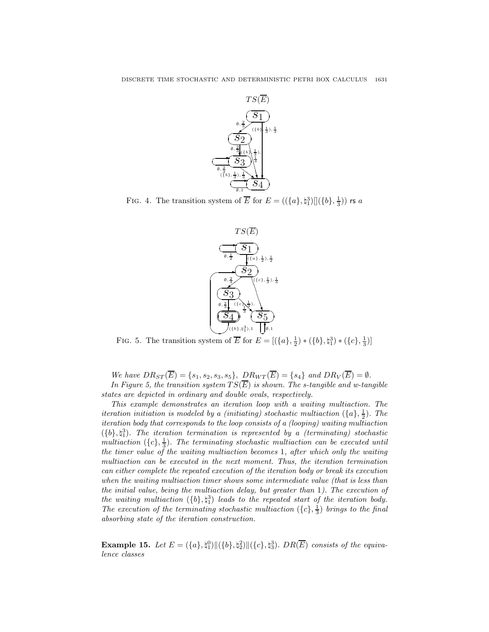

FIG. 4. The transition system of  $\overline{E}$  for  $E = ((\{a\}, \natural_1^3) || (\{b\}, \frac{1}{3}))$  rs a



FIG. 5. The transition system of  $\overline{E}$  for  $E = [(\lbrace a \rbrace, \frac{1}{2}) * (\lbrace b \rbrace, \natural_1^3) * (\lbrace c \rbrace, \frac{1}{3})]$ 

We have  $DR_{ST}(\overline{E}) = \{s_1, s_2, s_3, s_5\}, \ D R_{WT}(\overline{E}) = \{s_4\} \text{ and } DR_V(\overline{E}) = \emptyset.$ In Figure 5, the transition system  $TS(\overline{E})$  is shown. The s-tangible and w-tangible

states are depicted in ordinary and double ovals, respectively.

This example demonstrates an iteration loop with a waiting multiaction. The iteration initiation is modeled by a (initiating) stochastic multiaction  $(\{a\},\frac{1}{2})$ . The iteration body that corresponds to the loop consists of a (looping) waiting multiaction  $({b}, \nvert_1^3)$ . The iteration termination is represented by a (terminating) stochastic multiaction  $({c}, \frac{1}{3})$ . The terminating stochastic multiaction can be executed until the timer value of the waiting multiaction becomes 1, after which only the waiting multiaction can be executed in the next moment. Thus, the iteration termination can either complete the repeated execution of the iteration body or break its execution when the waiting multiaction timer shows some intermediate value (that is less than the initial value, being the multiaction delay, but greater than 1). The execution of the waiting multiaction  $({b}, \nless_{1}^{3})$  leads to the repeated start of the iteration body. The execution of the terminating stochastic multiaction  $({c}, \frac{1}{3})$  brings to the final absorbing state of the iteration construction.

**Example 15.** Let  $E = (\{a\}, \mathfrak{h}_1^0) || (\{b\}, \mathfrak{h}_2^2) || (\{c\}, \mathfrak{h}_3^3)$ . DR $(\overline{E})$  consists of the equivalence classes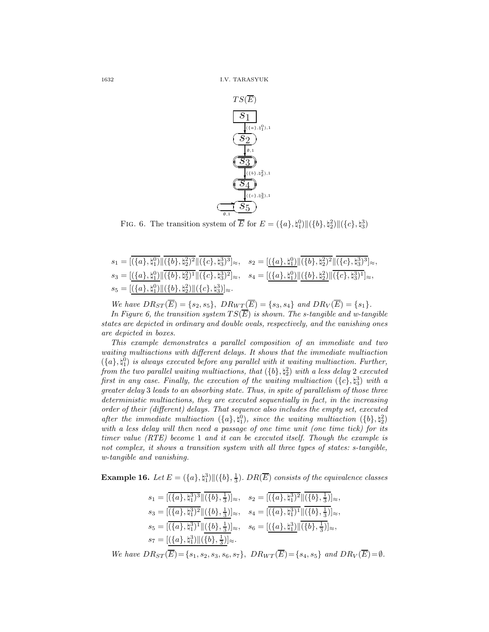

FIG. 6. The transition system of  $\overline{E}$  for  $E = (\{a\}, \{a_1\}) \| (\{b\}, \{a_2\}) \| (\{c\}, \{a_3\})$ 

| $s_1=[\overline{(\{a\},\natural_1^0)}\ \overline{(\{b\},\natural_2^2)^2}\ \overline{(\{c\},\natural_3^3)^3}]_{\approx},\quad s_2=[(\{a\},\natural_1^0)\ \overline{(\{b\},\natural_2^2)^2}\ \overline{(\{c\},\natural_3^3)^3}]_{\approx},$ |  |
|-------------------------------------------------------------------------------------------------------------------------------------------------------------------------------------------------------------------------------------------|--|
| $s_3=[(\{a\},\natural_1^0)\ (\{b\},\natural_2^2)^1\ (\{c\},\natural_3^3)^2]_{\approx},\quad s_4=[(\{a\},\natural_1^0)\ (\{b\},\natural_2^2)\ (\{c\},\natural_3^3)^1]_{\approx},$                                                          |  |
| $s_5 = [(\lbrace a \rbrace, \natural_1^0) \  (\lbrace b \rbrace, \natural_2^2) \  (\lbrace c \rbrace, \natural_3^3) ]_{\approx}.$                                                                                                         |  |

We have  $DR_{ST}(\overline{E}) = \{s_2, s_5\}, \ D R_{WT}(\overline{E}) = \{s_3, s_4\} \ and \ DR_V(\overline{E}) = \{s_1\}.$ In Figure 6, the transition system  $TS(\overline{E})$  is shown. The s-tangible and w-tangible states are depicted in ordinary and double ovals, respectively, and the vanishing ones are depicted in boxes.

This example demonstrates a parallel composition of an immediate and two waiting multiactions with different delays. It shows that the immediate multiaction  $({a},{\natural}_{1}^{0})$  is always executed before any parallel with it waiting multiaction. Further, from the two parallel waiting multiactions, that  $(\{b\}, \natural_2^2)$  with a less delay 2 executed first in any case. Finally, the execution of the waiting multiaction  $({c}, \natural_3^3)$  with a greater delay 3 leads to an absorbing state. Thus, in spite of parallelism of those three deterministic multiactions, they are executed sequentially in fact, in the increasing order of their (different) delays. That sequence also includes the empty set, executed after the immediate multiaction  $({a}, {\uparrow}_{1}^{0}),$  since the waiting multiaction  $({b}, {\uparrow}_{2}^{2})$ with a less delay will then need a passage of one time unit (one time tick) for its timer value (RTE) become 1 and it can be executed itself. Though the example is not complex, it shows a transition system with all three types of states: s-tangible, w-tangible and vanishing.

**Example 16.** Let  $E = (\{a\}, \{\dagger_1^3\} \| (\{b\}, \frac{1}{3})$ . DR $(\overline{E})$  consists of the equivalence classes

$$
\begin{aligned} s_1 &= [\overline{(\{a\},\natural_1^3)^3} \| \overline{(\{b\},\tfrac{1}{3})}]_\approx, \quad s_2 = [\overline{(\{a\},\natural_1^3)^2} \| \overline{(\{b\},\tfrac{1}{3})}]_\approx, \\ s_3 &= [\overline{(\{a\},\natural_1^3)^2} \| \underline{(\{b\},\tfrac{1}{3})}]_\approx, \quad s_4 = [\overline{(\{a\},\natural_1^3)^1} \| \overline{(\{b\},\tfrac{1}{3})}]_\approx, \\ s_5 &= [\overline{(\{a\},\natural_1^3)^1} \| \overline{(\{b\},\tfrac{1}{3})}]_\approx, \quad s_6 = [\underline{(\{a\},\natural_1^3) \| \overline{(\{b\},\tfrac{1}{3})}]_\approx, \\ s_7 &= [\underline{(\{a\},\natural_1^3) \| \overline{(\{b\},\tfrac{1}{3})}]_\approx. \end{aligned}
$$

We have  $DR_{ST}(\overline{E}) = \{s_1, s_2, s_3, s_6, s_7\}, \ D R_{WT}(\overline{E}) = \{s_4, s_5\} \ and \ DR_V(\overline{E}) = \emptyset.$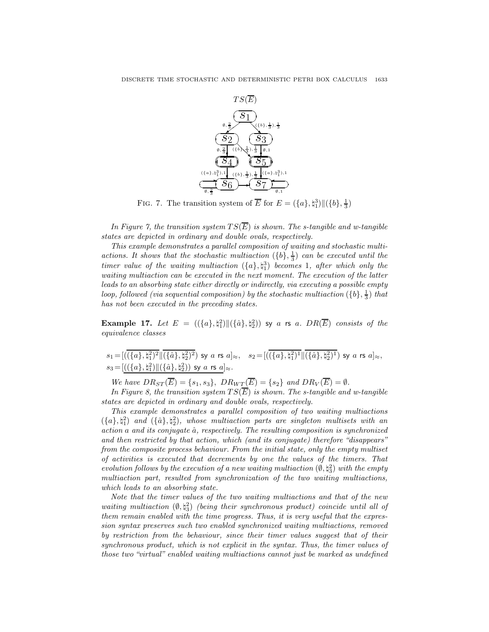

FIG. 7. The transition system of  $\overline{E}$  for  $E = (\{a\}, \natural_1^3) || (\{b\}, \frac{1}{3})$ 

In Figure 7, the transition system  $TS(\overline{E})$  is shown. The s-tangible and w-tangible states are depicted in ordinary and double ovals, respectively.

This example demonstrates a parallel composition of waiting and stochastic multiactions. It shows that the stochastic multiaction  $({b}, \frac{1}{3})$  can be executed until the timer value of the waiting multiaction  $({a}, {t_1}^3)$  becomes 1, after which only the waiting multiaction can be executed in the next moment. The execution of the latter leads to an absorbing state either directly or indirectly, via executing a possible empty loop, followed (via sequential composition) by the stochastic multiaction  $(\{b\}, \frac{1}{3})$  that has not been executed in the preceding states.

**Example 17.** Let  $E$  =  $((\{a\},\natural_1^2) \|(\{\hat{a}\},\natural_2^2))$  sy a rs a.  $DR(\overline{E})$  consists of the equivalence classes

 $s_1=[((\{a\},\natural_1^2)^2\|(\{\hat a\},\natural_2^2)^2)$  sy  $a$  rs  $a]_\approx, \quad s_2=[((\{a\},\natural_1^2)^1\|(\{\hat a\},\natural_2^2)^1)$  sy  $a$  rs  $a]_\approx,$  $s_3 = [((\{a\},\natural_1^2) \|(\{\hat{a}\},\natural_2^2))$  sy  $a$  rs  $a]_{\approx}$ .

We have  $DR_{ST}(\overline{E}) = \{s_1, s_3\}, \ D R_{WT}(\overline{E}) = \{s_2\} \ and \ DR_V(\overline{E}) = \emptyset.$ 

In Figure 8, the transition system  $TS(\overline{E})$  is shown. The s-tangible and w-tangible states are depicted in ordinary and double ovals, respectively.

This example demonstrates a parallel composition of two waiting multiactions  $({a}, {t<sub>1</sub><sup>2</sup>})$  and  $({\hat{a}}, {t<sub>2</sub><sup>2</sup>})$ , whose multiaction parts are singleton multisets with an action a and its conjugate  $\hat{a}$ , respectively. The resulting composition is synchronized and then restricted by that action, which (and its conjugate) therefore "disappears" from the composite process behaviour. From the initial state, only the empty multiset of activities is executed that decrements by one the values of the timers. That evolution follows by the execution of a new waiting multiaction  $(\emptyset, \natural_3^2)$  with the empty multiaction part, resulted from synchronization of the two waiting multiactions, which leads to an absorbing state.

Note that the timer values of the two waiting multiactions and that of the new waiting multiaction  $(\emptyset, \natural_3^2)$  (being their synchronous product) coincide until all of them remain enabled with the time progress. Thus, it is very useful that the expression syntax preserves such two enabled synchronized waiting multiactions, removed by restriction from the behaviour, since their timer values suggest that of their synchronous product, which is not explicit in the syntax. Thus, the timer values of those two "virtual" enabled waiting multiactions cannot just be marked as undefined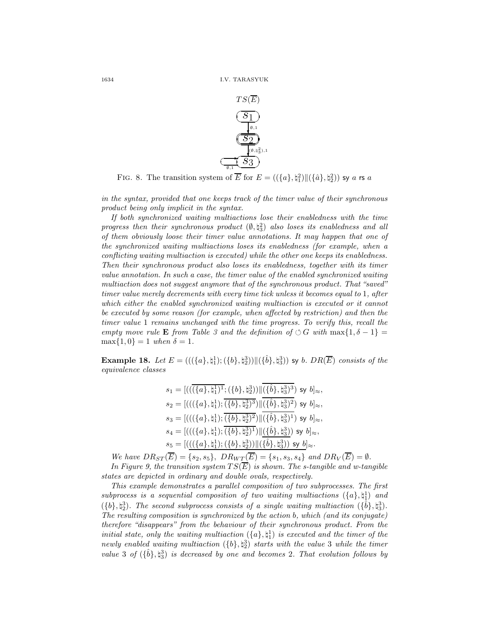

FIG. 8. The transition system of  $\overline{E}$  for  $E = ((\{a\}, \natural_1^2) \| (\{\hat{a}\}, \natural_2^2))$  sy a rs a

in the syntax, provided that one keeps track of the timer value of their synchronous product being only implicit in the syntax.

If both synchronized waiting multiactions lose their enabledness with the time progress then their synchronous product  $(\emptyset, \natural_3^2)$  also loses its enabledness and all of them obviously loose their timer value annotations. It may happen that one of the synchronized waiting multiactions loses its enabledness (for example, when a conflicting waiting multiaction is executed) while the other one keeps its enabledness. Then their synchronous product also loses its enabledness, together with its timer value annotation. In such a case, the timer value of the enabled synchronized waiting multiaction does not suggest anymore that of the synchronous product. That "saved" timer value merely decrements with every time tick unless it becomes equal to 1, after which either the enabled synchronized waiting multiaction is executed or it cannot be executed by some reason (for example, when affected by restriction) and then the timer value 1 remains unchanged with the time progress. To verify this, recall the empty move rule **E** from Table 3 and the definition of  $\circ$  G with max $\{1, \delta - 1\}$  =  $\max\{1,0\} = 1$  when  $\delta = 1$ .

**Example 18.** Let  $E = (((\{a\}, \{\dagger\}) ; (\{b\}, \{\dagger\}) ) \| (\{\hat{b}\}, \{\dagger\}) )$  sy b.  $DR(\overline{E})$  consists of the equivalence classes

$$
s_1 = [((\overline{\langle \{a\}, \natural_1^1 \rangle^1}; \{\{b\}, \natural_2^3\}) || \overline{\langle \{\hat{b}\}, \natural_3^3 \rangle^3}) \text{ sy } b]_{\approx},
$$
  
\n
$$
s_2 = [(((\{\{a\}, \natural_1^1\}; \overline{\langle \{b\}, \natural_2^3 \rangle^3}) || \overline{\langle \{\hat{b}\}, \natural_3^3 \rangle^2}) \text{ sy } b]_{\approx},
$$
  
\n
$$
s_3 = [(((\{\{a\}, \natural_1^1\}; \overline{\langle \{b\}, \natural_2^3 \rangle^2}) || \overline{\langle \{\hat{b}\}, \natural_3^3 \rangle^1}) \text{ sy } b]_{\approx},
$$
  
\n
$$
s_4 = [(((\{\{a\}, \natural_1^1\}; \overline{\langle \{b\}, \natural_2^3 \rangle^1}) || \underline{\langle \{\hat{b}\}, \natural_3^3 \rangle}) \text{ sy } b]_{\approx},
$$
  
\n
$$
s_5 = [(((\{\{a\}, \natural_1^1\}; \{\{b\}, \natural_2^3\}) || \overline{\langle \{\hat{b}\}, \natural_3^3 \rangle}) \text{ sy } b]_{\approx}.
$$

We have  $DR_{ST}(\overline{E}) = \{s_2, s_5\}, \ DR_{WT}(\overline{E}) = \{s_1, s_3, s_4\} \text{ and } DR_V(\overline{E}) = \emptyset.$ 

In Figure 9, the transition system  $TS(\overline{E})$  is shown. The s-tangible and w-tangible states are depicted in ordinary and double ovals, respectively.

This example demonstrates a parallel composition of two subprocesses. The first subprocess is a sequential composition of two waiting multiactions  $({a}, {t<sub>1</sub>})$  and  $({b}, \natural_2^3)$ . The second subprocess consists of a single waiting multiaction  $({\hat{b}}, \natural_3^3)$ . The resulting composition is synchronized by the action b, which (and its conjugate) therefore "disappears" from the behaviour of their synchronous product. From the initial state, only the waiting multiaction  $(\{a\},\natural_1^1)$  is executed and the timer of the newly enabled waiting multiaction  $({b}, \natural_2^3)$  starts with the value 3 while the timer value 3 of  $(\{\hat{b}\}, \natural_3^3)$  is decreased by one and becomes 2. That evolution follows by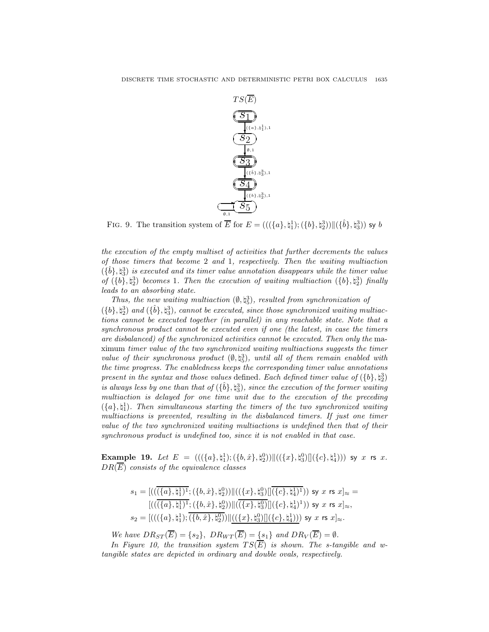

FIG. 9. The transition system of  $\overline{E}$  for  $E = (((\{a\}, \natural_1^1); (\{b\}, \natural_2^3)) \| (\{\hat{b}\}, \natural_3^3))$  sy b

the execution of the empty multiset of activities that further decrements the values of those timers that become 2 and 1, respectively. Then the waiting multiaction  $(\{\hat{b}\}, \natural_3^3)$  is executed and its timer value annotation disappears while the timer value of  $({b}, \natural_2^3)$  becomes 1. Then the execution of waiting multiaction  $({b}, \natural_2^3)$  finally leads to an absorbing state.

Thus, the new waiting multiaction  $(\emptyset, \natural_5^3)$ , resulted from synchronization of  $({b}, \natural_2^3)$  and  $({\hat{b}}, \natural_3^3)$ , cannot be executed, since those synchronized waiting multiactions cannot be executed together (in parallel) in any reachable state. Note that a synchronous product cannot be executed even if one (the latest, in case the timers are disbalanced) of the synchronized activities cannot be executed. Then only the maximum timer value of the two synchronized waiting multiactions suggests the timer value of their synchronous product  $(\emptyset, \natural_5^3)$ , until all of them remain enabled with the time progress. The enabledness keeps the corresponding timer value annotations present in the syntax and those values defined. Each defined timer value of  $({b}, \natural_2^3)$ is always less by one than that of  $(\{\hat{b}\}, \{\hat{a}^3\})$ , since the execution of the former waiting multiaction is delayed for one time unit due to the execution of the preceding  $({a},{\natural},\natural]$ . Then simultaneous starting the timers of the two synchronized waiting multiactions is prevented, resulting in the disbalanced timers. If just one timer value of the two synchronized waiting multiactions is undefined then that of their synchronous product is undefined too, since it is not enabled in that case.

Example 19. Let  $E\;=\;(((\{a\},\natural_1^1);(\{b,\hat{x}\},\natural_2^0))\|((\{x\},\natural_3^0)\|(\{c\},\natural_4^1)))$  sy  $x$  rs  $x.$  $DR(\overline{E})$  consists of the equivalence classes

$$
s_1 = [((\overline{(\{a\},\natural_1^1)^1};(\{b,\hat{x}\},\natural_2^0)) \| ((\{x\},\natural_3^0) \| \overline{(\{c\},\natural_4^1)^1})) \text{ sy } x \text{ rs } x]_{\approx} = \\ [((\overline{(\{a\},\natural_1^1)^1};(\{b,\hat{x}\},\natural_2^0)) \| (\overline{(\{x\},\natural_3^0)} \| (\{c\},\natural_4^1)^1)) \text{ sy } x \text{ rs } x]_{\approx}, \\ s_2 = [(((\{a\},\natural_1^1); \overline{(\{b,\hat{x}\},\natural_2^0)}) \| ((\{x\},\natural_3^0) \| (\{c\},\natural_4^1))) \text{ sy } x \text{ rs } x]_{\approx}. \label{eq:4.1}
$$

We have  $DR_{ST}(\overline{E}) = \{s_2\}, \, DR_{WT}(\overline{E}) = \{s_1\} \,$  and  $DR_V(\overline{E}) = \emptyset$ .

In Figure 10, the transition system  $TS(\overline{E})$  is shown. The s-tangible and wtangible states are depicted in ordinary and double ovals, respectively.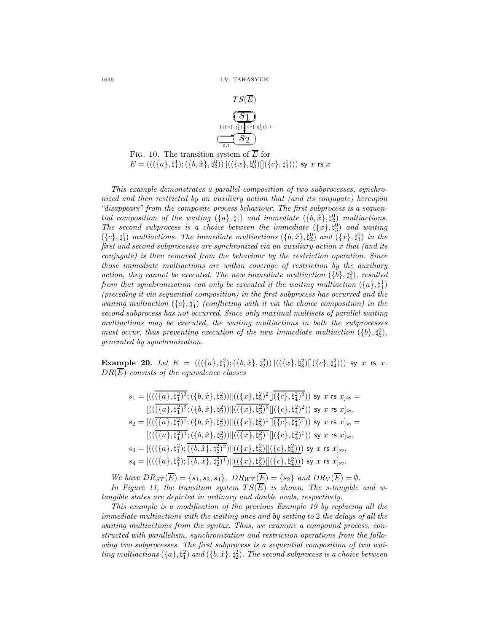

FIG. 10. The transition system of  $\overline{E}$  for  $E=(((\{a\},\natural_1^1);(\{b,\hat{x}\},\natural_2^0))\|((\{x\},\natural_3^0)\|(\{c\},\natural_4^1)))$  sy  $x$  rs  $x$ 

This example demonstrates a parallel composition of two subprocesses, synchronized and then restricted by an auxiliary action that (and its conjugate) hereupon "disappears" from the composite process behaviour. The first subprocess is a sequential composition of the waiting  $({a}, {t_1})$  and immediate  $({b}, \hat{x}), {t_2}$  multiactions. The second subprocess is a choice between the immediate  $({x}, \sharp_{3}^{0})$  and waiting  $({c}, \natural)$  multiactions. The immediate multiactions  $({b}, \hat{x}), \natural_2^0$  and  $({x}, \natural_3^0)$  in the first and second subprocesses are synchronized via an auxiliary action x that (and its conjugate) is then removed from the behaviour by the restriction operation. Since those immediate multiactions are within coverage of restriction by the auxiliary action, they cannot be executed. The new immediate multiaction  $({b}, \natural_{5}^{0})$ , resulted from that synchronization can only be executed if the waiting multiaction  $(\{a\},\natural_1^1)$ (preceding it via sequential composition) in the first subprocess has occurred and the waiting multiaction  $({c}, \mathfrak{t}_4)$  (conflicting with it via the choice composition) in the second subprocess has not occurred. Since only maximal multisets of parallel waiting multiactions may be executed, the waiting multiactions in both the subprocesses must occur, thus preventing execution of the new immediate multiaction  $({b}, \natural_{5}^{0}),$ generated by synchronization.

Example 20. Let  $E \;=\; (((\{a\},\natural_1^2);(\{b,\hat{x}\},\natural_2^2))\|((\{x\},\natural_3^2)\|(\{c\},\natural_4^2)))$  sy  $x$  rs  $x.$  $DR(\overline{E})$  consists of the equivalence classes

$$
s_1 = [((\overline{(\{a\}, \natural_1^2)^2}; (\{b, \hat{x}\}, \natural_2^2)) \| ((\{x\}, \natural_3^2)^2 \| (\{c\}, \natural_4^2)^2)) \text{ sy } x \text{ rs } x]_{\approx} =
$$
  
\n
$$
[((\overline{(\{a\}, \natural_1^2)^2}; (\{b, \hat{x}\}, \natural_2^2)) \| ((\overline{\{x\}, \natural_3^2)^2} \| (\{c\}, \natural_4^2)^2)) \text{ sy } x \text{ rs } x]_{\approx},
$$
  
\n
$$
s_2 = [((\overline{(\{a\}, \natural_1^2)^1}; (\{b, \hat{x}\}, \natural_2^2)) \| ((\{x\}, \natural_3^2)^1 \| (\{c\}, \natural_4^2)^1)) \text{ sy } x \text{ rs } x]_{\approx} =
$$
  
\n
$$
[(((\overline{\{a\}, \natural_1^2)^1}; (\{b, \hat{x}\}, \natural_2^2)) \| ((\overline{\{x\}, \natural_3^2)^1} \| (\{c\}, \natural_4^2)^1)) \text{ sy } x \text{ rs } x]_{\approx},
$$
  
\n
$$
s_3 = [(((\{a\}, \natural_1^2); \overline{(\{b, \hat{x}\}, \natural_2^2)^2}) \| ((\{x\}, \natural_3^2) \| (\{c\}, \natural_4^2))) \text{ sy } x \text{ rs } x]_{\approx},
$$
  
\n
$$
s_4 = [(((\{a\}, \natural_1^2); \overline{(\{b, \hat{x}\}, \natural_2^2)^1}) \| ((\{x\}, \natural_3^2) \| (\{c\}, \natural_4^2))) \text{ sy } x \text{ rs } x]_{\approx}.
$$

We have  $DR_{ST}(\overline{E}) = \{s_1, s_3, s_4\}, \ D R_{WT}(\overline{E}) = \{s_2\} \ and \ DR_V(\overline{E}) = \emptyset.$ In Figure 11, the transition system  $TS(\overline{E})$  is shown. The s-tangible and wtangible states are depicted in ordinary and double ovals, respectively.

This example is a modification of the previous Example 19 by replacing all the immediate multiactions with the waiting ones and by setting to 2 the delays of all the waiting multiactions from the syntax. Thus, we examine a compound process, constructed with parallelism, synchronization and restriction operations from the following two subprocesses. The first subprocess is a sequential composition of two waiting multiactions  $(\{a\},\natural_1^2)$  and  $(\{b,\hat{x}\},\natural_2^2)$ . The second subprocess is a choice between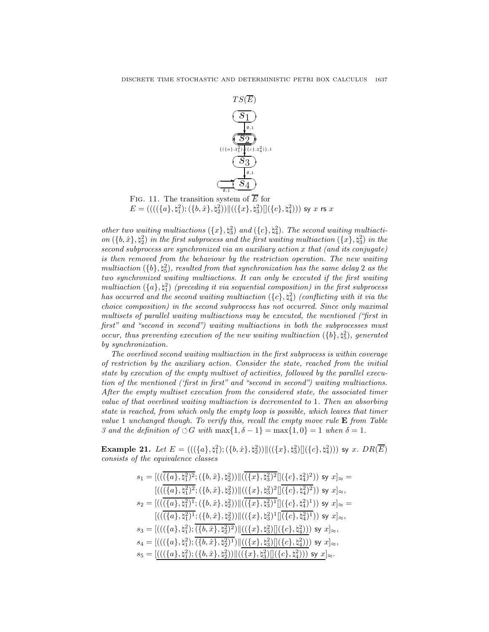

other two waiting multiactions  $({x}, \natural_3^2)$  and  $({c}, \natural_4^2)$ . The second waiting multiaction  $(\lbrace b, \hat{x} \rbrace, \natural_2^2)$  in the first subprocess and the first waiting multiaction  $(\lbrace x \rbrace, \natural_3^2)$  in the second subprocess are synchronized via an auxiliary action x that (and its conjugate) is then removed from the behaviour by the restriction operation. The new waiting multiaction  $({b}, \natural_5^2)$ , resulted from that synchronization has the same delay 2 as the two synchronized waiting multiactions. It can only be executed if the first waiting multiaction  $({a}, {}^{\circ}I_{1})$  (preceding it via sequential composition) in the first subprocess has occurred and the second waiting multiaction  $(\{c\}, \natural^2_4)$  (conflicting with it via the choice composition) in the second subprocess has not occurred. Since only maximal multisets of parallel waiting multiactions may be executed, the mentioned ("first in first" and "second in second") waiting multiactions in both the subprocesses must occur, thus preventing execution of the new waiting multiaction  $({b}, \xi)$ , generated by synchronization.

The overlined second waiting multiaction in the first subprocess is within coverage of restriction by the auxiliary action. Consider the state, reached from the initial state by execution of the empty multiset of activities, followed by the parallel execution of the mentioned ('first in first" and "second in second") waiting multiactions. After the empty multiset execution from the considered state, the associated timer value of that overlined waiting multiaction is decremented to 1. Then an absorbing state is reached, from which only the empty loop is possible, which leaves that timer value 1 unchanged though. To verify this, recall the empty move rule  $\bf{E}$  from Table 3 and the definition of  $\circlearrowleft G$  with  $\max\{1,\delta-1\} = \max\{1,0\} = 1$  when  $\delta = 1$ .

**Example 21.** Let  $E = (((\{a\}, \{a_1^2\}; (\{b, \hat{x}\}, \{a_2^2\}) \| ((\{x\}, \{a_3^2\}) \| (\{c\}, \{a_4^2\}))$  sy  $x$ .  $DR(\overline{E})$ consists of the equivalence classes

$$
s_1 = [(((\overline{\{a\}, \natural_1^2})^2; (\{b, \hat{x}\}, \natural_2^2)) \| ((\overline{\{x\}, \natural_3^2})^2] ((\{c\}, \natural_4^2)^2)) \text{ sy } x]_{\approx} =
$$
  
\n
$$
[(\overline{(\{a\}, \natural_1^2)^2}; (\{b, \hat{x}\}, \natural_2^2)) \| ((\{x\}, \natural_3^2)^2] \overline{(\{c\}, \natural_4^2)^2}) \text{ sy } x]_{\approx},
$$
  
\n
$$
s_2 = [((\overline{\{a\}, \natural_1^2)^1}; (\{b, \hat{x}\}, \natural_2^2)) \| ((\overline{\{x\}, \natural_3^2)^1} \overline{(\{c\}, \natural_4^2)^1}) \text{ sy } x]_{\approx} =
$$
  
\n
$$
[(\overline{(\{a\}, \natural_1^2)^1}; (\{b, \hat{x}\}, \natural_2^2)) \| ((\{x\}, \natural_3^2)^1 \overline{(\{c\}, \natural_4^2)^1}) \text{ sy } x]_{\approx},
$$
  
\n
$$
s_3 = [(((\{a\}, \natural_1^2); \overline{(\{b, \hat{x}\}, \natural_2^2)^2}) \| ((\{x\}, \natural_3^2) \overline{(\{c\}, \natural_4^2)})) \text{ sy } x]_{\approx},
$$
  
\n
$$
s_4 = [(((\{a\}, \natural_1^2); \overline{(\{b, \hat{x}\}, \natural_2^2)^1}) \| ((\{x\}, \natural_3^2) \overline{(\{c\}, \natural_4^2)})) \text{ sy } x]_{\approx},
$$
  
\n
$$
s_5 = [(((\{a\}, \natural_1^2); (\{b, \hat{x}\}, \natural_2^2)) \| ((\{x\}, \natural_3^2) \overline{(\{c\}, \natural_4^2)})) \text{ sy } x]_{\approx}.
$$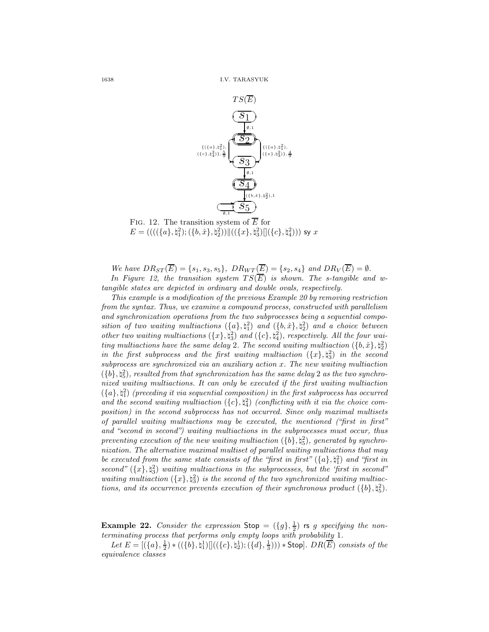

 $E=(((\{(a\},\natural_1^2);(\{b,\hat{x}\},\natural_2^2))\|((\{x\},\natural_3^2)\|(\{c\},\natural_4^2)))$  sy  $x$ 

We have  $DR_{ST}(\overline{E}) = \{s_1, s_3, s_5\}, \ D R_{WT}(\overline{E}) = \{s_2, s_4\} \text{ and } DR_V(\overline{E}) = \emptyset.$ In Figure 12, the transition system  $TS(\overline{E})$  is shown. The s-tangible and wtangible states are depicted in ordinary and double ovals, respectively.

This example is a modification of the previous Example 20 by removing restriction from the syntax. Thus, we examine a compound process, constructed with parallelism and synchronization operations from the two subprocesses being a sequential composition of two waiting multiactions  $(\{a\},\natural_1^2)$  and  $(\{b,\hat{x}\},\natural_2^2)$  and a choice between other two waiting multiactions  $({x}, \natural_3^2)$  and  $({c}, \natural_4^2)$ , respectively. All the four waiting multiactions have the same delay 2. The second waiting multiaction  $(\lbrace b, \hat{x} \rbrace, \natural_2^2)$ in the first subprocess and the first waiting multiaction  $({x}, \sharp_{3}^{2})$  in the second subprocess are synchronized via an auxiliary action x. The new waiting multiaction  $({b}, \natural_5^2)$ , resulted from that synchronization has the same delay 2 as the two synchronized waiting multiactions. It can only be executed if the first waiting multiaction  $({a}, {}^{\dagger}{}^2)$  (preceding it via sequential composition) in the first subprocess has occurred and the second waiting multiaction  $({c}, \xi)$ ,  $\xi$ <sup>2</sup> (conflicting with it via the choice composition) in the second subprocess has not occurred. Since only maximal multisets of parallel waiting multiactions may be executed, the mentioned ("first in first" and "second in second") waiting multiactions in the subprocesses must occur, thus preventing execution of the new waiting multiaction  $({b}, \natural_{5}^{2})$ , generated by synchronization. The alternative maximal multiset of parallel waiting multiactions that may be executed from the same state consists of the "first in first"  $(\lbrace a \rbrace, \natural_1^2)$  and "first in second"  $({x},\xi)$  waiting multiactions in the subprocesses, but the 'first in second' waiting multiaction  $({x}, {t}_3^2)$  is the second of the two synchronized waiting multiactions, and its occurrence prevents execution of their synchronous product  $(\{b\}, \natural_5^2)$ .

**Example 22.** Consider the expression  $\text{Stop} = (\{g\}, \frac{1}{2})$  is g specifying the nonterminating process that performs only empty loops with probability 1.

Let  $E = [(\{a\}, \frac{1}{2}) * ((\{b\}, \natural_1^1)]]((\{c\}, \natural_2^1); (\{d\}, \frac{1}{3}))) * \text{Stop}]. \, DR(\overline{E}) \text{ consists of the}$ equivalence classes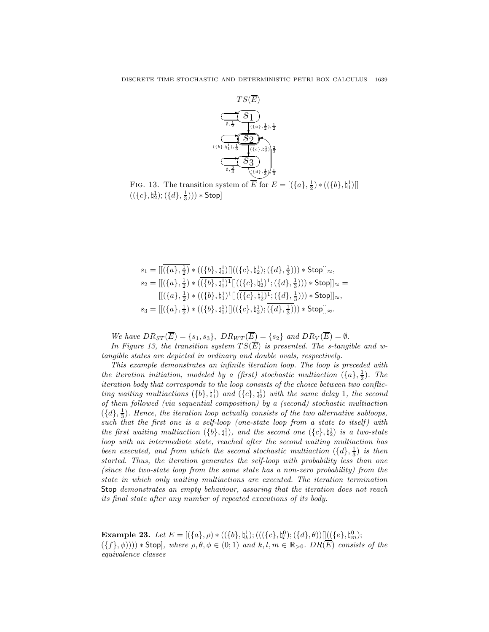

FIG. 13. The transition system of  $\overline{E}$  for  $E = [(\lbrace a \rbrace, \frac{1}{2}) * ((\lbrace b \rbrace, \natural_1^1)$  $((\{c\},\natural_2^1);(\{d\},\frac{1}{3}))) * \mathsf{Stop}]$ 

$$
\begin{aligned} s_1 = & [[\overline{(\{a\},\tfrac{1}{2})}\ast ((\{b\},\natural_1^1)][((\{c\},\natural_2^1);(\{d\},\tfrac{1}{3})))\ast \mathsf{Stop}]_{\approx},\\ s_2 = & [[(\{a\},\tfrac{1}{2})\ast (\overline{(\{b\},\natural_1^1)^1}[((\{c\},\natural_2^1)^1;(\{d\},\tfrac{1}{3})))\ast \mathsf{Stop}]_{\approx} = \\ & [[(\{a\},\tfrac{1}{2})\ast ((\{b\},\natural_1^1)^1][((\{c\},\natural_2^1)^1;(\{d\},\tfrac{1}{3})))\ast \mathsf{Stop}]_{\approx},\\ s_3 = [[(\{a\},\tfrac{1}{2})\ast ((\{b\},\natural_1^1)][((\{c\},\natural_2^1);(\overline{\{d\},\tfrac{1}{3})}))\ast \mathsf{Stop}]_{\approx}. \end{aligned}
$$

We have  $DR_{ST}(\overline{E}) = \{s_1, s_3\}, \, DR_{WT}(\overline{E}) = \{s_2\} \,$  and  $DR_V(\overline{E}) = \emptyset$ .

In Figure 13, the transition system  $TS(\overline{E})$  is presented. The s-tangible and wtangible states are depicted in ordinary and double ovals, respectively.

This example demonstrates an infinite iteration loop. The loop is preceded with the iteration initiation, modeled by a (first) stochastic multiaction  $(\{a\},\frac{1}{2})$ . The iteration body that corresponds to the loop consists of the choice between two conflicting waiting multiactions  $({b}, \n, \n, \n, \n)$  and  $({c}, \n, \n, \n, \n, \n)$  with the same delay 1, the second of them followed (via sequential composition) by a (second) stochastic multiaction  $({d}, \frac{1}{3})$ . Hence, the iteration loop actually consists of the two alternative subloops, such that the first one is a self-loop (one-state loop from a state to itself) with the first waiting multiaction  $({b}, \n, \n, 1)$ , and the second one  $({c}, \n, \n, 1)$  is a two-state loop with an intermediate state, reached after the second waiting multiaction has been executed, and from which the second stochastic multiaction  $(\{d\}, \frac{1}{3})$  is then started. Thus, the iteration generates the self-loop with probability less than one (since the two-state loop from the same state has a non-zero probability) from the state in which only waiting multiactions are executed. The iteration termination Stop demonstrates an empty behaviour, assuring that the iteration does not reach its final state after any number of repeated executions of its body.

Example 23. Let  $E=[(\{a\}, \rho)*((\{b\}, \natural_k^1); (((\{c\}, \natural_l^0); (\{d\}, \theta))]]((\{e\}, \natural_m^0);$  $(\{f\}, \phi)))$  \* Stop], where  $\rho, \theta, \phi \in (0, 1)$  and  $k, l, m \in \mathbb{R}_{>0}$ .  $DR(\overline{E})$  consists of the equivalence classes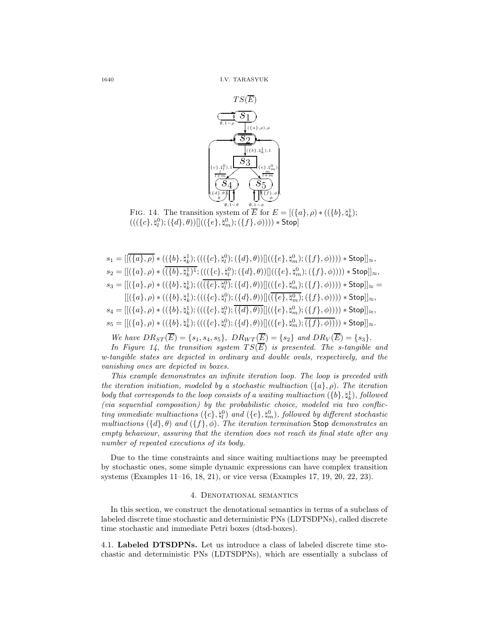

FIG. 14. The transition system of  $\overline{E}$  for  $E = [(\lbrace a \rbrace, \rho) * ((\lbrace b \rbrace, \natural_k^1);$  $\left( ((\{c\},\natural^0_l);(\{d\},\theta))[ \left( ((\{e\},\natural^0_m);(\{f\},\phi))) \right) \ast \mathsf{Stop} \right]$ 

 $s_1 = [[\overline{(\{a\}, \rho)} * ((\{b\},\natural_k^1);(((\{c\},\natural_l^0);(\{d\},\theta))]]((\{e\},\natural_m^0);(\{f\},\phi)))) * \mathsf{Stop}]]_\approx,$  $s_2 = [[(\{a\}, \rho) * ((\{b\}, \natural_k^1)^1; (((\{c\}, \natural_l^0); (\{d\}, \theta))]((\{e\}, \natural_m^0); (\{f\}, \phi)))) * \mathsf{Stop}]]_{\approx},$  $s_3 = [[(\{a\}, \rho) * ((\{b\}, \natural_k^1); (((\{c\}, \natural_l^0); (\{d\}, \theta))]((\{e\}, \natural_m^0); (\{f\}, \phi)))) * \mathsf{Stop}]_{\approx} =$  $[[(\{a\},\rho)*((\{b\},\natural_k^1);(((\{c\},\natural_l^0);(\{d\},\theta))[](\overline{(\{e\},\natural_m^0)};(\{f\},\phi)))))*\mathsf{Stop}]]_{\approx},$  $s_4 = [[(\{a\},\rho) * ((\{b\},\natural_k^1);(((\{c\},\natural_l^0);\overline{(\{d\},\theta))}]]((\{e\},\natural_m^0);(\{f\},\phi)))) * \mathsf{Stop}]]_{\approx},$  $s_5 = [[(\{a\},\rho) * ((\{b\},\natural_k^1);(((\{c\},\natural_l^0);(\{d\},\theta))]]((\{e\},\natural_m^0);\overline{(\{f\},\phi)))) * \mathsf{Stop}]]_{\approx}.$ 

We have  $DR_{ST}(\overline{E}) = \{s_1, s_4, s_5\}, \ D R_{WT}(\overline{E}) = \{s_2\} \text{ and } DR_V(\overline{E}) = \{s_3\}.$ 

In Figure 14, the transition system  $TS(\overline{E})$  is presented. The s-tangible and w-tangible states are depicted in ordinary and double ovals, respectively, and the vanishing ones are depicted in boxes.

This example demonstrates an infinite iteration loop. The loop is preceded with the iteration initiation, modeled by a stochastic multiaction  $({a}, \rho)$ . The iteration body that corresponds to the loop consists of a waiting multiaction  $({b}, \natural_k^1)$ , followed (via sequential composition) by the probabilistic choice, modeled via two conflicting immediate multiactions  $(\{c\}, \natural_l^0)$  and  $(\{e\}, \natural_m^0)$ , followed by different stochastic multiactions ( $\{d\}, \theta$ ) and  $(\{f\}, \phi)$ . The iteration termination Stop demonstrates an empty behaviour, assuring that the iteration does not reach its final state after any number of repeated executions of its body.

Due to the time constraints and since waiting multiactions may be preempted by stochastic ones, some simple dynamic expressions can have complex transition systems (Examples 11–16, 18, 21), or vice versa (Examples 17, 19, 20, 22, 23).

# 4. DENOTATIONAL SEMANTICS

In this section, we construct the denotational semantics in terms of a subclass of labeled discrete time stochastic and deterministic PNs (LDTSDPNs), called discrete time stochastic and immediate Petri boxes (dtsd-boxes).

4.1. Labeled DTSDPNs. Let us introduce a class of labeled discrete time stochastic and deterministic PNs (LDTSDPNs), which are essentially a subclass of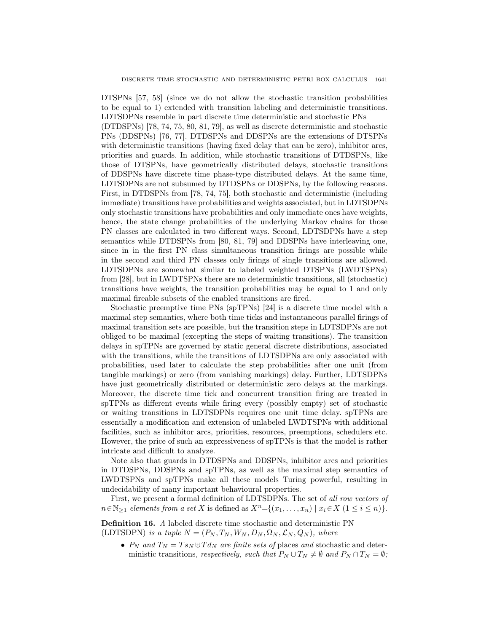DTSPNs [57, 58] (since we do not allow the stochastic transition probabilities to be equal to 1) extended with transition labeling and deterministic transitions. LDTSDPNs resemble in part discrete time deterministic and stochastic PNs (DTDSPNs) [78, 74, 75, 80, 81, 79], as well as discrete deterministic and stochastic PNs (DDSPNs) [76, 77]. DTDSPNs and DDSPNs are the extensions of DTSPNs with deterministic transitions (having fixed delay that can be zero), inhibitor arcs, priorities and guards. In addition, while stochastic transitions of DTDSPNs, like those of DTSPNs, have geometrically distributed delays, stochastic transitions of DDSPNs have discrete time phase-type distributed delays. At the same time, LDTSDPNs are not subsumed by DTDSPNs or DDSPNs, by the following reasons. First, in DTDSPNs from [78, 74, 75], both stochastic and deterministic (including

immediate) transitions have probabilities and weights associated, but in LDTSDPNs only stochastic transitions have probabilities and only immediate ones have weights, hence, the state change probabilities of the underlying Markov chains for those PN classes are calculated in two different ways. Second, LDTSDPNs have a step semantics while DTDSPNs from [80, 81, 79] and DDSPNs have interleaving one, since in in the first PN class simultaneous transition firings are possible while in the second and third PN classes only firings of single transitions are allowed. LDTSDPNs are somewhat similar to labeled weighted DTSPNs (LWDTSPNs) from [28], but in LWDTSPNs there are no deterministic transitions, all (stochastic) transitions have weights, the transition probabilities may be equal to 1 and only maximal fireable subsets of the enabled transitions are fired.

Stochastic preemptive time PNs (spTPNs) [24] is a discrete time model with a maximal step semantics, where both time ticks and instantaneous parallel firings of maximal transition sets are possible, but the transition steps in LDTSDPNs are not obliged to be maximal (excepting the steps of waiting transitions). The transition delays in spTPNs are governed by static general discrete distributions, associated with the transitions, while the transitions of LDTSDPNs are only associated with probabilities, used later to calculate the step probabilities after one unit (from tangible markings) or zero (from vanishing markings) delay. Further, LDTSDPNs have just geometrically distributed or deterministic zero delays at the markings. Moreover, the discrete time tick and concurrent transition firing are treated in spTPNs as different events while firing every (possibly empty) set of stochastic or waiting transitions in LDTSDPNs requires one unit time delay. spTPNs are essentially a modification and extension of unlabeled LWDTSPNs with additional facilities, such as inhibitor arcs, priorities, resources, preemptions, schedulers etc. However, the price of such an expressiveness of spTPNs is that the model is rather intricate and difficult to analyze.

Note also that guards in DTDSPNs and DDSPNs, inhibitor arcs and priorities in DTDSPNs, DDSPNs and spTPNs, as well as the maximal step semantics of LWDTSPNs and spTPNs make all these models Turing powerful, resulting in undecidability of many important behavioural properties.

First, we present a formal definition of LDTSDPNs. The set of all row vectors of  $n \in \mathbb{N}_{\geq 1}$  elements from a set X is defined as  $X^n = \{(x_1, \ldots, x_n) \mid x_i \in X \ (1 \leq i \leq n)\}.$ 

Definition 16. A labeled discrete time stochastic and deterministic PN (LDTSDPN) is a tuple  $N = (P_N, T_N, W_N, D_N, \Omega_N, \mathcal{L}_N, Q_N)$ , where

•  $P_N$  and  $T_N = Ts_N \oplus T d_N$  are finite sets of places and stochastic and deterministic transitions, respectively, such that  $P_N \cup T_N \neq \emptyset$  and  $P_N \cap T_N = \emptyset$ ;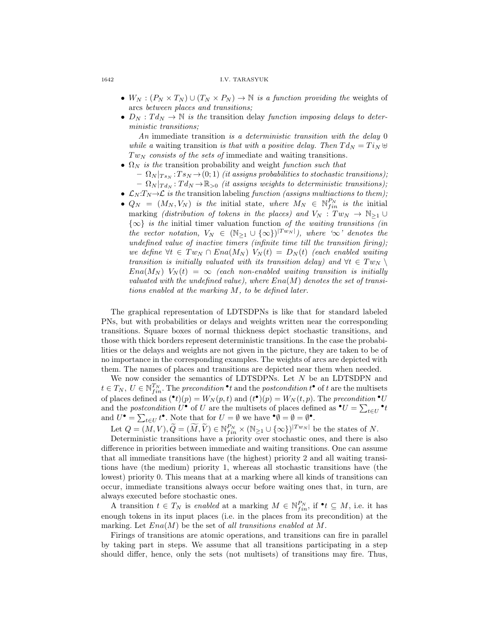#### 1642 I.V. TARASYUK

- $W_N : (P_N \times T_N) \cup (T_N \times P_N) \to \mathbb{N}$  is a function providing the weights of arcs between places and transitions;
- $D_N: T d_N \to \mathbb{N}$  is the transition delay function imposing delays to deterministic transitions;

An immediate transition is a deterministic transition with the delay 0 while a waiting transition is that with a positive delay. Then  $Td_N = Ti_N \oplus$  $Tw_N$  consists of the sets of immediate and waiting transitions.

- $\Omega_N$  is the transition probability and weight function such that
	- $\Omega_N |_{Ts_N} :Ts_N \to (0,1)$  (it assigns probabilities to stochastic transitions);  $- \Omega_N |_{T d_N}: T d_N \to \mathbb{R}_{>0}$  (it assigns weights to deterministic transitions);
- $\mathcal{L}_N: T_N \to \mathcal{L}$  is the transition labeling function (assigns multiactions to them);
- $Q_N = (M_N, V_N)$  is the initial state, where  $M_N \in \mathbb{N}_{fin}^{P_N}$  is the initial marking (distribution of tokens in the places) and  $V_N : Tw_N \to \mathbb{N}_{\geq 1} \cup$  $\{\infty\}$  is the initial timer valuation function of the waiting transitions (in the vector notation,  $V_N \in (\mathbb{N}_{\geq 1} \cup {\infty})^{|Tw_N|}$ , where ' $\infty$ ' denotes the undefined value of inactive timers (infinite time till the transition firing); we define  $\forall t \in Tw_N \cap Ena(M_N)$   $V_N(t) = D_N(t)$  (each enabled waiting transition is initially valuated with its transition delay) and  $\forall t \in Tw_N \setminus$  $Ena(M_N)$   $V_N(t) = \infty$  (each non-enabled waiting transition is initially valuated with the undefined value), where  $Ena(M)$  denotes the set of transitions enabled at the marking M, to be defined later.

The graphical representation of LDTSDPNs is like that for standard labeled PNs, but with probabilities or delays and weights written near the corresponding transitions. Square boxes of normal thickness depict stochastic transitions, and those with thick borders represent deterministic transitions. In the case the probabilities or the delays and weights are not given in the picture, they are taken to be of no importance in the corresponding examples. The weights of arcs are depicted with them. The names of places and transitions are depicted near them when needed.

We now consider the semantics of LDTSDPNs. Let N be an LDTSDPN and  $t \in T_N$ ,  $U \in \mathbb{N}_{fin}^{T_N}$ . The precondition  $\cdot^*$  and the postcondition  $t^{\bullet}$  of t are the multisets of places defined as  $(\bullet t)(p) = W_N(p, t)$  and  $(t^{\bullet})(p) = W_N(t, p)$ . The precondition  $\bullet U$ and the *postcondition*  $U^{\bullet}$  of  $U$  are the multisets of places defined as  $^{\bullet}U = \sum_{t \in U} {}^{\bullet}t$ and  $U^{\bullet} = \sum_{t \in U} t^{\bullet}$ . Note that for  $U = \emptyset$  we have  $^{\bullet} \emptyset = \emptyset = \emptyset^{\bullet}$ .

Let  $Q = (M, V), \widetilde{Q} = (\widetilde{M}, \widetilde{V}) \in \mathbb{N}_{fin}^{P_N} \times (\mathbb{N}_{\geq 1} \cup {\infty})^{|Tw_N|}$  be the states of N.

Deterministic transitions have a priority over stochastic ones, and there is also difference in priorities between immediate and waiting transitions. One can assume that all immediate transitions have (the highest) priority 2 and all waiting transitions have (the medium) priority 1, whereas all stochastic transitions have (the lowest) priority 0. This means that at a marking where all kinds of transitions can occur, immediate transitions always occur before waiting ones that, in turn, are always executed before stochastic ones.

A transition  $t \in T_N$  is enabled at a marking  $M \in \mathbb{N}_{fin}^{P_N}$ , if  $\bullet t \subseteq M$ , i.e. it has enough tokens in its input places (i.e. in the places from its precondition) at the marking. Let  $Ena(M)$  be the set of all transitions enabled at M.

Firings of transitions are atomic operations, and transitions can fire in parallel by taking part in steps. We assume that all transitions participating in a step should differ, hence, only the sets (not multisets) of transitions may fire. Thus,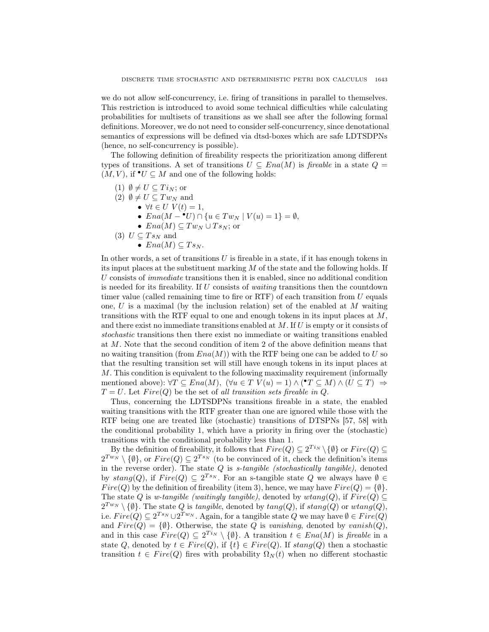we do not allow self-concurrency, i.e. firing of transitions in parallel to themselves. This restriction is introduced to avoid some technical difficulties while calculating probabilities for multisets of transitions as we shall see after the following formal definitions. Moreover, we do not need to consider self-concurrency, since denotational semantics of expressions will be defined via dtsd-boxes which are safe LDTSDPNs (hence, no self-concurrency is possible).

The following definition of fireability respects the prioritization among different types of transitions. A set of transitions  $U \subseteq Ena(M)$  is fireable in a state  $Q =$  $(M, V)$ , if  $\bullet U \subseteq M$  and one of the following holds:

- (1)  $\emptyset \neq U \subseteq Ti_N$ ; or
- (2)  $\emptyset \neq U \subseteq Tw_N$  and
	- $\forall t \in U \ V(t) = 1,$ 
		- $Ena(M ^{\bullet}U) \cap \{u \in Tw_N \mid V(u) = 1\} = \emptyset,$
	- $Ena(M) \subseteq Tw_N \cup Ts_N$ ; or
- (3)  $U \subseteq Ts_N$  and
	- $Ena(M) \subseteq Ts_N$ .

In other words, a set of transitions  $U$  is fireable in a state, if it has enough tokens in its input places at the substituent marking  $M$  of the state and the following holds. If U consists of immediate transitions then it is enabled, since no additional condition is needed for its fireability. If U consists of waiting transitions then the countdown timer value (called remaining time to fire or  $RTF$ ) of each transition from U equals one,  $U$  is a maximal (by the inclusion relation) set of the enabled at  $M$  waiting transitions with the RTF equal to one and enough tokens in its input places at  $M$ , and there exist no immediate transitions enabled at  $M$ . If  $U$  is empty or it consists of stochastic transitions then there exist no immediate or waiting transitions enabled at M. Note that the second condition of item 2 of the above definition means that no waiting transition (from  $Ena(M)$ ) with the RTF being one can be added to U so that the resulting transition set will still have enough tokens in its input places at M. This condition is equivalent to the following maximality requirement (informally mentioned above):  $\forall T \subseteq Ena(M), (\forall u \in T \ V(u) = 1) \land (\mathbf{Y} \subseteq M) \land (U \subseteq T) \Rightarrow$  $T = U$ . Let  $Fire(Q)$  be the set of all transition sets fireable in Q.

Thus, concerning the LDTSDPNs transitions fireable in a state, the enabled waiting transitions with the RTF greater than one are ignored while those with the RTF being one are treated like (stochastic) transitions of DTSPNs [57, 58] with the conditional probability 1, which have a priority in firing over the (stochastic) transitions with the conditional probability less than 1.

By the definition of fireability, it follows that  $Fire(Q) \subseteq 2^{T_{i_N}} \setminus \{\emptyset\}$  or  $Fire(Q) \subseteq$  $2^{Tw_N} \setminus \{\emptyset\}$ , or  $Fire(Q) \subseteq 2^{Ts_N}$  (to be convinced of it, check the definition's items in the reverse order). The state  $Q$  is  $s$ -tangible (stochastically tangible), denoted by  $stang(Q)$ , if  $Fire(Q) \subseteq 2^{Ts_N}$ . For an s-tangible state Q we always have  $\emptyset \in$  $Fire(Q)$  by the definition of fireability (item 3), hence, we may have  $Fire(Q) = \{\emptyset\}.$ The state Q is w-tangible (waitingly tangible), denoted by wtang $(Q)$ , if  $Fire(Q) \subseteq$  $2^{Tw_{N}} \setminus \{\emptyset\}$ . The state Q is tangible, denoted by  $tang(Q)$ , if  $stang(Q)$  or  $wtang(Q)$ , i.e.  $Fire(Q) \subseteq 2^{Ts_N} \cup 2^{Tw_N}$ . Again, for a tangible state Q we may have  $\emptyset \in Fire(Q)$ and  $Fire(Q) = \{\emptyset\}$ . Otherwise, the state Q is vanishing, denoted by vanish(Q), and in this case  $Fire(Q) \subseteq 2^{Ti_N} \setminus \{\emptyset\}$ . A transition  $t \in Era(M)$  is fireable in a state Q, denoted by  $t \in Fire(Q)$ , if  $\{t\} \in Fire(Q)$ . If  $stang(Q)$  then a stochastic transition  $t \in Fire(Q)$  fires with probability  $\Omega_N(t)$  when no different stochastic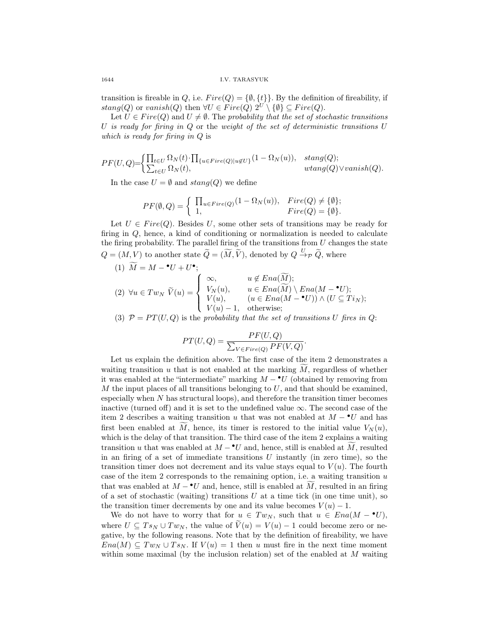transition is fireable in Q, i.e.  $Fire(Q) = \{\emptyset, \{t\}\}\.$  By the definition of fireability, if  $stang(Q)$  or  $vanish(Q)$  then  $\forall U \in \text{Fire}(Q)$   $2^U \setminus \{ \emptyset \} \subseteq \text{Fire}(Q)$ .

Let  $U \in Fire(Q)$  and  $U \neq \emptyset$ . The probability that the set of stochastic transitions U is ready for firing in  $Q$  or the weight of the set of deterministic transitions  $U$ which is ready for firing in Q is

$$
PF(U,Q) = \begin{cases} \prod_{t \in U} \Omega_N(t) \cdot \prod_{\{u \in Fire(Q) | u \notin U\}} (1 - \Omega_N(u)), & stang(Q); \\ \sum_{t \in U} \Omega_N(t), & wtag(Q) \vee vanish(Q). \end{cases}
$$

In the case  $U = \emptyset$  and  $stang(Q)$  we define

$$
PF(\emptyset, Q) = \begin{cases} \prod_{u \in Fire(Q)} (1 - \Omega_N(u)), & Fire(Q) \neq \{\emptyset\}; \\ 1, & Fire(Q) = \{\emptyset\}. \end{cases}
$$

Let  $U \in Fire(Q)$ . Besides U, some other sets of transitions may be ready for firing in Q, hence, a kind of conditioning or normalization is needed to calculate the firing probability. The parallel firing of the transitions from  $U$  changes the state  $Q = (M, V)$  to another state  $\widetilde{Q} = (\widetilde{M}, \widetilde{V})$ , denoted by  $Q \xrightarrow{U} \widetilde{Q}$ , where

(1) 
$$
\widetilde{M} = M - \bullet U + U^{\bullet};
$$
  
\n(2)  $\forall u \in Tw_N \ \widetilde{V}(u) = \begin{cases} \infty, & u \notin Ena(\widetilde{M}); \\ V_N(u), & u \in Ena(\widetilde{M}) \setminus Ena(M - \bullet U); \\ V(u), & (u \in Ena(M - \bullet U)) \wedge (U \subseteq Ti_N); \\ V(u) - 1, & \text{otherwise}; \end{cases}$ 

(3)  $\mathcal{P} = PT(U, Q)$  is the probability that the set of transitions U fires in Q:

$$
PT(U,Q) = \frac{PF(U,Q)}{\sum_{V \in Fire(Q)} PF(V,Q)}.
$$

Let us explain the definition above. The first case of the item 2 demonstrates a waiting transition  $u$  that is not enabled at the marking  $M$ , regardless of whether it was enabled at the "intermediate" marking  $M - \bullet U$  (obtained by removing from M the input places of all transitions belonging to  $U$ , and that should be examined, especially when  $N$  has structural loops), and therefore the transition timer becomes inactive (turned off) and it is set to the undefined value  $\infty$ . The second case of the item 2 describes a waiting transition u that was not enabled at  $M - \nu$  and has first been enabled at M, hence, its timer is restored to the initial value  $V_N(u)$ , which is the delay of that transition. The third case of the item 2 explains a waiting transition u that was enabled at  $M - U$  and, hence, still is enabled at M, resulted in an firing of a set of immediate transitions  $U$  instantly (in zero time), so the transition timer does not decrement and its value stays equal to  $V(u)$ . The fourth case of the item 2 corresponds to the remaining option, i.e. a waiting transition  $u$ that was enabled at  $M - \mathbf{v}U$  and, hence, still is enabled at M, resulted in an firing of a set of stochastic (waiting) transitions  $U$  at a time tick (in one time unit), so the transition timer decrements by one and its value becomes  $V(u) - 1$ .

We do not have to worry that for  $u \in Tw_N$ , such that  $u \in Ena(M - \bullet U)$ , where  $U \subseteq Ts_N \cup Tw_N$ , the value of  $\tilde{V}(u) = V(u) - 1$  could become zero or negative, by the following reasons. Note that by the definition of fireability, we have  $Ena(M) \subseteq Tw_N \cup Ts_N$ . If  $V(u) = 1$  then u must fire in the next time moment within some maximal (by the inclusion relation) set of the enabled at M waiting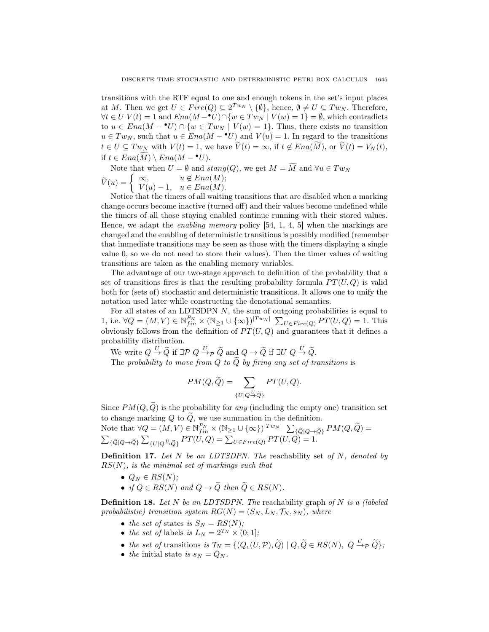transitions with the RTF equal to one and enough tokens in the set's input places at M. Then we get  $U \in Fire(Q) \subseteq 2^{Tw_N} \setminus \{\emptyset\}$ , hence,  $\emptyset \neq U \subseteq Tw_N$ . Therefore,  $\forall t \in U \ V(t) = 1$  and  $Ena(M - \mathbf{C}U) \cap \{w \in Tw_N \mid V(w) = 1\} = \emptyset$ , which contradicts to  $u \in Ena(M - \bullet U) \cap \{w \in Tw_N \mid V(w) = 1\}.$  Thus, there exists no transition  $u \in Tw_N$ , such that  $u \in Ena(M - \bullet U)$  and  $V(u) = 1$ . In regard to the transitions  $t \in U \subseteq Tw_N$  with  $V(t) = 1$ , we have  $\widetilde{V}(t) = \infty$ , if  $t \notin Ena(\widetilde{M})$ , or  $\widetilde{V}(t) = V_N(t)$ , if  $t \in Ena(M) \setminus Ena(M - \bullet U)$ .

Note that when  $U = \emptyset$  and  $stanq(Q)$ , we get  $M = \widetilde{M}$  and  $\forall u \in Tw_N$  $\widetilde{V}(u) = \begin{cases} \infty, & u \notin Ena(M); \\ V(u) - 1, & u \in Ena(M). \end{cases}$  $V(u) - 1, u \in Ena(M).$ 

Notice that the timers of all waiting transitions that are disabled when a marking change occurs become inactive (turned off) and their values become undefined while the timers of all those staying enabled continue running with their stored values. Hence, we adapt the enabling memory policy [54, 1, 4, 5] when the markings are changed and the enabling of deterministic transitions is possibly modified (remember that immediate transitions may be seen as those with the timers displaying a single value 0, so we do not need to store their values). Then the timer values of waiting transitions are taken as the enabling memory variables.

The advantage of our two-stage approach to definition of the probability that a set of transitions fires is that the resulting probability formula  $PT(U, Q)$  is valid both for (sets of) stochastic and deterministic transitions. It allows one to unify the notation used later while constructing the denotational semantics.

For all states of an LDTSDPN  $N$ , the sum of outgoing probabilities is equal to 1, i.e.  $\forall Q = (M, V) \in \mathbb{N}_{fin}^{P_N} \times (\mathbb{N}_{\geq 1} \cup \{\infty\})^{|Tw_N|} \sum_{U \in Fire(Q)} PT(U, Q) = 1$ . This obviously follows from the definition of  $PT(U, Q)$  and guarantees that it defines a probability distribution.

We write  $Q \stackrel{U}{\rightarrow} \widetilde{Q}$  if  $\exists \mathcal{P} \ Q \stackrel{U}{\rightarrow} \rho \ \widetilde{Q}$  and  $Q \rightarrow \widetilde{Q}$  if  $\exists U \ Q \stackrel{U}{\rightarrow} \widetilde{Q}$ . The probability to move from Q to  $\tilde{Q}$  by firing any set of transitions is

$$
PM(Q, \widetilde{Q}) = \sum_{\{U|Q \stackrel{U}{\rightarrow} \widetilde{Q}\}} PT(U, Q).
$$

Since  $PM(Q, \tilde{Q})$  is the probability for any (including the empty one) transition set to change marking Q to  $\tilde{Q}$ , we use summation in the definition.

Note that 
$$
\forall Q = (M, V) \in \mathbb{N}_{fin}^{P_N} \times (\mathbb{N}_{\geq 1} \cup \{\infty\})^{|Tw_N|} \sum_{\{\tilde{Q} | Q \to \tilde{Q}\}} PM(Q, \tilde{Q}) =
$$
  

$$
\sum_{\{\tilde{Q} | Q \to \tilde{Q}\}} \sum_{\{U | Q \stackrel{U}{\to} \tilde{Q}\}} PT(U, Q) = \sum_{U \in Fire(Q)} PT(U, Q) = 1.
$$

**Definition 17.** Let  $N$  be an LDTSDPN. The reachability set of  $N$ , denoted by  $RS(N)$ , is the minimal set of markings such that

- $Q_N \in RS(N);$
- if  $Q \in RS(N)$  and  $Q \to \widetilde{Q}$  then  $\widetilde{Q} \in RS(N)$ .

**Definition 18.** Let N be an LDTSDPN. The reachability graph of N is a (labeled probabilistic) transition system  $RG(N) = (S_N, L_N, \mathcal{T}_N, s_N)$ , where

- the set of states is  $S_N = RS(N);$
- the set of labels is  $L_N = 2^{T_N} \times (0, 1]$ ;
- the set of transitions is  $\mathcal{T}_N = \{ (Q,(U,\mathcal{P}), \widetilde{Q}) \mid Q, \widetilde{Q} \in RS(N), Q \xrightarrow{U}_{\mathcal{P}} \widetilde{Q} \};$
- the initial state is  $s_N = Q_N$ .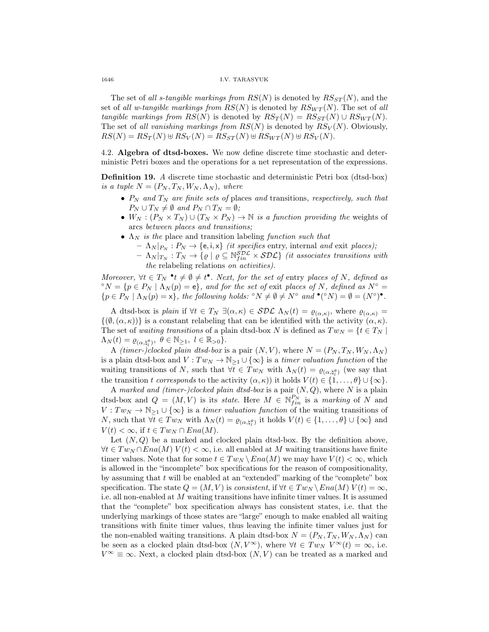1646 I.V. TARASYUK

The set of all s-tangible markings from  $RS(N)$  is denoted by  $RS_{ST}(N)$ , and the set of all w-tangible markings from  $RS(N)$  is denoted by  $RS_{WT}(N)$ . The set of all tangible markings from  $RS(N)$  is denoted by  $RS_T(N) = RS_{ST}(N) \cup RS_{WT}(N)$ . The set of all vanishing markings from  $RS(N)$  is denoted by  $RS_V(N)$ . Obviously,  $RS(N) = RS_T(N) \oplus RS_V(N) = RS_{ST}(N) \oplus RS_{WT}(N) \oplus RS_V(N).$ 

4.2. Algebra of dtsd-boxes. We now define discrete time stochastic and deterministic Petri boxes and the operations for a net representation of the expressions.

Definition 19. A discrete time stochastic and deterministic Petri box (dtsd-box) is a tuple  $N = (P_N, T_N, W_N, \Lambda_N)$ , where

- $P_N$  and  $T_N$  are finite sets of places and transitions, respectively, such that  $P_N \cup T_N \neq \emptyset$  and  $P_N \cap T_N = \emptyset$ ;
- $W_N : (P_N \times T_N) \cup (T_N \times P_N) \to \mathbb{N}$  is a function providing the weights of arcs between places and transitions;
- $\Lambda_N$  is the place and transition labeling function such that
	- $\Lambda_N |_{P_N} : P_N \to \{e, i, x\}$  *(it specifies entry, internal and exit places);*  $- \Lambda_N |_{T_N} : T_N \to \{ \varrho \mid \varrho \subseteq \mathbb{N}_{fin}^{\mathcal{SDL}} \times \mathcal{SDL} \}$  (it associates transitions with
		- the relabeling relations on activities).

Moreover,  $\forall t \in T_N$  \* $t \neq \emptyset \neq t^{\bullet}$ . Next, for the set of entry places of N, defined as  $\hat{\sigma}N = \{p \in P_N \mid \Lambda_N(p) = \mathbf{e}\}\$ , and for the set of exit places of N, defined as  $N^{\circ} = \mathbf{e}$  ${p \in P_N \mid \Lambda_N(p) = x}, \text{ the following holds: } ^\circ N \neq \emptyset \neq N^\circ \text{ and } ^\bullet(^\circ N) = \emptyset = (N^\circ)^\bullet.$ 

A dtsd-box is plain if  $\forall t \in T_N \exists (\alpha, \kappa) \in SDL \Lambda_N(t) = \varrho_{(\alpha, \kappa)}$ , where  $\varrho_{(\alpha, \kappa)} =$  $\{(\emptyset,(\alpha,\kappa))\}\$ is a constant relabeling that can be identified with the activity  $(\alpha,\kappa)$ . The set of waiting transitions of a plain dtsd-box N is defined as  $Tw_N = \{t \in T_N \mid$  $\Lambda_N(t) = \varrho_{(\alpha, \natural_l^{\theta})}, \ \theta \in \mathbb{N}_{\geq 1}, \ l \in \mathbb{R}_{>0} \}.$ 

A (timer-)clocked plain dtsd-box is a pair  $(N, V)$ , where  $N = (P_N, T_N, W_N, \Lambda_N)$ is a plain dtsd-box and  $V: Tw_N \to \mathbb{N}_{\geq 1} \cup \{\infty\}$  is a timer valuation function of the waiting transitions of N, such that  $\forall t \in Tw_N$  with  $\Lambda_N(t) = \varrho_{(\alpha, \natural_t^{\theta})}$  (we say that the transition t corresponds to the activity  $(\alpha, \kappa)$  it holds  $V(t) \in \{1, \ldots, \theta\} \cup \{\infty\}.$ 

A marked and (timer-)clocked plain dtsd-box is a pair  $(N, Q)$ , where N is a plain dtsd-box and  $Q = (M, V)$  is its *state*. Here  $M \in \mathbb{N}_{fin}^{P_N}$  is a marking of N and  $V: Tw_N \to \mathbb{N}_{\geq 1} \cup {\infty}$  is a timer valuation function of the waiting transitions of N, such that  $\forall t \in Tw_N$  with  $\Lambda_N(t) = \varrho_{(\alpha, \mathfrak{h}_t^{\theta})}$  it holds  $V(t) \in \{1, ..., \theta\} \cup \{\infty\}$  and  $V(t) < \infty$ , if  $t \in Tw_N \cap Ena(M)$ .

Let  $(N, Q)$  be a marked and clocked plain dtsd-box. By the definition above,  $\forall t \in Tw_N \cap Ena(M)$   $V(t) < \infty$ , i.e. all enabled at M waiting transitions have finite timer values. Note that for some  $t \in Tw_N \setminus Ena(M)$  we may have  $V(t) < \infty$ , which is allowed in the "incomplete" box specifications for the reason of compositionality, by assuming that  $t$  will be enabled at an "extended" marking of the "complete" box specification. The state  $Q = (M, V)$  is consistent, if  $\forall t \in Tw_N \setminus Ena(M)$   $V(t) = \infty$ , i.e. all non-enabled at M waiting transitions have infinite timer values. It is assumed that the "complete" box specification always has consistent states, i.e. that the underlying markings of those states are "large" enough to make enabled all waiting transitions with finite timer values, thus leaving the infinite timer values just for the non-enabled waiting transitions. A plain dtsd-box  $N = (P_N, T_N, W_N, \Lambda_N)$  can be seen as a clocked plain dtsd-box  $(N, V^{\infty})$ , where  $\forall t \in Tw_N V^{\infty}(t) = \infty$ , i.e.  $V^{\infty} \equiv \infty$ . Next, a clocked plain dtsd-box  $(N, V)$  can be treated as a marked and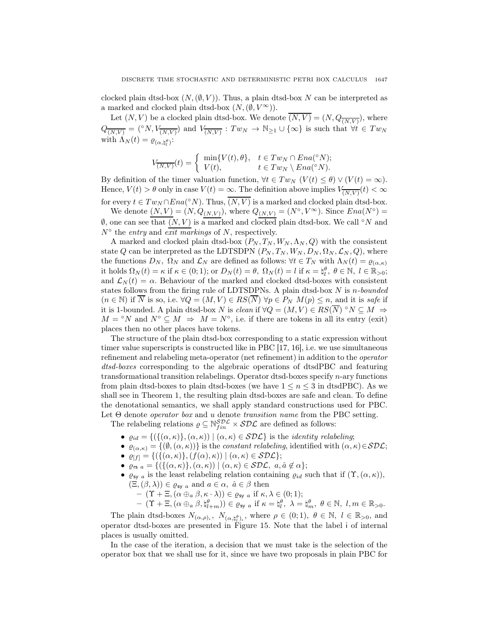clocked plain dtsd-box  $(N,(\emptyset, V))$ . Thus, a plain dtsd-box N can be interpreted as a marked and clocked plain dtsd-box  $(N,(\emptyset, V^{\infty}))$ .

Let  $(N, V)$  be a clocked plain dtsd-box. We denote  $(N, V) = (N, Q_{\overline{(N,V)}})$ , where  $Q_{\overline{(N,V)}} = (^\circ N, V_{\overline{(N,V)}})$  and  $V_{\overline{(N,V)}}$ :  $Tw_N \to \mathbb{N}_{\geq 1} \cup \{\infty\}$  is such that  $\forall t \in Tw_N$ with  $\Lambda_N(t) = \varrho_{(\alpha, \natural_l^{\theta})}$ :

$$
V_{\overline{(N,V)}}(t) = \begin{cases} \min\{V(t), \theta\}, & t \in Tw_N \cap Ena({}^{\circ}N); \\ V(t), & t \in Tw_N \setminus Ena({}^{\circ}N). \end{cases}
$$

By definition of the timer valuation function,  $\forall t \in Tw_{\mathcal{N}} \ (V(t) \leq \theta) \vee (V(t) = \infty)$ . Hence,  $V(t) > \theta$  only in case  $V(t) = \infty$ . The definition above implies  $V_{\overline{(N,V)}}(t) < \infty$ for every  $t \in Tw_N \cap Ena({}^{\circ}N)$ . Thus,  $\overline{(N,V)}$  is a marked and clocked plain dtsd-box.

We denote  $(N, V) = (N, Q_{(N,V)})$ , where  $Q_{(N,V)} = (N^{\circ}, V^{\infty})$ . Since  $Ena(N^{\circ}) =$  $\emptyset$ , one can see that  $(N, V)$  is a marked and clocked plain dtsd-box. We call °N and  $N^{\circ}$  the entry and exit markings of N, respectively.

A marked and clocked plain dtsd-box  $(P_N, T_N, W_N, \Lambda_N, Q)$  with the consistent state Q can be interpreted as the LDTSDPN  $(P_N, T_N, W_N, D_N, \Omega_N, \mathcal{L}_N, Q)$ , where the functions  $D_N$ ,  $\Omega_N$  and  $\mathcal{L}_N$  are defined as follows:  $\forall t \in T_N$  with  $\Lambda_N(t) = \varrho_{(\alpha,\kappa)}$ it holds  $\Omega_N(t) = \kappa$  if  $\kappa \in (0, 1)$ ; or  $D_N(t) = \theta$ ,  $\Omega_N(t) = l$  if  $\kappa = \natural_l^{\theta}$ ,  $\theta \in \mathbb{N}$ ,  $l \in \mathbb{R}_{>0}$ ; and  $\mathcal{L}_N(t) = \alpha$ . Behaviour of the marked and clocked dtsd-boxes with consistent states follows from the firing rule of LDTSDPNs. A plain dtsd-box  $N$  is n-bounded  $(n \in \mathbb{N})$  if  $\overline{N}$  is so, i.e.  $\forall Q = (M, V) \in RS(\overline{N}) \ \forall p \in P_N \ M(p) \leq n$ , and it is safe if it is 1-bounded. A plain dtsd-box N is clean if  $\forall Q = (M, V) \in RS(\overline{N}) \ ^{\circ}N \subseteq M \Rightarrow$  $M = \circ N$  and  $N^{\circ} \subseteq M \Rightarrow M = N^{\circ}$ , i.e. if there are tokens in all its entry (exit) places then no other places have tokens.

The structure of the plain dtsd-box corresponding to a static expression without timer value superscripts is constructed like in PBC [17, 16], i.e. we use simultaneous refinement and relabeling meta-operator (net refinement) in addition to the operator dtsd-boxes corresponding to the algebraic operations of dtsdPBC and featuring transformational transition relabelings. Operator dtsd-boxes specify  $n$ -ary functions from plain dtsd-boxes to plain dtsd-boxes (we have  $1 \leq n \leq 3$  in dtsdPBC). As we shall see in Theorem 1, the resulting plain dtsd-boxes are safe and clean. To define the denotational semantics, we shall apply standard constructions used for PBC. Let  $\Theta$  denote *operator box* and u denote transition name from the PBC setting.

The relabeling relations  $\rho \subseteq \mathbb{N}_{fin}^{\mathcal{SDL}} \times \mathcal{SDL}$  are defined as follows:

- $\varrho_{id} = \{ (\{(\alpha, \kappa)\}, (\alpha, \kappa)) \mid (\alpha, \kappa) \in \mathcal{SDL} \}$  is the *identity relabeling*;
- $\varrho_{(\alpha,\kappa)} = \{(\emptyset, (\alpha,\kappa))\}$  is the constant relabeling, identified with  $(\alpha,\kappa) \in \mathcal{SDL}$ ;
- $\varrho_{[f]} = \{ (\{(\alpha,\kappa)\},(f(\alpha),\kappa)) \mid (\alpha,\kappa) \in \mathcal{SDL} \};$
- $\varrho_{rs a} = \{ (\{ (\alpha, \kappa) \}, (\alpha, \kappa)) \mid (\alpha, \kappa) \in \mathcal{SDL}, a, \hat{a} \notin \alpha \};$
- $\varrho_{\mathsf{sv}}$  a is the least relabeling relation containing  $\varrho_{id}$  such that if  $(\Upsilon,(\alpha,\kappa))$ ,  $(\Xi,(\beta,\lambda)) \in \varrho_{\text{sy }a}$  and  $a \in \alpha, \ \hat{a} \in \beta$  then
	- $(\Upsilon + \Xi, (\alpha \oplus_{a} \beta, \kappa \cdot \lambda)) \in \varrho_{sy}$  a if  $\kappa, \lambda \in (0,1);$

 $(\Upsilon + \Xi, (\alpha \oplus_a \beta, \natural_{l+m}^\theta)) \in \varrho_{sy}$  a if  $\kappa = \natural_l^\theta$ ,  $\lambda = \natural_m^\theta$ ,  $\theta \in \mathbb{N}$ ,  $l, m \in \mathbb{R}_{>0}$ .

The plain dtsd-boxes  $N_{(\alpha,\rho)_l}$ ,  $N_{(\alpha,\nmid_l^{\theta})_l}$ , where  $\rho \in (0,1)$ ,  $\theta \in \mathbb{N}$ ,  $l \in \mathbb{R}_{>0}$ , and operator dtsd-boxes are presented in Figure 15. Note that the label i of internal places is usually omitted.

In the case of the iteration, a decision that we must take is the selection of the operator box that we shall use for it, since we have two proposals in plain PBC for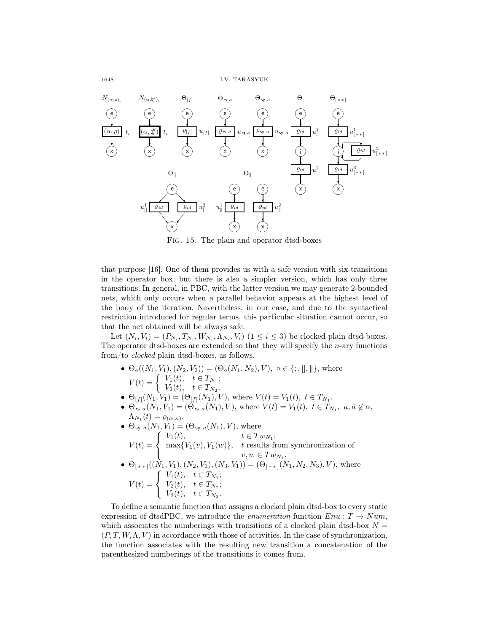1648 I.V. TARASYUK



Fig. 15. The plain and operator dtsd-boxes

that purpose [16]. One of them provides us with a safe version with six transitions in the operator box, but there is also a simpler version, which has only three transitions. In general, in PBC, with the latter version we may generate 2-bounded nets, which only occurs when a parallel behavior appears at the highest level of the body of the iteration. Nevertheless, in our case, and due to the syntactical restriction introduced for regular terms, this particular situation cannot occur, so that the net obtained will be always safe.

Let  $(N_i, V_i) = (P_{N_i}, T_{N_i}, W_{N_i}, \Lambda_{N_i}, V_i)$   $(1 \le i \le 3)$  be clocked plain dtsd-boxes. The operator dtsd-boxes are extended so that they will specify the  $n$ -ary functions from/to clocked plain dtsd-boxes, as follows.

- $\Theta_{\circ}(N_1, V_1), (N_2, V_2)$  =  $(\Theta_{\circ}(N_1, N_2), V)$ ,  $\circ \in \{ ; , \llbracket , \rrbracket \}$ , where  $V(t) = \begin{cases} V_1(t), & t \in T_{N_1};\\ V(t) & t \in T. \end{cases}$  $V_2(t)$ ,  $t \in T_{N_2}$ .
- $\Theta_{[f]}(N_1, V_1) = (\Theta_{[f]}(N_1), V)$ , where  $V(t) = V_1(t), t \in T_{N_1}$ .
- $\Theta_{rs\ a}(N_1, V_1) = (\Theta_{rs\ a}(N_1), V)$ , where  $V(t) = V_1(t), t \in T_{N_1}, a, \hat{a} \notin \alpha$ ,  $\Lambda_{N_1}(t) = \varrho_{(\alpha,\kappa)}.$

\n- \n
$$
\Theta_{\text{sy }a}(N_1, V_1) = (\Theta_{\text{sy }a}(N_1), V), \text{ where}
$$
\n
$$
V(t) = \begin{cases} V_1(t), & t \in Tw_{N_1}; \\ \max\{V_1(v), V_1(w)\}, & t \text{ results from synchronization of} \\ v, w \in Tw_{N_1}. \end{cases}
$$
\n
\n- \n
$$
\Theta_{\lceil \ast \ast \rceil}((N_1, V_1), (N_2, V_1), (N_3, V_1)) = (\Theta_{\lceil \ast \ast \rceil}(N_1, N_2, N_3), V), \text{ where}
$$
\n
$$
V(t) = \begin{cases} V_1(t), & t \in T_{N_1}; \\ V_2(t), & t \in T_{N_2}; \\ V_3(t), & t \in T_{N_3}. \end{cases}
$$
\n
\n

To define a semantic function that assigns a clocked plain dtsd-box to every static expression of dtsdPBC, we introduce the *enumeration* function  $Env : T \rightarrow Num$ , which associates the numberings with transitions of a clocked plain dtsd-box  $N =$  $(P, T, W, \Lambda, V)$  in accordance with those of activities. In the case of synchronization, the function associates with the resulting new transition a concatenation of the parenthesized numberings of the transitions it comes from.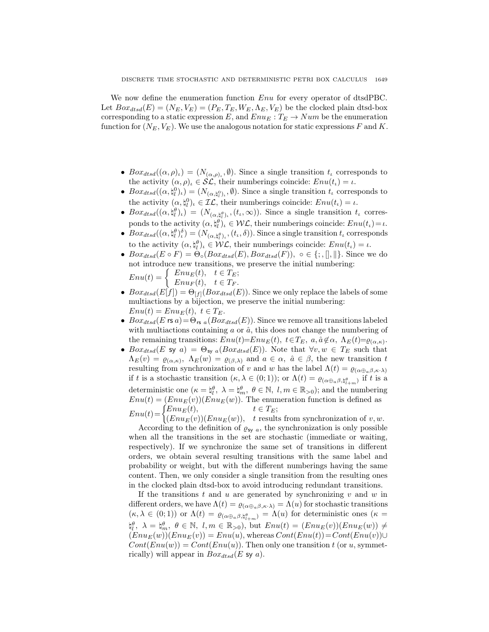We now define the enumeration function  $Enu$  for every operator of dtsdPBC. Let  $Box_{dtsd}(E) = (N_E, V_E) = (P_E, T_E, W_E, \Lambda_E, V_E)$  be the clocked plain dtsd-box corresponding to a static expression  $E$ , and  $Enu_E : T_E \rightarrow Num$  be the enumeration function for  $(N_E, V_E)$ . We use the analogous notation for static expressions F and K.

- $Box_{dtsd}((\alpha,\rho)_\iota) = (N_{(\alpha,\rho)_\iota}, \emptyset)$ . Since a single transition  $t_\iota$  corresponds to the activity  $(\alpha, \rho)_t \in \mathcal{SL}$ , their numberings coincide:  $Env(t_t) = \iota$ .
- $Box_{dtsd}((\alpha, \natural_l^0)_\iota) = (N_{(\alpha, \natural_l^0)_\iota}, \emptyset)$ . Since a single transition  $t_\iota$  corresponds to the activity  $(\alpha, \xi_t^0)_\iota \in \mathcal{IL}$ , their numberings coincide:  $Env(t_\iota) = \iota$ .
- $Box_{dtsd}((\alpha, \natural_l^{\theta})_l) = (N_{(\alpha, \natural_l^{\theta})_l}, (t_l, \infty))$ . Since a single transition  $t_l$  corresponds to the activity  $(\alpha, \xi_l^{\theta})_l \in \mathcal{WL}$ , their numberings coincide:  $Env(t_l) = \iota$ .
- $Box_{dtsd}((\alpha, \natural_l^{\theta})_i^{\delta}) = (N_{(\alpha, \natural_l^{\theta})_i}, (t_i, \delta))$ . Since a single transition  $t_i$  corresponds to the activity  $(\alpha, \xi_l^{\theta})_l \in \mathcal{WL}$ , their numberings coincide:  $Env(t_l) = \iota$ .
- $Box_{dtsd}(E \circ F) = \Theta_{\circ}(Box_{dtsd}(E),Box_{dtsd}(F)), \circ \in \{\, ; , \| , \| \}.$  Since we do not introduce new transitions, we preserve the initial numbering:  $\left($  Enu<sub>E</sub>(t), t  $\in T_F$ .

$$
Enu(t) = \begin{cases} Enu_E(t), & t \in T_E; \\ Enu_F(t), & t \in T_F. \end{cases}
$$

- $Box_{dtsd}(E[f]) = \Theta_{[f]}(Box_{dtsd}(E)).$  Since we only replace the labels of some multiactions by a bijection, we preserve the initial numbering:  $Enu(t) = Enu_E(t), t \in T_E.$
- $Box_{dtsd}(E \r{rs} a) = \Theta_{rs a}(Box_{dtsd}(E)).$  Since we remove all transitions labeled with multiactions containing  $a$  or  $\hat{a}$ , this does not change the numbering of the remaining transitions:  $Env(t)=Env_E(t), t \in T_E, a, \hat{a} \notin \alpha, \Lambda_E(t)=\varrho_{(\alpha,\kappa)}.$
- $Box_{dtsd}(E \text{ sy } a) = \Theta_{\text{sy } a}(Box_{dtsd}(E))$ . Note that  $\forall v, w \in T_E$  such that  $\Lambda_E(v) = \varrho_{(\alpha,\kappa)}, \ \Lambda_E(w) = \varrho_{(\beta,\lambda)}$  and  $a \in \alpha, \ \hat{a} \in \beta$ , the new transition t resulting from synchronization of v and w has the label  $\Lambda(t) = \varrho_{(\alpha \oplus_{\alpha} \beta, \kappa \cdot \lambda)}$ if t is a stochastic transition  $(\kappa, \lambda \in (0,1))$ ; or  $\Lambda(t) = \varrho_{(\alpha \oplus_{a} \beta, \natural_{t+m}^{\theta})}$  if t is a deterministic one  $(\kappa = \natural_l^{\theta}, \ \lambda = \natural_m^{\theta}, \ \theta \in \mathbb{N}, \ l, m \in \mathbb{R}_{>0})$ ; and the numbering  $Env(t) = (Env<sub>E</sub>(v))(Env<sub>E</sub>(w))$ . The enumeration function is defined as  $Env(t) = \begin{cases} Enu_E(t), & t \in T_E; \\ (E_{EM}(t))(E_{EM}(w)) & t \text{ result} \end{cases}$

 $(Enu<sub>E</sub>(v))(Enu<sub>E</sub>(w)),$  t results from synchronization of v, w. According to the definition of  $\varrho_{\text{sy }a}$ , the synchronization is only possible when all the transitions in the set are stochastic (immediate or waiting, respectively). If we synchronize the same set of transitions in different orders, we obtain several resulting transitions with the same label and probability or weight, but with the different numberings having the same content. Then, we only consider a single transition from the resulting ones in the clocked plain dtsd-box to avoid introducing redundant transitions.

If the transitions  $t$  and  $u$  are generated by synchronizing  $v$  and  $w$  in different orders, we have  $\Lambda(t) = \varrho_{(\alpha \oplus_{\alpha} \beta, \kappa \cdot \lambda)} = \Lambda(u)$  for stochastic transitions  $(\kappa, \lambda \in (0,1))$  or  $\Lambda(t) = \varrho_{(\alpha \oplus_{a} \beta, \sharp_{t+m}^{\theta})} = \Lambda(u)$  for deterministic ones  $(\kappa =$  $\natural_{l}^{\theta}, \ \lambda = \natural_{m}^{\theta}, \ \theta \in \mathbb{N}, \ l, m \in \mathbb{R}_{>0}$ , but  $Env(t) = (Env_{E}(v))(Env_{E}(w)) \neq 0$  $(Env_E(w))(Env(v)) = Env(u)$ , whereas  $Cont(Env(t)) = Cont(Env(v)) \cup$  $Cont(Enu(w)) = Cont(Enu(u))$ . Then only one transition t (or u, symmetrically) will appear in  $Box_{dtsd}(E \text{ sy } a)$ .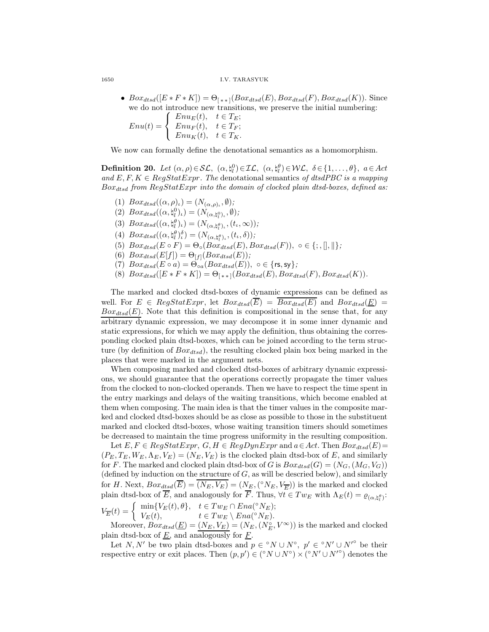1650 I.V. TARASYUK

•  $Box_{dtsd}([E * F * K]) = \Theta_{(**]}(Box_{dtsd}(E), Box_{dtsd}(F), Box_{dtsd}(K)).$  Since we do not introduce new transitions, we preserve the initial numbering:<br> $\int E_n u_{E}(t) \, t \in T_F$ .

$$
Enu(t) = \begin{cases} Enu_E(t), & t \in T_E; \\ Enu_F(t), & t \in T_F; \\ Enu_K(t), & t \in T_K. \end{cases}
$$

We now can formally define the denotational semantics as a homomorphism.

**Definition 20.** Let  $(\alpha, \rho) \in \mathcal{SL}, \ (\alpha, \mathfrak{h}_l^0) \in \mathcal{IL}, \ (\alpha, \mathfrak{h}_l^{\theta}) \in \mathcal{WL}, \ \delta \in \{1, \ldots, \theta\}, \ a \in Act$ and E, F,  $K \in RegStatexpr$ . The denotational semantics of dtsdPBC is a mapping  $Box_{dtsd}$  from RegStatExpr into the domain of clocked plain dtsd-boxes, defined as:

- (1)  $Box_{dtsd}((\alpha, \rho)_{\iota}) = (N_{(\alpha, \rho)_{\iota}}, \emptyset);$
- (2)  $Box_{dtsd}((\alpha, \natural_l^0)_\iota) = (N_{(\alpha, \natural_l^0)_\iota}, \emptyset);$
- (3)  $Box_{dtsd}((\alpha, \xi_{l}^{\theta})_{l}) = (N_{(\alpha, \xi_{l}^{\theta})_{l}}, (t_{l}, \infty));$
- (4)  $Box_{dtsd}((\alpha, \mathfrak{h}_l^{\theta})_t^{\delta}) = (N_{(\alpha, \mathfrak{h}_l^{\theta})_t}, (t_t, \delta)),$
- (5)  $Box_{dtsd}(E \circ F) = \Theta_{\circ}(Box_{dtsd}(E),Box_{dtsd}(F)), \circ \in \{; ,[], \| \};$
- (6)  $Box_{dtsd}(E[f]) = \Theta_{[f]}(Box_{dtsd}(E));$
- (7)  $Box_{dtsd}(E \circ a) = \Theta_{oa} (Box_{dtsd}(E)), o \in \{ \text{rs}, \text{sy} \};$
- (8)  $Box_{dtsd}([E * F * K]) = \Theta_{(**]}(Box_{dtsd}(E), Box_{dtsd}(F), Box_{dtsd}(K)).$

The marked and clocked dtsd-boxes of dynamic expressions can be defined as well. For  $E \in RegStatexpr$ , let  $Box_{dtsd}(\overline{E}) = \overline{Box_{dtsd}(E)}$  and  $Box_{dtsd}(\underline{E}) =$  $Box_{dtsd}(E)$ . Note that this definition is compositional in the sense that, for any arbitrary dynamic expression, we may decompose it in some inner dynamic and static expressions, for which we may apply the definition, thus obtaining the corresponding clocked plain dtsd-boxes, which can be joined according to the term structure (by definition of  $Box_{dtsd}$ ), the resulting clocked plain box being marked in the places that were marked in the argument nets.

When composing marked and clocked dtsd-boxes of arbitrary dynamic expressions, we should guarantee that the operations correctly propagate the timer values from the clocked to non-clocked operands. Then we have to respect the time spent in the entry markings and delays of the waiting transitions, which become enabled at them when composing. The main idea is that the timer values in the composite marked and clocked dtsd-boxes should be as close as possible to those in the substituent marked and clocked dtsd-boxes, whose waiting transition timers should sometimes be decreased to maintain the time progress uniformity in the resulting composition.

Let  $E, F \in RegStatexpr$ ,  $G, H \in RegDynExpr$  and  $a \in Act$ . Then  $Box_{dtsd}(E)$  $(P_E, T_E, W_E, \Lambda_E, V_E) = (N_E, V_E)$  is the clocked plain dtsd-box of E, and similarly for F. The marked and clocked plain dtsd-box of G is  $Box_{dtsd}(G) = (N_G, (M_G, V_G))$ (defined by induction on the structure of  $G$ , as will be descried below), and similarly for H. Next,  $Box_{dtsd}(\overline{E}) = \overline{(N_E, V_E)} = (N_E, ({}^{\circ}N_E, V_{\overline{E}}))$  is the marked and clocked plain dtsd-box of E, and analogously for F. Thus,  $\forall t \in Tw_E$  with  $\Lambda_E(t) = \varrho_{(\alpha, \natural_i^{\theta})}$ : l  $V_{\overline{E}}(t) = \begin{cases} \min\{V_E(t), \theta\}, & t \in Tw_E \cap Ena(^{\circ}N_E); \\ V_E(t) & t \in Tw_E \setminus Ena(^{\circ}N_E). \end{cases}$  $V_E(t)$ ,  $t \in Tw_E \setminus Ena({}^{\circ}N_E).$ 

Moreover,  $Box_{dtsd}(\underline{E}) = (N_E, V_E) = (N_E, (N_E^{\circ}, V^{\infty}))$  is the marked and clocked plain dtsd-box of  $\underline{E}$ , and analogously for  $\underline{F}$ .

Let N, N' be two plain dtsd-boxes and  $p \in {}^{\circ}N \cup N^{\circ}$ ,  $p' \in {}^{\circ}N' \cup N'^{\circ}$  be their respective entry or exit places. Then  $(p, p') \in ({}^{\circ}N \cup N^{\circ}) \times ({}^{\circ}N' \cup N'^{\circ})$  denotes the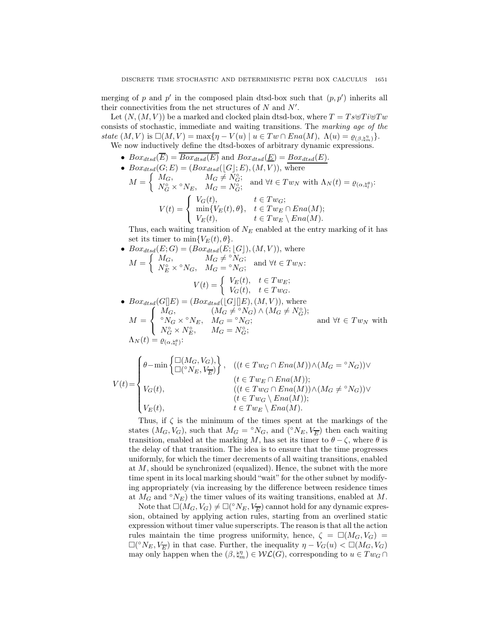merging of p and p' in the composed plain dtsd-box such that  $(p, p')$  inherits all their connectivities from the net structures of  $N$  and  $N'$ .

Let  $(N,(M,V))$  be a marked and clocked plain dtsd-box, where  $T = Ts \oplus Ti \oplus Tw$ consists of stochastic, immediate and waiting transitions. The marking age of the state  $(M, V)$  is  $\square(M, V) = \max\{\eta - V(u) \mid u \in Tw \cap Ena(M), \Lambda(u) = \varrho_{(\beta, \xi_m^{\eta})}\}.$ We now inductively define the dtsd-boxes of arbitrary dynamic expressions.

•  $Box_{dtsd}(\overline{E}) = \overline{Box_{dtsd}(E)}$  and  $Box_{dtsd}(\underline{E}) = Box_{dtsd}(E)$ .

- $Box_{dtsd}(G; E) = (Box_{dtsd}([G]; E), (M, V)),$  where
	- $M =$  $\int M_G,$   $M_G \neq N_G^{\circ};$  $N_G^{\alpha} \times {\,}^\circ N_E, \quad M_G = N_G^{\circ}; \quad \text{and } \forall t \in Tw_N \text{ with } \Lambda_N(t) = \varrho_{(\alpha, \natural_l^{\theta})}:$  $V(t) =$  $\sqrt{ }$  $\mathsf{I}$  $\mathbf{I}$  $V_G(t)$ ,  $t \in Tw_G;$  $\min\{V_E(t), \theta\}, \quad t \in Tw_E \cap Ena(M);$  $V_E(t)$ ,  $t \in Tw_E \setminus Ena(M).$

Thus, each waiting transition of  $N_E$  enabled at the entry marking of it has set its timer to min ${V_E(t), \theta}$ .

• 
$$
Box_{dtsd}(E; G) = (Box_{dtsd}(E; [G]), (M, V)), \text{ where}
$$

$$
M = \begin{cases} M_G, & M_G \neq {}^{\circ}N_G; \\ N_E^{\circ} \times {}^{\circ}N_G, & M_G = {}^{\circ}N_G; \end{cases} \text{ and } \forall t \in Tw_N:
$$

$$
V(t) = \begin{cases} V_E(t), & t \in Tw_E; \\ V_G(t), & t \in Tw_G. \end{cases}
$$

• 
$$
Box_{dtsd}(G[[E]) = (Box_{dtsd}([G][E), (M, V)),
$$
 where  
\n
$$
M = \begin{cases} M_G, & (M_G \neq {}^{\circ}N_G) \wedge (M_G \neq N_G^{\circ}); \\ {}^{\circ}N_G \times {}^{\circ}N_E, & M_G = {}^{\circ}N_G; \\ N_G^{\circ} \times N_E^{\circ}, & M_G = N_G^{\circ}; \end{cases}
$$
 and  $\forall t \in Tw_N$  with  
\n
$$
\Lambda_N(t) = \varrho_{(\alpha, \natural_t^{\theta})}.
$$

$$
V(t) = \begin{cases} \theta - \min\left\{ \begin{matrix} \Box(M_G, V_G), \\ \Box({}^\diamond N_E, V_{\overline{E}}) \end{matrix} \right\}, & ((t \in Tw_G \cap Ena(M)) \land (M_G = {}^\diamond N_G)) \lor \\ & (t \in Tw_E \cap Ena(M)); \\ & ((t \in Tw_G \cap Ena(M)) \land (M_G \neq {}^\diamond N_G)) \lor \\ & (t \in Tw_G \setminus Ena(M)); \\ & t \in Tw_E \setminus Ena(M). \end{cases}
$$

Thus, if  $\zeta$  is the minimum of the times spent at the markings of the states  $(M_G, V_G)$ , such that  $M_G = \circ N_G$ , and  $(\circ N_E, V_{\overline{E}})$  then each waiting transition, enabled at the marking M, has set its timer to  $\theta - \zeta$ , where  $\theta$  is the delay of that transition. The idea is to ensure that the time progresses uniformly, for which the timer decrements of all waiting transitions, enabled at M, should be synchronized (equalized). Hence, the subnet with the more time spent in its local marking should "wait" for the other subnet by modifying appropriately (via increasing by the difference between residence times at  $M_G$  and  $\circ N_E$ ) the timer values of its waiting transitions, enabled at M.

Note that  $\square(M_G,V_G) \neq \square({}^\circ N_E, V_{\overline{E}})$  cannot hold for any dynamic expression, obtained by applying action rules, starting from an overlined static expression without timer value superscripts. The reason is that all the action rules maintain the time progress uniformity, hence,  $\zeta = \Box(M_G, V_G)$  $\square({}^\circ N_E, V_{\overline{E}})$  in that case. Further, the inequality  $\eta - V_G(u) < \square(M_G, V_G)$ may only happen when the  $(\beta, \sharp_m^n) \in \mathcal{WL}(G)$ , corresponding to  $u \in Tw_G \cap$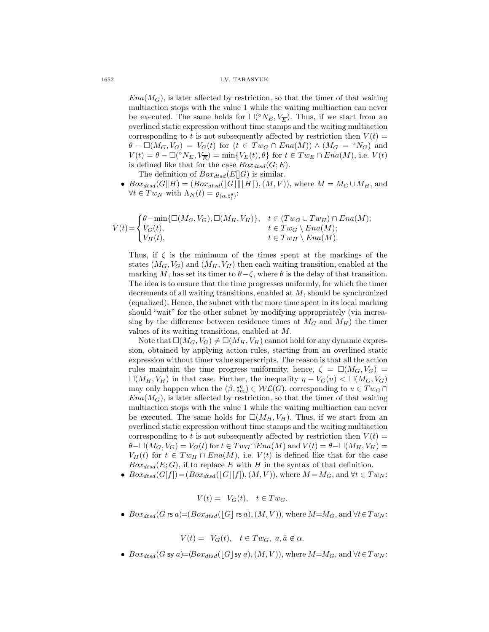### 1652 I.V. TARASYUK

 $Ena(M<sub>G</sub>)$ , is later affected by restriction, so that the timer of that waiting multiaction stops with the value 1 while the waiting multiaction can never be executed. The same holds for  $\square({}^\circ N_E, V_{\overline{E}})$ . Thus, if we start from an overlined static expression without time stamps and the waiting multiaction corresponding to t is not subsequently affected by restriction then  $V(t)$  $\theta$  –  $\square(M_G, V_G) = V_G(t)$  for  $(t \in Tw_G \cap Ena(M)) \wedge (M_G = \circ N_G)$  and  $V(t) = \theta - \Box({}^{\circ}N_E, V_{\overline{E}}) = \min\{V_E(t), \theta\}$  for  $t \in Tw_E \cap Ena(M)$ , i.e.  $V(t)$ is defined like that for the case  $Box_{dtsd}(G; E)$ .

The definition of  $Box_{dtsd}(E||G)$  is similar.

•  $Box_{dtsd}(G||H) = (Box_{dtsd}([G]||[H]), (M, V)),$  where  $M = M_G \cup M_H$ , and  $\forall t \in Tw_N \text{ with } \Lambda_N(t) = \varrho_{(\alpha, \natural_t^{\theta})}$ :

$$
V(t) = \begin{cases} \theta - \min\{\Box(M_G, V_G), \Box(M_H, V_H)\}, & t \in (Tw_G \cup Tw_H) \cap Ena(M); \\ V_G(t), & t \in Tw_G \setminus Ena(M); \\ V_H(t), & t \in Tw_H \setminus Ena(M). \end{cases}
$$

Thus, if  $\zeta$  is the minimum of the times spent at the markings of the states  $(M_G, V_G)$  and  $(M_H, V_H)$  then each waiting transition, enabled at the marking M, has set its timer to  $\theta-\zeta$ , where  $\theta$  is the delay of that transition. The idea is to ensure that the time progresses uniformly, for which the timer decrements of all waiting transitions, enabled at M, should be synchronized (equalized). Hence, the subnet with the more time spent in its local marking should "wait" for the other subnet by modifying appropriately (via increasing by the difference between residence times at  $M_G$  and  $M_H$ ) the timer values of its waiting transitions, enabled at M.

Note that  $\square(M_G, V_G) \neq \square(M_H, V_H)$  cannot hold for any dynamic expression, obtained by applying action rules, starting from an overlined static expression without timer value superscripts. The reason is that all the action rules maintain the time progress uniformity, hence,  $\zeta = \Box(M_G, V_G)$  $\square(M_H, V_H)$  in that case. Further, the inequality  $\eta - V_G(u) < \square(M_G, V_G)$ may only happen when the  $(\beta, \natural_m^n) \in \mathcal{WL}(G)$ , corresponding to  $u \in Tw_G \cap$  $Ena(M<sub>G</sub>)$ , is later affected by restriction, so that the timer of that waiting multiaction stops with the value 1 while the waiting multiaction can never be executed. The same holds for  $\square(M_H, V_H)$ . Thus, if we start from an overlined static expression without time stamps and the waiting multiaction corresponding to t is not subsequently affected by restriction then  $V(t)$  =  $\theta-\Box(M_G, V_G) = V_G(t)$  for  $t \in Tw_G \cap Ena(M)$  and  $V(t) = \theta-\Box(M_H, V_H) =$  $V_H(t)$  for  $t \in Tw_H \cap Ena(M)$ , i.e.  $V(t)$  is defined like that for the case  $Box_{dtsd}(E; G)$ , if to replace E with H in the syntax of that definition.

•  $Box_{dtsd}(G[f]) = (Box_{dtsd}([G][f]), (M, V)),$  where  $M = M_G$ , and  $\forall t \in Tw_N$ :

 $V(t) = V_G(t), t \in Tw_G.$ 

•  $Box_{dtsd}(G \text{ rs } a) = (Box_{dtsd}(|G| \text{ rs } a), (M, V)),$  where  $M = M_G$ , and  $\forall t \in Tw_N$ :

 $V(t) = V_G(t), t \in Tw_G, a, \hat{a} \notin \alpha.$ 

• Box<sub>dtsd</sub>(G sy a)= $(Box_{dtsd}(|G|sya),(M,V))$ , where  $M=M_G$ , and  $\forall t \in Tw_N$ :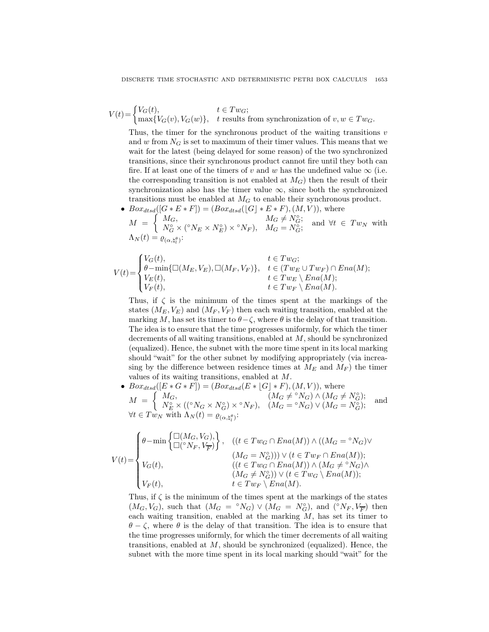$V(t) = \begin{cases} V_G(t), & t \in Tw_G; \\ \text{max}(V(G), V(G)) & \text{t results} \end{cases}$  $\max\{V_G(v), V_G(w)\},\$  t results from synchronization of  $v, w \in Tw_G$ .

Thus, the timer for the synchronous product of the waiting transitions  $v$ and w from  $N_G$  is set to maximum of their timer values. This means that we wait for the latest (being delayed for some reason) of the two synchronized transitions, since their synchronous product cannot fire until they both can fire. If at least one of the timers of v and w has the undefined value  $\infty$  (i.e. the corresponding transition is not enabled at  $M_G$ ) then the result of their synchronization also has the timer value  $\infty$ , since both the synchronized transitions must be enabled at  $M_G$  to enable their synchronous product.

•  $Box_{dtsd}([G * E * F]) = (Box_{dtsd}([G] * E * F), (M, V)),$  where

 $M =$  $\int^{\infty} M_G,$   $M_G \neq N_G^{\circ};$  $N_G^{\circ} \times (^{\circ}N_E \times N_E^{\circ}) \times {^{\circ}N_F}), \quad M_G = N_G^{\circ}; \quad \text{and} \ \forall t \in Tw_N \ \text{with}$  $\Lambda_N(t) = \varrho_{(\alpha, \natural_l^{\theta})}$ :

$$
V(t) = \begin{cases} V_G(t), & t \in Tw_G; \\ \theta - \min\{\Box(M_E, V_E), \Box(M_F, V_F)\}, & t \in (Tw_E \cup Tw_F) \cap Ena(M); \\ V_E(t), & t \in Tw_E \setminus Ena(M); \\ V_F(t), & t \in Tw_F \setminus Ena(M). \end{cases}
$$

Thus, if  $\zeta$  is the minimum of the times spent at the markings of the states  $(M_E, V_E)$  and  $(M_F, V_F)$  then each waiting transition, enabled at the marking M, has set its timer to  $\theta-\zeta$ , where  $\theta$  is the delay of that transition. The idea is to ensure that the time progresses uniformly, for which the timer decrements of all waiting transitions, enabled at M, should be synchronized (equalized). Hence, the subnet with the more time spent in its local marking should "wait" for the other subnet by modifying appropriately (via increasing by the difference between residence times at  $M_E$  and  $M_F$ ) the timer values of its waiting transitions, enabled at M.

•  $Box_{dtsd}([E * G * F]) = (Box_{dtsd}(E * [G] * F), (M, V)),$  where  $M =$  $\int M_G,$   $(M_G \neq {}^{\circ}N_G) \wedge (M_G \neq N^{\circ}_G);$  $N_{E}^{\circ} \times (({}^{\circ}N_{G} \times N_{G}^{\circ}) \times {}^{\circ}N_{F}), \quad (M_{G} = {}^{\circ}N_{G}) \vee (M_{G} = N_{G}^{\circ});$  and  $\forall t \in Tw_N \text{ with } \Lambda_N(t) = \varrho_{(\alpha, \natural_t^{\theta})}$ :

$$
V(t) = \begin{cases} \theta - \min\left\{ \begin{matrix} \square(M_G, V_G), \\ \square({}^\diamond{N_F}, V_{\overline{F}}) \end{matrix} \right\}, & ((t \in Tw_G \cap Ena(M)) \wedge ((M_G = {}^\diamond{N_G}) \vee \\ & (M_G = N_G^\diamond)) ) \vee (t \in Tw_F \cap Ena(M)); \\ & ((t \in Tw_G \cap Ena(M)) \wedge (M_G \neq {}^\diamond{N_G}) \wedge \\ & (M_G \neq N_G^\diamond)) \vee (t \in Tw_G \setminus Ena(M)); \\ & t \in Tw_F \setminus Ena(M). \end{cases}
$$

Thus, if  $\zeta$  is the minimum of the times spent at the markings of the states  $(M_G, V_G)$ , such that  $(M_G = \circ N_G) \vee (M_G = N_G^{\circ})$ , and  $(\circ N_F, V_{\overline{F}})$  then each waiting transition, enabled at the marking  $M$ , has set its timer to  $\theta - \zeta$ , where  $\theta$  is the delay of that transition. The idea is to ensure that the time progresses uniformly, for which the timer decrements of all waiting transitions, enabled at  $M$ , should be synchronized (equalized). Hence, the subnet with the more time spent in its local marking should "wait" for the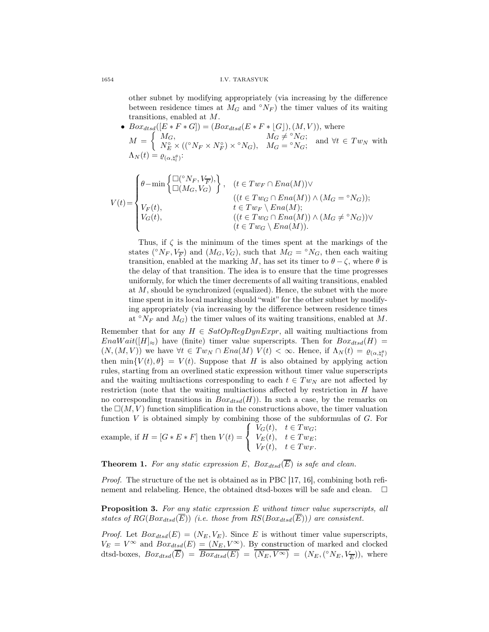### 1654 I.V. TARASYUK

other subnet by modifying appropriately (via increasing by the difference between residence times at  $M_G$  and  $\circ N_F$ ) the timer values of its waiting transitions, enabled at M.

•  $Box_{dtsd}([E * F * G]) = (Box_{dtsd}(E * F * [G]), (M, V)),$  where  $M =$  $\int M_G,$   $M_G \neq {}^{\circ}N_G;$  $N_{E}^{\circ} \times (({}^{\circ}N_{F} \times N_{F}^{\circ}) \times {}^{\circ}N_{G}),$   $M_{G} = {}^{\circ}N_{G};$  and  $\forall t \in Tw_{N}$  with  $\Lambda_N(t) = \varrho_{(\alpha, \natural_l^{\theta})}$ :

$$
V(t) = \begin{cases} \theta - \min\left\{ \frac{\Box({}^{\circ}N_{F}, V_{\overline{F}})}{\Box(M_{G}, V_{G})} \right\}, & (t \in Tw_{F} \cap Ena(M)) \vee \\ V_{F}(t), & (t \in Tw_{G} \cap Ena(M)) \wedge (M_{G} = {}^{\circ}N_{G})) ; \\ V_{G}(t), & t \in Tw_{F} \setminus Ena(M); \\ V_{G}(t), & (t \in Tw_{G} \cap Ena(M)) \wedge (M_{G} \neq {}^{\circ}N_{G})) \vee \\ & (t \in Tw_{G} \setminus Ena(M)). \end{cases}
$$

Thus, if  $\zeta$  is the minimum of the times spent at the markings of the states ( $\sqrt{\ }N_F, V_{\overline{F}}$ ) and  $(M_G, V_G)$ , such that  $M_G = \sqrt{\ }N_G$ , then each waiting transition, enabled at the marking M, has set its timer to  $\theta - \zeta$ , where  $\theta$  is the delay of that transition. The idea is to ensure that the time progresses uniformly, for which the timer decrements of all waiting transitions, enabled at M, should be synchronized (equalized). Hence, the subnet with the more time spent in its local marking should "wait" for the other subnet by modifying appropriately (via increasing by the difference between residence times at  $\mathcal{O}_{N_F}$  and  $M_G$ ) the timer values of its waiting transitions, enabled at M.

Remember that for any  $H \in SatOpRegDynExpr$ , all waiting multiactions from  $EnaWait([H]_{\approx})$  have (finite) timer value superscripts. Then for  $Box_{dtsd}(H)$  =  $(N,(M,V))$  we have  $\forall t \in Tw_N \cap Ena(M)$   $V(t) < \infty$ . Hence, if  $\Lambda_N(t) = \varrho_{(\alpha, \natural_t^{\beta})}$ then  $\min\{V(t), \theta\} = V(t)$ . Suppose that H is also obtained by applying action rules, starting from an overlined static expression without timer value superscripts and the waiting multiactions corresponding to each  $t \in Tw_N$  are not affected by restriction (note that the waiting multiactions affected by restriction in  $H$  have no corresponding transitions in  $Box_{dtsd}(H)$ ). In such a case, by the remarks on the  $\Box(M, V)$  function simplification in the constructions above, the timer valuation function  $V$  is obtained simply by combining those of the subformulas of  $G$ . For  $\overline{V}_{\alpha}(t)$  $\mathcal{L} \subset T_{\text{out}}$ 

example, if 
$$
H = [G * E * F]
$$
 then  $V(t) = \begin{cases} V_G(t), & t \in Tw_G; \\ V_E(t), & t \in Tw_E; \\ V_F(t), & t \in Tw_F. \end{cases}$ 

**Theorem 1.** For any static expression E,  $Box_{dtsd}(\overline{E})$  is safe and clean.

Proof. The structure of the net is obtained as in PBC [17, 16], combining both refinement and relabeling. Hence, the obtained dtsd-boxes will be safe and clean.  $\Box$ 

Proposition 3. For any static expression E without timer value superscripts, all states of  $RG(Box_{dtsd}(\overline{E}))$  (i.e. those from  $RS(Box_{dtsd}(\overline{E})))$  are consistent.

*Proof.* Let  $Box_{dtsd}(E) = (N_E, V_E)$ . Since E is without timer value superscripts,  $V_E = V^{\infty}$  and  $Box_{dtsd}(E) = (N_E, V^{\infty})$ . By construction of marked and clocked dtsd-boxes,  $Box_{dtsd}(\overline{E}) = \overline{Box_{dtsd}(E)} = (\overline{N_E, V^{\infty}}) = (N_E, ({}^{\circ}N_E, V_{\overline{E}}))$ , where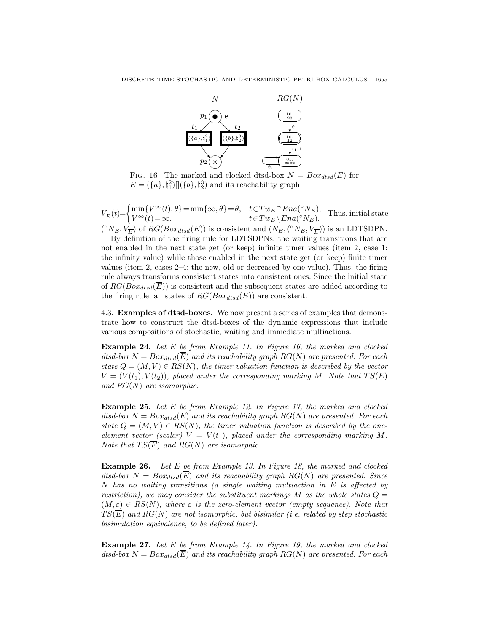

FIG. 16. The marked and clocked dtsd-box  $N = Box_{dtsd}(\overline{E})$  for  $E = (\{a\}, \natural_1^2) [](\{b\}, \natural_2^3)$  and its reachability graph

 $V_{\overline{E}}(t) = \begin{cases} \min\{V^{\infty}(t), \theta\} = \min\{\infty, \theta\} = \theta, & t \in Tw_E \cap Ena({}^{\circ}N_E); \\ V^{\infty}(t) = \infty & t \in Tw_E \setminus Ena({}^{\circ}N_E); \end{cases}$  $V^{\infty}(t) = \infty,$   $t \in Tw_E \setminus Ena(^{\circ}N_E).$  Thus, initial state  $V^{\infty}(t) = \infty$ ,  $({}^{\circ}N_E, V_{\overline{E}})$  of  $RG(Box_{dtsd}(\overline{E}))$  is consistent and  $(N_E, ({}^{\circ}N_E, V_{\overline{E}}))$  is an LDTSDPN.

By definition of the firing rule for LDTSDPNs, the waiting transitions that are not enabled in the next state get (or keep) infinite timer values (item 2, case 1: the infinity value) while those enabled in the next state get (or keep) finite timer values (item 2, cases 2–4: the new, old or decreased by one value). Thus, the firing rule always transforms consistent states into consistent ones. Since the initial state of  $RG(Box_{dtsd}(\overline{E}))$  is consistent and the subsequent states are added according to the firing rule, all states of  $RG(Box_{dtsd}(\overline{E}))$  are consistent.

4.3. Examples of dtsd-boxes. We now present a series of examples that demonstrate how to construct the dtsd-boxes of the dynamic expressions that include various compositions of stochastic, waiting and immediate multiactions.

Example 24. Let E be from Example 11. In Figure 16, the marked and clocked dtsd-box  $N = Box_{dtsd}(\overline{E})$  and its reachability graph  $RG(N)$  are presented. For each state  $Q = (M, V) \in RS(N)$ , the timer valuation function is described by the vector  $V = (V(t_1), V(t_2)),$  placed under the corresponding marking M. Note that  $TS(\overline{E})$ and  $RG(N)$  are isomorphic.

Example 25. Let E be from Example 12. In Figure 17, the marked and clocked dtsd-box  $N = Box_{dtsd}(\overline{E})$  and its reachability graph  $RG(N)$  are presented. For each state  $Q = (M, V) \in RS(N)$ , the timer valuation function is described by the oneelement vector (scalar)  $V = V(t_1)$ , placed under the corresponding marking M. Note that  $TS(\overline{E})$  and  $RG(N)$  are isomorphic.

**Example 26.** . Let E be from Example 13. In Figure 18, the marked and clocked dtsd-box  $N = Box_{dtsd}(\overline{E})$  and its reachability graph  $RG(N)$  are presented. Since  $N$  has no waiting transitions (a single waiting multiaction in  $E$  is affected by restriction), we may consider the substituent markings M as the whole states  $Q =$  $(M, \varepsilon) \in RS(N)$ , where  $\varepsilon$  is the zero-element vector (empty sequence). Note that  $TS(\overline{E})$  and  $RG(N)$  are not isomorphic, but bisimilar (i.e. related by step stochastic bisimulation equivalence, to be defined later).

**Example 27.** Let  $E$  be from Example 14. In Figure 19, the marked and clocked dtsd-box  $N = Box_{dtsd}(\overline{E})$  and its reachability graph  $RG(N)$  are presented. For each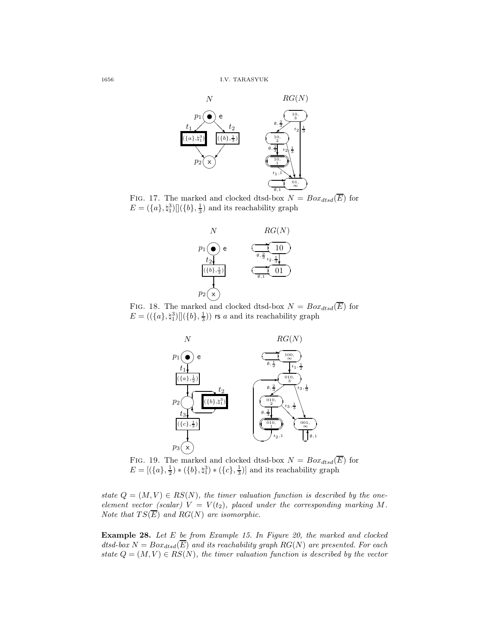

FIG. 17. The marked and clocked dtsd-box  $N = Box_{dtsd}(\overline{E})$  for  $E = (\{a\}, \natural_1^3) [](\{b\}, \frac{1}{3})$  and its reachability graph



FIG. 18. The marked and clocked dtsd-box  $N = Box_{dtsd}(\overline{E})$  for  $E = ((\{a\}, \natural_1^3) || (\{b\}, \frac{1}{3}))$  rs a and its reachability graph



FIG. 19. The marked and clocked dtsd-box  $N = Box_{dtsd}(\overline{E})$  for  $E = [(\{a\}, \frac{1}{2}) * (\{b\}, \natural_1^3) * (\{c\}, \frac{1}{3})]$  and its reachability graph

state  $Q = (M, V) \in RS(N)$ , the timer valuation function is described by the oneelement vector (scalar)  $V = V(t_2)$ , placed under the corresponding marking M. Note that  $TS(\overline{E})$  and  $RG(N)$  are isomorphic.

Example 28. Let E be from Example 15. In Figure 20, the marked and clocked dtsd-box  $N = Box_{dtsd}(\overline{E})$  and its reachability graph  $RG(N)$  are presented. For each state  $Q = (M, V) \in RS(N)$ , the timer valuation function is described by the vector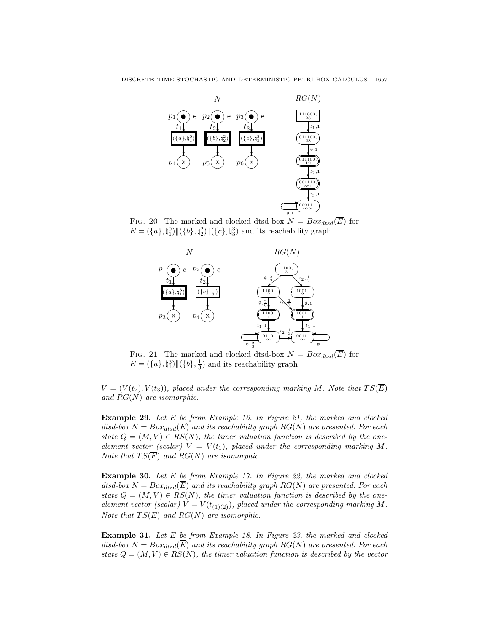

FIG. 20. The marked and clocked dtsd-box  $N = Box_{dtsd}(\overline{E})$  for  $E = (\{a\}, \natural_1^0) || (\{b\}, \natural_2^2) || (\{c\}, \natural_3^3)$  and its reachability graph



FIG. 21. The marked and clocked dtsd-box  $N = Box_{dtsd}(\overline{E})$  for  $E = (\{a\}, \{a}_1^3) || (\{b\}, \frac{1}{3})$  and its reachability graph

 $V = (V(t<sub>2</sub>), V(t<sub>3</sub>)),$  placed under the corresponding marking M. Note that  $TS(\overline{E})$ and  $RG(N)$  are isomorphic.

Example 29. Let E be from Example 16. In Figure 21, the marked and clocked dtsd-box  $N = Box_{dtsd}(\overline{E})$  and its reachability graph  $RG(N)$  are presented. For each state  $Q = (M, V) \in RS(N)$ , the timer valuation function is described by the oneelement vector (scalar)  $V = V(t_1)$ , placed under the corresponding marking M. Note that  $TS(\overline{E})$  and  $RG(N)$  are isomorphic.

Example 30. Let E be from Example 17. In Figure 22, the marked and clocked  $dtsd-box N = Box_{dtsd}(E)$  and its reachability graph  $RG(N)$  are presented. For each state  $Q = (M, V) \in RS(N)$ , the timer valuation function is described by the oneelement vector (scalar)  $V = V(t_{(1)(2)})$ , placed under the corresponding marking M. Note that  $TS(\overline{E})$  and  $RG(N)$  are isomorphic.

Example 31. Let E be from Example 18. In Figure 23, the marked and clocked  $dtsd-box N = Box_{dtsd}(\overline{E})$  and its reachability graph  $RG(N)$  are presented. For each state  $Q = (M, V) \in RS(N)$ , the timer valuation function is described by the vector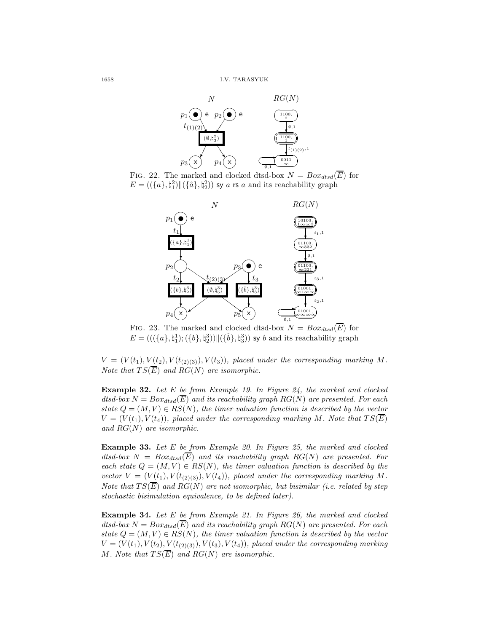

FIG. 22. The marked and clocked dtsd-box  $N = Box_{dtsd}(\overline{E})$  for  $E = ((\{a\}, \natural_1^2) \| (\{\hat{a}\}, \natural_2^2))$  sy a rs a and its reachability graph



FIG. 23. The marked and clocked dtsd-box  $N = Box_{dtsd}(\overline{E})$  for  $E = (((\{a\},\natural_1^1);(\{b\},\natural_2^3)) \| (\{\hat{b}\},\natural_3^3))$  sy b and its reachability graph

 $V = (V(t_1), V(t_2), V(t_{(2)(3)}), V(t_3)),$  placed under the corresponding marking M. Note that  $TS(\overline{E})$  and  $RG(N)$  are isomorphic.

**Example 32.** Let  $E$  be from Example 19. In Figure 24, the marked and clocked dtsd-box  $N = Box_{dtsd}(\overline{E})$  and its reachability graph  $RG(N)$  are presented. For each state  $Q = (M, V) \in RS(N)$ , the timer valuation function is described by the vector  $V = (V(t_1), V(t_4)),$  placed under the corresponding marking M. Note that  $TS(E)$ and  $RG(N)$  are isomorphic.

Example 33. Let E be from Example 20. In Figure 25, the marked and clocked dtsd-box  $N = Box_{dtsd}(\overline{E})$  and its reachability graph  $RG(N)$  are presented. For each state  $Q = (M, V) \in RS(N)$ , the timer valuation function is described by the vector  $V = (V(t_1), V(t_{(2)(3)}), V(t_4))$ , placed under the corresponding marking M. Note that  $TS(\overline{E})$  and  $RG(N)$  are not isomorphic, but bisimilar (i.e. related by step stochastic bisimulation equivalence, to be defined later).

Example 34. Let E be from Example 21. In Figure 26, the marked and clocked dtsd-box  $N = Box_{dtsd}(\overline{E})$  and its reachability graph  $RG(N)$  are presented. For each state  $Q = (M, V) \in RS(N)$ , the timer valuation function is described by the vector  $V = (V(t_1), V(t_2), V(t_{(2)(3)}), V(t_3), V(t_4))$ , placed under the corresponding marking M. Note that  $TS(\overline{E})$  and  $RG(N)$  are isomorphic.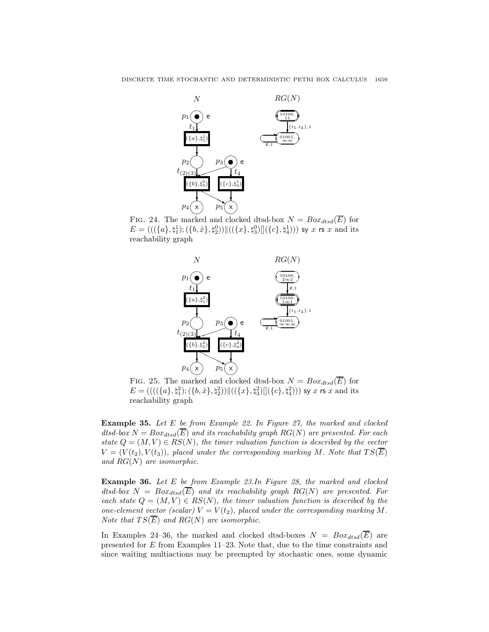

FIG. 24. The marked and clocked dtsd-box  $N = Box_{dtsd}(\overline{E})$  for  $E=(((\{a\},\natural_1^1);(\{b,\hat{x}\},\natural_2^0))\|((\{x\},\natural_3^0)\|(\{c\},\natural_4^1)))$  sy  $x$  rs  $x$  and its reachability graph



FIG. 25. The marked and clocked dtsd-box  $N = Box_{dtsd}(\overline{E})$  for  $E=(((\{\pmb{(}(\{a\},\mathfrak{h}_1^2);(\{b,\hat{x}\},\mathfrak{h}_2^2))\|((\{x\},\mathfrak{h}_3^2)][(\{c\},\mathfrak{h}_4^2)))$  sy  $x$  rs  $x$  and its reachability graph

Example 35. Let E be from Example 22. In Figure 27, the marked and clocked dtsd-box  $N = Box_{dtsd}(\overline{E})$  and its reachability graph  $RG(N)$  are presented. For each state  $Q = (M, V) \in RS(N)$ , the timer valuation function is described by the vector  $V = (V(t<sub>2</sub>), V(t<sub>3</sub>)),$  placed under the corresponding marking M. Note that  $TS(\overline{E})$ and  $RG(N)$  are isomorphic.

Example 36. Let E be from Example 23.In Figure 28, the marked and clocked dtsd-box  $N = Box_{dtsd}(\overline{E})$  and its reachability graph  $RG(N)$  are presented. For each state  $Q = (M, V) \in RS(N)$ , the timer valuation function is described by the one-element vector (scalar)  $V = V(t_2)$ , placed under the corresponding marking M. Note that  $TS(E)$  and  $RG(N)$  are isomorphic.

In Examples 24–36, the marked and clocked dtsd-boxes  $N = Box_{dtsd}(\overline{E})$  are presented for E from Examples 11–23. Note that, due to the time constraints and since waiting multiactions may be preempted by stochastic ones, some dynamic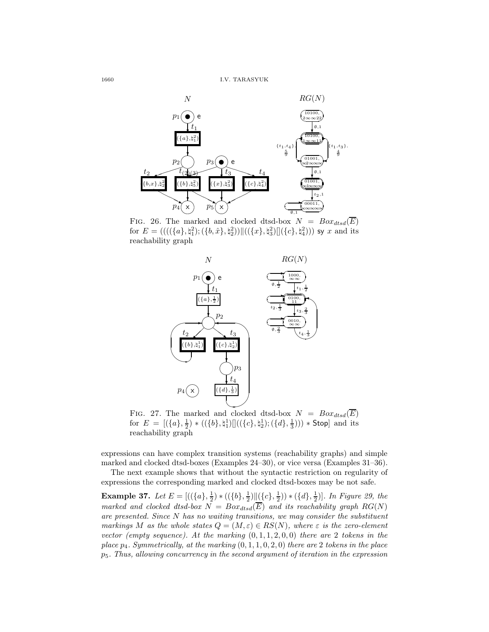

FIG. 26. The marked and clocked dtsd-box  $N = Box_{dtsd}(\overline{E})$ for  $E = (((({a},{{t}_1}^2),{{t}_1}^2);({b},{{\hat{x}}},{{t}_2}^2))||(({{x}},{{t}_3}^2) ||({c},{{t}_1}^2))$  sy x and its reachability graph



FIG. 27. The marked and clocked dtsd-box  $N = Box_{dtsd}(\overline{E})$ for  $E = [(\{a\}, \frac{1}{2}) * ((\{b\}, \natural_1^1)]]((\{c\}, \natural_2^1); (\{d\}, \frac{1}{3}))) * \text{Stop}]$  and its reachability graph

expressions can have complex transition systems (reachability graphs) and simple marked and clocked dtsd-boxes (Examples 24–30), or vice versa (Examples 31–36).

The next example shows that without the syntactic restriction on regularity of expressions the corresponding marked and clocked dtsd-boxes may be not safe.

**Example 37.** Let  $E = [((\{a\}, \frac{1}{2}) * ((\{b\}, \frac{1}{2}) || (\{c\}, \frac{1}{2})) * (\{d\}, \frac{1}{2})]$ . In Figure 29, the marked and clocked dtsd-box  $N = Box_{dtsd}(\overline{E})$  and its reachability graph  $RG(N)$ are presented. Since N has no waiting transitions, we may consider the substituent markings M as the whole states  $Q = (M, \varepsilon) \in RS(N)$ , where  $\varepsilon$  is the zero-element vector (empty sequence). At the marking  $(0, 1, 1, 2, 0, 0)$  there are 2 tokens in the place  $p_4$ . Symmetrically, at the marking  $(0, 1, 1, 0, 2, 0)$  there are 2 tokens in the place  $p_5$ . Thus, allowing concurrency in the second argument of iteration in the expression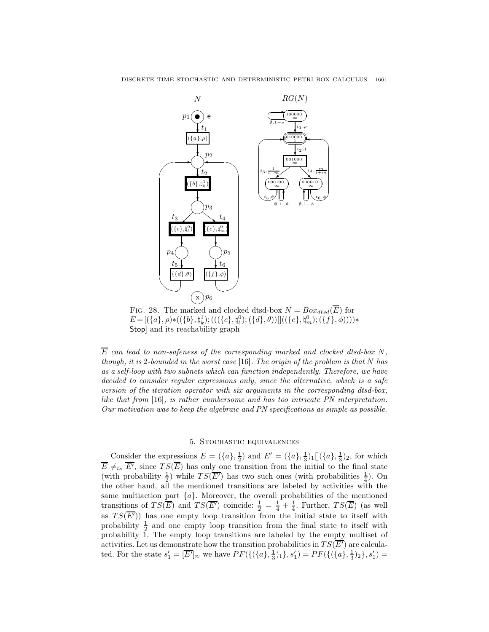

FIG. 28. The marked and clocked dtsd-box  $N = Box_{dst}(\overline{E})$  for  $E \!=\! [(\{a\}, \rho) \ast ((\{b\}, \natural_k^1); (((\{c\}, \natural_l^0); (\{d\}, \theta))]((\{e\}, \natural_m^0); (\{f\}, \phi)))) \ast$ Stop] and its reachability graph

 $E$  can lead to non-safeness of the corresponding marked and clocked dtsd-box  $N$ , though, it is 2-bounded in the worst case [16]. The origin of the problem is that  $N$  has as a self-loop with two subnets which can function independently. Therefore, we have decided to consider regular expressions only, since the alternative, which is a safe version of the iteration operator with six arguments in the corresponding dtsd-box, like that from [16], is rather cumbersome and has too intricate PN interpretation. Our motivation was to keep the algebraic and PN specifications as simple as possible.

# 5. Stochastic equivalences

Consider the expressions  $E = (\{a\}, \frac{1}{2})$  and  $E' = (\{a\}, \frac{1}{3})_1 [](\{a\}, \frac{1}{3})_2$ , for which  $\overline{E} \neq_{ts} \overline{E'}$ , since  $TS(\overline{E})$  has only one transition from the initial to the final state (with probability  $\frac{1}{2}$ ) while  $TS(\overline{E'})$  has two such ones (with probabilities  $\frac{1}{4}$ ). On the other hand, all the mentioned transitions are labeled by activities with the same multiaction part  $\{a\}$ . Moreover, the overall probabilities of the mentioned transitions of  $TS(\overline{E})$  and  $TS(\overline{E'})$  coincide:  $\frac{1}{2} = \frac{1}{4} + \frac{1}{4}$ . Further,  $TS(\overline{E})$  (as well as  $TS(\overline{E'})$  has one empty loop transition from the initial state to itself with probability  $\frac{1}{2}$  and one empty loop transition from the final state to itself with probability 1. The empty loop transitions are labeled by the empty multiset of activities. Let us demonstrate how the transition probabilities in  $TS(\overline{E'})$  are calculated. For the state  $s'_1 = [\overline{E'}]_{\approx}$  we have  $PF(\{(\{a\}, \frac{1}{3})_1\}, s'_1) = PF(\{(\{a\}, \frac{1}{3})_2\}, s'_1) =$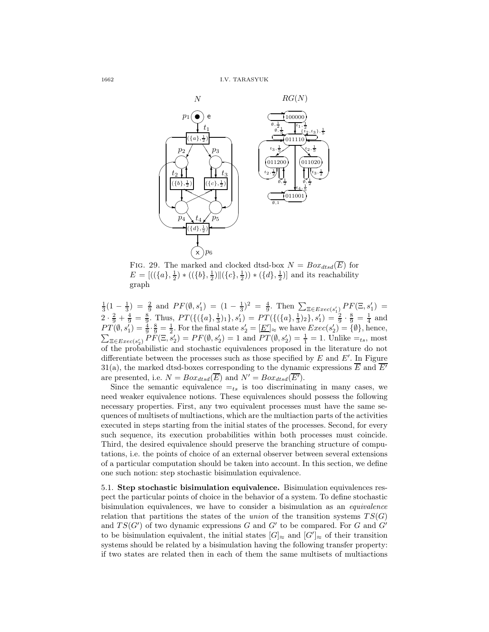

FIG. 29. The marked and clocked dtsd-box  $N = Box_{dtsd}(\overline{E})$  for  $E = [((\{a\}, \frac{1}{2}) * ((\{b\}, \frac{1}{2}) || (\{c\}, \frac{1}{2})) * (\{d\}, \frac{1}{2})]$  and its reachability graph

 $\frac{1}{3}(1-\frac{1}{3}) = \frac{2}{9}$  and  $PF(\emptyset, s'_1) = (1-\frac{1}{3})^2 = \frac{4}{9}$ . Then  $\sum_{\Xi \in Excel( s'_1) } PF(\Xi, s'_1)$  $2 \cdot \frac{2}{9} + \frac{4}{9} = \frac{8}{9}$ . Thus,  $PT(\{(\{a\},\frac{1}{3})_1\},s'_1) = PT(\{(\{a\},\frac{1}{3})_2\},s'_1) = \frac{2}{9} \cdot \frac{8}{9} = \frac{1}{4}$  and  $PT(\emptyset, s'_1) = \frac{4}{9} \cdot \frac{8}{9} = \frac{1}{2}$ . For the final state  $s'_2 = [\underline{E'}]_{\approx}$  we have  $Exec(s'_2) = {\emptyset}$ , hence,  $\sum_{\Xi \in E \text{,} \mathcal{E}(\mathbf{s}'_2)} P F(\Xi, \bar{\mathbf{s}}'_2) = P F(\emptyset, \mathbf{s}'_2) = 1$  and  $PT(\emptyset, \mathbf{s}'_2) = \frac{1}{1} = 1$ . Unlike  $=_{ts}$ , most of the probabilistic and stochastic equivalences proposed in the literature do not differentiate between the processes such as those specified by  $E$  and  $E'$ . In Figure 31(a), the marked dtsd-boxes corresponding to the dynamic expressions  $\overline{E}$  and  $\overline{E'}$ are presented, i.e.  $N = Box_{dtsd}(\overline{E})$  and  $N' = Box_{dtsd}(\overline{E'}).$ 

Since the semantic equivalence  $=_{ts}$  is too discriminating in many cases, we need weaker equivalence notions. These equivalences should possess the following necessary properties. First, any two equivalent processes must have the same sequences of multisets of multiactions, which are the multiaction parts of the activities executed in steps starting from the initial states of the processes. Second, for every such sequence, its execution probabilities within both processes must coincide. Third, the desired equivalence should preserve the branching structure of computations, i.e. the points of choice of an external observer between several extensions of a particular computation should be taken into account. In this section, we define one such notion: step stochastic bisimulation equivalence.

5.1. Step stochastic bisimulation equivalence. Bisimulation equivalences respect the particular points of choice in the behavior of a system. To define stochastic bisimulation equivalences, we have to consider a bisimulation as an equivalence relation that partitions the states of the union of the transition systems  $TS(G)$ and  $TS(G')$  of two dynamic expressions G and G' to be compared. For G and G' to be bisimulation equivalent, the initial states  $[G]_{\approx}$  and  $[G']_{\approx}$  of their transition systems should be related by a bisimulation having the following transfer property: if two states are related then in each of them the same multisets of multiactions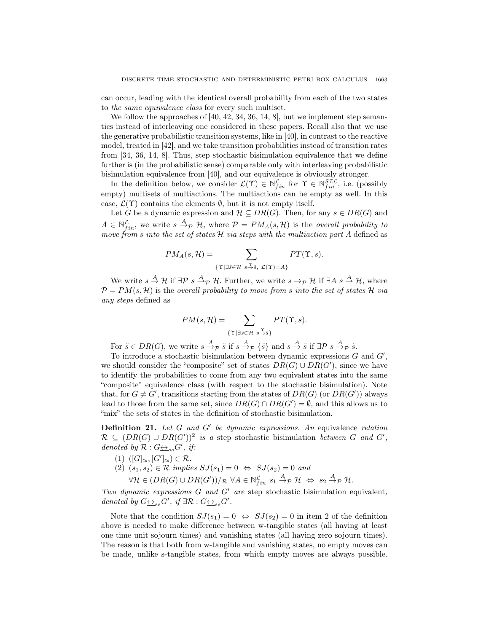can occur, leading with the identical overall probability from each of the two states to the same equivalence class for every such multiset.

We follow the approaches of [40, 42, 34, 36, 14, 8], but we implement step semantics instead of interleaving one considered in these papers. Recall also that we use the generative probabilistic transition systems, like in [40], in contrast to the reactive model, treated in [42], and we take transition probabilities instead of transition rates from [34, 36, 14, 8]. Thus, step stochastic bisimulation equivalence that we define further is (in the probabilistic sense) comparable only with interleaving probabilistic bisimulation equivalence from [40], and our equivalence is obviously stronger.

In the definition below, we consider  $\mathcal{L}(\Upsilon) \in \mathbb{N}_{fin}^{\mathcal{L}}$  for  $\Upsilon \in \mathbb{N}_{fin}^{SL\mathcal{L}}$ , i.e. (possibly empty) multisets of multiactions. The multiactions can be empty as well. In this case,  $\mathcal{L}(\Upsilon)$  contains the elements  $\emptyset$ , but it is not empty itself.

Let G be a dynamic expression and  $\mathcal{H} \subseteq DR(G)$ . Then, for any  $s \in DR(G)$  and  $A \in \mathbb{N}_{fin}^{\mathcal{L}},$  we write  $s \stackrel{A}{\rightarrow}_{\mathcal{P}} \mathcal{H}$ , where  $\mathcal{P} = PM_A(s, \mathcal{H})$  is the *overall probability to* move from s into the set of states  $\mathcal H$  via steps with the multiaction part A defined as

$$
PM_A(s, \mathcal{H}) = \sum_{\{\Upsilon \mid \exists \tilde{s} \in \mathcal{H} \ s \stackrel{\Upsilon}{\to} \tilde{s}, \ \mathcal{L}(\Upsilon) = A\}} PT(\Upsilon, s).
$$

We write  $s \stackrel{A}{\rightarrow} \mathcal{H}$  if  $\exists \mathcal{P} \ s \stackrel{A}{\rightarrow} \mathcal{P} \ \mathcal{H}$ . Further, we write  $s \rightarrow_{\mathcal{P}} \mathcal{H}$  if  $\exists A \ s \stackrel{A}{\rightarrow} \mathcal{H}$ , where  $P = PM(s, \mathcal{H})$  is the overall probability to move from s into the set of states H via any steps defined as

$$
PM(s, \mathcal{H}) = \sum_{\{\Upsilon \mid \exists \tilde{s} \in \mathcal{H}} \ s \stackrel{\Upsilon}{\rightarrow} \tilde{s} \}} PT(\Upsilon, s).
$$

For  $\tilde{s} \in DR(G)$ , we write  $s \stackrel{A}{\rightarrow} p \tilde{s}$  if  $s \stackrel{A}{\rightarrow} p \{\tilde{s}\}\$  and  $s \stackrel{A}{\rightarrow} \tilde{s}$  if  $\exists \mathcal{P} s \stackrel{A}{\rightarrow} p \tilde{s}$ .

To introduce a stochastic bisimulation between dynamic expressions  $G$  and  $G'$ , we should consider the "composite" set of states  $DR(G) \cup DR(G')$ , since we have to identify the probabilities to come from any two equivalent states into the same "composite" equivalence class (with respect to the stochastic bisimulation). Note that, for  $G \neq G'$ , transitions starting from the states of  $DR(G)$  (or  $DR(G')$ ) always lead to those from the same set, since  $DR(G) \cap DR(G') = \emptyset$ , and this allows us to "mix" the sets of states in the definition of stochastic bisimulation.

**Definition 21.** Let  $G$  and  $G'$  be dynamic expressions. An equivalence relation  $\mathcal{R} \subseteq (DR(G) \cup DR(G'))^2$  is a step stochastic bisimulation between G and G', denoted by  $\mathcal{R}: G \rightarrow S_{ss} G'$ , if:

- (1)  $([G]_{\approx}, [G']_{\approx}) \in \mathcal{R}$ .
- $(2)$   $(s_1, s_2) \in \mathcal{R}$  implies  $SJ(s_1) = 0 \Leftrightarrow SJ(s_2) = 0$  and

$$
\forall \mathcal{H} \in (DR(G) \cup DR(G'))/_{\mathcal{R}} \ \forall A \in \mathbb{N}_{fin}^{\mathcal{L}} \ s_1 \stackrel{A}{\rightarrow}_{\mathcal{P}} \mathcal{H} \ \Leftrightarrow \ s_2 \stackrel{A}{\rightarrow}_{\mathcal{P}} \mathcal{H}.
$$

Two dynamic expressions  $G$  and  $G'$  are step stochastic bisimulation equivalent, denoted by  $G \underline{\leftrightarrow}_{ss} G'$ , if  $\exists \mathcal{R} : G \underline{\leftrightarrow}_{ss} G'$ .

Note that the condition  $SJ(s_1) = 0 \Leftrightarrow SJ(s_2) = 0$  in item 2 of the definition above is needed to make difference between w-tangible states (all having at least one time unit sojourn times) and vanishing states (all having zero sojourn times). The reason is that both from w-tangible and vanishing states, no empty moves can be made, unlike s-tangible states, from which empty moves are always possible.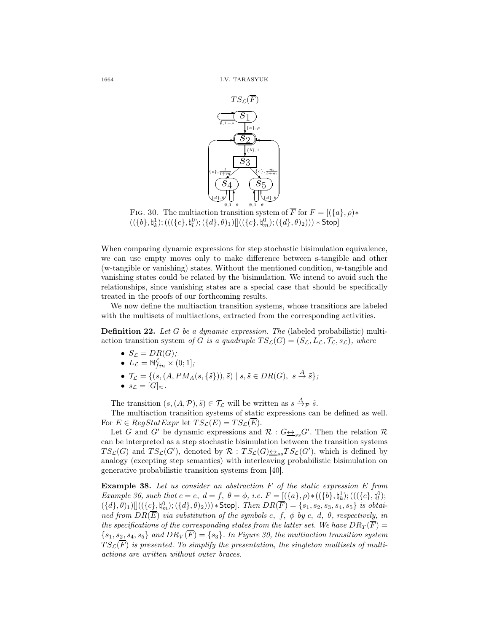

FIG. 30. The multiaction transition system of  $\overline{F}$  for  $F = [(\lbrace a \rbrace, \rho) *$  $((\{b\},\natural_k^1);(((\{c\},\natural_l^0);(\{d\},\theta)_1)[((\{c\},\natural_m^0);(\{d\},\theta)_2))) * \mathsf{Stop}]$ 

When comparing dynamic expressions for step stochastic bisimulation equivalence, we can use empty moves only to make difference between s-tangible and other (w-tangible or vanishing) states. Without the mentioned condition, w-tangible and vanishing states could be related by the bisimulation. We intend to avoid such the relationships, since vanishing states are a special case that should be specifically treated in the proofs of our forthcoming results.

We now define the multiaction transition systems, whose transitions are labeled with the multisets of multiactions, extracted from the corresponding activities.

**Definition 22.** Let G be a dynamic expression. The (labeled probabilistic) multiaction transition system of G is a quadruple  $TS_{\mathcal{L}}(G) = (S_{\mathcal{L}}, L_{\mathcal{L}}, \mathcal{T}_{\mathcal{L}}, s_{\mathcal{L}})$ , where

•  $S_{\mathcal{L}} = DR(G);$ 

• 
$$
L_{\mathcal{L}} = \mathbb{N}_{fin}^{\mathcal{L}} \times (0, 1];
$$

- $\mathcal{T}_{\mathcal{L}} = \{ (s, (A, PM_A(s, \{\tilde{s}\})), \tilde{s}) \mid s, \tilde{s} \in DR(G), s \stackrel{A}{\to} \tilde{s} \};$
- $s_{\mathcal{L}}=[G]_{\approx}.$

The transition  $(s, (A, \mathcal{P}), \tilde{s}) \in \mathcal{T}_{\mathcal{L}}$  will be written as  $s \stackrel{A}{\rightarrow} \mathcal{P} \tilde{s}$ .

The multiaction transition systems of static expressions can be defined as well. For  $E \in RegStatExpr$  let  $TS_{\mathcal{L}}(E) = TS_{\mathcal{L}}(\overline{E}).$ 

Let G and G' be dynamic expressions and  $\mathcal{R}: G \rightarrow S_{ss}G'$ . Then the relation  $\mathcal{R}$ can be interpreted as a step stochastic bisimulation between the transition systems  $TS_{\mathcal{L}}(G)$  and  $TS_{\mathcal{L}}(G')$ , denoted by  $\mathcal{R} : TS_{\mathcal{L}}(G) \rightarrow S_{ss} TS_{\mathcal{L}}(G')$ , which is defined by analogy (excepting step semantics) with interleaving probabilistic bisimulation on generative probabilistic transition systems from [40].

**Example 38.** Let us consider an abstraction  $F$  of the static expression  $E$  from Example 36, such that  $c = e, d = f, \theta = \phi$ , i.e.  $F = [(\{a\}, \rho) * ((\{b\}, \phi_k^1); (((\{c\}, \phi_l^0);$  $(\{d\},\theta)_1)\[]((\{c\},\natural_m^0);(\{d\},\theta)_2))) * \text{Stop}].$  Then  $DR(\overline{F}) = \{s_1,s_2,s_3,s_4,s_5\}$  is obtained from  $DR(\overline{E})$  via substitution of the symbols e, f,  $\phi$  by c, d,  $\theta$ , respectively, in the specifications of the corresponding states from the latter set. We have  $DR_T(\overline{F}) =$  ${s_1, s_2, s_4, s_5}$  and  $DR_V(\overline{F}) = {s_3}$ . In Figure 30, the multiaction transition system  $TS_{\mathcal{L}}(\overline{F})$  is presented. To simplify the presentation, the singleton multisets of multiactions are written without outer braces.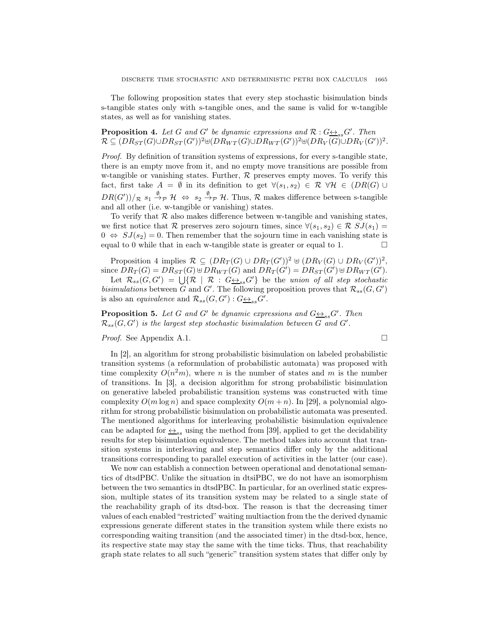The following proposition states that every step stochastic bisimulation binds s-tangible states only with s-tangible ones, and the same is valid for w-tangible states, as well as for vanishing states.

**Proposition 4.** Let G and G' be dynamic expressions and  $\mathcal{R}: G \rightarrow S_{ss} G'$ . Then  $\mathcal{R} \subseteq (DR_{ST}(G) \cup DR_{ST}(G'))^2$ ⊎ $(DR_{WT}(G) \cup DR_{WT}(G'))^2$ ⊎ $(DR_V(G) \cup DR_V(G'))^2$ .

Proof. By definition of transition systems of expressions, for every s-tangible state, there is an empty move from it, and no empty move transitions are possible from w-tangible or vanishing states. Further,  $R$  preserves empty moves. To verify this fact, first take  $A = \emptyset$  in its definition to get  $\forall (s_1, s_2) \in \mathcal{R} \ \forall \mathcal{H} \in (DR(G) \cup$  $DR(G'))/_{\mathcal{R}} s_1 \stackrel{\emptyset}{\rightarrow} \mathcal{H} \Leftrightarrow s_2 \stackrel{\emptyset}{\rightarrow} \mathcal{P} \mathcal{H}$ . Thus,  $\mathcal{R}$  makes difference between s-tangible and all other (i.e. w-tangible or vanishing) states.

To verify that  $\mathcal R$  also makes difference between w-tangible and vanishing states, we first notice that R preserves zero sojourn times, since  $\forall (s_1, s_2) \in \mathcal{R} SJ(s_1) =$  $0 \Leftrightarrow SJ(s_2) = 0$ . Then remember that the sojourn time in each vanishing state is equal to 0 while that in each w-tangible state is greater or equal to 1.  $\Box$ 

Proposition 4 implies  $\mathcal{R} \subseteq (DR_T(G) \cup DR_T(G'))^2 \oplus (DR_V(G) \cup DR_V(G'))^2$ , since  $DR_T(G) = DR_{ST}(G) \cup DR_{WT}(G)$  and  $DR_T(G') = DR_{ST}(G') \cup DR_{WT}(G')$ .

Let  $\mathcal{R}_{ss}(G,G') = \bigcup \{ \mathcal{R} \mid \mathcal{R} : G \underline{\leftrightarrow}_{ss} G' \}$  be the union of all step stochastic bisimulations between G and G'. The following proposition proves that  $\mathcal{R}_{ss}(G, G')$ is also an *equivalence* and  $\mathcal{R}_{ss}(G, G') : G \rightarrow_{ss} G'$ .

**Proposition 5.** Let G and G' be dynamic expressions and  $G \rightarrow_{ss} G'$ . Then  $\mathcal{R}_{ss}(G,G')$  is the largest step stochastic bisimulation between G and G'.

*Proof.* See Appendix A.1. □

In [2], an algorithm for strong probabilistic bisimulation on labeled probabilistic transition systems (a reformulation of probabilistic automata) was proposed with time complexity  $O(n^2m)$ , where n is the number of states and m is the number of transitions. In [3], a decision algorithm for strong probabilistic bisimulation on generative labeled probabilistic transition systems was constructed with time complexity  $O(m \log n)$  and space complexity  $O(m+n)$ . In [29], a polynomial algorithm for strong probabilistic bisimulation on probabilistic automata was presented. The mentioned algorithms for interleaving probabilistic bisimulation equivalence can be adapted for  $\leftrightarrow_{ss}$  using the method from [39], applied to get the decidability results for step bisimulation equivalence. The method takes into account that transition systems in interleaving and step semantics differ only by the additional transitions corresponding to parallel execution of activities in the latter (our case).

We now can establish a connection between operational and denotational semantics of dtsdPBC. Unlike the situation in dtsiPBC, we do not have an isomorphism between the two semantics in dtsdPBC. In particular, for an overlined static expression, multiple states of its transition system may be related to a single state of the reachability graph of its dtsd-box. The reason is that the decreasing timer values of each enabled "restricted" waiting multiaction from the the derived dynamic expressions generate different states in the transition system while there exists no corresponding waiting transition (and the associated timer) in the dtsd-box, hence, its respective state may stay the same with the time ticks. Thus, that reachability graph state relates to all such "generic" transition system states that differ only by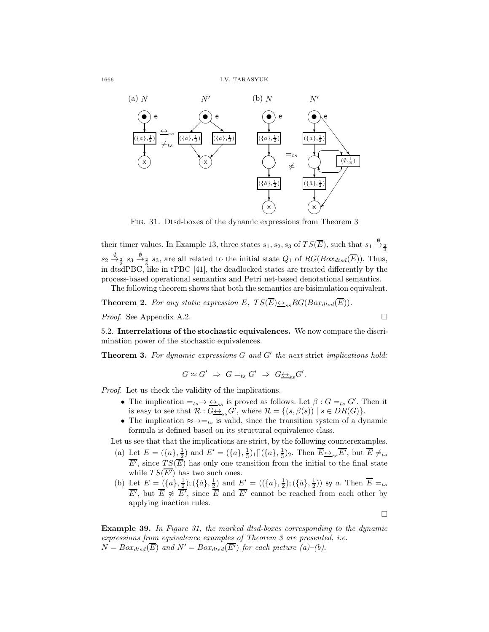

Fig. 31. Dtsd-boxes of the dynamic expressions from Theorem 3

their timer values. In Example 13, three states  $s_1, s_2, s_3$  of  $TS(\overline{E})$ , such that  $s_1 \stackrel{\emptyset}{\rightarrow} \frac{2}{3}$  $s_2 \stackrel{\emptyset}{\to}_{\frac{2}{\pi}} s_3 \stackrel{\emptyset}{\to}_{\frac{2}{\pi}} s_3$ , are all related to the initial state  $Q_1$  of  $RG(Box_{dtsd}(\overline{E}))$ . Thus, in dtsdPBC, like in tPBC [41], the deadlocked states are treated differently by the process-based operational semantics and Petri net-based denotational semantics.

The following theorem shows that both the semantics are bisimulation equivalent.

**Theorem 2.** For any static expression E,  $TS(\overline{E}) \rightarrow S \rightarrow R G(Box_{dtsd}(\overline{E}))$ .

*Proof.* See Appendix A.2. □

5.2. Interrelations of the stochastic equivalences. We now compare the discrimination power of the stochastic equivalences.

**Theorem 3.** For dynamic expressions  $G$  and  $G'$  the next strict implications hold:

$$
G\approx G'\ \Rightarrow\ G=_{ts}G'\ \Rightarrow\ G\underline{\leftrightarrow}_{ss}G'.
$$

Proof. Let us check the validity of the implications.

- The implication  $=_{ts} \rightarrow \underline{\leftrightarrow}_{ss}$  is proved as follows. Let  $\beta : G =_{ts} G'$ . Then it is easy to see that  $\mathcal{R}: G \rightarrow_{ss} G'$ , where  $\mathcal{R} = \{(s, \beta(s)) \mid s \in DR(G)\}.$
- The implication  $\approx \rightarrow =_{ts}$  is valid, since the transition system of a dynamic formula is defined based on its structural equivalence class.

Let us see that that the implications are strict, by the following counterexamples.

- (a) Let  $E = (\{a\}, \frac{1}{2})$  and  $E' = (\{a\}, \frac{1}{3})_1 [(\{a\}, \frac{1}{3})_2]$ . Then  $\overline{E} \underline{\leftrightarrow}_{ss} \overline{E'}$ , but  $\overline{E} \neq_{ts}$  $\overline{E'}$ , since  $TS(\overline{E})$  has only one transition from the initial to the final state while  $TS(\overline{E'})$  has two such ones.
- (b) Let  $E = (\{a\}, \frac{1}{2}); (\{\hat{a}\}, \frac{1}{2})$  and  $E' = ((\{a\}, \frac{1}{2}); (\{\hat{a}\}, \frac{1}{2}))$  sy a. Then  $\overline{E} =_{ts}$  $\overline{E'}$ , but  $\overline{E} \not\approx \overline{E'}$ , since  $\overline{E}$  and  $\overline{E'}$  cannot be reached from each other by applying inaction rules.

 $\Box$ 

Example 39. In Figure 31, the marked dtsd-boxes corresponding to the dynamic expressions from equivalence examples of Theorem 3 are presented, i.e.  $N = Box_{dtsd}(\overline{E})$  and  $N' = Box_{dtsd}(\overline{E'})$  for each picture (a)–(b).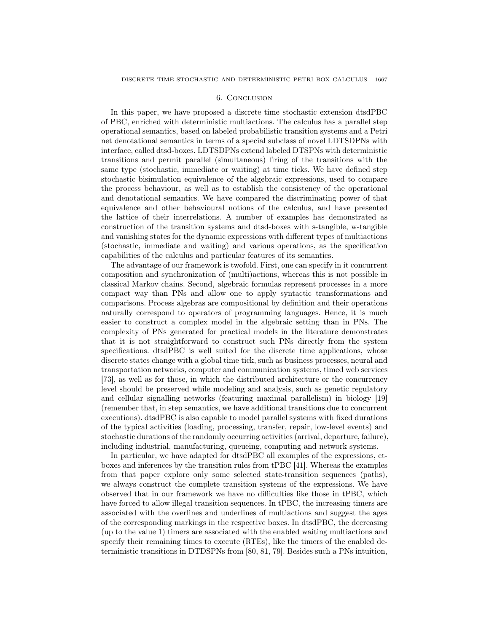# 6. Conclusion

In this paper, we have proposed a discrete time stochastic extension dtsdPBC of PBC, enriched with deterministic multiactions. The calculus has a parallel step operational semantics, based on labeled probabilistic transition systems and a Petri net denotational semantics in terms of a special subclass of novel LDTSDPNs with interface, called dtsd-boxes. LDTSDPNs extend labeled DTSPNs with deterministic transitions and permit parallel (simultaneous) firing of the transitions with the same type (stochastic, immediate or waiting) at time ticks. We have defined step stochastic bisimulation equivalence of the algebraic expressions, used to compare the process behaviour, as well as to establish the consistency of the operational and denotational semantics. We have compared the discriminating power of that equivalence and other behavioural notions of the calculus, and have presented the lattice of their interrelations. A number of examples has demonstrated as construction of the transition systems and dtsd-boxes with s-tangible, w-tangible and vanishing states for the dynamic expressions with different types of multiactions (stochastic, immediate and waiting) and various operations, as the specification capabilities of the calculus and particular features of its semantics.

The advantage of our framework is twofold. First, one can specify in it concurrent composition and synchronization of (multi)actions, whereas this is not possible in classical Markov chains. Second, algebraic formulas represent processes in a more compact way than PNs and allow one to apply syntactic transformations and comparisons. Process algebras are compositional by definition and their operations naturally correspond to operators of programming languages. Hence, it is much easier to construct a complex model in the algebraic setting than in PNs. The complexity of PNs generated for practical models in the literature demonstrates that it is not straightforward to construct such PNs directly from the system specifications. dtsdPBC is well suited for the discrete time applications, whose discrete states change with a global time tick, such as business processes, neural and transportation networks, computer and communication systems, timed web services [73], as well as for those, in which the distributed architecture or the concurrency level should be preserved while modeling and analysis, such as genetic regulatory and cellular signalling networks (featuring maximal parallelism) in biology [19] (remember that, in step semantics, we have additional transitions due to concurrent executions). dtsdPBC is also capable to model parallel systems with fixed durations of the typical activities (loading, processing, transfer, repair, low-level events) and stochastic durations of the randomly occurring activities (arrival, departure, failure), including industrial, manufacturing, queueing, computing and network systems.

In particular, we have adapted for dtsdPBC all examples of the expressions, ctboxes and inferences by the transition rules from tPBC [41]. Whereas the examples from that paper explore only some selected state-transition sequences (paths), we always construct the complete transition systems of the expressions. We have observed that in our framework we have no difficulties like those in tPBC, which have forced to allow illegal transition sequences. In tPBC, the increasing timers are associated with the overlines and underlines of multiactions and suggest the ages of the corresponding markings in the respective boxes. In dtsdPBC, the decreasing (up to the value 1) timers are associated with the enabled waiting multiactions and specify their remaining times to execute (RTEs), like the timers of the enabled deterministic transitions in DTDSPNs from [80, 81, 79]. Besides such a PNs intuition,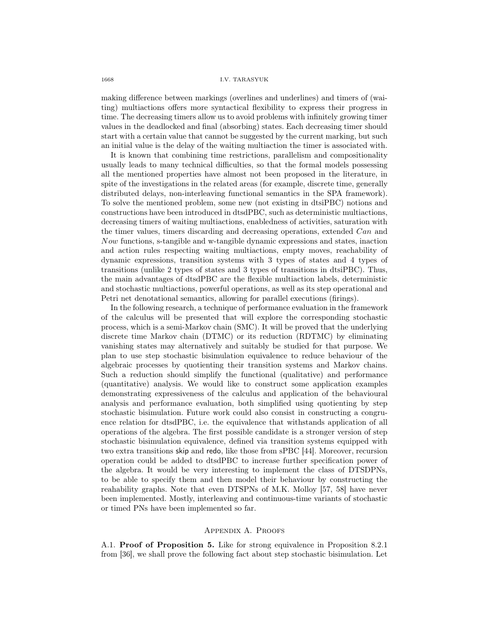#### 1668 I.V. TARASYUK

making difference between markings (overlines and underlines) and timers of (waiting) multiactions offers more syntactical flexibility to express their progress in time. The decreasing timers allow us to avoid problems with infinitely growing timer values in the deadlocked and final (absorbing) states. Each decreasing timer should start with a certain value that cannot be suggested by the current marking, but such an initial value is the delay of the waiting multiaction the timer is associated with.

It is known that combining time restrictions, parallelism and compositionality usually leads to many technical difficulties, so that the formal models possessing all the mentioned properties have almost not been proposed in the literature, in spite of the investigations in the related areas (for example, discrete time, generally distributed delays, non-interleaving functional semantics in the SPA framework). To solve the mentioned problem, some new (not existing in dtsiPBC) notions and constructions have been introduced in dtsdPBC, such as deterministic multiactions, decreasing timers of waiting multiactions, enabledness of activities, saturation with the timer values, timers discarding and decreasing operations, extended Can and Now functions, s-tangible and w-tangible dynamic expressions and states, inaction and action rules respecting waiting multiactions, empty moves, reachability of dynamic expressions, transition systems with 3 types of states and 4 types of transitions (unlike 2 types of states and 3 types of transitions in dtsiPBC). Thus, the main advantages of dtsdPBC are the flexible multiaction labels, deterministic and stochastic multiactions, powerful operations, as well as its step operational and Petri net denotational semantics, allowing for parallel executions (firings).

In the following research, a technique of performance evaluation in the framework of the calculus will be presented that will explore the corresponding stochastic process, which is a semi-Markov chain (SMC). It will be proved that the underlying discrete time Markov chain (DTMC) or its reduction (RDTMC) by eliminating vanishing states may alternatively and suitably be studied for that purpose. We plan to use step stochastic bisimulation equivalence to reduce behaviour of the algebraic processes by quotienting their transition systems and Markov chains. Such a reduction should simplify the functional (qualitative) and performance (quantitative) analysis. We would like to construct some application examples demonstrating expressiveness of the calculus and application of the behavioural analysis and performance evaluation, both simplified using quotienting by step stochastic bisimulation. Future work could also consist in constructing a congruence relation for dtsdPBC, i.e. the equivalence that withstands application of all operations of the algebra. The first possible candidate is a stronger version of step stochastic bisimulation equivalence, defined via transition systems equipped with two extra transitions skip and redo, like those from sPBC [44]. Moreover, recursion operation could be added to dtsdPBC to increase further specification power of the algebra. It would be very interesting to implement the class of DTSDPNs, to be able to specify them and then model their behaviour by constructing the reahability graphs. Note that even DTSPNs of M.K. Molloy [57, 58] have never been implemented. Mostly, interleaving and continuous-time variants of stochastic or timed PNs have been implemented so far.

# Appendix A. Proofs

A.1. Proof of Proposition 5. Like for strong equivalence in Proposition 8.2.1 from [36], we shall prove the following fact about step stochastic bisimulation. Let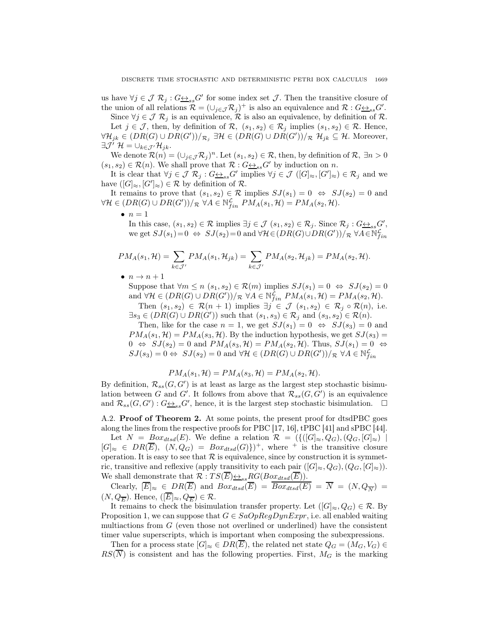us have  $\forall j \in \mathcal{J} \; \mathcal{R}_j : G \rightarrow S_S G'$  for some index set  $\mathcal{J}$ . Then the transitive closure of the union of all relations  $\mathcal{R} = (\cup_{j \in \mathcal{J}} \mathcal{R}_j)^+$  is also an equivalence and  $\mathcal{R} : G \rightarrow S} G'.$ 

Since  $\forall j \in \mathcal{J} \; \mathcal{R}_j$  is an equivalence,  $\mathcal{R}$  is also an equivalence, by definition of  $\mathcal{R}$ . Let  $j \in \mathcal{J}$ , then, by definition of  $\mathcal{R}$ ,  $(s_1, s_2) \in \mathcal{R}_j$  implies  $(s_1, s_2) \in \mathcal{R}$ . Hence,  $\forall \mathcal{H}_{jk} \in (DR(G) \cup DR(G'))/_{\mathcal{R}_j} \exists \mathcal{H} \in (DR(G) \cup DR(G'))/_{\mathcal{R}} \mathcal{H}_{jk} \subseteq \mathcal{H}$ . Moreover,  $\exists \mathcal{J}' \ \mathcal{H} = \cup_{k \in \mathcal{J}'} \mathcal{H}_{jk}.$ 

We denote  $\mathcal{R}(n) = (\cup_{j \in \mathcal{J}} \mathcal{R}_j)^n$ . Let  $(s_1, s_2) \in \mathcal{R}$ , then, by definition of  $\mathcal{R}, \exists n > 0$  $(s_1, s_2) \in \mathcal{R}(n)$ . We shall prove that  $\mathcal{R}: G \leftrightarrow_{ss} G'$  by induction on n.

It is clear that  $\forall j \in \mathcal{J} \; \mathcal{R}_j : G \underline{\leftrightarrow}_{ss} G'$  implies  $\forall j \in \mathcal{J} \; ([G]_{\approx}, [G']_{\approx}) \in \mathcal{R}_j$  and we have  $([G]_{\approx}, [G']_{\approx}) \in \mathcal{R}$  by definition of  $\mathcal{R}$ .

It remains to prove that  $(s_1, s_2) \in \mathcal{R}$  implies  $SJ(s_1) = 0 \Leftrightarrow SJ(s_2) = 0$  and  $\forall \mathcal{H} \in (DR(G) \cup DR(G'))/\mathcal{R} \,\,\forall A \in \mathbb{N}_{fin}^{\mathcal{L}}\,\,PM_A(s_1,\mathcal{H}) = PM_A(s_2,\mathcal{H}).$ 

 $\bullet$   $n=1$ 

In this case,  $(s_1, s_2) \in \mathcal{R}$  implies  $\exists j \in \mathcal{J}$   $(s_1, s_2) \in \mathcal{R}_j$ . Since  $\mathcal{R}_j : G \rightarrowss \rightarrow s$ . we get  $SJ(s_1)=0 \Leftrightarrow SJ(s_2)=0$  and  $\forall H \in (DR(G) \cup DR(G'))/\mathcal{R} \ \forall A \in \mathbb{N}_{fin}^{\mathcal{L}}$ 

$$
PM_A(s_1, \mathcal{H}) = \sum_{k \in \mathcal{J}'} PM_A(s_1, \mathcal{H}_{jk}) = \sum_{k \in \mathcal{J}'} PM_A(s_2, \mathcal{H}_{jk}) = PM_A(s_2, \mathcal{H}).
$$

 $\bullet$   $n \rightarrow n+1$ 

Suppose that  $\forall m \leq n \ (s_1, s_2) \in \mathcal{R}(m)$  implies  $SJ(s_1) = 0 \Leftrightarrow SJ(s_2) = 0$ and  $\forall \mathcal{H} \in (DR(G) \cup DR(G'))/R$   $\forall A \in \mathbb{N}_{fin}^{\mathcal{L}}$   $PM_A(s_1, \mathcal{H}) = PM_A(s_2, \mathcal{H})$ . Then  $(s_1, s_2) \in \mathcal{R}(n+1)$  implies  $\exists j \in \mathcal{J}$   $(s_1, s_2) \in \mathcal{R}_j \circ \mathcal{R}(n)$ , i.e.

 $\exists s_3 \in (DR(G) \cup DR(G'))$  such that  $(s_1, s_3) \in \mathcal{R}_j$  and  $(s_3, s_2) \in \mathcal{R}(n)$ .

Then, like for the case  $n = 1$ , we get  $SJ(s_1) = 0 \Leftrightarrow SJ(s_3) = 0$  and  $PM_A(s_1, \mathcal{H}) = PM_A(s_3, \mathcal{H})$ . By the induction hypothesis, we get  $SJ(s_3) =$  $0 \Leftrightarrow SJ(s_2) = 0$  and  $PM_A(s_3, \mathcal{H}) = PM_A(s_2, \mathcal{H})$ . Thus,  $SJ(s_1) = 0 \Leftrightarrow$  $SJ(s_3) = 0 \Leftrightarrow \ SJ(s_2) = 0 \text{ and } \forall \mathcal{H} \in (DR(G) \cup DR(G'))/\mathcal{R} \ \forall A \in \mathbb{N}_{fin}^{\mathcal{L}}$ 

$$
PM_A(s_1, \mathcal{H}) = PM_A(s_3, \mathcal{H}) = PM_A(s_2, \mathcal{H}).
$$

By definition,  $\mathcal{R}_{ss}(G, G')$  is at least as large as the largest step stochastic bisimulation between G and G'. It follows from above that  $\mathcal{R}_{ss}(G, G')$  is an equivalence and  $\mathcal{R}_{ss}(G, G') : G \rightarrow_{ss} G'$ , hence, it is the largest step stochastic bisimulation.  $\Box$ 

A.2. **Proof of Theorem 2.** At some points, the present proof for dtsdPBC goes along the lines from the respective proofs for PBC [17, 16], tPBC [41] and sPBC [44].

Let  $N = Box_{dtsd}(E)$ . We define a relation  $\mathcal{R} = \{ \{ ([G]_{\approx}, Q_G), (Q_G, [G]_{\approx}) \mid$  $[G]_{\approx} \in DR(\overline{E}), (N,Q_G) = Box_{dtsd}(G)$ <sup>+</sup>, where <sup>+</sup> is the transitive closure operation. It is easy to see that  $R$  is equivalence, since by construction it is symmetric, transitive and reflexive (apply transitivity to each pair  $([G]_{\approx},Q_G),(Q_G,[G]_{\approx})$ ). We shall demonstrate that  $\mathcal{R} : TS(E) \rightarrow S_{ss} RG(Box_{dtsd}(E)).$ 

Clearly,  $[E]_{\approx} \in DR(E)$  and  $Box_{dtsd}(E) = Box_{dtsd}(E) = N = (N, Q_{\overline{N}})$  $(N, Q_{\overline{E}})$ . Hence,  $([E]_{\approx}, Q_{\overline{E}}) \in \mathcal{R}$ .

It remains to check the bisimulation transfer property. Let  $([G]_{\approx}, Q_G) \in \mathcal{R}$ . By Proposition 1, we can suppose that  $G \in SaOpRegDynExpr$ , i.e. all enabled waiting multiactions from G (even those not overlined or underlined) have the consistent timer value superscripts, which is important when composing the subexpressions.

Then for a process state  $[G]_{\approx} \in DR(\overline{E})$ , the related net state  $Q_G = (M_G, V_G) \in$  $RS(\overline{N})$  is consistent and has the following properties. First,  $M_G$  is the marking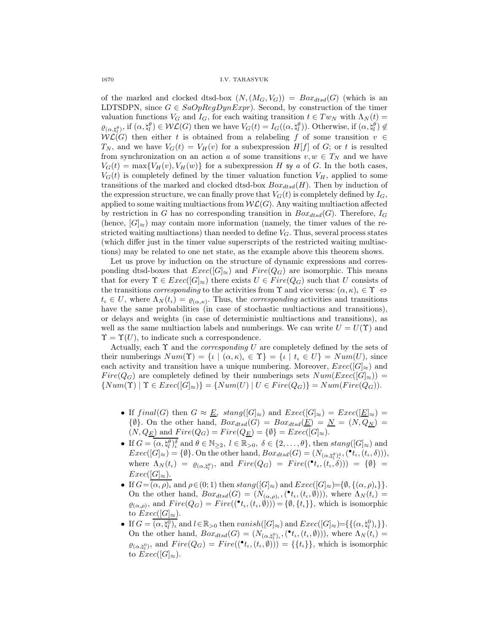1670 I.V. TARASYUK

of the marked and clocked dtsd-box  $(N,(M_G, V_G)) = Box_{dtsd}(G)$  (which is an LDTSDPN, since  $G \in SaOpRegDynExpr$ ). Second, by construction of the timer valuation functions  $V_G$  and  $I_G$ , for each waiting transition  $t \in Tw_N$  with  $\Lambda_N(t) =$  $\varrho_{(\alpha,\natural_l^{\theta})}$ , if  $(\alpha,\natural_l^{\theta}) \in \mathcal{WL}(G)$  then we have  $V_G(t) = I_G((\alpha,\natural_l^{\theta}))$ . Otherwise, if  $(\alpha,\natural_l^{\theta}) \notin$  $W{\mathcal L}(G)$  then either t is obtained from a relabeling f of some transition  $v \in$  $T_N$ , and we have  $V_G(t) = V_H(v)$  for a subexpression  $H[f]$  of G; or t is resulted from synchronization on an action a of some transitions  $v, w \in T_N$  and we have  $V_G(t) = \max\{V_H(v), V_H(w)\}\$ for a subexpression H sy a of G. In the both cases,  $V_G(t)$  is completely defined by the timer valuation function  $V_H$ , applied to some transitions of the marked and clocked dtsd-box  $Box_{dtsd}(H)$ . Then by induction of the expression structure, we can finally prove that  $V_G(t)$  is completely defined by  $I_G$ , applied to some waiting multiactions from  $W\mathcal{L}(G)$ . Any waiting multiaction affected by restriction in G has no corresponding transition in  $Box_{dtsd}(G)$ . Therefore,  $I_G$ (hence,  $[G]_{\approx}$ ) may contain more information (namely, the timer values of the restricted waiting multiactions) than needed to define  $V_G$ . Thus, several process states (which differ just in the timer value superscripts of the restricted waiting multiactions) may be related to one net state, as the example above this theorem shows.

Let us prove by induction on the structure of dynamic expressions and corresponding dtsd-boxes that  $Exec([G]_{\approx})$  and  $Fire(Q_G)$  are isomorphic. This means that for every  $\Upsilon \in \text{Exec}([G]_{\approx})$  there exists  $U \in \text{Fire}(Q_G)$  such that U consists of the transitions *corresponding* to the activities from  $\Upsilon$  and vice versa:  $(\alpha, \kappa)_i \in \Upsilon \Leftrightarrow$  $t_i \in U$ , where  $\Lambda_N(t_i) = \varrho_{(\alpha,\kappa)}$ . Thus, the *corresponding* activities and transitions have the same probabilities (in case of stochastic multiactions and transitions), or delays and weights (in case of deterministic multiactions and transitions), as well as the same multiaction labels and numberings. We can write  $U = U(\Upsilon)$  and  $\Upsilon = \Upsilon(U)$ , to indicate such a correspondence.

Actually, each  $\Upsilon$  and the *corresponding U* are completely defined by the sets of their numberings  $Num(\Upsilon) = \{ \iota \mid (\alpha, \kappa)_\iota \in \Upsilon \} = \{ \iota \mid t_\iota \in U \} = Num(U)$ , since each activity and transition have a unique numbering. Moreover,  $Exec([G]_{\approx})$  and  $Fire(Q_G)$  are completely defined by their numberings sets  $Num(Exec([G]_{\approx}))$  =  $\{Num(\Upsilon) \mid \Upsilon \in Excel(G]_{\approx}\} = \{Num(U) \mid U \in Fire(Q_G)\} = Num(Fire(Q_G)).$ 

- If  $final(G)$  then  $G \approx \underline{E}$ ,  $stand(G|_{\infty})$  and  $Exec([G]_{\infty}) =Exec([\underline{E}]_{\infty})$  $\{\emptyset\}$ . On the other hand,  $Box_{dtsd}(G) = Box_{dtsd}(\underline{E}) = \underline{N} = (N, Q_{\underline{N}}) =$  $(N, Q_{\underline{E}})$  and  $Fire(Q_G) = Fire(Q_{\underline{E}}) = {\emptyset} = Excel(G]_{\approx}$ .
- If  $G = \overline{(\alpha, \sharp_l^{\theta})_l^{\delta}}$  and  $\theta \in \mathbb{N}_{\geq 2}$ ,  $l \in \mathbb{R}_{>0}$ ,  $\delta \in \{2, ..., \theta\}$ , then  $stang([G]_{\approx})$  and  $Exec([G]_{\approx}) = \{\emptyset\}.$  On the other hand,  $Box_{dtsd}(G) = (N_{(\alpha, \natural_t^{\beta})_t^{\delta}}, (\bullet_t, (t_t, \delta))),$ where  $\Lambda_N(t_\iota) = \varrho_{(\alpha, \natural_l^{\theta})}$ , and  $Fire(Q_G) = Fire((\bullet_t, (t_\iota, \delta))) = \{\emptyset\}$  $Exec([G]_{\approx}).$
- If  $G=(\alpha, \rho)_\iota$  and  $\rho \in (0, 1)$  then  $stang([G]_\napprox)$  and  $Exec([G]_\napprox)={\emptyset, \{(\alpha, \rho)_\iota\}}$ . On the other hand,  $Box_{dtsd}(G) = (N_{(\alpha,\rho)_t},({^{\bullet}t_t},(t_t,\emptyset)))$ , where  $\Lambda_N(t_t)$  $\varrho_{(\alpha,\rho)}$ , and  $Fire(Q_G) = Fire((\bullet_t, (t_t, \emptyset))) = {\emptyset, \{t_t\}\}\$ , which is isomorphic to  $Exec([G]_{\approx}).$
- If  $G = \overline{(\alpha, \sharp_l^0)_\iota}$  and  $l \in \mathbb{R}_{>0}$  then  $vanish([G]_{\approx})$  and  $Exec([G]_{\approx})=\{\{(\alpha, \sharp_l^0)_\iota\}\}.$ On the other hand,  $Box_{dtsd}(G) = (N_{(\alpha, \n, \n, \n, \n, \n}(\cdot, (t_i, \emptyset))),$  where  $\Lambda_N(t_i) =$  $\varrho_{(\alpha,\natural_l^0)}$ , and  $Fire(Q_G) = Fire((\bullet_t, (t_t, \emptyset))) = \{\{t_t\}\}\$ , which is isomorphic to  $Exec([G]_{\approx}).$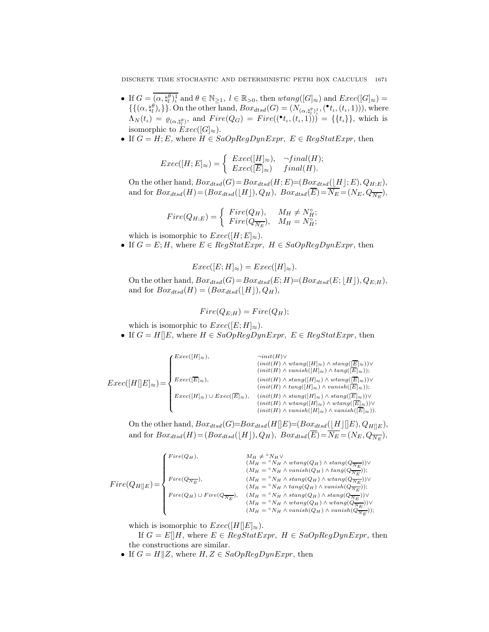DISCRETE TIME STOCHASTIC AND DETERMINISTIC PETRI BOX CALCULUS 1671

- If  $G = \overline{(\alpha, \sharp_l^{\theta})_l^{\perp}}$  and  $\theta \in \mathbb{N}_{\geq 1}$ ,  $l \in \mathbb{R}_{> 0}$ , then  $wtan g([G]_{\approx})$  and  $Exec([G]_{\approx})$  $\{\{\alpha, \sharp^{\theta}_{l}\}_{l}\}$ . On the other hand,  $Box_{dtsd}(G) = (N_{(\alpha, \sharp^{\theta}_{l})^{1}_{l}}, (\bullet_{t_{l}}, (t_{l}, 1))),$  where  $\Lambda_N(t_\iota) = \varrho_{(\alpha, \natural_l^{\theta})}$ , and  $Fire(Q_G) = Fire((\bullet_{t_\iota}, (t_\iota, 1))) = \{\{t_\iota\}\}\$ , which is isomorphic to  $Exec([G]_{\approx}).$
- If  $G = H; E$ , where  $H \in SaOpRegDynExpr$ ,  $E \in RegStatExpr$ , then

$$
Exec([H;E]_{\approx}) = \left\{ \begin{array}{ll} Excel([H]_{\approx}), & \neg final(H); \\ Excel([\overline{E}]_{\approx}) & final(H). \end{array} \right.
$$

On the other hand,  $Box_{dtsd}(G) = Box_{dtsd}(H; E) = (Box_{dtsd}([H]; E), Q_{H; E}),$ and for  $Box_{dtsd}(H) = (Box_{dtsd}(\lfloor H \rfloor), Q_H)$ ,  $Box_{dtsd}(E) = N_E = (N_E, Q_{\overline{N_E}})$ ,

$$
Fire(Q_{H;E}) = \begin{cases} Fire(Q_H), & M_H \neq N_H^{\circ}; \\ Fire(Q_{\overline{N_E}}), & M_H = N_H^{\circ}; \end{cases}
$$

which is isomorphic to  $Exec([H; E]_{\approx}).$ 

• If  $G = E; H$ , where  $E \in RegStatexpr$ ,  $H \in SaOpRegDynExpr$ , then

$$
Exec([E;H]_{\approx}) =Exec([H]_{\approx}).
$$

On the other hand,  $Box_{dtsd}(G) = Box_{dtsd}(E; H) = (Box_{dtsd}(E; [H]), Q_{E;H}),$ and for  $Box_{dtsd}(H) = (Box_{dtsd}(\lfloor H \rfloor), Q_H),$ 

$$
Fire(Q_{E;H}) = Fire(Q_H);
$$

which is isomorphic to  $Exec([E; H]_{\approx}).$ 

• If  $G = H[[E, \text{ where } H \in SaOpRegDynExpr, E \in RegStatExpr, \text{ then }$ 

$$
Exec([H\lbrack E]_{\approx}) = \left\{ \begin{aligned} \textit{Exec}([H]_{\approx}), &\quad \ \ \, \textit{init}(H) \vee \\ &\quad \ \ \, \textit{(init(H) \wedge vtang([H]_{\approx}) \wedge stang([\overline{E}]_{\approx}))} \vee \\ &\quad \ \ \, \textit{(init(H) \wedge vanish([H]_{\approx}) \wedge uang([\overline{E}]_{\approx}))} \vee \\ &\quad \ \ \, \textit{(init(H) \wedge stang([H]_{\approx}) \wedge vatang([\overline{E}]_{\approx}))} \vee \\ &\quad \ \ \, \textit{(init(H) \wedge tang([H]_{\approx}) \wedge vanish([\overline{E}]_{\approx}))} \vee \\ &\quad \ \ \, \textit{(init(H) \wedge stang([H]_{\approx}) \wedge stang([\overline{E}]_{\approx}))} \vee \\ &\quad \ \ \, \textit{(init(H) \wedge vtang([H]_{\approx}) \wedge vatang([\overline{E}]_{\approx}))} \vee \\ &\quad \ \ \, \textit{(init(H) \wedge vanish([H]_{\approx}) \wedge vanish([\overline{E}]_{\approx}))} \vee \\ &\quad \ \ \, \textit{(init(H) \wedge vanish([H]_{\approx}) \wedge vanish([\overline{E}]_{\approx}))} \vee \\ &\quad \ \ \, \textit{(init(H) \wedge vanish([H]_{\approx}) \wedge vanish([\overline{E}]_{\approx}))} \vee \\ &\quad \ \ \, \textit{(init(H) \wedge vanish([H]_{\approx}) \wedge vanish([\overline{E}]_{\approx}))} \vee \\ &\quad \ \ \, \textit{(init(H) \wedge vanish([H]_{\approx}) \wedge vanish([\overline{E}]_{\approx})} \vee \\ &\quad \ \ \, \textit{(init(H) \wedge vanish([H]_{\approx}) \wedge vanish([\overline{E}]_{\approx})} \vee \\ &\quad \ \ \, \textit{(init(H) \wedge vanish([H]_{\approx}) \wedge vanish([\overline{E}]_{\approx})} \vee \\ &\quad \ \ \, \textit{(init(H) \wedge vanish([H]_{\approx}) \wedge vanish([\overline{E}]_{\approx})} \vee \\ &\quad \ \ \
$$

On the other hand,  $Box_{dtsd}(G)=Box_{dtsd}(H[[E]=[Box_{dtsd}([H][E], Q_{H[[E]}],$ and for  $Box_{dtsd}(H) = (Box_{dtsd}(\lfloor H \rfloor), Q_H)$ ,  $Box_{dtsd}(E) = N_E = (N_E, Q_{\overline{N_E}})$ ,

$$
Fire(Q_{H} \|_{E}) = \left\{ \begin{aligned} \label{eq:free} Fire(Q_{H}) & \xrightarrow{M_{H} \neq {}^{\circ}N_{H} \vee } (M_{H} = {}^{\circ}N_{H} \wedge w \text{tang}(Q_{H}) \wedge \text{stang}(Q_{\overline{N_{E}}})) \vee \\ & (M_{H} = {}^{\circ}N_{H} \wedge v \text{anish}(Q_{H}) \wedge \text{tang}(Q_{\overline{N_{E}}})) ; \\ & (M_{H} = {}^{\circ}N_{H} \wedge \text{stang}(Q_{H}) \wedge w \text{tang}(Q_{\overline{N_{E}}})) \vee \\ & (M_{H} = {}^{\circ}N_{H} \wedge \text{tang}(Q_{H}) \wedge v \text{anish}(Q_{\overline{N_{E}}})) ; \\ & (M_{H} = {}^{\circ}N_{H} \wedge \text{tang}(Q_{H}) \wedge \text{stang}(Q_{\overline{N_{E}}})) ; \\ & (M_{H} = {}^{\circ}N_{H} \wedge v \text{atang}(Q_{H}) \wedge \text{stang}(Q_{\overline{N_{E}}})) \vee \\ & (M_{H} = {}^{\circ}N_{H} \wedge w \text{tang}(Q_{H}) \wedge w \text{anish}(Q_{\overline{N_{E}}})) ; \end{aligned} \right.
$$

which is isomorphic to  $Exec([H||E]_{\approx}).$ 

If  $G = E[]H$ , where  $E \in RegStatExpr$ ,  $H \in SaOpRegDynExpr$ , then the constructions are similar.

• If  $G = H||Z$ , where  $H, Z \in SaOpRegDynExpr$ , then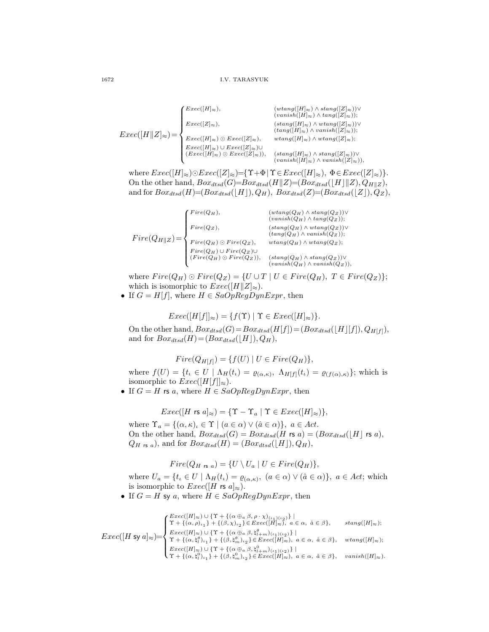$$
Exec([H\|Z]_{\approx}) = \begin{cases} \textit{Exec}([H]_{\approx}), & (\textit{wtang}([H]_{\approx}) \wedge \textit{stang}([Z]_{\approx})) \vee \\ \textit{Exec}([Z]_{\approx}), & (\textit{stang}([H]_{\approx}) \wedge \textit{tang}([Z]_{\approx})); \\ \textit{Exec}([H\|Z]_{\approx}) = \begin{cases} \textit{Exec}([Z]_{\approx}), & (\textit{stang}([H]_{\approx}) \wedge \textit{wtang}([Z]_{\approx})) \vee \\ \textit{Exec}([H]_{\approx}) \wedge \textit{Exec}([Z]_{\approx}), & \textit{wtang}([H]_{\approx}) \wedge \textit{wtang}([Z]_{\approx}) \vee \\ \textit{Exec}([H]_{\approx}) \wedge \textit{Exec}([Z]_{\approx}) \vee \\ \textit{Exec}([H]_{\approx}) \wedge \textit{Exec}([Z]_{\approx})), & (\textit{stang}([H]_{\approx}) \wedge \textit{stang}([Z]_{\approx})) \vee \\ \textit{wains}h([H]_{\approx}) \wedge \textit{vanish}([Z]_{\approx}) \vee \end{cases}
$$

where  $Exec([H]_{\approx})\odot Excel([Z]_{\approx})=\{\Upsilon+\Phi | \Upsilon \in Excel([H]_{\approx}), \Phi \in Excel([Z]_{\approx})\}.$ On the other hand,  $Box_{dtsd}(G)=Box_{dtsd}(H||Z)=(Box_{dtsd}(|H||Z), Q_{H||Z}),$ and for  $Box_{dtsd}(H) = (Box_{dtsd}(\lfloor H \rfloor), Q_H), Box_{dtsd}(Z) = (Box_{dtsd}(\lfloor Z \rfloor), Q_Z),$ 

$$
Fire(Q_{H} \| Z) = \begin{cases} \nFree(Q_H), & (wtang(Q_H) \land \text{stand}(Q_Z)) \lor \\ \nFree(Q_Z), & (sang(Q_H) \land \text{atang}(Q_Z)); \\ \nFree(Q_Z) & (stang(Q_H) \land \text{watang}(Q_Z)); \\ \nFree(Q_H) \odot \nFree(Q_Z), & wtang(Q_H) \land \text{watang}(Q_Z); \\ \nFree(Q_H) \cup \nFree(Q_Z) \cup \\ \n(Fire(Q_H) \odot \nFree(Q_Z)), & (stang(Q_H) \land \text{stand}(Q_Z)) \lor \\ \n(8.200, 1.500) & (sang(Q_H) \land \text{stand}(Q_Z)) \lor \\ \n(9.200, 1.500) & (sang(Q_H) \land \text{stand}(Q_Z)) \lor \\ \n(9.200, 1.500) & (sang(Q_H) \land \text{stand}(Q_Z)) \lor \\ \n(9.200, 1.500) & (sang(Q_H) \land \text{stand}(Q_Z)) \lor \\ \n(9.200, 1.500) & (sang(Q_H) \land \text{stand}(Q_Z)) \lor \\ \n(9.200, 1.500) & (sang(Q_H) \land \text{stand}(Q_Z)) \lor \\ \n(9.200, 1.500) & (sang(Q_H) \land \text{stand}(Q_Z)) \lor \\ \n(9.200, 1.500) & (sang(Q_H) \land \text{stand}(Q_Z)) \lor \\ \n(9.200, 1.500) & (sang(Q_H) \land \text{stand}(Q_Z)) \lor \\ \n(9.200, 1.500) & (sang(Q_H) \land \text{stand}(Q_Z)) \lor \\ \n(9.200, 1.500) & (sang(Q_H) \land \text{stand}(Q_Z)) \lor \\ \n(9.200, 1.500) & (sang(Q_H) \land \text{stand}(Q_Z)) \lor \\ \n(9.200, 1.500) & (sang(Q_H) \land \text{stand}(Q_Z)) \lor \\ \n(9.200, 1.500) & (sang(Q_H) \land \text{stand}(Q_Z)) \lor \\ \n(9.200, 1.500) & (sang(Q_H) \land \text{vanish}(Q_Z)) \
$$

where  $Fire(Q_H) \odot Fire(Q_Z) = \{U \cup T \mid U \in Fire(Q_H), T \in Fire(Q_Z)\};$ which is isomorphic to  $Exec([H||Z]_{\approx}).$ 

• If  $G = H[f]$ , where  $H \in SaOpRegDynExpr$ , then

$$
Exec([H[f]]_{\approx}) = \{f(\Upsilon) \mid \Upsilon \in Excel([H]_{\approx})\}.
$$

On the other hand,  $Box_{dtsd}(G) = Box_{dtsd}(H[f]) = (Box_{dtsd}([H][f]), Q_{H[f]}),$ and for  $Box_{dtsd}(H) = (Box_{dtsd}(\lfloor H \rfloor), Q_H),$ 

$$
Fire(Q_{H[f]}) = \{ f(U) | U \in Fire(Q_H) \},
$$

where  $f(U) = \{t_i \in U \mid \Lambda_H(t_i) = \varrho_{(\alpha,\kappa)}, \Lambda_{H[f]}(t_i) = \varrho_{(f(\alpha),\kappa)}\};$  which is isomorphic to  $Exec([H[f]]_{\approx}).$ 

• If  $G = H$  rs a, where  $H \in SaOpRegDynExpr$ , then

$$
Exec([H \text{ rs } a]_{\approx}) = \{ \Upsilon - \Upsilon_a \mid \Upsilon \in Excel([H]_{\approx}) \},
$$

where  $\Upsilon_a = \{(\alpha, \kappa)_\iota \in \Upsilon \mid (a \in \alpha) \vee (\hat{a} \in \alpha)\}, a \in Act.$ On the other hand,  $Box_{dtsd}(G) = Box_{dtsd}(H \r{rs} a) = (Box_{dtsd}([H] \r{rs} a),$  $Q_{H \text{ is } a}$ , and for  $Box_{dtsd}(H) = (Box_{dtsd}(|H|), Q_H)$ ,

$$
Fire(Q_{H \text{ rs } a}) = \{ U \setminus U_a \mid U \in Fire(Q_H) \},
$$

where  $U_a = \{t_i \in U \mid \Lambda_H(t_i) = \varrho_{(\alpha,\kappa)}, \ (a \in \alpha) \vee (\hat{a} \in \alpha)\}\$ ,  $a \in Act$ ; which is isomorphic to  $Exec([H \r{rs} a]_{\approx}).$ 

• If  $G = H$  sy a, where  $H \in SaOpRegDynExpr$ , then

$$
Exec([H \text{ sy } a]_{\approx}) = \begin{cases} \frac{Exec([H]_{\approx}) \cup \{\Upsilon + \{(\alpha \oplus a \ \beta, \rho \cdot \chi)_{(\iota_1)(\iota_2)}\}}{\Upsilon + \{(\alpha, \rho)_{\iota_1}\} + \{(\beta, \chi)_{\iota_2}\} \in Ezec([H]_{\approx}), \ a \in \alpha, \ \hat{a} \in \beta\}, & \text{stand}([H]_{\approx}); \\ \frac{Exec([H]_{\approx}) \cup \{\Upsilon + \{(\alpha \oplus a \ \beta, \mathfrak{h}_{l+m}^{\theta})_{(\iota_1)(\iota_2)}\}}{\Upsilon + \{(\alpha, \mathfrak{h}_{l}^{\theta})_{\iota_1}\} + \{(\beta, \mathfrak{h}_{m}^{\theta})_{\iota_2}\} \in Ezec([H]_{\approx}), \ a \in \alpha, \ \hat{a} \in \beta\}, & \text{wtang}([H]_{\approx}); \\ \frac{Exec([H]_{\approx}) \cup \{\Upsilon + \{(\alpha \oplus a \ \beta, \mathfrak{h}_{l+m}^{\theta})_{(\iota_1)(\iota_2)}\}}{\Upsilon + \{(\alpha, \mathfrak{h}_{l}^{\theta})_{\iota_1}\} + \{(\beta, \mathfrak{h}_{m}^{\theta})_{\iota_2}\} \in Ezec([H]_{\approx}), \ a \in \alpha, \ \hat{a} \in \beta\}, & \text{vanish}([H]_{\approx}). \end{cases}
$$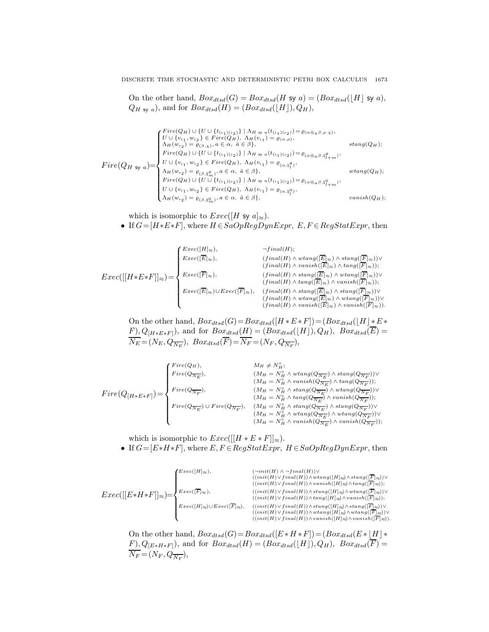On the other hand,  $Box_{dtsd}(G) = Box_{dtsd}(H \text{ sy } a) = (Box_{dtsd}([H] \text{ sy } a),$  $Q_{H \text{sy } a}$ , and for  $Box_{dtsd}(H) = (Box_{dtsd}(\lfloor H \rfloor), Q_H)$ ,

$$
Fire(Q_H \text{ sy } a) = \begin{cases} \nFree(Q_H) \cup \{U \cup \{t_{(\iota_1)(\iota_2)}\} \mid \Lambda_{H \text{ sy } a}(t_{(\iota_1)(\iota_2)}) = \varrho_{(\alpha \oplus a \beta, \rho \cdot \chi)}, \\ \nU \cup \{v_{\iota_1}, w_{\iota_2}\} \in \operatorname{Fire}(Q_H), \Lambda_H(v_{\iota_1}) = \varrho_{(\alpha, \rho)}, \\ \n\Lambda_H(w_{\iota_2}) = \varrho_{(\beta, \chi)}, a \in \alpha, \ \hat{a} \in \beta\}, \\ \nFree(Q_H) \cup \{U \cup \{t_{(\iota_1)(\iota_2)}\} \mid \Lambda_{H \text{ sy } a}(t_{(\iota_1)(\iota_2)}) = \varrho_{(\alpha \oplus a \beta, \natural_{\iota_1 + m}^{\theta})}, \\ \nU \cup \{v_{\iota_1}, w_{\iota_2}\} \in \operatorname{Fire}(Q_H), \ \Lambda_H(v_{\iota_1}) = \varrho_{(\alpha, \natural_{\iota_1}^{\theta})}, \\ \n\Lambda_H(w_{\iota_2}) = \varrho_{(\beta, \natural_{m}^{\theta})}, a \in \alpha, \ \hat{a} \in \beta\}, \\ \nFree(Q_H) \cup \{U \cup \{t_{(\iota_1)(\iota_2)}\} \mid \Lambda_{H \text{ sy } a}(t_{(\iota_1)(\iota_2)}) = \varrho_{(\alpha \oplus a \beta, \natural_{\iota_1 + m}^{\theta})}, \\ \nU \cup \{v_{\iota_1}, w_{\iota_2}\} \in \operatorname{Fire}(Q_H), \ \Lambda_H(v_{\iota_1}) = \varrho_{(\alpha, \natural_{\iota_1}^{\theta})}, \\ \n\Lambda_H(w_{\iota_2}) = \varrho_{(\beta, \natural_{m}^{\theta})}, a \in \alpha, \ \hat{a} \in \beta\}, \end{cases} \text{ vanish}(Q_H);
$$

which is isomorphic to  $Exec([H \text{ sy } a]_{\approx}).$ 

• If  $G=[H*E*F]$ , where  $H \in SaOpRegDynExpr$ ,  $E, F \in RegStatExpr$ , then

$$
Exec([[H * E * F]]_{\approx}) = \left\{ \begin{aligned} \textit{Exec}([E]_{\approx}), &\qquad \qquad \neg final(H);\\ \textit{Exec}([E]_{\approx}), &\qquad \qquad \qquad (final(H) \wedge v \, \textit{tang}([E]_{\approx}) \wedge \textit{tang}([F]_{\approx})) \vee \\ \textit{Exec}([F]_{\approx}), &\qquad \qquad (final(H) \wedge \textit{stang}([E]_{\approx}) \wedge \textit{tang}([F]_{\approx})) \vee \\ \textit{Exec}([E]_{\approx}) \cup \textit{Exec}([F]_{\approx}), &\qquad \qquad (final(H) \wedge \textit{stang}([E]_{\approx}) \wedge \textit{vains}([F]_{\approx})) \vee \\ \textit{Exec}([E]_{\approx}) \cup \textit{Exec}([F]_{\approx}), &\qquad \qquad (final(H) \wedge \textit{stang}([E]_{\approx}) \wedge \textit{vating}([F]_{\approx})) \vee \\ &\qquad \qquad (final(H) \wedge v \, \textit{tang}([E]_{\approx}) \wedge \textit{vains}([F]_{\approx})) \vee \\ &\qquad \qquad (final(H) \wedge v \, \textit{tang}([E]_{\approx}) \wedge \textit{vains}([F]_{\approx})) \vee \\ &\qquad \qquad (final(H) \wedge v \, \textit{tang}([E]_{\approx}) \wedge \textit{vains}([F]_{\approx})) \vee \\ \end{aligned} \right.
$$

On the other hand,  $Box_{dtsd}(G) = Box_{dtsd}([H * E * F]) = (Box_{dtsd}([H] * E * F])$  $F, Q_{[H*E*F]}$ , and for  $Box_{dtsd}(H) = (Box_{dtsd}([H]), Q_H)$ ,  $Box_{dtsd}(E) =$  $N_E = (N_E, Q_{\overline{N_E}}), \; Box_{dtsd}(F) = N_F = (N_F, Q_{\overline{N_F}}),$ 

$$
Fire(Q_{[H*E*F]}) = \left\{ \begin{aligned} \label{eq:free} Fire(Q_H), & \qquad \qquad M_H \neq N_H^{\circ}; \\ \begin{aligned} & \qquad \qquad & \qquad (M_H = N_H^{\circ} \wedge \textit{wtang}(Q_{\overline{N_E}}) \wedge \textit{stand}(Q_{\overline{N_F}})) \vee \\ & \qquad \qquad & \qquad (M_H = N_H^{\circ} \wedge \textit{wanish}(Q_{\overline{N_E}}) \wedge \textit{tang}(Q_{\overline{N_F}})) ; \\ & \qquad \qquad & \qquad (M_H = N_H^{\circ} \wedge \textit{stand}(Q_{\overline{N_E}}) \wedge \textit{wtang}(Q_{\overline{N_F}})) \vee \\ & \qquad \qquad (M_H = N_H^{\circ} \wedge \textit{tang}(Q_{\overline{N_E}}) \wedge \textit{wanish}(Q_{\overline{N_F}})) ; \\ & \qquad \qquad (M_H = N_H^{\circ} \wedge \textit{stand}(Q_{\overline{N_E}}) \wedge \textit{sigma}(Q_{\overline{N_F}})) ; \\ & \qquad \qquad (M_H = N_H^{\circ} \wedge \textit{atang}(Q_{\overline{N_E}}) \wedge \textit{stand}(Q_{\overline{N_F}})) \vee \\ & \qquad \qquad (M_H = N_H^{\circ} \wedge \textit{wtang}(Q_{\overline{N_E}}) \wedge \textit{wtang}(Q_{\overline{N_F}})) ; \\ & \qquad \qquad (M_H = N_H^{\circ} \wedge \textit{wtang}(Q_{\overline{N_E}}) \wedge \textit{wtang}(Q_{\overline{N_F}})) ; \end{aligned} \end{aligned} \right.
$$

which is isomorphic to  $Exec([[H * E * F]]_{\approx}).$ • If  $G=[E*H*F]$ , where  $E, F \in RegStatexpr$ ,  $H \in SaOpRegDynExpr$ , then

$$
Exec([[E*H*F]]_{\approx}) = \begin{cases} \begin{matrix} \textit{Exec}([H]_{\approx}), & (\neg init(H) \wedge \neg final(H)) \vee \\ & ((init(H) \vee final(H)) \wedge v \textit{tang}([H]_{\approx}) \wedge \textit{stand}([F]_{\approx})) \vee \\ & ((init(H) \vee final(H)) \wedge v \textit{anis}( [H]_{\approx}) \wedge \textit{atang}([F]_{\approx})) \vee \\ & ((init(H) \vee final(H)) \wedge \textit{stand}([H]_{\approx}) \wedge v \textit{tang}([F]_{\approx})) \vee \\ & ((init(H) \vee final(H)) \wedge \textit{stand}([H]_{\approx}) \wedge v \textit{anis}( [F]_{\approx})) \vee \\ & \textit{Exec}([H]_{\approx}) \cup \textit{Exec}([\overline{F}]_{\approx}), & ((init(H) \vee final(H)) \wedge \textit{stand}([H]_{\approx}) \wedge v \textit{anis}( [F]_{\approx})) \vee \\ & ((init(H) \vee final(H)) \wedge v \textit{anis}( [H]_{\approx}) \wedge v \textit{anis}( [F]_{\approx})) \vee \\ & ((init(H) \vee final(H)) \wedge v \textit{anis}( [H]_{\approx}) \wedge v \textit{anis}( [F]_{\approx})) \vee \\ & ((init(H) \vee final(H)) \wedge v \textit{anis}( [H]_{\approx}) \wedge v \textit{anis}( [F]_{\approx})) \vee \\ & ((init(H) \vee final(H)) \wedge v \textit{anis}( [H]_{\approx}) \wedge v \textit{anis}( [F]_{\approx})) \vee \\ & ((init(H) \vee final(H)) \wedge v \textit{anis}( [H]_{\approx}) \wedge v \textit{anis}( [F]_{\approx}) \vee \\ & ((init(H) \vee final(H)) \wedge v \textit{anis}( [H]_{\approx}) \wedge v \textit{anis}( [F]_{\approx}) \vee \\ & ((init(H) \vee final(H)) \wedge v \textit{anis}( [H]_{\approx}) \wedge v \textit{anis}( [F]_{\approx}) \vee \\ & ((init(H) \vee final(H)) \wedge v \textit{anis}( [H]_{\approx}) \wedge v \textit{anis}( [F]_{\approx}) \vee \\ & ((init(H) \vee final(H)) \wedge v \textit{
$$

On the other hand,  $Box_{dtsd}(G) = Box_{dtsd}([E * H * F]) = (Box_{dtsd}(E * [H] * F)))$  $(F), Q_{[E*H*F]}),$  and for  $Box_{dtsd}(H) = (Box_{dtsd}([H]), Q_H),$   $Box_{dtsd}(\overline{F}) =$  $N_F = (N_F, Q_{\overline{N_F}}),$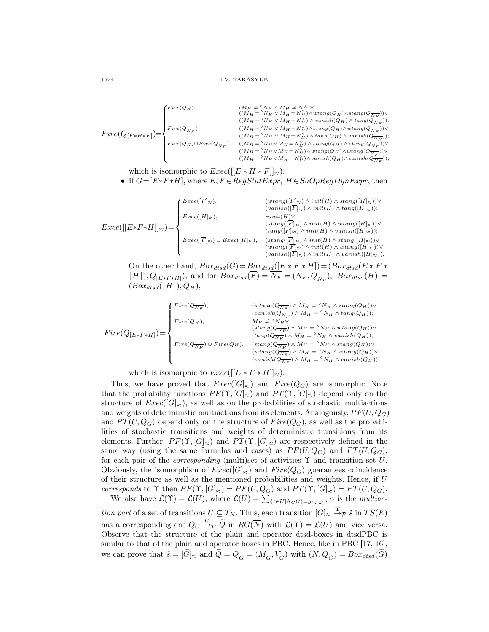$$
Fire(Q_{[E*H*F]} ) = \left\{ \begin{matrix} Fire(Q_H), & (M_H \neq {}^{\mathcal{N}}\!N_H \wedge M_H \neq N_H^{\mathcal{C}}) \vee \\ & ((M_H = {}^{\mathcal{N}}\!N_H \vee M_H = N_H^{\mathcal{C}}) \wedge vansh(Q_H) \wedge stang(Q_{\overline{N}_F})) \vee \\ & ((M_H = {}^{\mathcal{N}}\!N_H \vee M_H = N_H^{\mathcal{C}}) \wedge vansh(Q_H) \wedge tang(Q_{\overline{N}_F})); \\ & ((M_H = {}^{\mathcal{N}}\!N_H \vee M_H = N_H^{\mathcal{C}}) \wedge stang(Q_H) \wedge wansh(Q_{\overline{N}_F})); \\ & ((M_H = {}^{\mathcal{N}}\!N_H \vee M_H = N_H^{\mathcal{C}}) \wedge tang(Q_H) \wedge vansh(Q_{\overline{N}_F})); \\ & ((M_H = {}^{\mathcal{N}}\!N_H \vee M_H = N_H^{\mathcal{C}}) \wedge stang(Q_H) \wedge stang(Q_{\overline{N}_F})); \\ & ((M_H = {}^{\mathcal{N}}\!N_H \vee M_H = N_H^{\mathcal{C}}) \wedge wansh(Q_H) \wedge wansh(Q_{\overline{N}_F})); \\ & ((M_H = {}^{\mathcal{N}}\!N_H \vee M_H = N_H^{\mathcal{C}}) \wedge wansh(Q_H) \wedge vansh(Q_{\overline{N}_F})); \end{matrix} \right.
$$

which is isomorphic to  $Exec([[E * H * F]]_{\approx}).$ 

• If  $G=[E*F*H]$ , where  $E, F \in RegStatexpr$ ,  $H \in SaOpRegDynExpr$ , then

$$
Exec([[E*F*H]]_{\approx}) = \begin{cases} \textit{Exec}([\overline{F}]_{\approx}), & (wtang([\overline{F}]_{\approx}) \wedge init(H) \wedge \textit{stang}([H]_{\approx})) \vee \\ \textit{Exec}([H]_{\approx}), & -init(H) \vee \\ \textit{Exec}([\overline{F}]_{\approx}) \wedge init(H) \wedge \textit{vatang}([H]_{\approx})) \vee \\ \textit{Exec}([\overline{F}]_{\approx}) \wedge \textit{init}(H) \wedge \textit{vatang}([H]_{\approx})) \vee \\ \textit{Exec}([\overline{F}]_{\approx}) \wedge \textit{init}(H) \wedge \textit{vantang}([H]_{\approx})) \vee \\ \textit{Exec}([\overline{F}]_{\approx}) \wedge \textit{init}(H) \wedge \textit{stang}([H]_{\approx})) \vee \\ (wtang([\overline{F}]_{\approx}) \wedge init(H) \wedge \textit{vatang}([H]_{\approx})) \vee \\ (vanish([\overline{F}]_{\approx}) \wedge init(H) \wedge \textit{vatang}([H]_{\approx})) \vee \\ (vanish([\overline{F}]_{\approx}) \wedge init(H) \wedge \textit{vatang}([H]_{\approx})) \vee \end{cases}
$$

On the other hand,  $Box_{dtsd}(G) = Box_{dtsd}([E * F * H]) = (Box_{dtsd}(E * F *$  $[H], Q_{[E*F*H]},$  and for  $Box_{dtsd}(F) = N_F = (N_F, Q_{\overline{N_F}}),$   $Box_{dtsd}(H) =$  $(Box_{dtsd}(\lfloor H \rfloor), Q_H),$ 

$$
Fire(Q_{[E*F*H]}) = \left\{ \begin{aligned} Fire(Q_{\overline{N_F}}), & & (wtang(Q_{\overline{N_F}}) \wedge M_H = {}^{\circ}N_H \wedge starg(Q_H)) \vee \\ & & (vanish(Q_{\overline{N_F}}) \wedge M_H = {}^{\circ}N_H \wedge tang(Q_H)); \\ & & & (tang(Q_{\overline{N_F}}) \wedge M_H = {}^{\circ}N_H \wedge watang(Q_H)) \vee \\ & & & (tang(Q_{\overline{N_F}}) \wedge M_H = {}^{\circ}N_H \wedge watang(Q_H)) \vee \\ & & & (tang(Q_{\overline{N_F}}) \wedge M_H = {}^{\circ}N_H \wedge vanish(Q_H)); \\ & & & (wtang(Q_{\overline{N_F}}) \wedge M_H = {}^{\circ}N_H \wedge starg(Q_H)) \vee \\ & & & & (wtang(Q_{\overline{N_F}}) \wedge M_H = {}^{\circ}N_H \wedge wtang(Q_H)) \vee \\ & & & & (wasih(Q_{\overline{N_F}}) \wedge M_H = {}^{\circ}N_H \wedge wanish(Q_H)); \\ & & & & (wasih(Q_{\overline{N_F}}) \wedge M_H = {}^{\circ}N_H \wedge vanish(Q_H)); \end{aligned} \right.
$$

which is isomorphic to  $Exec([[E * F * H]]_{\approx}).$ 

Thus, we have proved that  $Exec([G]_{\approx})$  and  $Fire(Q_G)$  are isomorphic. Note that the probability functions  $PF(\Upsilon, [G]_{\approx})$  and  $PT(\Upsilon, [G]_{\approx})$  depend only on the structure of  $Exec([G]_{\approx})$ , as well as on the probabilities of stochastic multiactions and weights of deterministic multiactions from its elements. Analogously,  $PF(U, Q_G)$ and  $PT(U, Q_G)$  depend only on the structure of  $Fire(Q_G)$ , as well as the probabilities of stochastic transitions and weights of deterministic transitions from its elements. Further,  $PF(\Upsilon, [G]_{\approx})$  and  $PT(\Upsilon, [G]_{\approx})$  are respectively defined in the same way (using the same formulas and cases) as  $PF(U, Q_G)$  and  $PT(U, Q_G)$ , for each pair of the *corresponding* (multi)set of activities  $\Upsilon$  and transition set U. Obviously, the isomorphism of  $Exec([G]_{\approx})$  and  $Fire(Q_G)$  guarantees coincidence of their structure as well as the mentioned probabilities and weights. Hence, if U corresponds to  $\Upsilon$  then  $PF(\Upsilon, [G]_{\approx}) = PF(U, Q_G)$  and  $PT(\Upsilon, [G]_{\approx}) = PT(U, Q_G)$ .

We also have  $\mathcal{L}(\Upsilon) = \mathcal{L}(U)$ , where  $\mathcal{L}(U) = \sum_{\{t \in U | \Lambda_G(t) = \varrho_{(\alpha,\kappa)}\}} \alpha$  is the *multiac*tion part of a set of transitions  $U \subseteq T_N$ . Thus, each transition  $[G]_{\approx} \stackrel{\Upsilon}{\to} P \tilde{s}$  in  $TS(\overline{E})$ has a corresponding one  $Q_G \stackrel{U}{\to} \tilde{Q}$  in  $RG(\overline{N})$  with  $\mathcal{L}(\Upsilon) = \mathcal{L}(U)$  and vice versa. Observe that the structure of the plain and operator dtsd-boxes in dtsdPBC is similar to that of the plain and operator boxes in PBC. Hence, like in PBC [17, 16], we can prove that  $\tilde{s} = [\tilde{G}]_{\approx}$  and  $\tilde{Q} = Q_{\tilde{G}} = (M_{\tilde{G}}, V_{\tilde{G}})$  with  $(N, Q_{\tilde{G}}) = Box_{dtsd}(\tilde{G})$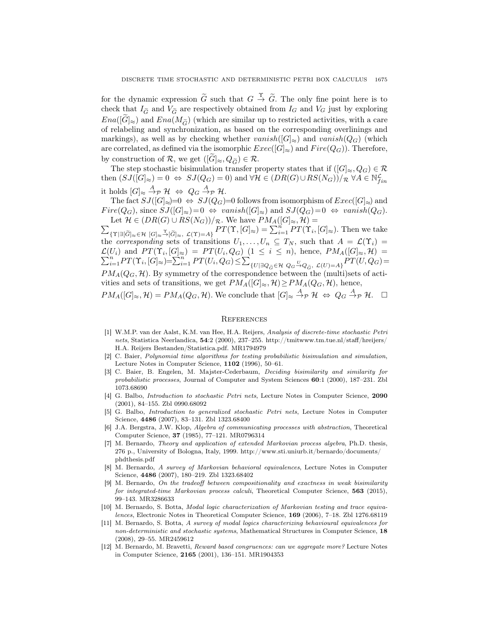for the dynamic expression  $\tilde{G}$  such that  $G \stackrel{\Upsilon}{\rightarrow} \tilde{G}$ . The only fine point here is to check that  $I_{\tilde{G}}$  and  $V_{\tilde{G}}$  are respectively obtained from  $I_G$  and  $V_G$  just by exploring  $Ena(|\tilde{G}|\approx)$  and  $Ena(M_{\tilde{G}})$  (which are similar up to restricted activities, with a care of relabeling and synchronization, as based on the corresponding overlinings and markings), as well as by checking whether  $vanish([G]_{\approx})$  and  $vanish(Q_G)$  (which are correlated, as defined via the isomorphic  $Exec([G]_{\approx})$  and  $Fire(Q_G))$ . Therefore, by construction of R, we get  $([\widetilde{G}]_{\approx}, Q_{\widetilde{G}}) \in \mathcal{R}$ .

The step stochastic bisimulation transfer property states that if  $([G]_{\approx}, Q_G) \in \mathcal{R}$ then  $(SJ([G]_{\approx})=0 \Leftrightarrow SJ(Q_G)=0)$  and  $\forall H \in (DR(G) \cup RS(N_G)) / R \ \forall A \in \mathbb{N}_{fin}^{\mathcal{L}}$ it holds  $[G]_{\approx} \stackrel{A}{\rightarrow} _{\mathcal{P}} \mathcal{H} \Leftrightarrow Q_G \stackrel{A}{\rightarrow} _{\mathcal{P}} \mathcal{H}.$ 

The fact  $SJ([G]_{\approx})=0 \Leftrightarrow SJ(Q_G)=0$  follows from isomorphism of  $Exec([G]_{\approx})$  and  $Fire(Q_G)$ , since  $SJ([G]_{\approx})=0 \Leftrightarrow vanish([G]_{\approx})$  and  $SJ(Q_G)=0 \Leftrightarrow vanish(Q_G)$ . Let  $\mathcal{H} \in (DR(G) \cup RS(N_G))/_{\mathcal{R}}$ . We have  $PM_A([G]_{\approx}, \mathcal{H}) =$ 

 $\overline{\Sigma}$  ${\{\Upsilon|\exists [\widetilde{G}]_{\approx}\in\mathcal{H}}\; [G]_{\approx}}\mathop{\to}\limits^{\sim}[\widetilde{G}]_{\approx},\ \mathcal{L}(\Upsilon)=A\}$   $PT(\Upsilon,[G]_{\approx})=\sum_{i=1}^{n}PT(\Upsilon_{i},[G]_{\approx}).$  Then we take the corresponding sets of transitions  $U_1, \ldots, U_n \subseteq T_N$ , such that  $A = \mathcal{L}(\Upsilon_i) =$  $\mathcal{L}(U_i)$  and  $PT(\Upsilon_i, [G]_{\approx}) = PT(U_i)$  $\sum$  $U_i$  and  $PT(\Upsilon_i, [G]_{\approx}) = PT(U_i, Q_G)$   $(1 \leq i \leq n)$ , hence,  $PM_A([G]_{\approx}, \mathcal{H}) = \sum_{i=1}^n PT(\Upsilon_i, [G]_{\approx}) = \sum_{i=1}^n PT(U_i, Q_G) \leq \sum_{\{U \mid \exists O_{\approx} \in \mathcal{H} \setminus O_G \leq O_{\approx}} \mathcal{L}(U) = A} PT(U, Q_G)$  $\{U \mid \exists Q_{\tilde{G}} \in \mathcal{H} \ Q_G \stackrel{U}{\rightarrow} Q_{\tilde{G}}, \ \mathcal{L}(U)=A\} \frac{PT(U,Q_G)}{T}$  $PM_A(Q_G, \mathcal{H})$ . By symmetry of the correspondence between the (multi)sets of activities and sets of transitions, we get  $PM_A([G]_{\approx}, \mathcal{H}) \geq PM_A(Q_G, \mathcal{H})$ , hence,  $PM_A([G]_\approx, \mathcal{H}) = PM_A(Q_G, \mathcal{H})$ . We conclude that  $[G]_\approx \stackrel{A}{\to}_{\mathcal{P}} \mathcal{H} \iff Q_G \stackrel{A}{\to}_{\mathcal{P}} \mathcal{H}$ .  $\Box$ 

## **REFERENCES**

- [1] W.M.P. van der Aalst, K.M. van Hee, H.A. Reijers, Analysis of discrete-time stochastic Petri nets, Statistica Neerlandica, 54:2 (2000), 237–255. http://tmitwww.tm.tue.nl/staff/hreijers/ H.A. Reijers Bestanden/Statistica.pdf. MR1794979
- [2] C. Baier, Polynomial time algorithms for testing probabilistic bisimulation and simulation, Lecture Notes in Computer Science, 1102 (1996), 50–61.
- [3] C. Baier, B. Engelen, M. Majster-Cederbaum, Deciding bisimilarity and similarity for probabilistic processes, Journal of Computer and System Sciences 60:1 (2000), 187–231. Zbl 1073.68690
- [4] G. Balbo, Introduction to stochastic Petri nets, Lecture Notes in Computer Science, 2090 (2001), 84–155. Zbl 0990.68092
- [5] G. Balbo, Introduction to generalized stochastic Petri nets, Lecture Notes in Computer Science, 4486 (2007), 83–131. Zbl 1323.68400
- [6] J.A. Bergstra, J.W. Klop, Algebra of communicating processes with abstraction, Theoretical Computer Science, 37 (1985), 77–121. MR0796314
- [7] M. Bernardo, Theory and application of extended Markovian process algebra, Ph.D. thesis, 276 p., University of Bologna, Italy, 1999. http://www.sti.uniurb.it/bernardo/documents/ phdthesis.pdf
- [8] M. Bernardo, A survey of Markovian behavioral equivalences, Lecture Notes in Computer Science, 4486 (2007), 180–219. Zbl 1323.68402
- [9] M. Bernardo, On the tradeoff between compositionality and exactness in weak bisimilarity for integrated-time Markovian process calculi, Theoretical Computer Science, 563 (2015), 99–143. MR3286633
- [10] M. Bernardo, S. Botta, Modal logic characterization of Markovian testing and trace equivalences, Electronic Notes in Theoretical Computer Science, 169 (2006), 7–18. Zbl 1276.68119
- [11] M. Bernardo, S. Botta, A survey of modal logics characterizing behavioural equivalences for non-deterministic and stochastic systems, Mathematical Structures in Computer Science, 18 (2008), 29–55. MR2459612
- [12] M. Bernardo, M. Bravetti, Reward based congruences: can we aggregate more? Lecture Notes in Computer Science, 2165 (2001), 136–151. MR1904353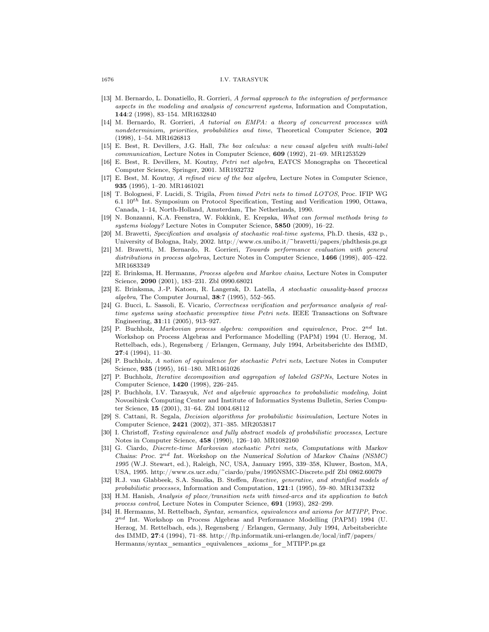## 1676 I.V. TARASYUK

- [13] M. Bernardo, L. Donatiello, R. Gorrieri, A formal approach to the integration of performance aspects in the modeling and analysis of concurrent systems, Information and Computation, 144:2 (1998), 83–154. MR1632840
- [14] M. Bernardo, R. Gorrieri, A tutorial on EMPA: a theory of concurrent processes with nondeterminism, priorities, probabilities and time, Theoretical Computer Science, 202 (1998), 1–54. MR1626813
- [15] E. Best, R. Devillers, J.G. Hall, The box calculus: a new causal algebra with multi-label communication, Lecture Notes in Computer Science, 609 (1992), 21–69. MR1253529
- [16] E. Best, R. Devillers, M. Koutny, Petri net algebra, EATCS Monographs on Theoretical Computer Science, Springer, 2001. MR1932732
- [17] E. Best, M. Koutny, A refined view of the box algebra, Lecture Notes in Computer Science, 935 (1995), 1–20. MR1461021
- [18] T. Bolognesi, F. Lucidi, S. Trigila, From timed Petri nets to timed LOTOS, Proc. IFIP WG 6.1  $10^{th}$  Int. Symposium on Protocol Specification, Testing and Verification 1990, Ottawa, Canada, 1–14, North-Holland, Amsterdam, The Netherlands, 1990.
- [19] N. Bonzanni, K.A. Feenstra, W. Fokkink, E. Krepska, What can formal methods bring to systems biology? Lecture Notes in Computer Science, 5850 (2009), 16–22.
- [20] M. Bravetti, Specification and analysis of stochastic real-time systems, Ph.D. thesis, 432 p., University of Bologna, Italy, 2002. http://www.cs.unibo.it/~bravetti/papers/phdthesis.ps.gz
- [21] M. Bravetti, M. Bernardo, R. Gorrieri, Towards performance evaluation with general distributions in process algebras, Lecture Notes in Computer Science, 1466 (1998), 405–422. MR1683349
- [22] E. Brinksma, H. Hermanns, Process algebra and Markov chains, Lecture Notes in Computer Science, 2090 (2001), 183–231. Zbl 0990.68021
- [23] E. Brinksma, J.-P. Katoen, R. Langerak, D. Latella, A stochastic causality-based process algebra, The Computer Journal, 38:7 (1995), 552–565.
- [24] G. Bucci, L. Sassoli, E. Vicario, Correctness verification and performance analysis of realtime systems using stochastic preemptive time Petri nets. IEEE Transactions on Software Engineering, 31:11 (2005), 913–927.
- [25] P. Buchholz, Markovian process algebra: composition and equivalence, Proc.  $2^{nd}$  Int. Workshop on Process Algebras and Performance Modelling (PAPM) 1994 (U. Herzog, M. Rettelbach, eds.), Regensberg / Erlangen, Germany, July 1994, Arbeitsberichte des IMMD, 27:4 (1994), 11–30.
- [26] P. Buchholz, A notion of equivalence for stochastic Petri nets, Lecture Notes in Computer Science, 935 (1995), 161–180. MR1461026
- [27] P. Buchholz, Iterative decomposition and aggregation of labeled GSPNs, Lecture Notes in Computer Science, 1420 (1998), 226–245.
- [28] P. Buchholz, I.V. Tarasyuk, Net and algebraic approaches to probabilistic modeling, Joint Novosibirsk Computing Center and Institute of Informatics Systems Bulletin, Series Computer Science, 15 (2001), 31–64. Zbl 1004.68112
- [29] S. Cattani, R. Segala, Decision algorithms for probabilistic bisimulation, Lecture Notes in Computer Science, 2421 (2002), 371–385. MR2053817
- [30] I. Christoff, Testing equivalence and fully abstract models of probabilistic processes, Lecture Notes in Computer Science, 458 (1990), 126–140. MR1082160
- [31] G. Ciardo, Discrete-time Markovian stochastic Petri nets, *Computations with Markov* Chains: Proc.  $2^{nd}$  Int. Workshop on the Numerical Solution of Markov Chains (NSMC) *1995* (W.J. Stewart, ed.), Raleigh, NC, USA, January 1995, 339–358, Kluwer, Boston, MA, USA, 1995. http://www.cs.ucr.edu/~ciardo/pubs/1995NSMC-Discrete.pdf Zbl 0862.60079
- [32] R.J. van Glabbeek, S.A. Smolka, B. Steffen, Reactive, generative, and stratified models of probabilistic processes, Information and Computation, 121:1 (1995), 59–80. MR1347332
- [33] H.M. Hanish, Analysis of place/transition nets with timed-arcs and its application to batch process control, Lecture Notes in Computer Science, 691 (1993), 282–299.
- [34] H. Hermanns, M. Rettelbach, Syntax, semantics, equivalences and axioms for MTIPP, Proc.  $2^{nd}$  Int. Workshop on Process Algebras and Performance Modelling (PAPM) 1994 (U. Herzog, M. Rettelbach, eds.), Regensberg / Erlangen, Germany, July 1994, Arbeitsberichte des IMMD, 27:4 (1994), 71–88. http://ftp.informatik.uni-erlangen.de/local/inf7/papers/ Hermanns/syntax\_semantics\_equivalences\_axioms\_for\_MTIPP.ps.gz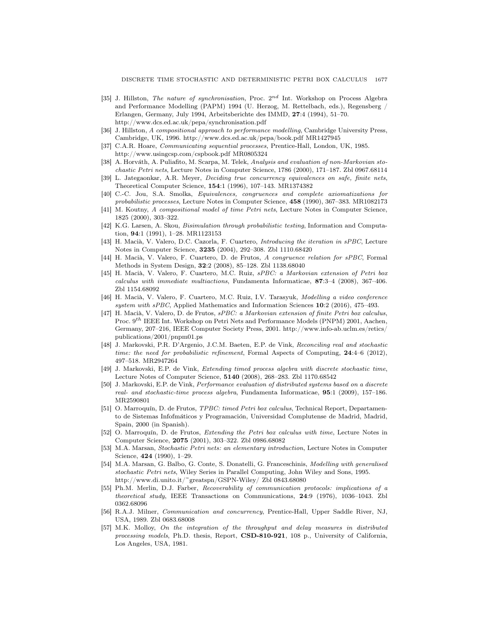- [35] J. Hillston, *The nature of synchronisation*, Proc. 2<sup>nd</sup> Int. Workshop on Process Algebra and Performance Modelling (PAPM) 1994 (U. Herzog, M. Rettelbach, eds.), Regensberg / Erlangen, Germany, July 1994, Arbeitsberichte des IMMD, 27:4 (1994), 51–70. http://www.dcs.ed.ac.uk/pepa/synchronisation.pdf
- [36] J. Hillston, A compositional approach to performance modelling, Cambridge University Press, Cambridge, UK, 1996. http://www.dcs.ed.ac.uk/pepa/book.pdf MR1427945
- [37] C.A.R. Hoare, *Communicating sequential processes*, Prentice-Hall, London, UK, 1985. http://www.usingcsp.com/cspbook.pdf MR0805324
- [38] A. Horváth, A. Puliafito, M. Scarpa, M. Telek, Analysis and evaluation of non-Markovian stochastic Petri nets, Lecture Notes in Computer Science, 1786 (2000), 171–187. Zbl 0967.68114
- [39] L. Jategaonkar, A.R. Meyer, Deciding true concurrency equivalences on safe, finite nets, Theoretical Computer Science, 154:1 (1996), 107–143. MR1374382
- [40] C.-C. Jou, S.A. Smolka, Equivalences, congruences and complete axiomatizations for probabilistic processes, Lecture Notes in Computer Science, 458 (1990), 367-383. MR1082173
- [41] M. Koutny, A compositional model of time Petri nets, Lecture Notes in Computer Science, 1825 (2000), 303–322.
- [42] K.G. Larsen, A. Skou, Bisimulation through probabilistic testing, Information and Computation, 94:1 (1991), 1–28. MR1123153
- [43] H. Macià, V. Valero, D.C. Cazorla, F. Cuartero, *Introducing the iteration in sPBC*, Lecture Notes in Computer Science, 3235 (2004), 292–308. Zbl 1110.68420
- [44] H. Macià, V. Valero, F. Cuartero, D. de Frutos, A congruence relation for sPBC, Formal Methods in System Design, 32:2 (2008), 85–128. Zbl 1138.68040
- [45] H. Macià, V. Valero, F. Cuartero, M.C. Ruiz, sPBC: a Markovian extension of Petri box calculus with immediate multiactions, Fundamenta Informaticae, 87:3–4 (2008), 367–406. Zbl 1154.68092
- [46] H. Macià, V. Valero, F. Cuartero, M.C. Ruiz, I.V. Tarasyuk, Modelling a video conference system with sPBC, Applied Mathematics and Information Sciences 10:2 (2016), 475–493.
- [47] H. Macià, V. Valero, D. de Frutos, sPBC: a Markovian extension of finite Petri box calculus, Proc. 9<sup>th</sup> IEEE Int. Workshop on Petri Nets and Performance Models (PNPM) 2001, Aachen, Germany, 207–216, IEEE Computer Society Press, 2001. http://www.info-ab.uclm.es/retics/ publications/2001/pnpm01.ps
- [48] J. Markovski, P.R. D'Argenio, J.C.M. Baeten, E.P. de Vink, Reconciling real and stochastic time: the need for probabilistic refinement, Formal Aspects of Computing, 24:4–6 (2012), 497–518. MR2947264
- [49] J. Markovski, E.P. de Vink, Extending timed process algebra with discrete stochastic time, Lecture Notes of Computer Science, 5140 (2008), 268–283. Zbl 1170.68542
- [50] J. Markovski, E.P. de Vink, Performance evaluation of distributed systems based on a discrete real- and stochastic-time process algebra, Fundamenta Informaticae, 95:1 (2009), 157–186. MR2590801
- [51] O. Marroquín, D. de Frutos, TPBC: timed Petri box calculus, Technical Report, Departamento de Sistemas Infofmáticos y Programación, Universidad Complutense de Madrid, Madrid, Spain, 2000 (in Spanish).
- [52] O. Marroquín, D. de Frutos, *Extending the Petri box calculus with time*, Lecture Notes in Computer Science, 2075 (2001), 303–322. Zbl 0986.68082
- [53] M.A. Marsan, Stochastic Petri nets: an elementary introduction, Lecture Notes in Computer Science, 424 (1990), 1–29.
- [54] M.A. Marsan, G. Balbo, G. Conte, S. Donatelli, G. Franceschinis, Modelling with generalised stochastic Petri nets, Wiley Series in Parallel Computing, John Wiley and Sons, 1995. http://www.di.unito.it/~greatspn/GSPN-Wiley/ Zbl 0843.68080
- [55] Ph.M. Merlin, D.J. Farber, Recoverability of communication protocols: implications of a theoretical study, IEEE Transactions on Communications, 24:9 (1976), 1036–1043. Zbl 0362.68096
- [56] R.A.J. Milner, Communication and concurrency, Prentice-Hall, Upper Saddle River, NJ, USA, 1989. Zbl 0683.68008
- [57] M.K. Molloy, On the integration of the throughput and delay measures in distributed processing models, Ph.D. thesis, Report, CSD-810-921, 108 p., University of California, Los Angeles, USA, 1981.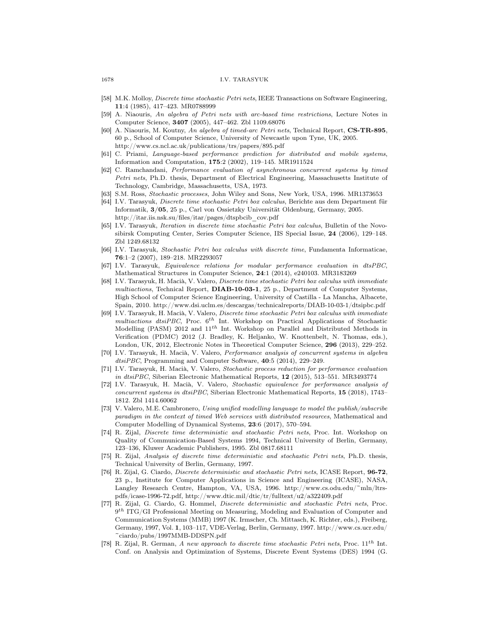## 1678 I.V. TARASYUK

- [58] M.K. Molloy, Discrete time stochastic Petri nets, IEEE Transactions on Software Engineering, 11:4 (1985), 417–423. MR0788999
- [59] A. Niaouris, An algebra of Petri nets with arc-based time restrictions, Lecture Notes in Computer Science, 3407 (2005), 447–462. Zbl 1109.68076
- [60] A. Niaouris, M. Koutny, An algebra of timed-arc Petri nets, Technical Report, CS-TR-895, 60 p., School of Computer Science, University of Newcastle upon Tyne, UK, 2005. http://www.cs.ncl.ac.uk/publications/trs/papers/895.pdf
- [61] C. Priami, Language-based performance prediction for distributed and mobile systems, Information and Computation, 175:2 (2002), 119–145. MR1911524
- [62] C. Ramchandani, Performance evaluation of asynchronous concurrent systems by timed Petri nets, Ph.D. thesis, Department of Electrical Engineering, Massachusetts Institute of Technology, Cambridge, Massachusetts, USA, 1973.
- [63] S.M. Ross, Stochastic processes, John Wiley and Sons, New York, USA, 1996. MR1373653
- [64] I.V. Tarasyuk, Discrete time stochastic Petri box calculus, Berichte aus dem Department für Informatik, 3/05, 25 p., Carl von Ossietzky Universität Oldenburg, Germany, 2005. http://itar.iis.nsk.su/files/itar/pages/dtspbcib\_cov.pdf
- [65] I.V. Tarasyuk, Iteration in discrete time stochastic Petri box calculus, Bulletin of the Novosibirsk Computing Center, Series Computer Science, IIS Special Issue, 24 (2006), 129–148. Zbl 1249.68132
- [66] I.V. Tarasyuk, Stochastic Petri box calculus with discrete time, Fundamenta Informaticae, 76:1–2 (2007), 189–218. MR2293057
- [67] I.V. Tarasyuk, Equivalence relations for modular performance evaluation in dtsPBC, Mathematical Structures in Computer Science, 24:1 (2014), e240103. MR3183269
- [68] I.V. Tarasyuk, H. Macià, V. Valero, Discrete time stochastic Petri box calculus with immediate multiactions, Technical Report, DIAB-10-03-1, 25 p., Department of Computer Systems, High School of Computer Science Engineering, University of Castilla - La Mancha, Albacete, Spain, 2010. http://www.dsi.uclm.es/descargas/technicalreports/DIAB-10-03-1/dtsipbc.pdf
- [69] I.V. Tarasyuk, H. Macià, V. Valero, Discrete time stochastic Petri box calculus with immediate  $multiactions$  dtsiPBC, Proc.  $6^{th}$  Int. Workshop on Practical Applications of Stochastic Modelling (PASM) 2012 and  $11^{th}$  Int. Workshop on Parallel and Distributed Methods in Verification (PDMC) 2012 (J. Bradley, K. Heljanko, W. Knottenbelt, N. Thomas, eds.), London, UK, 2012, Electronic Notes in Theoretical Computer Science, 296 (2013), 229–252.
- [70] I.V. Tarasyuk, H. Macià, V. Valero, Performance analysis of concurrent systems in algebra dtsiPBC, Programming and Computer Software, 40:5 (2014), 229–249.
- [71] I.V. Tarasyuk, H. Macià, V. Valero, Stochastic process reduction for performance evaluation in dtsiPBC, Siberian Electronic Mathematical Reports, 12 (2015), 513-551. MR3493774
- [72] I.V. Tarasyuk, H. Macià, V. Valero, Stochastic equivalence for performance analysis of concurrent systems in dtsiPBC, Siberian Electronic Mathematical Reports, 15 (2018), 1743– 1812. Zbl 1414.60062
- [73] V. Valero, M.E. Cambronero, Using unified modelling language to model the publish/subscribe paradigm in the context of timed Web services with distributed resources, Mathematical and Computer Modelling of Dynamical Systems, 23:6 (2017), 570–594.
- [74] R. Zijal, *Discrete time deterministic and stochastic Petri nets*, Proc. Int. Workshop on Quality of Communication-Based Systems 1994, Technical University of Berlin, Germany, 123–136, Kluwer Academic Publishers, 1995. Zbl 0817.68111
- [75] R. Zijal, Analysis of discrete time deterministic and stochastic Petri nets, Ph.D. thesis, Technical University of Berlin, Germany, 1997.
- [76] R. Zijal, G. Ciardo, Discrete deterministic and stochastic Petri nets, ICASE Report, 96-72, 23 p., Institute for Computer Applications in Science and Engineering (ICASE), NASA, Langley Research Centre, Hampton, VA, USA, 1996. http://www.cs.odu.edu/~mln/ltrspdfs/icase-1996-72.pdf, http://www.dtic.mil/dtic/tr/fulltext/u2/a322409.pdf
- [77] R. Zijal, G. Ciardo, G. Hommel, Discrete deterministic and stochastic Petri nets, Proc.  $9<sup>th</sup> ITG/GI$  Professional Meeting on Measuring, Modeling and Evaluation of Computer and Communication Systems (MMB) 1997 (K. Irmscher, Ch. Mittasch, K. Richter, eds.), Freiberg, Germany, 1997, Vol. 1, 103–117, VDE-Verlag, Berlin, Germany, 1997. http://www.cs.ucr.edu/ ~ciardo/pubs/1997MMB-DDSPN.pdf
- [78] R. Zijal, R. German, A new approach to discrete time stochastic Petri nets, Proc.  $11^{th}$  Int. Conf. on Analysis and Optimization of Systems, Discrete Event Systems (DES) 1994 (G.